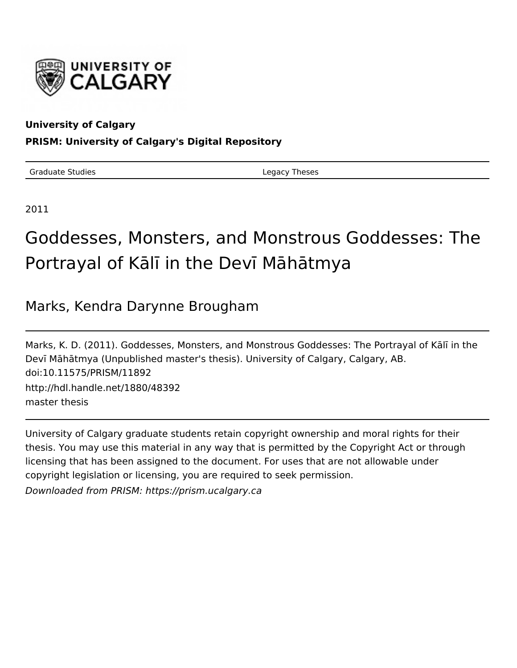

# **University of Calgary**

# **PRISM: University of Calgary's Digital Repository**

Graduate Studies **Legacy Theses** 

2011

# Goddesses, Monsters, and Monstrous Goddesses: The Portrayal of Kālī in the Devī Māhātmya

# Marks, Kendra Darynne Brougham

Marks, K. D. (2011). Goddesses, Monsters, and Monstrous Goddesses: The Portrayal of Kālī in the Devī Māhātmya (Unpublished master's thesis). University of Calgary, Calgary, AB. doi:10.11575/PRISM/11892 http://hdl.handle.net/1880/48392 master thesis

University of Calgary graduate students retain copyright ownership and moral rights for their thesis. You may use this material in any way that is permitted by the Copyright Act or through licensing that has been assigned to the document. For uses that are not allowable under copyright legislation or licensing, you are required to seek permission. Downloaded from PRISM: https://prism.ucalgary.ca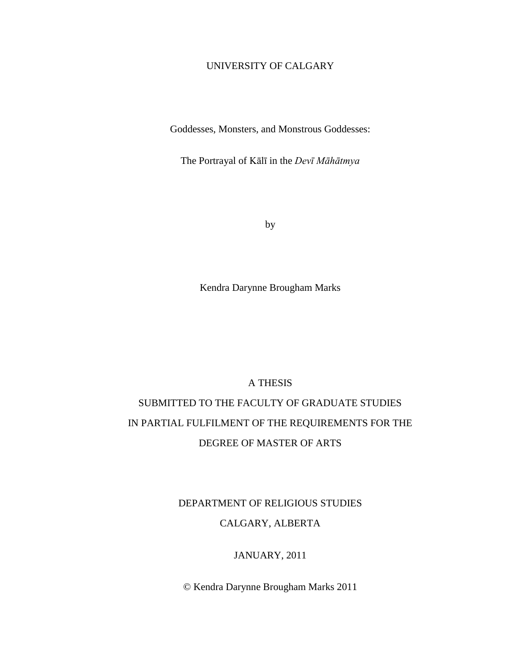## UNIVERSITY OF CALGARY

Goddesses, Monsters, and Monstrous Goddesses:

The Portrayal of Kālī in the *Devī Māhātmya*

by

Kendra Darynne Brougham Marks

## A THESIS

# SUBMITTED TO THE FACULTY OF GRADUATE STUDIES IN PARTIAL FULFILMENT OF THE REQUIREMENTS FOR THE DEGREE OF MASTER OF ARTS

# DEPARTMENT OF RELIGIOUS STUDIES

### CALGARY, ALBERTA

#### JANUARY, 2011

© Kendra Darynne Brougham Marks 2011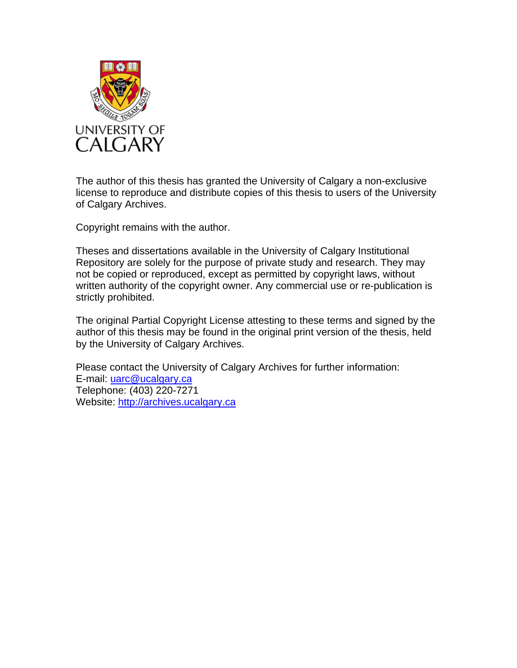

The author of this thesis has granted the University of Calgary a non-exclusive license to reproduce and distribute copies of this thesis to users of the University of Calgary Archives.

Copyright remains with the author.

Theses and dissertations available in the University of Calgary Institutional Repository are solely for the purpose of private study and research. They may not be copied or reproduced, except as permitted by copyright laws, without written authority of the copyright owner. Any commercial use or re-publication is strictly prohibited.

The original Partial Copyright License attesting to these terms and signed by the author of this thesis may be found in the original print version of the thesis, held by the University of Calgary Archives.

Please contact the University of Calgary Archives for further information: E-mail: uarc@ucalgary.ca Telephone: (403) 220-7271 Website: [http://archives.ucalgary.ca](http://archives.ucalgary.ca/)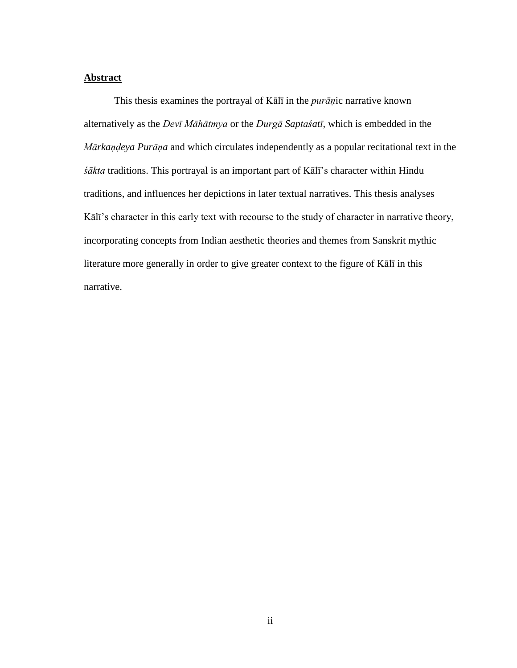#### <span id="page-3-0"></span>**Abstract**

 This thesis examines the portrayal of Kālī in the *purāṇ*ic narrative known alternatively as the *Devī Māhātmya* or the *Durgā Saptaśatī*, which is embedded in the *Mārkaṇḍeya Purāṇa* and which circulates independently as a popular recitational text in the *śākta* traditions. This portrayal is an important part of Kālī's character within Hindu traditions, and influences her depictions in later textual narratives. This thesis analyses Kālī's character in this early text with recourse to the study of character in narrative theory, incorporating concepts from Indian aesthetic theories and themes from Sanskrit mythic literature more generally in order to give greater context to the figure of Kālī in this narrative.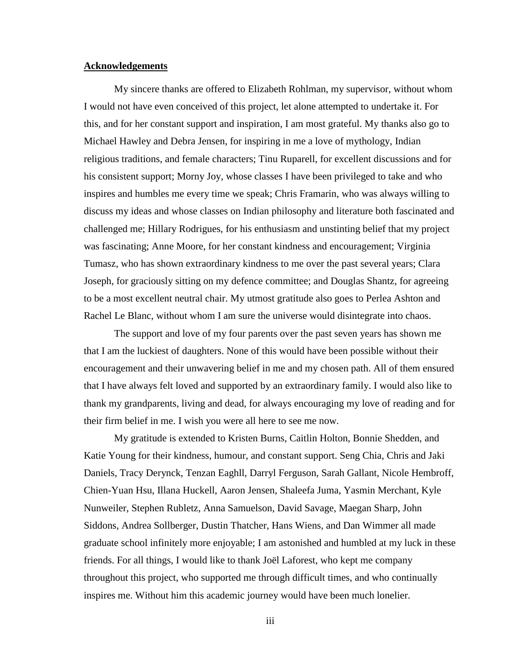#### <span id="page-4-0"></span>**Acknowledgements**

 My sincere thanks are offered to Elizabeth Rohlman, my supervisor, without whom I would not have even conceived of this project, let alone attempted to undertake it. For this, and for her constant support and inspiration, I am most grateful. My thanks also go to Michael Hawley and Debra Jensen, for inspiring in me a love of mythology, Indian religious traditions, and female characters; Tinu Ruparell, for excellent discussions and for his consistent support; Morny Joy, whose classes I have been privileged to take and who inspires and humbles me every time we speak; Chris Framarin, who was always willing to discuss my ideas and whose classes on Indian philosophy and literature both fascinated and challenged me; Hillary Rodrigues, for his enthusiasm and unstinting belief that my project was fascinating; Anne Moore, for her constant kindness and encouragement; Virginia Tumasz, who has shown extraordinary kindness to me over the past several years; Clara Joseph, for graciously sitting on my defence committee; and Douglas Shantz, for agreeing to be a most excellent neutral chair. My utmost gratitude also goes to Perlea Ashton and Rachel Le Blanc, without whom I am sure the universe would disintegrate into chaos.

 The support and love of my four parents over the past seven years has shown me that I am the luckiest of daughters. None of this would have been possible without their encouragement and their unwavering belief in me and my chosen path. All of them ensured that I have always felt loved and supported by an extraordinary family. I would also like to thank my grandparents, living and dead, for always encouraging my love of reading and for their firm belief in me. I wish you were all here to see me now.

 My gratitude is extended to Kristen Burns, Caitlin Holton, Bonnie Shedden, and Katie Young for their kindness, humour, and constant support. Seng Chia, Chris and Jaki Daniels, Tracy Derynck, Tenzan Eaghll, Darryl Ferguson, Sarah Gallant, Nicole Hembroff, Chien-Yuan Hsu, Illana Huckell, Aaron Jensen, Shaleefa Juma, Yasmin Merchant, Kyle Nunweiler, Stephen Rubletz, Anna Samuelson, David Savage, Maegan Sharp, John Siddons, Andrea Sollberger, Dustin Thatcher, Hans Wiens, and Dan Wimmer all made graduate school infinitely more enjoyable; I am astonished and humbled at my luck in these friends. For all things, I would like to thank Joël Laforest, who kept me company throughout this project, who supported me through difficult times, and who continually inspires me. Without him this academic journey would have been much lonelier.

iii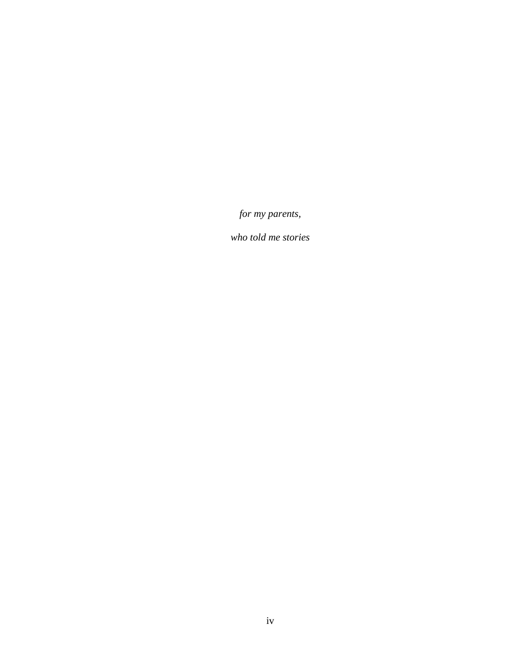<span id="page-5-0"></span>*for my parents,* 

*who told me stories*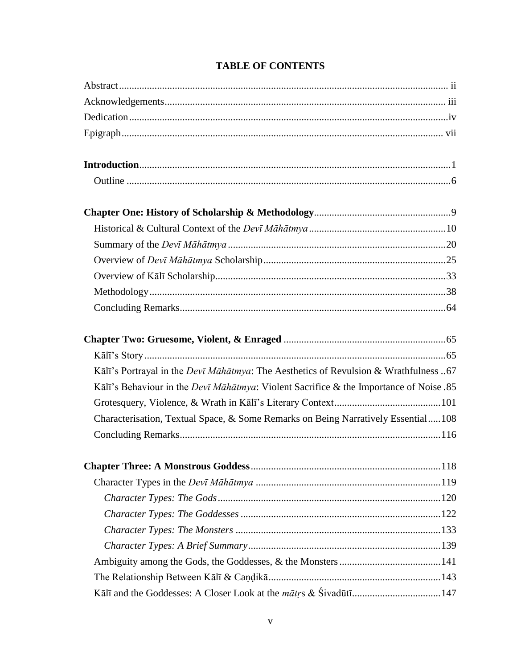| Kālī's Portrayal in the Devī Māhātmya: The Aesthetics of Revulsion & Wrathfulness 67           |  |
|------------------------------------------------------------------------------------------------|--|
| Kālī's Behaviour in the <i>Devī Māhātmya</i> : Violent Sacrifice & the Importance of Noise .85 |  |
|                                                                                                |  |
| Characterisation, Textual Space, & Some Remarks on Being Narratively Essential108              |  |
|                                                                                                |  |
|                                                                                                |  |
|                                                                                                |  |
|                                                                                                |  |
|                                                                                                |  |
|                                                                                                |  |
|                                                                                                |  |
|                                                                                                |  |
|                                                                                                |  |
|                                                                                                |  |
|                                                                                                |  |

# **TABLE OF CONTENTS**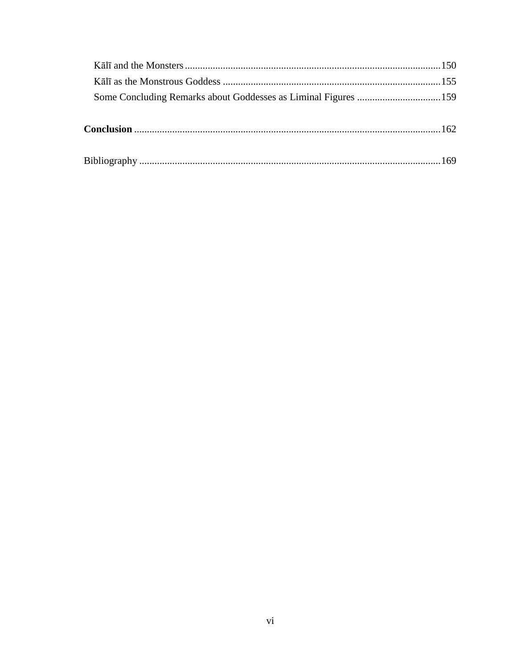| Some Concluding Remarks about Goddesses as Liminal Figures 159 |  |
|----------------------------------------------------------------|--|
|                                                                |  |
|                                                                |  |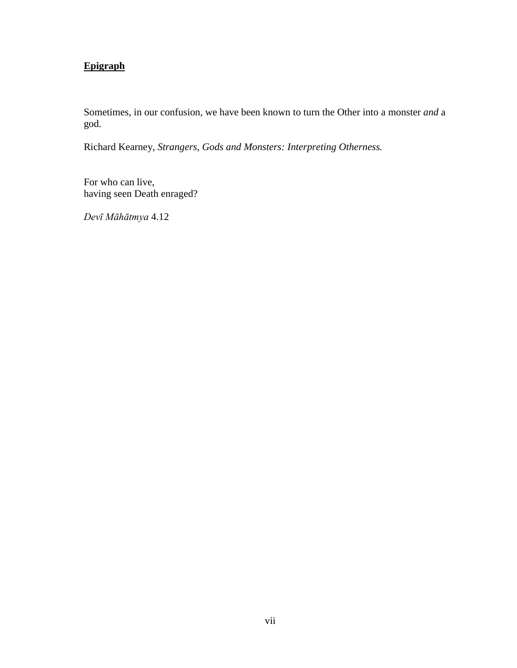# <span id="page-8-0"></span>**Epigraph**

Sometimes, in our confusion, we have been known to turn the Other into a monster *and* a god.

Richard Kearney, *Strangers, Gods and Monsters: Interpreting Otherness.* 

For who can live, having seen Death enraged?

*Devī Māhātmya* 4.12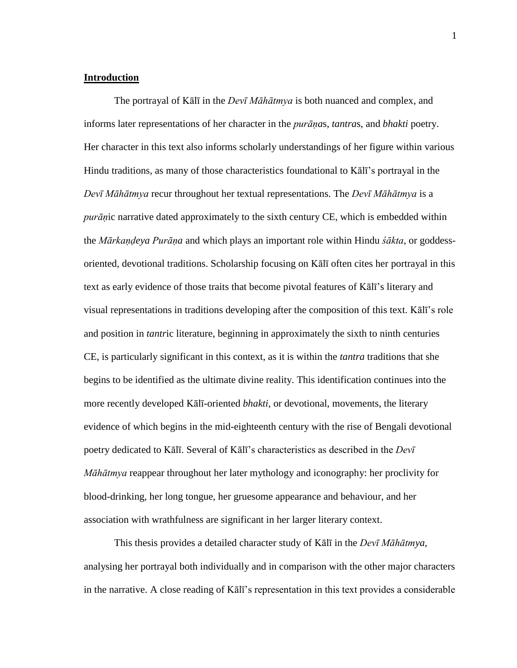#### <span id="page-9-0"></span>**Introduction**

 The portrayal of Kālī in the *Devī Māhātmya* is both nuanced and complex, and informs later representations of her character in the *purāṇa*s, *tantra*s, and *bhakti* poetry. Her character in this text also informs scholarly understandings of her figure within various Hindu traditions, as many of those characteristics foundational to Kālī's portrayal in the *Devī Māhātmya* recur throughout her textual representations. The *Devī Māhātmya* is a *purāṇ*ic narrative dated approximately to the sixth century CE, which is embedded within the *Mārkaṇḍeya Purāṇa* and which plays an important role within Hindu *śākta*, or goddessoriented, devotional traditions. Scholarship focusing on Kālī often cites her portrayal in this text as early evidence of those traits that become pivotal features of Kālī's literary and visual representations in traditions developing after the composition of this text. Kālī's role and position in *tantr*ic literature, beginning in approximately the sixth to ninth centuries CE, is particularly significant in this context, as it is within the *tantra* traditions that she begins to be identified as the ultimate divine reality. This identification continues into the more recently developed Kālī-oriented *bhakti*, or devotional, movements, the literary evidence of which begins in the mid-eighteenth century with the rise of Bengali devotional poetry dedicated to Kālī. Several of Kālī's characteristics as described in the *Devī Māhātmya* reappear throughout her later mythology and iconography: her proclivity for blood-drinking, her long tongue, her gruesome appearance and behaviour, and her association with wrathfulness are significant in her larger literary context.

 This thesis provides a detailed character study of Kālī in the *Devī Māhātmya*, analysing her portrayal both individually and in comparison with the other major characters in the narrative. A close reading of Kālī's representation in this text provides a considerable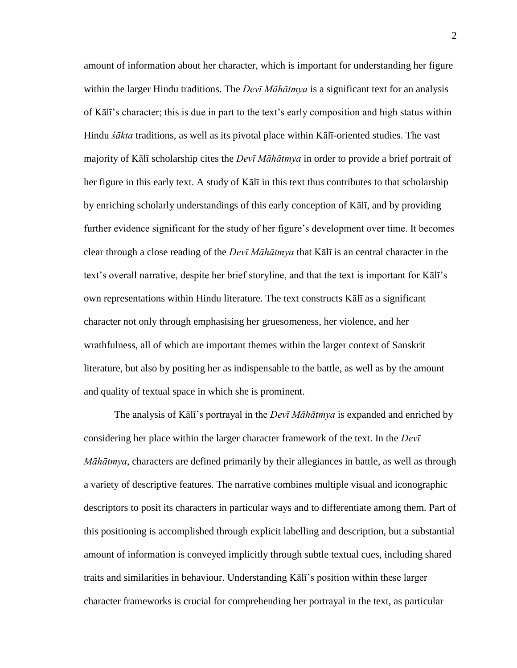amount of information about her character, which is important for understanding her figure within the larger Hindu traditions. The *Devī Māhātmya* is a significant text for an analysis of Kālī's character; this is due in part to the text's early composition and high status within Hindu *śākta* traditions, as well as its pivotal place within Kālī-oriented studies. The vast majority of Kālī scholarship cites the *Devī Māhātmya* in order to provide a brief portrait of her figure in this early text. A study of Kālī in this text thus contributes to that scholarship by enriching scholarly understandings of this early conception of Kālī, and by providing further evidence significant for the study of her figure's development over time. It becomes clear through a close reading of the *Devī Māhātmya* that Kālī is an central character in the text's overall narrative, despite her brief storyline, and that the text is important for Kālī's own representations within Hindu literature. The text constructs Kālī as a significant character not only through emphasising her gruesomeness, her violence, and her wrathfulness, all of which are important themes within the larger context of Sanskrit literature, but also by positing her as indispensable to the battle, as well as by the amount and quality of textual space in which she is prominent.

 The analysis of Kālī's portrayal in the *Devī Māhātmya* is expanded and enriched by considering her place within the larger character framework of the text. In the *Devī Māhātmya*, characters are defined primarily by their allegiances in battle, as well as through a variety of descriptive features. The narrative combines multiple visual and iconographic descriptors to posit its characters in particular ways and to differentiate among them. Part of this positioning is accomplished through explicit labelling and description, but a substantial amount of information is conveyed implicitly through subtle textual cues, including shared traits and similarities in behaviour. Understanding Kālī's position within these larger character frameworks is crucial for comprehending her portrayal in the text, as particular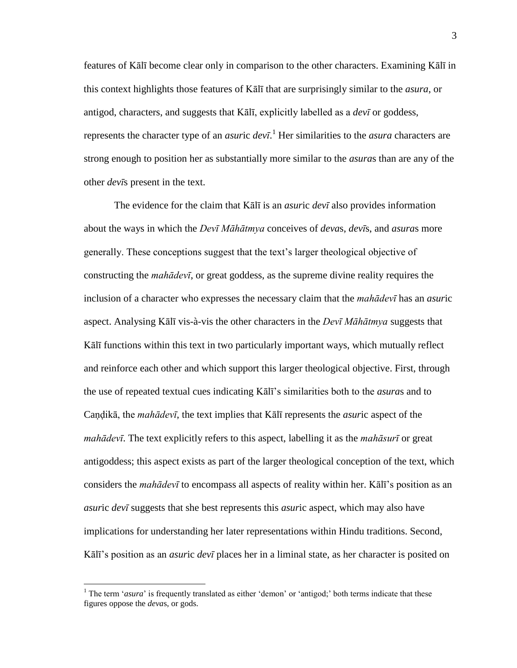features of Kālī become clear only in comparison to the other characters. Examining Kālī in this context highlights those features of Kālī that are surprisingly similar to the *asura*, or antigod, characters, and suggests that Kālī, explicitly labelled as a *devī* or goddess, represents the character type of an *asur*ic *devī*. <sup>1</sup> Her similarities to the *asura* characters are strong enough to position her as substantially more similar to the *asura*s than are any of the other *devī*s present in the text.

 The evidence for the claim that Kālī is an *asur*ic *devī* also provides information about the ways in which the *Devī Māhātmya* conceives of *deva*s, *devī*s, and *asura*s more generally. These conceptions suggest that the text's larger theological objective of constructing the *mahādevī*, or great goddess, as the supreme divine reality requires the inclusion of a character who expresses the necessary claim that the *mahādevī* has an *asur*ic aspect. Analysing Kālī vis-à-vis the other characters in the *Devī Māhātmya* suggests that Kālī functions within this text in two particularly important ways, which mutually reflect and reinforce each other and which support this larger theological objective. First, through the use of repeated textual cues indicating Kālī's similarities both to the *asura*s and to Caṇḍikā, the *mahādevī*, the text implies that Kālī represents the *asur*ic aspect of the *mahādevī*. The text explicitly refers to this aspect, labelling it as the *mahāsurī* or great antigoddess; this aspect exists as part of the larger theological conception of the text, which considers the *mahādevī* to encompass all aspects of reality within her. Kālī's position as an *asur*ic *devī* suggests that she best represents this *asur*ic aspect, which may also have implications for understanding her later representations within Hindu traditions. Second, Kālī's position as an *asur*ic *devī* places her in a liminal state, as her character is posited on

<sup>&</sup>lt;sup>1</sup> The term '*asura*' is frequently translated as either 'demon' or 'antigod;' both terms indicate that these figures oppose the *deva*s, or gods.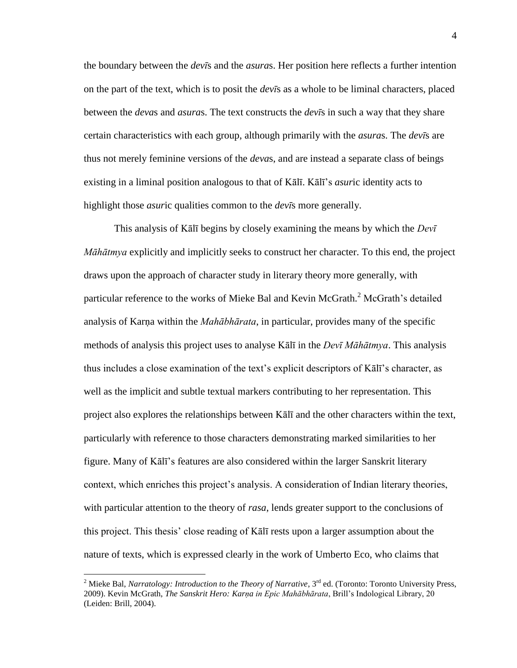the boundary between the *devī*s and the *asura*s. Her position here reflects a further intention on the part of the text, which is to posit the *devī*s as a whole to be liminal characters, placed between the *deva*s and *asura*s. The text constructs the *devī*s in such a way that they share certain characteristics with each group, although primarily with the *asura*s. The *devī*s are thus not merely feminine versions of the *deva*s, and are instead a separate class of beings existing in a liminal position analogous to that of Kālī. Kālī's *asur*ic identity acts to highlight those *asur*ic qualities common to the *devī*s more generally.

 This analysis of Kālī begins by closely examining the means by which the *Devī Māhātmya* explicitly and implicitly seeks to construct her character. To this end, the project draws upon the approach of character study in literary theory more generally, with particular reference to the works of Mieke Bal and Kevin McGrath.<sup>2</sup> McGrath's detailed analysis of Karna within the *Mahābhārata*, in particular, provides many of the specific methods of analysis this project uses to analyse Kālī in the *Devī Māhātmya*. This analysis thus includes a close examination of the text's explicit descriptors of Kālī's character, as well as the implicit and subtle textual markers contributing to her representation. This project also explores the relationships between Kālī and the other characters within the text, particularly with reference to those characters demonstrating marked similarities to her figure. Many of Kālī's features are also considered within the larger Sanskrit literary context, which enriches this project's analysis. A consideration of Indian literary theories, with particular attention to the theory of *rasa*, lends greater support to the conclusions of this project. This thesis' close reading of Kālī rests upon a larger assumption about the nature of texts, which is expressed clearly in the work of Umberto Eco, who claims that

<sup>&</sup>lt;sup>2</sup> Mieke Bal, *Narratology: Introduction to the Theory of Narrative*, 3<sup>rd</sup> ed. (Toronto: Toronto University Press, 2009). Kevin McGrath, *The Sanskrit Hero: Karṇa in Epic Mahābhārata*, Brill's Indological Library, 20 (Leiden: Brill, 2004).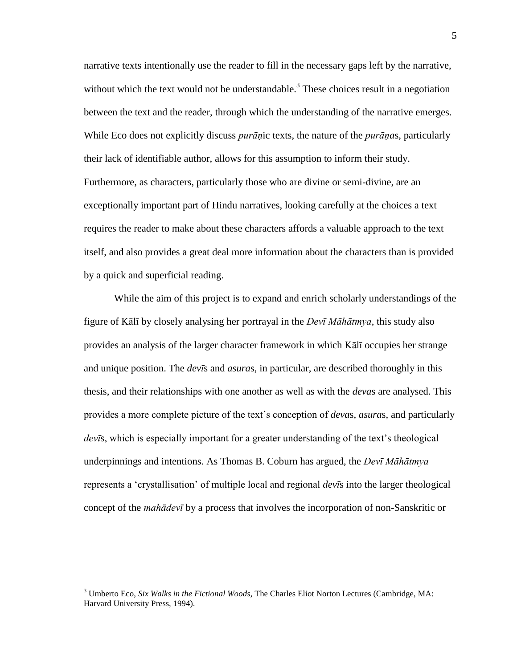narrative texts intentionally use the reader to fill in the necessary gaps left by the narrative, without which the text would not be understandable.<sup>3</sup> These choices result in a negotiation between the text and the reader, through which the understanding of the narrative emerges. While Eco does not explicitly discuss *purāṇ*ic texts, the nature of the *purāṇa*s, particularly their lack of identifiable author, allows for this assumption to inform their study. Furthermore, as characters, particularly those who are divine or semi-divine, are an exceptionally important part of Hindu narratives, looking carefully at the choices a text requires the reader to make about these characters affords a valuable approach to the text itself, and also provides a great deal more information about the characters than is provided by a quick and superficial reading.

 While the aim of this project is to expand and enrich scholarly understandings of the figure of Kālī by closely analysing her portrayal in the *Devī Māhātmya*, this study also provides an analysis of the larger character framework in which Kālī occupies her strange and unique position. The *devī*s and *asura*s, in particular, are described thoroughly in this thesis, and their relationships with one another as well as with the *deva*s are analysed. This provides a more complete picture of the text's conception of *deva*s, *asura*s, and particularly *devī*s, which is especially important for a greater understanding of the text's theological underpinnings and intentions. As Thomas B. Coburn has argued, the *Devī Māhātmya* represents a ‗crystallisation' of multiple local and regional *devī*s into the larger theological concept of the *mahādevī* by a process that involves the incorporation of non-Sanskritic or

<sup>3</sup> Umberto Eco, *Six Walks in the Fictional Woods*, The Charles Eliot Norton Lectures (Cambridge, MA: Harvard University Press, 1994).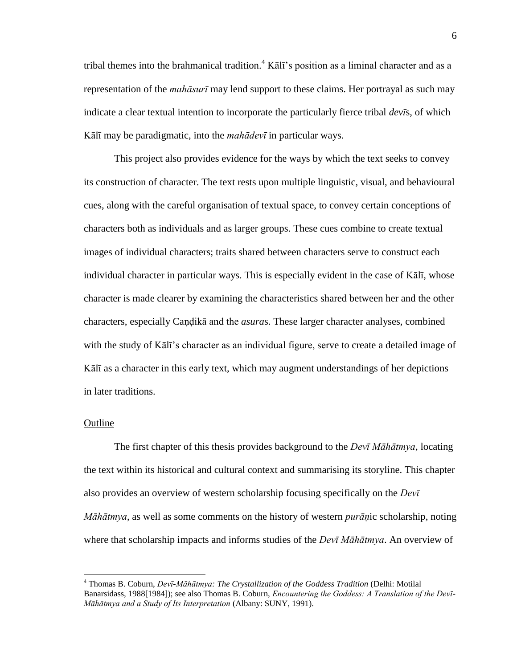tribal themes into the brahmanical tradition.<sup>4</sup> Kalī's position as a liminal character and as a representation of the *mahāsurī* may lend support to these claims. Her portrayal as such may indicate a clear textual intention to incorporate the particularly fierce tribal *devī*s, of which Kālī may be paradigmatic, into the *mahādevī* in particular ways.

 This project also provides evidence for the ways by which the text seeks to convey its construction of character. The text rests upon multiple linguistic, visual, and behavioural cues, along with the careful organisation of textual space, to convey certain conceptions of characters both as individuals and as larger groups. These cues combine to create textual images of individual characters; traits shared between characters serve to construct each individual character in particular ways. This is especially evident in the case of Kālī, whose character is made clearer by examining the characteristics shared between her and the other characters, especially Caṇḍikā and the *asura*s. These larger character analyses, combined with the study of Kālī's character as an individual figure, serve to create a detailed image of Kālī as a character in this early text, which may augment understandings of her depictions in later traditions.

#### <span id="page-14-0"></span>Outline

 $\overline{a}$ 

 The first chapter of this thesis provides background to the *Devī Māhātmya*, locating the text within its historical and cultural context and summarising its storyline. This chapter also provides an overview of western scholarship focusing specifically on the *Devī Māhātmya*, as well as some comments on the history of western *purāṇ*ic scholarship, noting where that scholarship impacts and informs studies of the *Devī Māhātmya*. An overview of

<sup>4</sup> Thomas B. Coburn, *Devī-Māhātmya: The Crystallization of the Goddess Tradition* (Delhi: Motilal Banarsidass, 1988[1984]); see also Thomas B. Coburn, *Encountering the Goddess: A Translation of the Devī-Māhātmya and a Study of Its Interpretation* (Albany: SUNY, 1991).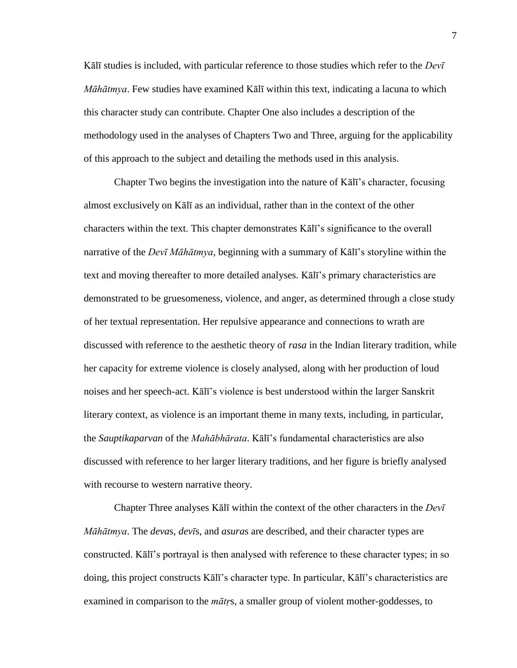Kālī studies is included, with particular reference to those studies which refer to the *Devī Māhātmya*. Few studies have examined Kālī within this text, indicating a lacuna to which this character study can contribute. Chapter One also includes a description of the methodology used in the analyses of Chapters Two and Three, arguing for the applicability of this approach to the subject and detailing the methods used in this analysis.

 Chapter Two begins the investigation into the nature of Kālī's character, focusing almost exclusively on Kālī as an individual, rather than in the context of the other characters within the text. This chapter demonstrates Kālī's significance to the overall narrative of the *Devī Māhātmya*, beginning with a summary of Kālī's storyline within the text and moving thereafter to more detailed analyses. Kālī's primary characteristics are demonstrated to be gruesomeness, violence, and anger, as determined through a close study of her textual representation. Her repulsive appearance and connections to wrath are discussed with reference to the aesthetic theory of *rasa* in the Indian literary tradition, while her capacity for extreme violence is closely analysed, along with her production of loud noises and her speech-act. Kālī's violence is best understood within the larger Sanskrit literary context, as violence is an important theme in many texts, including, in particular, the *Sauptikaparvan* of the *Mahābhārata*. Kālī's fundamental characteristics are also discussed with reference to her larger literary traditions, and her figure is briefly analysed with recourse to western narrative theory.

 Chapter Three analyses Kālī within the context of the other characters in the *Devī Māhātmya*. The *deva*s, *devī*s, and *asura*s are described, and their character types are constructed. Kālī's portrayal is then analysed with reference to these character types; in so doing, this project constructs Kālī's character type. In particular, Kālī's characteristics are examined in comparison to the *mātṛ*s, a smaller group of violent mother-goddesses, to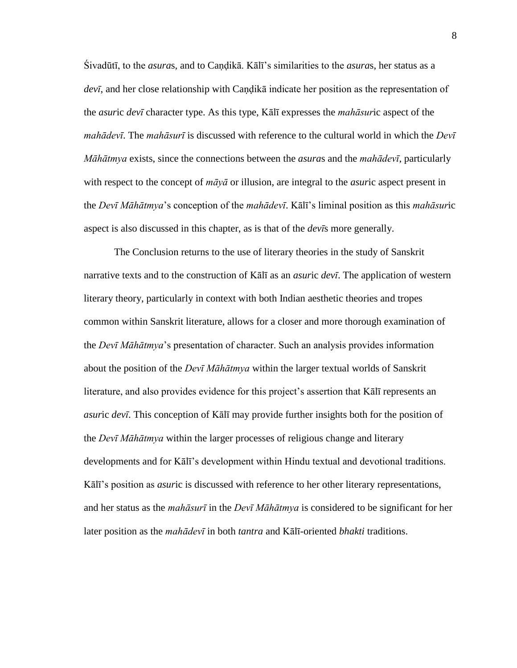Śivadūtī, to the *asura*s, and to Caṇḍikā. Kālī's similarities to the *asura*s, her status as a devī, and her close relationship with Candika indicate her position as the representation of the *asur*ic *devī* character type. As this type, Kālī expresses the *mahāsur*ic aspect of the *mahādevī*. The *mahāsurī* is discussed with reference to the cultural world in which the *Devī Māhātmya* exists, since the connections between the *asura*s and the *mahādevī*, particularly with respect to the concept of *māyā* or illusion, are integral to the *asur*ic aspect present in the *Devī Māhātmya*'s conception of the *mahādevī*. Kālī's liminal position as this *mahāsur*ic aspect is also discussed in this chapter, as is that of the *devī*s more generally.

 The Conclusion returns to the use of literary theories in the study of Sanskrit narrative texts and to the construction of Kālī as an *asur*ic *devī*. The application of western literary theory, particularly in context with both Indian aesthetic theories and tropes common within Sanskrit literature, allows for a closer and more thorough examination of the *Devī Māhātmya*'s presentation of character. Such an analysis provides information about the position of the *Devī Māhātmya* within the larger textual worlds of Sanskrit literature, and also provides evidence for this project's assertion that Kālī represents an *asur*ic *devī*. This conception of Kālī may provide further insights both for the position of the *Devī Māhātmya* within the larger processes of religious change and literary developments and for Kālī's development within Hindu textual and devotional traditions. Kālī's position as *asur*ic is discussed with reference to her other literary representations, and her status as the *mahāsurī* in the *Devī Māhātmya* is considered to be significant for her later position as the *mahādevī* in both *tantra* and Kālī-oriented *bhakti* traditions.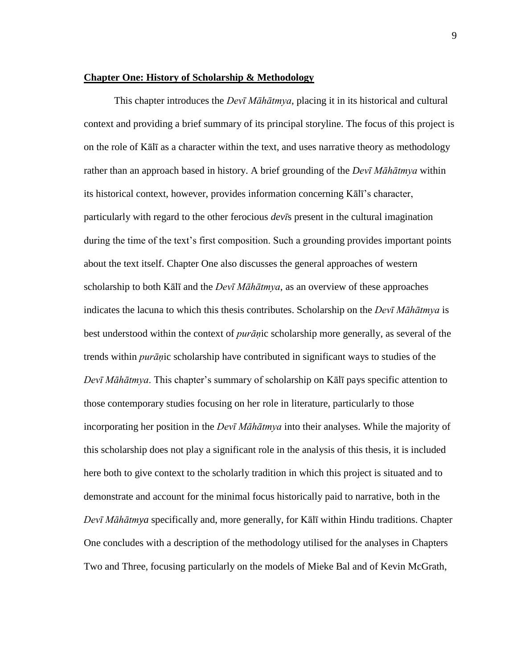#### <span id="page-17-0"></span>**Chapter One: History of Scholarship & Methodology**

 This chapter introduces the *Devī Māhātmya*, placing it in its historical and cultural context and providing a brief summary of its principal storyline. The focus of this project is on the role of Kālī as a character within the text, and uses narrative theory as methodology rather than an approach based in history. A brief grounding of the *Devī Māhātmya* within its historical context, however, provides information concerning Kālī's character, particularly with regard to the other ferocious *devī*s present in the cultural imagination during the time of the text's first composition. Such a grounding provides important points about the text itself. Chapter One also discusses the general approaches of western scholarship to both Kālī and the *Devī Māhātmya*, as an overview of these approaches indicates the lacuna to which this thesis contributes. Scholarship on the *Devī Māhātmya* is best understood within the context of *purāṇ*ic scholarship more generally, as several of the trends within *purāṇ*ic scholarship have contributed in significant ways to studies of the *Devī Māhātmya*. This chapter's summary of scholarship on Kālī pays specific attention to those contemporary studies focusing on her role in literature, particularly to those incorporating her position in the *Devī Māhātmya* into their analyses. While the majority of this scholarship does not play a significant role in the analysis of this thesis, it is included here both to give context to the scholarly tradition in which this project is situated and to demonstrate and account for the minimal focus historically paid to narrative, both in the *Devī Māhātmya* specifically and, more generally, for Kālī within Hindu traditions. Chapter One concludes with a description of the methodology utilised for the analyses in Chapters Two and Three, focusing particularly on the models of Mieke Bal and of Kevin McGrath,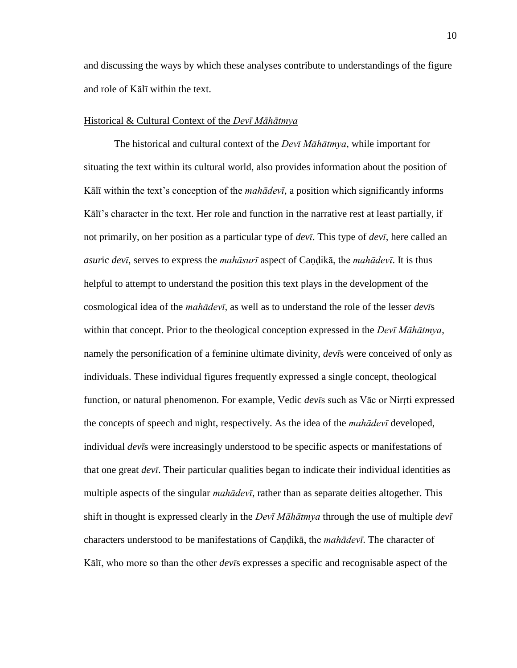and discussing the ways by which these analyses contribute to understandings of the figure and role of Kālī within the text.

#### <span id="page-18-0"></span>Historical & Cultural Context of the *Devī Māhātmya*

 The historical and cultural context of the *Devī Māhātmya*, while important for situating the text within its cultural world, also provides information about the position of Kālī within the text's conception of the *mahādevī*, a position which significantly informs Kālī's character in the text. Her role and function in the narrative rest at least partially, if not primarily, on her position as a particular type of *devī*. This type of *devī*, here called an *asur*ic *devī*, serves to express the *mahāsurī* aspect of Caṇḍikā, the *mahādevī*. It is thus helpful to attempt to understand the position this text plays in the development of the cosmological idea of the *mahādevī*, as well as to understand the role of the lesser *devī*s within that concept. Prior to the theological conception expressed in the *Devī Māhātmya*, namely the personification of a feminine ultimate divinity, *devī*s were conceived of only as individuals. These individual figures frequently expressed a single concept, theological function, or natural phenomenon. For example, Vedic *devī*s such as Vāc or Nirṛti expressed the concepts of speech and night, respectively. As the idea of the *mahādevī* developed, individual *devī*s were increasingly understood to be specific aspects or manifestations of that one great *devī*. Their particular qualities began to indicate their individual identities as multiple aspects of the singular *mahādevī*, rather than as separate deities altogether. This shift in thought is expressed clearly in the *Devī Māhātmya* through the use of multiple *devī* characters understood to be manifestations of Caṇḍikā, the *mahādevī*. The character of Kālī, who more so than the other *devī*s expresses a specific and recognisable aspect of the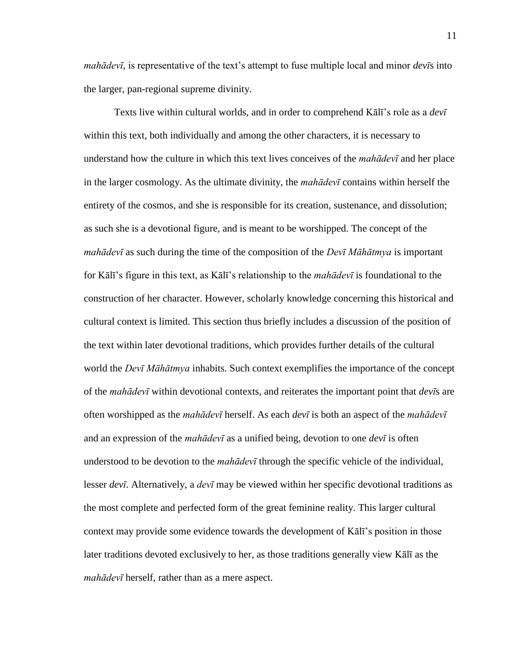*mahādevī*, is representative of the text's attempt to fuse multiple local and minor *devī*s into the larger, pan-regional supreme divinity.

 Texts live within cultural worlds, and in order to comprehend Kālī's role as a *devī* within this text, both individually and among the other characters, it is necessary to understand how the culture in which this text lives conceives of the *mahādevī* and her place in the larger cosmology. As the ultimate divinity, the *mahādevī* contains within herself the entirety of the cosmos, and she is responsible for its creation, sustenance, and dissolution; as such she is a devotional figure, and is meant to be worshipped. The concept of the *mahādevī* as such during the time of the composition of the *Devī Māhātmya* is important for Kālī's figure in this text, as Kālī's relationship to the *mahādevī* is foundational to the construction of her character. However, scholarly knowledge concerning this historical and cultural context is limited. This section thus briefly includes a discussion of the position of the text within later devotional traditions, which provides further details of the cultural world the *Devī Māhātmya* inhabits. Such context exemplifies the importance of the concept of the *mahādevī* within devotional contexts, and reiterates the important point that *devī*s are often worshipped as the *mahādevī* herself. As each *devī* is both an aspect of the *mahādevī* and an expression of the *mahādevī* as a unified being, devotion to one *devī* is often understood to be devotion to the *mahādevī* through the specific vehicle of the individual, lesser *devī*. Alternatively, a *devī* may be viewed within her specific devotional traditions as the most complete and perfected form of the great feminine reality. This larger cultural context may provide some evidence towards the development of Kālī's position in those later traditions devoted exclusively to her, as those traditions generally view Kālī as the *mahādevī* herself, rather than as a mere aspect.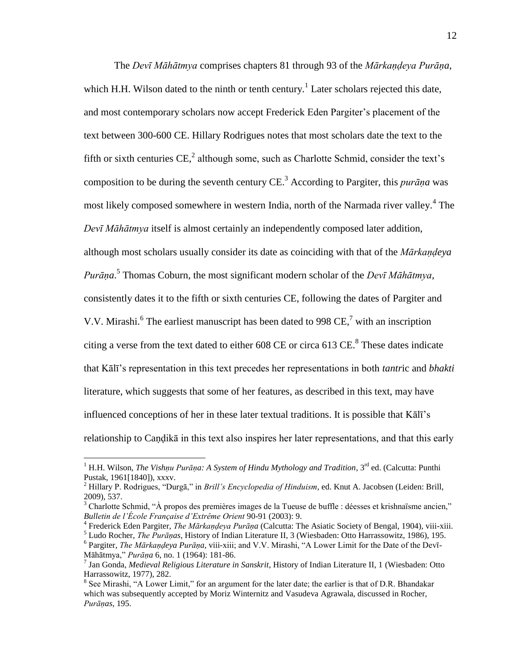The *Devī Māhātmya* comprises chapters 81 through 93 of the *Mārkaṇḍeya Purāṇa*, which H.H. Wilson dated to the ninth or tenth century.<sup>1</sup> Later scholars rejected this date, and most contemporary scholars now accept Frederick Eden Pargiter's placement of the text between 300-600 CE. Hillary Rodrigues notes that most scholars date the text to the fifth or sixth centuries  $CE$ , although some, such as Charlotte Schmid, consider the text's composition to be during the seventh century CE.<sup>3</sup> According to Pargiter, this *purāṇa* was most likely composed somewhere in western India, north of the Narmada river valley.<sup>4</sup> The *Devī Māhātmya* itself is almost certainly an independently composed later addition, although most scholars usually consider its date as coinciding with that of the *Mārkaṇḍeya Purāṇa*. 5 Thomas Coburn, the most significant modern scholar of the *Devī Māhātmya*, consistently dates it to the fifth or sixth centuries CE, following the dates of Pargiter and V.V. Mirashi. $6$  The earliest manuscript has been dated to 998 CE,<sup>7</sup> with an inscription citing a verse from the text dated to either  $608$  CE or circa  $613$  CE.<sup>8</sup> These dates indicate that Kālī's representation in this text precedes her representations in both *tantr*ic and *bhakti* literature, which suggests that some of her features, as described in this text, may have influenced conceptions of her in these later textual traditions. It is possible that Kālī's relationship to Caṇḍikā in this text also inspires her later representations, and that this early

<sup>&</sup>lt;sup>1</sup> H.H. Wilson, *The Vishṇu Purāṇa: A System of Hindu Mythology and Tradition*, 3<sup>rd</sup> ed. (Calcutta: Punthi Pustak, 1961[1840]), xxxv.

<sup>&</sup>lt;sup>2</sup> Hillary P. Rodrigues, "Durgā," in *Brill's Encyclopedia of Hinduism*, ed. Knut A. Jacobsen (Leiden: Brill, 2009), 537.

Charlotte Schmid, "À propos des premières images de la Tueuse de buffle : déesses et krishnaïsme ancien," *Bulletin de l'École Française d'Extrême Orient* 90-91 (2003): 9.

<sup>4</sup> Frederick Eden Pargiter, *The Mārkaṇḍeya Purāṇa* (Calcutta: The Asiatic Society of Bengal, 1904), viii-xiii.

<sup>5</sup> Ludo Rocher, *The Purāṇas*, History of Indian Literature II, 3 (Wiesbaden: Otto Harrassowitz, 1986), 195. <sup>6</sup> Pargiter, *The Mārkaṇḍeya Purāṇa*, viii-xiii; and V.V. Mirashi, "A Lower Limit for the Date of the Devī-Māhātmya,‖ *Purāṇa* 6, no. 1 (1964): 181-86.

<sup>7</sup> Jan Gonda, *Medieval Religious Literature in Sanskrit*, History of Indian Literature II, 1 (Wiesbaden: Otto Harrassowitz, 1977), 282.

<sup>&</sup>lt;sup>8</sup> See Mirashi, "A Lower Limit," for an argument for the later date; the earlier is that of D.R. Bhandakar which was subsequently accepted by Moriz Winternitz and Vasudeva Agrawala, discussed in Rocher, *Purāṇas*, 195.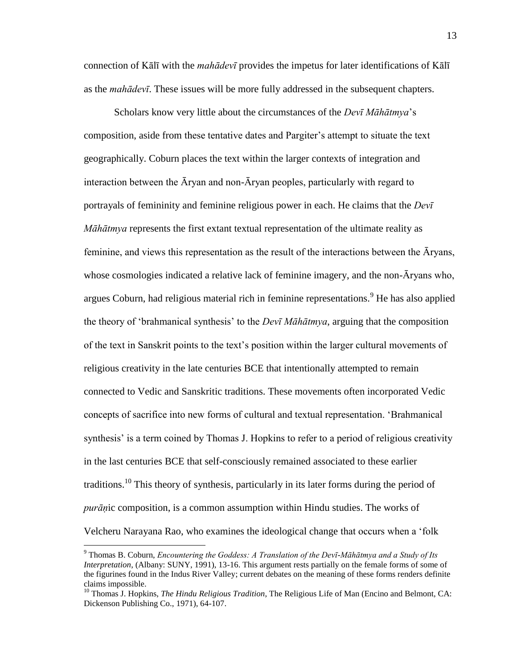connection of Kālī with the *mahādevī* provides the impetus for later identifications of Kālī as the *mahādevī*. These issues will be more fully addressed in the subsequent chapters.

 Scholars know very little about the circumstances of the *Devī Māhātmya*'s composition, aside from these tentative dates and Pargiter's attempt to situate the text geographically. Coburn places the text within the larger contexts of integration and interaction between the Āryan and non-Āryan peoples, particularly with regard to portrayals of femininity and feminine religious power in each. He claims that the *Devī Māhātmya* represents the first extant textual representation of the ultimate reality as feminine, and views this representation as the result of the interactions between the Āryans, whose cosmologies indicated a relative lack of feminine imagery, and the non- $\bar{A}$ ryans who, argues Coburn, had religious material rich in feminine representations.<sup>9</sup> He has also applied the theory of ‗brahmanical synthesis' to the *Devī Māhātmya*, arguing that the composition of the text in Sanskrit points to the text's position within the larger cultural movements of religious creativity in the late centuries BCE that intentionally attempted to remain connected to Vedic and Sanskritic traditions. These movements often incorporated Vedic concepts of sacrifice into new forms of cultural and textual representation. 'Brahmanical synthesis' is a term coined by Thomas J. Hopkins to refer to a period of religious creativity in the last centuries BCE that self-consciously remained associated to these earlier traditions.<sup>10</sup> This theory of synthesis, particularly in its later forms during the period of *purāṇ*ic composition, is a common assumption within Hindu studies. The works of Velcheru Narayana Rao, who examines the ideological change that occurs when a 'folk

<sup>9</sup> Thomas B. Coburn, *Encountering the Goddess: A Translation of the Devī-Māhātmya and a Study of Its Interpretation*, (Albany: SUNY, 1991), 13-16. This argument rests partially on the female forms of some of the figurines found in the Indus River Valley; current debates on the meaning of these forms renders definite claims impossible.

<sup>&</sup>lt;sup>10</sup> Thomas J. Hopkins, *The Hindu Religious Tradition*, The Religious Life of Man (Encino and Belmont, CA: Dickenson Publishing Co., 1971), 64-107.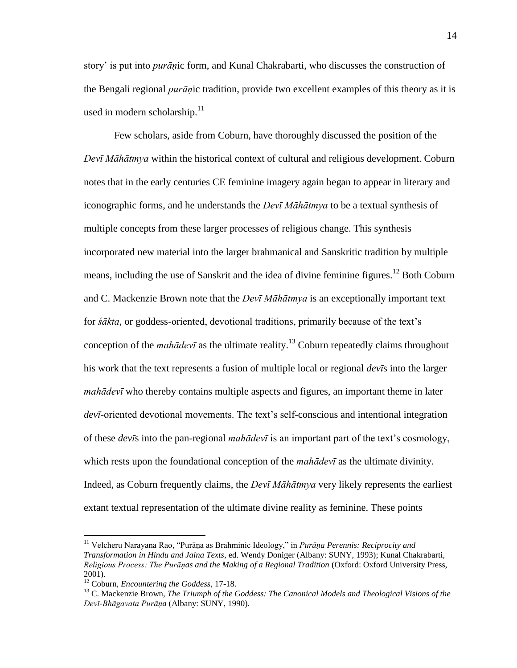story' is put into *purāṇ*ic form, and Kunal Chakrabarti, who discusses the construction of the Bengali regional *purāṇ*ic tradition, provide two excellent examples of this theory as it is used in modern scholarship. $11$ 

 Few scholars, aside from Coburn, have thoroughly discussed the position of the *Devī Māhātmya* within the historical context of cultural and religious development. Coburn notes that in the early centuries CE feminine imagery again began to appear in literary and iconographic forms, and he understands the *Devī Māhātmya* to be a textual synthesis of multiple concepts from these larger processes of religious change. This synthesis incorporated new material into the larger brahmanical and Sanskritic tradition by multiple means, including the use of Sanskrit and the idea of divine feminine figures.<sup>12</sup> Both Coburn and C. Mackenzie Brown note that the *Devī Māhātmya* is an exceptionally important text for *śākta*, or goddess-oriented, devotional traditions, primarily because of the text's conception of the *mahādevī* as the ultimate reality.<sup>13</sup> Coburn repeatedly claims throughout his work that the text represents a fusion of multiple local or regional *devī*s into the larger *mahādevī* who thereby contains multiple aspects and figures, an important theme in later *devī*-oriented devotional movements. The text's self-conscious and intentional integration of these *devī*s into the pan-regional *mahādevī* is an important part of the text's cosmology, which rests upon the foundational conception of the *mahādevī* as the ultimate divinity. Indeed, as Coburn frequently claims, the *Devī Māhātmya* very likely represents the earliest extant textual representation of the ultimate divine reality as feminine. These points

<sup>&</sup>lt;sup>11</sup> Velcheru Narayana Rao, "Purāṇa as Brahminic Ideology," in *Purāṇa Perennis: Reciprocity and Transformation in Hindu and Jaina Texts*, ed. Wendy Doniger (Albany: SUNY, 1993); Kunal Chakrabarti, *Religious Process: The Purāṇas and the Making of a Regional Tradition* (Oxford: Oxford University Press, 2001).

<sup>12</sup> Coburn, *Encountering the Goddess*, 17-18.

<sup>&</sup>lt;sup>13</sup> C. Mackenzie Brown, *The Triumph of the Goddess: The Canonical Models and Theological Visions of the Devī-Bhāgavata Purāṇa* (Albany: SUNY, 1990).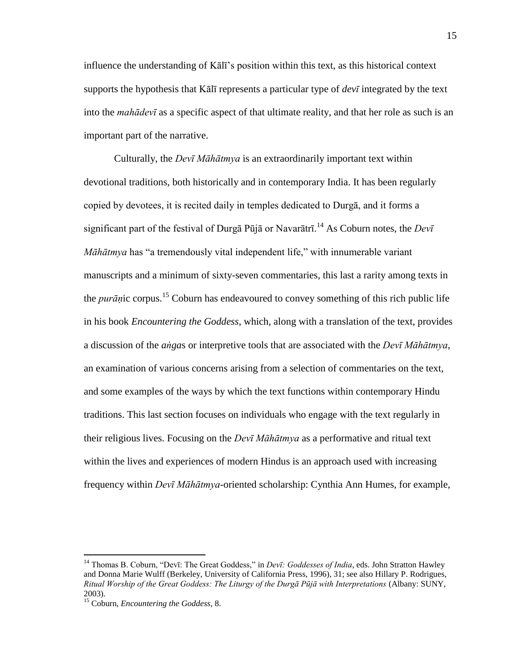influence the understanding of Kālī's position within this text, as this historical context supports the hypothesis that Kālī represents a particular type of *devī* integrated by the text into the *mahādevī* as a specific aspect of that ultimate reality, and that her role as such is an important part of the narrative.

 Culturally, the *Devī Māhātmya* is an extraordinarily important text within devotional traditions, both historically and in contemporary India. It has been regularly copied by devotees, it is recited daily in temples dedicated to Durgā, and it forms a significant part of the festival of Durgā Pūjā or Navarātrī.<sup>14</sup> As Coburn notes, the *Devī Māhātmya* has "a tremendously vital independent life," with innumerable variant manuscripts and a minimum of sixty-seven commentaries, this last a rarity among texts in the *purāṇ*ic corpus.<sup>15</sup> Coburn has endeavoured to convey something of this rich public life in his book *Encountering the Goddess*, which, along with a translation of the text, provides a discussion of the *aṅga*s or interpretive tools that are associated with the *Devī Māhātmya*, an examination of various concerns arising from a selection of commentaries on the text, and some examples of the ways by which the text functions within contemporary Hindu traditions. This last section focuses on individuals who engage with the text regularly in their religious lives. Focusing on the *Devī Māhātmya* as a performative and ritual text within the lives and experiences of modern Hindus is an approach used with increasing frequency within *Devī Māhātmya*-oriented scholarship: Cynthia Ann Humes, for example,

<sup>&</sup>lt;sup>14</sup> Thomas B. Coburn, "Devī: The Great Goddess," in *Devī: Goddesses of India*, eds. John Stratton Hawley and Donna Marie Wulff (Berkeley, University of California Press, 1996), 31; see also Hillary P. Rodrigues, *Ritual Worship of the Great Goddess: The Liturgy of the Durgā Pūjā with Interpretations* (Albany: SUNY, 2003).

<sup>15</sup> Coburn, *Encountering the Goddess*, 8.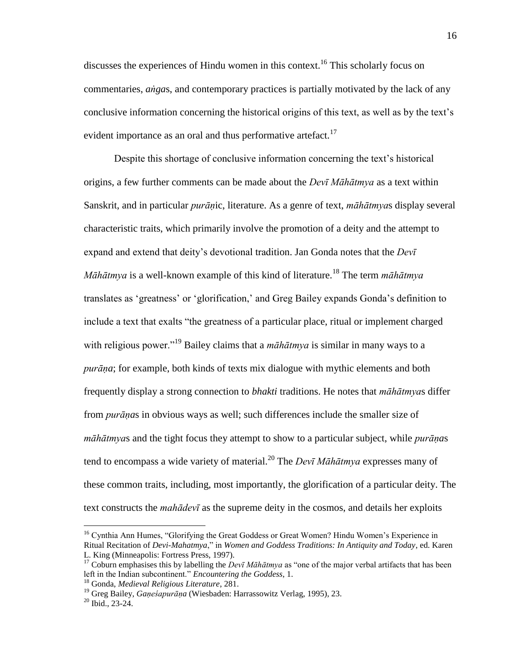discusses the experiences of Hindu women in this context.<sup>16</sup> This scholarly focus on commentaries, *aṅga*s, and contemporary practices is partially motivated by the lack of any conclusive information concerning the historical origins of this text, as well as by the text's evident importance as an oral and thus performative artefact.<sup>17</sup>

Despite this shortage of conclusive information concerning the text's historical origins, a few further comments can be made about the *Devī Māhātmya* as a text within Sanskrit, and in particular *purāṇ*ic, literature. As a genre of text, *māhātmya*s display several characteristic traits, which primarily involve the promotion of a deity and the attempt to expand and extend that deity's devotional tradition. Jan Gonda notes that the *Devī Māhātmya* is a well-known example of this kind of literature.<sup>18</sup> The term *māhātmya* translates as ‗greatness' or ‗glorification,' and Greg Bailey expands Gonda's definition to include a text that exalts "the greatness of a particular place, ritual or implement charged with religious power."<sup>19</sup> Bailey claims that a *māhātmya* is similar in many ways to a *purāṇa*; for example, both kinds of texts mix dialogue with mythic elements and both frequently display a strong connection to *bhakti* traditions. He notes that *māhātmya*s differ from *purāṇa*s in obvious ways as well; such differences include the smaller size of *māhātmya*s and the tight focus they attempt to show to a particular subject, while *purāṇa*s tend to encompass a wide variety of material.<sup>20</sup> The *Devī Māhātmya* expresses many of these common traits, including, most importantly, the glorification of a particular deity. The text constructs the *mahādevī* as the supreme deity in the cosmos, and details her exploits

<sup>&</sup>lt;sup>16</sup> Cynthia Ann Humes, "Glorifying the Great Goddess or Great Women? Hindu Women's Experience in Ritual Recitation of *Devi-Mahatmya*," in *Women and Goddess Traditions: In Antiquity and Today*, ed. Karen L. King (Minneapolis: Fortress Press, 1997).

<sup>&</sup>lt;sup>17</sup> Coburn emphasises this by labelling the *Devī Māhātmya* as "one of the major verbal artifacts that has been left in the Indian subcontinent." *Encountering the Goddess*, 1.

<sup>18</sup> Gonda, *Medieval Religious Literature*, 281.

<sup>19</sup> Greg Bailey, *Gaṇeśapurāṇa* (Wiesbaden: Harrassowitz Verlag, 1995), 23.

 $20$  Ibid., 23-24.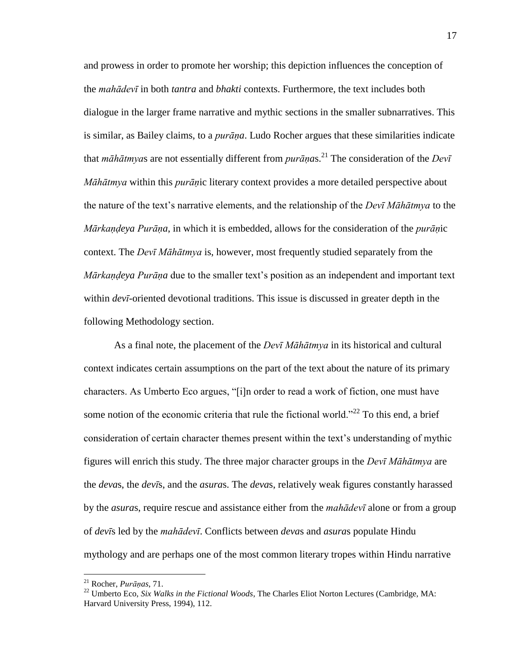and prowess in order to promote her worship; this depiction influences the conception of the *mahādevī* in both *tantra* and *bhakti* contexts. Furthermore, the text includes both dialogue in the larger frame narrative and mythic sections in the smaller subnarratives. This is similar, as Bailey claims, to a *purāṇa*. Ludo Rocher argues that these similarities indicate that *māhātmya*s are not essentially different from *purāṇa*s. <sup>21</sup> The consideration of the *Devī Māhātmya* within this *purāṇ*ic literary context provides a more detailed perspective about the nature of the text's narrative elements, and the relationship of the *Devī Māhātmya* to the *Mārkaṇḍeya Purāṇa*, in which it is embedded, allows for the consideration of the *purāṇ*ic context. The *Devī Māhātmya* is, however, most frequently studied separately from the *Mārkaṇḍeya Purāṇa* due to the smaller text's position as an independent and important text within *devī*-oriented devotional traditions. This issue is discussed in greater depth in the following Methodology section.

 As a final note, the placement of the *Devī Māhātmya* in its historical and cultural context indicates certain assumptions on the part of the text about the nature of its primary characters. As Umberto Eco argues, "[i]n order to read a work of fiction, one must have some notion of the economic criteria that rule the fictional world.<sup> $22$ </sup> To this end, a brief consideration of certain character themes present within the text's understanding of mythic figures will enrich this study. The three major character groups in the *Devī Māhātmya* are the *deva*s, the *devī*s, and the *asura*s. The *deva*s, relatively weak figures constantly harassed by the *asura*s, require rescue and assistance either from the *mahādevī* alone or from a group of *devī*s led by the *mahādevī*. Conflicts between *deva*s and *asura*s populate Hindu mythology and are perhaps one of the most common literary tropes within Hindu narrative

<sup>21</sup> Rocher, *Purāṇas*, 71.

<sup>22</sup> Umberto Eco, *Six Walks in the Fictional Woods*, The Charles Eliot Norton Lectures (Cambridge, MA: Harvard University Press, 1994), 112.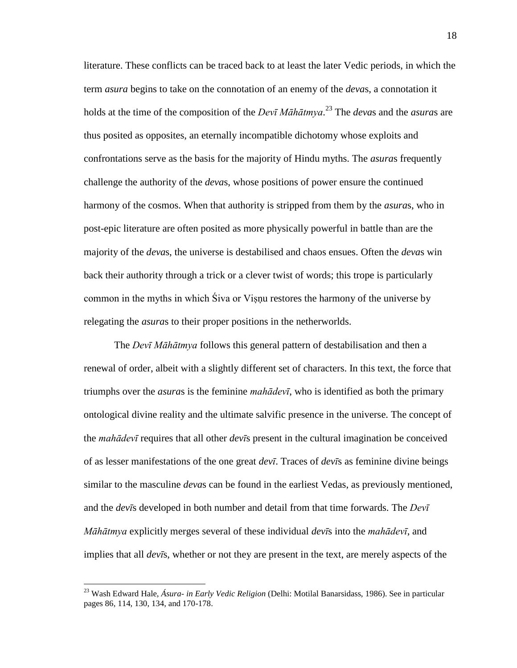literature. These conflicts can be traced back to at least the later Vedic periods, in which the term *asura* begins to take on the connotation of an enemy of the *deva*s, a connotation it holds at the time of the composition of the *Devī Māhātmya*. <sup>23</sup> The *deva*s and the *asura*s are thus posited as opposites, an eternally incompatible dichotomy whose exploits and confrontations serve as the basis for the majority of Hindu myths. The *asura*s frequently challenge the authority of the *deva*s, whose positions of power ensure the continued harmony of the cosmos. When that authority is stripped from them by the *asura*s, who in post-epic literature are often posited as more physically powerful in battle than are the majority of the *deva*s, the universe is destabilised and chaos ensues. Often the *deva*s win back their authority through a trick or a clever twist of words; this trope is particularly common in the myths in which Siva or Visnu restores the harmony of the universe by relegating the *asura*s to their proper positions in the netherworlds.

 The *Devī Māhātmya* follows this general pattern of destabilisation and then a renewal of order, albeit with a slightly different set of characters. In this text, the force that triumphs over the *asura*s is the feminine *mahādevī*, who is identified as both the primary ontological divine reality and the ultimate salvific presence in the universe. The concept of the *mahādevī* requires that all other *devī*s present in the cultural imagination be conceived of as lesser manifestations of the one great *devī*. Traces of *devī*s as feminine divine beings similar to the masculine *deva*s can be found in the earliest Vedas, as previously mentioned, and the *devī*s developed in both number and detail from that time forwards. The *Devī Māhātmya* explicitly merges several of these individual *devī*s into the *mahādevī*, and implies that all *devī*s, whether or not they are present in the text, are merely aspects of the

<sup>23</sup> Wash Edward Hale, *Ásura- in Early Vedic Religion* (Delhi: Motilal Banarsidass, 1986). See in particular pages 86, 114, 130, 134, and 170-178.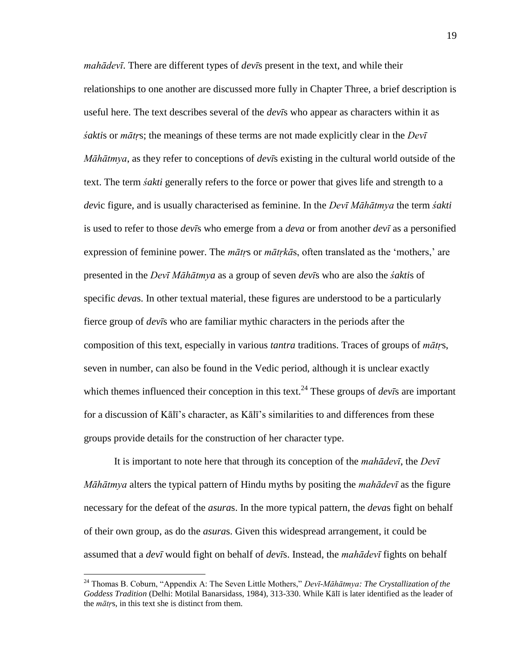*mahādevī*. There are different types of *devī*s present in the text, and while their relationships to one another are discussed more fully in Chapter Three, a brief description is useful here. The text describes several of the *devī*s who appear as characters within it as *śakti*s or *mātṛ*s; the meanings of these terms are not made explicitly clear in the *Devī Māhātmya*, as they refer to conceptions of *devī*s existing in the cultural world outside of the text. The term *śakti* generally refers to the force or power that gives life and strength to a *dev*ic figure, and is usually characterised as feminine. In the *Devī Māhātmya* the term *śakti* is used to refer to those *devī*s who emerge from a *deva* or from another *devī* as a personified expression of feminine power. The *mātr*s or *mātrkās*, often translated as the 'mothers,' are presented in the *Devī Māhātmya* as a group of seven *devī*s who are also the *śakti*s of specific *deva*s. In other textual material, these figures are understood to be a particularly fierce group of *devī*s who are familiar mythic characters in the periods after the composition of this text, especially in various *tantra* traditions. Traces of groups of *mātṛ*s, seven in number, can also be found in the Vedic period, although it is unclear exactly which themes influenced their conception in this text.<sup>24</sup> These groups of *dev* $\bar{i}$ s are important for a discussion of Kālī's character, as Kālī's similarities to and differences from these groups provide details for the construction of her character type.

 It is important to note here that through its conception of the *mahādevī*, the *Devī Māhātmya* alters the typical pattern of Hindu myths by positing the *mahādevī* as the figure necessary for the defeat of the *asura*s. In the more typical pattern, the *deva*s fight on behalf of their own group, as do the *asura*s. Given this widespread arrangement, it could be assumed that a *devī* would fight on behalf of *devī*s. Instead, the *mahādevī* fights on behalf

<sup>&</sup>lt;sup>24</sup> Thomas B. Coburn, "Appendix A: The Seven Little Mothers," Devī-Māhātmya: The Crystallization of the *Goddess Tradition* (Delhi: Motilal Banarsidass, 1984), 313-330. While Kālī is later identified as the leader of the *mātṛ*s, in this text she is distinct from them.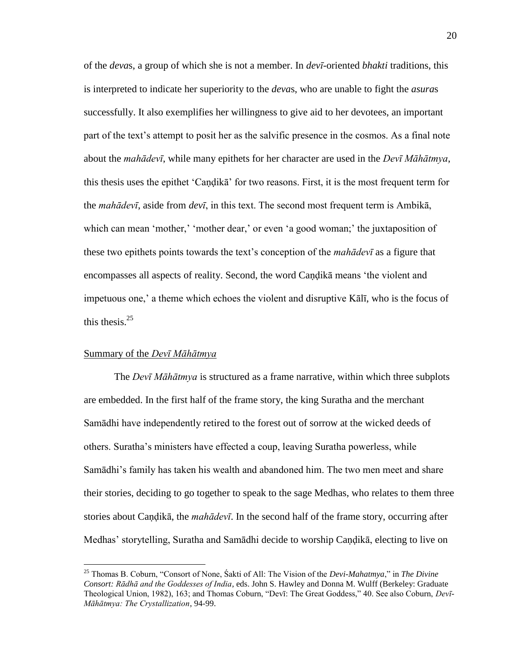of the *deva*s, a group of which she is not a member. In *devī*-oriented *bhakti* traditions, this is interpreted to indicate her superiority to the *deva*s, who are unable to fight the *asura*s successfully. It also exemplifies her willingness to give aid to her devotees, an important part of the text's attempt to posit her as the salvific presence in the cosmos. As a final note about the *mahādevī*, while many epithets for her character are used in the *Devī Māhātmya*, this thesis uses the epithet 'Candika' for two reasons. First, it is the most frequent term for the *mahādevī*, aside from *devī*, in this text. The second most frequent term is Ambikā, which can mean 'mother,' 'mother dear,' or even 'a good woman;' the juxtaposition of these two epithets points towards the text's conception of the *mahādevī* as a figure that encompasses all aspects of reality. Second, the word Caṇḍikā means 'the violent and impetuous one,' a theme which echoes the violent and disruptive Kālī, who is the focus of this thesis. $25$ 

#### <span id="page-28-0"></span>Summary of the *Devī Māhātmya*

 $\overline{a}$ 

 The *Devī Māhātmya* is structured as a frame narrative, within which three subplots are embedded. In the first half of the frame story, the king Suratha and the merchant Samādhi have independently retired to the forest out of sorrow at the wicked deeds of others. Suratha's ministers have effected a coup, leaving Suratha powerless, while Samādhi's family has taken his wealth and abandoned him. The two men meet and share their stories, deciding to go together to speak to the sage Medhas, who relates to them three stories about Caṇḍikā, the *mahādevī*. In the second half of the frame story, occurring after Medhas' storytelling, Suratha and Samādhi decide to worship Caṇḍikā, electing to live on

<sup>&</sup>lt;sup>25</sup> Thomas B. Coburn, "Consort of None, Śakti of All: The Vision of the *Devi-Mahatmya*," in *The Divine Consort: Rādhā and the Goddesses of India*, eds. John S. Hawley and Donna M. Wulff (Berkeley: Graduate Theological Union, 1982), 163; and Thomas Coburn, "Devī: The Great Goddess," 40. See also Coburn, *Devī*-*Māhātmya: The Crystallization*, 94-99.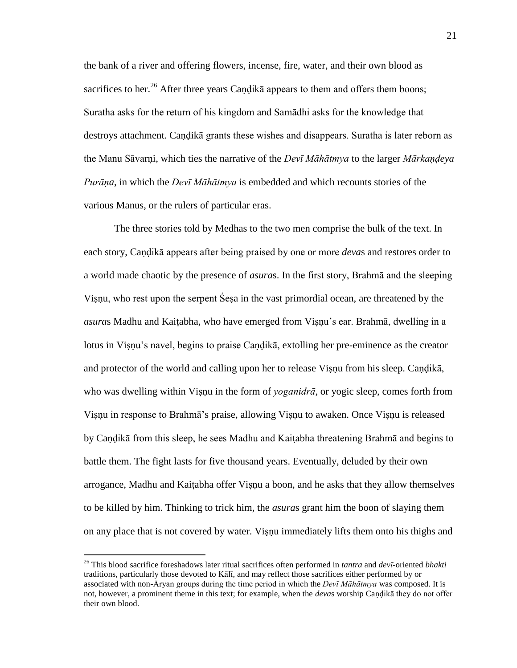the bank of a river and offering flowers, incense, fire, water, and their own blood as sacrifices to her.<sup>26</sup> After three years Candika appears to them and offers them boons; Suratha asks for the return of his kingdom and Samādhi asks for the knowledge that destroys attachment. Caṇḍikā grants these wishes and disappears. Suratha is later reborn as the Manu Sāvarṇi, which ties the narrative of the *Devī Māhātmya* to the larger *Mārkaṇḍeya Purāṇa*, in which the *Devī Māhātmya* is embedded and which recounts stories of the various Manus, or the rulers of particular eras.

 The three stories told by Medhas to the two men comprise the bulk of the text. In each story, Caṇḍikā appears after being praised by one or more *deva*s and restores order to a world made chaotic by the presence of *asura*s. In the first story, Brahmā and the sleeping Viṣṇu, who rest upon the serpent Śeṣa in the vast primordial ocean, are threatened by the *asura*s Madhu and Kaiṭabha, who have emerged from Viṣṇu's ear. Brahmā, dwelling in a lotus in Viṣṇu's navel, begins to praise Caṇḍikā, extolling her pre-eminence as the creator and protector of the world and calling upon her to release Viṣṇu from his sleep. Caṇḍikā, who was dwelling within Visnu in the form of *yoganidrā*, or yogic sleep, comes forth from Viṣṇu in response to Brahmā's praise, allowing Viṣṇu to awaken. Once Viṣṇu is released by Caṇḍikā from this sleep, he sees Madhu and Kaiṭabha threatening Brahmā and begins to battle them. The fight lasts for five thousand years. Eventually, deluded by their own arrogance, Madhu and Kaiṭabha offer Viṣṇu a boon, and he asks that they allow themselves to be killed by him. Thinking to trick him, the *asura*s grant him the boon of slaying them on any place that is not covered by water. Viṣṇu immediately lifts them onto his thighs and

<sup>26</sup> This blood sacrifice foreshadows later ritual sacrifices often performed in *tantra* and *devī*-oriented *bhakti* traditions, particularly those devoted to Kālī, and may reflect those sacrifices either performed by or associated with non-Āryan groups during the time period in which the *Devī Māhātmya* was composed. It is not, however, a prominent theme in this text; for example, when the *deva*s worship Caṇḍikā they do not offer their own blood.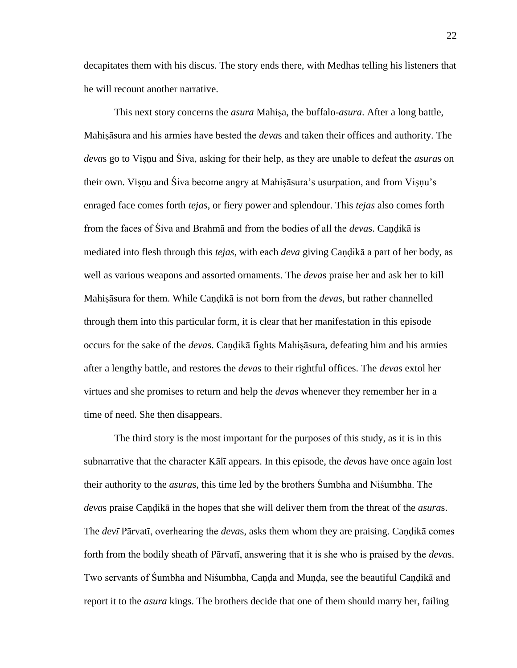decapitates them with his discus. The story ends there, with Medhas telling his listeners that he will recount another narrative.

 This next story concerns the *asura* Mahiṣa, the buffalo-*asura*. After a long battle, Mahiṣāsura and his armies have bested the *deva*s and taken their offices and authority. The *deva*s go to Viṣṇu and Śiva, asking for their help, as they are unable to defeat the *asura*s on their own. Viṣṇu and Śiva become angry at Mahiṣāsura's usurpation, and from Viṣṇu's enraged face comes forth *tejas*, or fiery power and splendour. This *tejas* also comes forth from the faces of Śiva and Brahmā and from the bodies of all the *deva*s. Caṇḍikā is mediated into flesh through this *tejas*, with each *deva* giving Caṇḍikā a part of her body, as well as various weapons and assorted ornaments. The *deva*s praise her and ask her to kill Mahiṣāsura for them. While Caṇḍikā is not born from the *deva*s, but rather channelled through them into this particular form, it is clear that her manifestation in this episode occurs for the sake of the *deva*s. Caṇḍikā fights Mahiṣāsura, defeating him and his armies after a lengthy battle, and restores the *deva*s to their rightful offices. The *deva*s extol her virtues and she promises to return and help the *deva*s whenever they remember her in a time of need. She then disappears.

 The third story is the most important for the purposes of this study, as it is in this subnarrative that the character Kālī appears. In this episode, the *deva*s have once again lost their authority to the *asura*s, this time led by the brothers Śumbha and Niśumbha. The *deva*s praise Caṇḍikā in the hopes that she will deliver them from the threat of the *asura*s. The *devī* Pārvatī, overhearing the *deva*s, asks them whom they are praising. Caṇḍikā comes forth from the bodily sheath of Pārvatī, answering that it is she who is praised by the *deva*s. Two servants of Śumbha and Niśumbha, Caṇḍa and Muṇḍa, see the beautiful Caṇḍikā and report it to the *asura* kings. The brothers decide that one of them should marry her, failing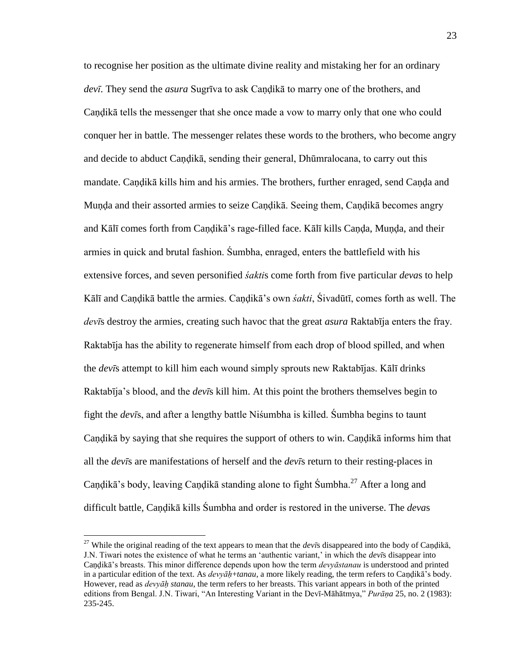to recognise her position as the ultimate divine reality and mistaking her for an ordinary *devī*. They send the *asura* Sugrīva to ask Caṇḍikā to marry one of the brothers, and Caṇḍikā tells the messenger that she once made a vow to marry only that one who could conquer her in battle. The messenger relates these words to the brothers, who become angry and decide to abduct Caṇḍikā, sending their general, Dhūmralocana, to carry out this mandate. Caṇḍikā kills him and his armies. The brothers, further enraged, send Caṇḍa and Munda and their assorted armies to seize Candikā. Seeing them, Candikā becomes angry and Kālī comes forth from Caṇḍikā's rage-filled face. Kālī kills Caṇḍa, Muṇḍa, and their armies in quick and brutal fashion. Śumbha, enraged, enters the battlefield with his extensive forces, and seven personified *śakti*s come forth from five particular *deva*s to help Kālī and Caṇḍikā battle the armies. Caṇḍikā's own *śakti*, Śivadūtī, comes forth as well. The *devī*s destroy the armies, creating such havoc that the great *asura* Raktabīja enters the fray. Raktabīja has the ability to regenerate himself from each drop of blood spilled, and when the *devī*s attempt to kill him each wound simply sprouts new Raktabījas. Kālī drinks Raktabīja's blood, and the *devī*s kill him. At this point the brothers themselves begin to fight the *devī*s, and after a lengthy battle Niśumbha is killed. Śumbha begins to taunt Candikā by saying that she requires the support of others to win. Candikā informs him that all the *devī*s are manifestations of herself and the *devī*s return to their resting-places in Candikā's body, leaving Candikā standing alone to fight Sumbha.<sup>27</sup> After a long and difficult battle, Caṇḍikā kills Śumbha and order is restored in the universe. The *deva*s

<sup>27</sup> While the original reading of the text appears to mean that the *devī*s disappeared into the body of Caṇḍikā, J.N. Tiwari notes the existence of what he terms an ‗authentic variant,' in which the *devī*s disappear into Caṇḍikā's breasts. This minor difference depends upon how the term *devyāstanau* is understood and printed in a particular edition of the text. As *devyāh+tanau*, a more likely reading, the term refers to Candikā's body. However, read as *devyāḥ stanau*, the term refers to her breasts. This variant appears in both of the printed editions from Bengal. J.N. Tiwari, "An Interesting Variant in the Devī-Māhātmya," Purāņa 25, no. 2 (1983): 235-245.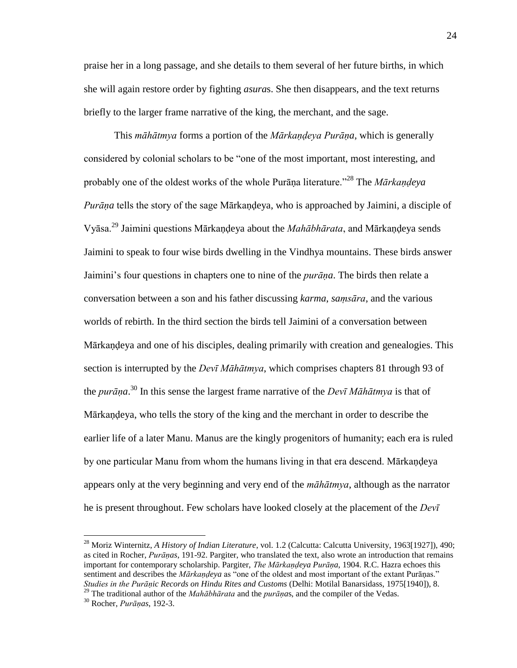praise her in a long passage, and she details to them several of her future births, in which she will again restore order by fighting *asura*s. She then disappears, and the text returns briefly to the larger frame narrative of the king, the merchant, and the sage.

 This *māhātmya* forms a portion of the *Mārkaṇḍeya Purāṇa*, which is generally considered by colonial scholars to be "one of the most important, most interesting, and probably one of the oldest works of the whole Purāna literature.<sup>228</sup> The *Mārkandeya Purāna* tells the story of the sage Mārkandeya, who is approached by Jaimini, a disciple of Vyāsa.<sup>29</sup> Jaimini questions Mārkaṇḍeya about the *Mahābhārata*, and Mārkaṇḍeya sends Jaimini to speak to four wise birds dwelling in the Vindhya mountains. These birds answer Jaimini's four questions in chapters one to nine of the *purāṇa*. The birds then relate a conversation between a son and his father discussing *karma*, *saṃsāra*, and the various worlds of rebirth. In the third section the birds tell Jaimini of a conversation between Mārkaṇḍeya and one of his disciples, dealing primarily with creation and genealogies. This section is interrupted by the *Devī Māhātmya*, which comprises chapters 81 through 93 of the *purāṇa*. <sup>30</sup> In this sense the largest frame narrative of the *Devī Māhātmya* is that of Mārkaṇḍeya, who tells the story of the king and the merchant in order to describe the earlier life of a later Manu. Manus are the kingly progenitors of humanity; each era is ruled by one particular Manu from whom the humans living in that era descend. Mārkaṇḍeya appears only at the very beginning and very end of the *māhātmya*, although as the narrator he is present throughout. Few scholars have looked closely at the placement of the *Devī* 

<sup>&</sup>lt;sup>28</sup> Moriz Winternitz, *A History of Indian Literature*, vol. 1.2 (Calcutta: Calcutta University, 1963[1927]), 490; as cited in Rocher, *Purāṇas*, 191-92. Pargiter, who translated the text, also wrote an introduction that remains important for contemporary scholarship. Pargiter, *The Mārkaṇḍeya Purāṇa*, 1904. R.C. Hazra echoes this sentiment and describes the *Mārkandeya* as "one of the oldest and most important of the extant Purānas." *Studies in the Purāṇic Records on Hindu Rites and Customs* (Delhi: Motilal Banarsidass, 1975[1940]), 8.

<sup>29</sup> The traditional author of the *Mahābhārata* and the *purāṇa*s, and the compiler of the Vedas.

<sup>30</sup> Rocher, *Purāṇas*, 192-3.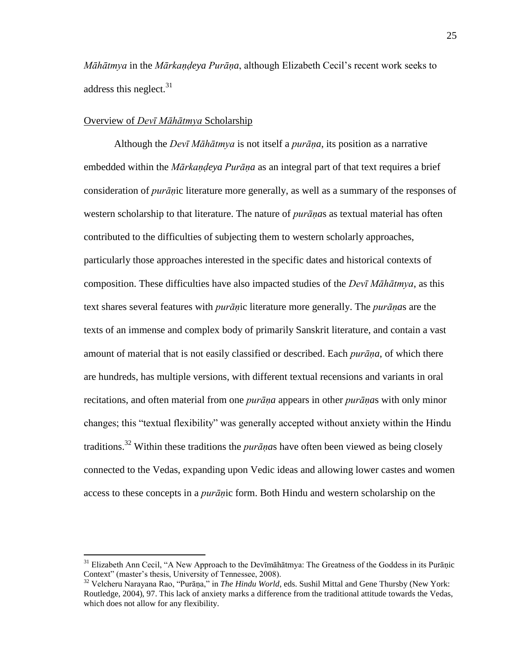*Māhātmya* in the *Mārkaṇḍeya Purāṇa*, although Elizabeth Cecil's recent work seeks to address this neglect.  $31$ 

#### <span id="page-33-0"></span>Overview of *Devī Māhātmya* Scholarship

 $\overline{a}$ 

 Although the *Devī Māhātmya* is not itself a *purāṇa*, its position as a narrative embedded within the *Mārkaṇḍeya Purāṇa* as an integral part of that text requires a brief consideration of *purāṇ*ic literature more generally, as well as a summary of the responses of western scholarship to that literature. The nature of *purāṇa*s as textual material has often contributed to the difficulties of subjecting them to western scholarly approaches, particularly those approaches interested in the specific dates and historical contexts of composition. These difficulties have also impacted studies of the *Devī Māhātmya*, as this text shares several features with *purāṇ*ic literature more generally. The *purāṇa*s are the texts of an immense and complex body of primarily Sanskrit literature, and contain a vast amount of material that is not easily classified or described. Each *purāṇa*, of which there are hundreds, has multiple versions, with different textual recensions and variants in oral recitations, and often material from one *purāṇa* appears in other *purāṇa*s with only minor changes; this "textual flexibility" was generally accepted without anxiety within the Hindu traditions.<sup>32</sup> Within these traditions the *purāṇa*s have often been viewed as being closely connected to the Vedas, expanding upon Vedic ideas and allowing lower castes and women access to these concepts in a *purāṇ*ic form. Both Hindu and western scholarship on the

 $31$  Elizabeth Ann Cecil, "A New Approach to the Devimala the Greatness of the Goddess in its Puranic Context" (master's thesis, University of Tennessee, 2008).

<sup>&</sup>lt;sup>32</sup> Velcheru Narayana Rao, "Purāṇa," in *The Hindu World*, eds. Sushil Mittal and Gene Thursby (New York: Routledge, 2004), 97. This lack of anxiety marks a difference from the traditional attitude towards the Vedas, which does not allow for any flexibility.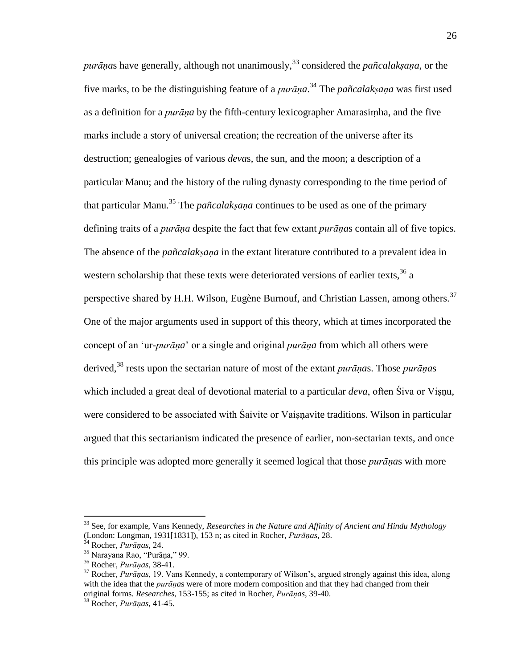*purānas* have generally, although not unanimously,  $33$  considered the *pañcalaksana*, or the five marks, to be the distinguishing feature of a *purāṇa*. <sup>34</sup> The *pañcalakṣaṇa* was first used as a definition for a *purāṇa* by the fifth-century lexicographer Amarasiṃha, and the five marks include a story of universal creation; the recreation of the universe after its destruction; genealogies of various *deva*s, the sun, and the moon; a description of a particular Manu; and the history of the ruling dynasty corresponding to the time period of that particular Manu.<sup>35</sup> The *pañcalaksana* continues to be used as one of the primary defining traits of a *purāṇa* despite the fact that few extant *purāṇa*s contain all of five topics. The absence of the *pañcalakṣaṇa* in the extant literature contributed to a prevalent idea in western scholarship that these texts were deteriorated versions of earlier texts,  $36$  a perspective shared by H.H. Wilson, Eugène Burnouf, and Christian Lassen, among others.<sup>37</sup> One of the major arguments used in support of this theory, which at times incorporated the concept of an ‗ur-*purāṇa*' or a single and original *purāṇa* from which all others were derived,<sup>38</sup> rests upon the sectarian nature of most of the extant *purāṇa*s. Those *purāṇa*s which included a great deal of devotional material to a particular *deva*, often Śiva or Visnu, were considered to be associated with Saivite or Vaisnavite traditions. Wilson in particular argued that this sectarianism indicated the presence of earlier, non-sectarian texts, and once this principle was adopted more generally it seemed logical that those *purāṇa*s with more

<sup>33</sup> See, for example, Vans Kennedy, *Researches in the Nature and Affinity of Ancient and Hindu Mythology*  (London: Longman, 1931[1831]), 153 n; as cited in Rocher, *Purāṇas*, 28.

<sup>34</sup> Rocher, *Purāṇas*, 24.

<sup>&</sup>lt;sup>35</sup> Narayana Rao, "Purāṇa," 99.

<sup>36</sup> Rocher, *Purāṇas*, 38-41.

<sup>37</sup> Rocher, *Purāṇas*, 19. Vans Kennedy, a contemporary of Wilson's, argued strongly against this idea, along with the idea that the *purāṇa*s were of more modern composition and that they had changed from their original forms. *Researches*, 153-155; as cited in Rocher, *Purāṇas*, 39-40.

<sup>38</sup> Rocher, *Purāṇas*, 41-45.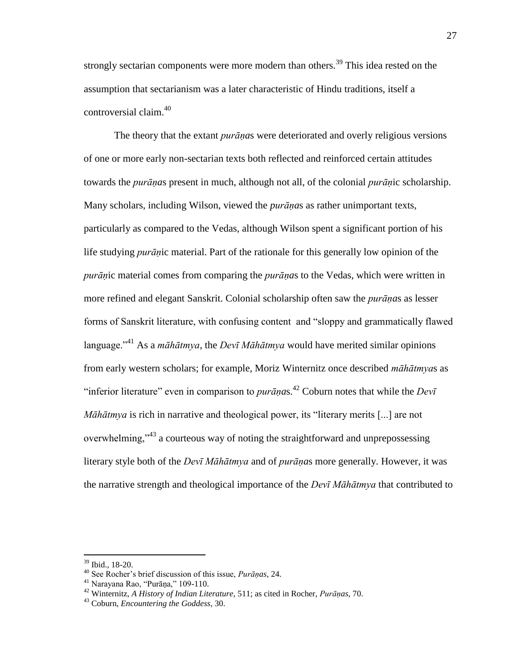strongly sectarian components were more modern than others.<sup>39</sup> This idea rested on the assumption that sectarianism was a later characteristic of Hindu traditions, itself a controversial claim.<sup>40</sup>

 The theory that the extant *purāṇa*s were deteriorated and overly religious versions of one or more early non-sectarian texts both reflected and reinforced certain attitudes towards the *purāṇa*s present in much, although not all, of the colonial *purāṇ*ic scholarship. Many scholars, including Wilson, viewed the *purāṇa*s as rather unimportant texts, particularly as compared to the Vedas, although Wilson spent a significant portion of his life studying *purāṇ*ic material. Part of the rationale for this generally low opinion of the *purāṇ*ic material comes from comparing the *purāṇa*s to the Vedas, which were written in more refined and elegant Sanskrit. Colonial scholarship often saw the *purāṇa*s as lesser forms of Sanskrit literature, with confusing content and "sloppy and grammatically flawed language."<sup>41</sup> As a *māhātmya*, the *Devī Māhātmya* would have merited similar opinions from early western scholars; for example, Moriz Winternitz once described *māhātmya*s as "inferior literature" even in comparison to *purāṇas*.<sup>42</sup> Coburn notes that while the *Devī Māhātmya* is rich in narrative and theological power, its "literary merits [...] are not overwhelming,<sup>343</sup> a courteous way of noting the straightforward and unprepossessing literary style both of the *Devī Māhātmya* and of *purāṇa*s more generally. However, it was the narrative strength and theological importance of the *Devī Māhātmya* that contributed to

<sup>39</sup> Ibid., 18-20.

<sup>40</sup> See Rocher's brief discussion of this issue, *Purāṇas*, 24.

 $41$  Narayana Rao, "Purāṇa," 109-110.

<sup>42</sup> Winternitz, *A History of Indian Literature*, 511; as cited in Rocher, *Purāṇas*, 70.

<sup>43</sup> Coburn, *Encountering the Goddess*, 30.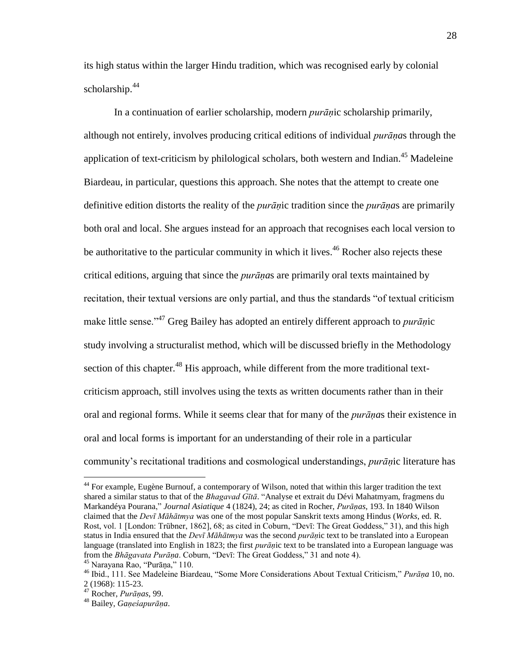its high status within the larger Hindu tradition, which was recognised early by colonial scholarship. $44$ 

 In a continuation of earlier scholarship, modern *purāṇ*ic scholarship primarily, although not entirely, involves producing critical editions of individual *purāṇa*s through the application of text-criticism by philological scholars, both western and Indian.<sup>45</sup> Madeleine Biardeau, in particular, questions this approach. She notes that the attempt to create one definitive edition distorts the reality of the *purāṇ*ic tradition since the *purāṇa*s are primarily both oral and local. She argues instead for an approach that recognises each local version to be authoritative to the particular community in which it lives.<sup>46</sup> Rocher also rejects these critical editions, arguing that since the *purāṇa*s are primarily oral texts maintained by recitation, their textual versions are only partial, and thus the standards "of textual criticism" make little sense.<sup>,47</sup> Greg Bailey has adopted an entirely different approach to *purān*ic study involving a structuralist method, which will be discussed briefly in the Methodology section of this chapter.<sup>48</sup> His approach, while different from the more traditional textcriticism approach, still involves using the texts as written documents rather than in their oral and regional forms. While it seems clear that for many of the *purāṇa*s their existence in oral and local forms is important for an understanding of their role in a particular community's recitational traditions and cosmological understandings, *purāṇ*ic literature has

<sup>44</sup> For example, Eugène Burnouf, a contemporary of Wilson, noted that within this larger tradition the text shared a similar status to that of the *Bhagavad Gītā*. "Analyse et extrait du Dévi Mahatmyam, fragmens du Markandéya Pourana,‖ *Journal Asiatique* 4 (1824), 24; as cited in Rocher, *Purāṇas*, 193. In 1840 Wilson claimed that the *Devī Māhātmya* was one of the most popular Sanskrit texts among Hindus (*Works*, ed. R. Rost, vol. 1 [London: Trübner, 1862], 68; as cited in Coburn, "Devī: The Great Goddess," 31), and this high status in India ensured that the *Devī Māhātmya* was the second *purāṇ*ic text to be translated into a European language (translated into English in 1823; the first *purāṇ*ic text to be translated into a European language was from the *Bhāgavata Purāṇa*. Coburn, "Devī: The Great Goddess," 31 and note 4).  $45$  Narayana Rao, "Purāna," 110.

<sup>&</sup>lt;sup>46</sup> Ibid., 111. See Madeleine Biardeau, "Some More Considerations About Textual Criticism," *Purāna* 10, no. 2 (1968): 115-23.

<sup>47</sup> Rocher, *Purāṇas*, 99.

<sup>48</sup> Bailey, *Gaṇeśapurāṇa*.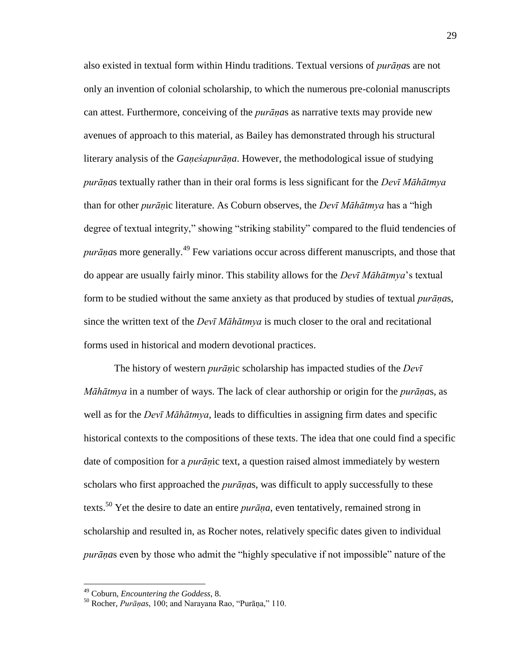also existed in textual form within Hindu traditions. Textual versions of *purāṇa*s are not only an invention of colonial scholarship, to which the numerous pre-colonial manuscripts can attest. Furthermore, conceiving of the *purāṇa*s as narrative texts may provide new avenues of approach to this material, as Bailey has demonstrated through his structural literary analysis of the *Gaṇeśapurāṇa*. However, the methodological issue of studying *purāṇa*s textually rather than in their oral forms is less significant for the *Devī Māhātmya* than for other *purān*ic literature. As Coburn observes, the *Devī Māhātmya* has a "high degree of textual integrity," showing "striking stability" compared to the fluid tendencies of *purānas* more generally.<sup>49</sup> Few variations occur across different manuscripts, and those that do appear are usually fairly minor. This stability allows for the *Devī Māhātmya*'s textual form to be studied without the same anxiety as that produced by studies of textual *purāṇa*s, since the written text of the *Devī Māhātmya* is much closer to the oral and recitational forms used in historical and modern devotional practices.

 The history of western *purāṇ*ic scholarship has impacted studies of the *Devī Māhātmya* in a number of ways. The lack of clear authorship or origin for the *purāṇa*s, as well as for the *Devī Māhātmya*, leads to difficulties in assigning firm dates and specific historical contexts to the compositions of these texts. The idea that one could find a specific date of composition for a *purāṇ*ic text, a question raised almost immediately by western scholars who first approached the *purāṇa*s, was difficult to apply successfully to these texts.<sup>50</sup> Yet the desire to date an entire *purāṇa*, even tentatively, remained strong in scholarship and resulted in, as Rocher notes, relatively specific dates given to individual *purānas* even by those who admit the "highly speculative if not impossible" nature of the

<sup>49</sup> Coburn, *Encountering the Goddess*, 8.

<sup>&</sup>lt;sup>50</sup> Rocher, *Purānas*, 100; and Narayana Rao, "Purāṇa," 110.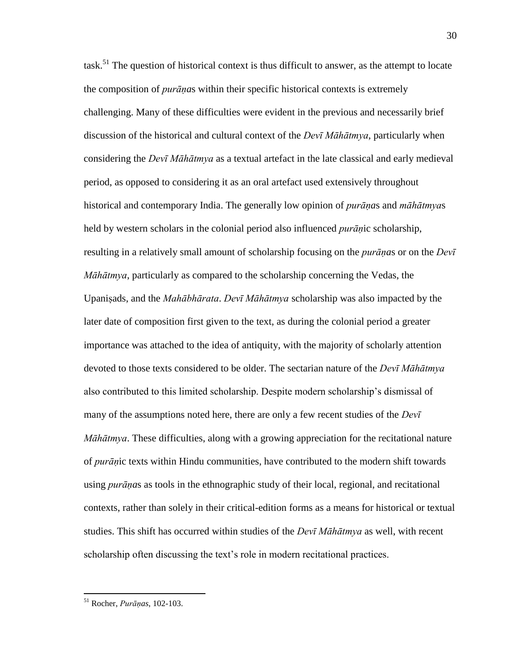task.<sup>51</sup> The question of historical context is thus difficult to answer, as the attempt to locate the composition of *purāṇa*s within their specific historical contexts is extremely challenging. Many of these difficulties were evident in the previous and necessarily brief discussion of the historical and cultural context of the *Devī Māhātmya*, particularly when considering the *Devī Māhātmya* as a textual artefact in the late classical and early medieval period, as opposed to considering it as an oral artefact used extensively throughout historical and contemporary India. The generally low opinion of *purāṇa*s and *māhātmya*s held by western scholars in the colonial period also influenced *purāṇ*ic scholarship, resulting in a relatively small amount of scholarship focusing on the *purāṇa*s or on the *Devī Māhātmya*, particularly as compared to the scholarship concerning the Vedas, the Upaniṣads, and the *Mahābhārata*. *Devī Māhātmya* scholarship was also impacted by the later date of composition first given to the text, as during the colonial period a greater importance was attached to the idea of antiquity, with the majority of scholarly attention devoted to those texts considered to be older. The sectarian nature of the *Devī Māhātmya* also contributed to this limited scholarship. Despite modern scholarship's dismissal of many of the assumptions noted here, there are only a few recent studies of the *Devī Māhātmya*. These difficulties, along with a growing appreciation for the recitational nature of *purāṇ*ic texts within Hindu communities, have contributed to the modern shift towards using *purāṇa*s as tools in the ethnographic study of their local, regional, and recitational contexts, rather than solely in their critical-edition forms as a means for historical or textual studies. This shift has occurred within studies of the *Devī Māhātmya* as well, with recent scholarship often discussing the text's role in modern recitational practices.

<sup>51</sup> Rocher, *Purāṇas*, 102-103.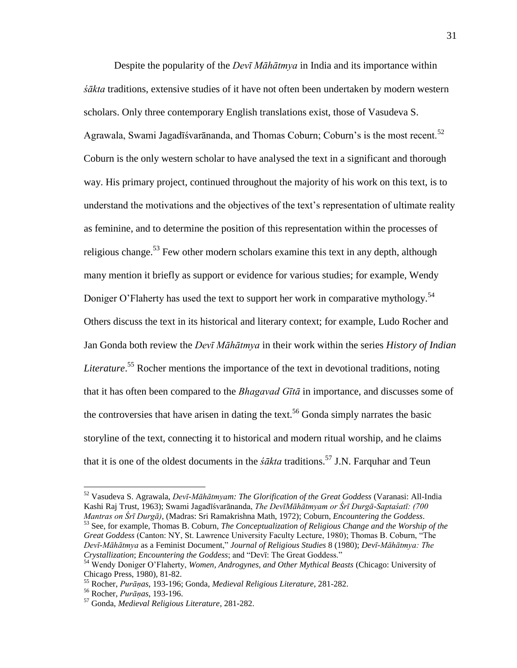Despite the popularity of the *Devī Māhātmya* in India and its importance within *śākta* traditions, extensive studies of it have not often been undertaken by modern western scholars. Only three contemporary English translations exist, those of Vasudeva S. Agrawala, Swami Jagadīśvarānanda, and Thomas Coburn; Coburn's is the most recent.<sup>52</sup> Coburn is the only western scholar to have analysed the text in a significant and thorough way. His primary project, continued throughout the majority of his work on this text, is to understand the motivations and the objectives of the text's representation of ultimate reality as feminine, and to determine the position of this representation within the processes of religious change.<sup>53</sup> Few other modern scholars examine this text in any depth, although many mention it briefly as support or evidence for various studies; for example, Wendy Doniger O'Flaherty has used the text to support her work in comparative mythology.<sup>54</sup> Others discuss the text in its historical and literary context; for example, Ludo Rocher and Jan Gonda both review the *Devī Māhātmya* in their work within the series *History of Indian*  Literature.<sup>55</sup> Rocher mentions the importance of the text in devotional traditions, noting that it has often been compared to the *Bhagavad Gītā* in importance, and discusses some of the controversies that have arisen in dating the text.<sup>56</sup> Gonda simply narrates the basic storyline of the text, connecting it to historical and modern ritual worship, and he claims that it is one of the oldest documents in the *śākta* traditions.<sup>57</sup> J.N. Farquhar and Teun

<sup>52</sup> Vasudeva S. Agrawala, *Devī-Māhātmyam: The Glorification of the Great Goddess* (Varanasi: All-India Kashi Raj Trust, 1963); Swami Jagadīśvarānanda, *The DevīMāhātmyam or Śrī Durgā-Saptaśatī: (700 Mantras on Śrī Durgā)*, (Madras: Sri Ramakrishna Math, 1972); Coburn, *Encountering the Goddess*.

<sup>53</sup> See, for example, Thomas B. Coburn, *The Conceptualization of Religious Change and the Worship of the Great Goddess* (Canton: NY, St. Lawrence University Faculty Lecture, 1980); Thomas B. Coburn, "The *Devī-Māhātmya* as a Feminist Document,‖ *Journal of Religious Studies* 8 (1980); *Devī-Māhātmya: The Crystallization*; *Encountering the Goddess*; and "Devī: The Great Goddess."

<sup>54</sup> Wendy Doniger O'Flaherty, *Women, Androgynes, and Other Mythical Beasts* (Chicago: University of Chicago Press, 1980), 81-82.

<sup>55</sup> Rocher, *Purāṇas*, 193-196; Gonda, *Medieval Religious Literature*, 281-282.

<sup>56</sup> Rocher, *Purāṇas*, 193-196.

<sup>57</sup> Gonda, *Medieval Religious Literature*, 281-282.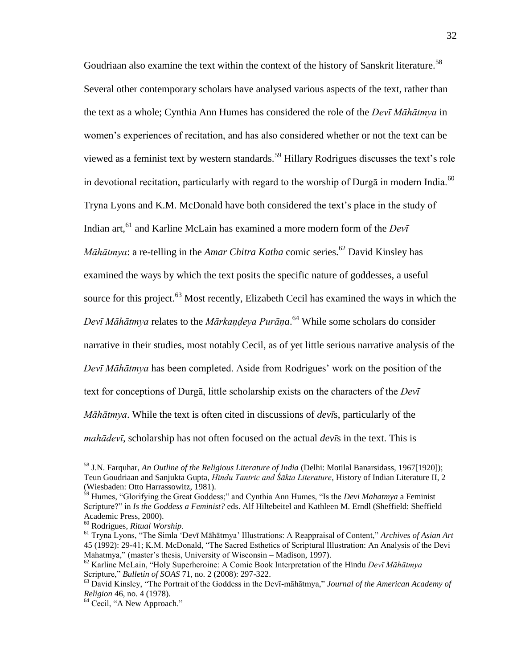Goudriaan also examine the text within the context of the history of Sanskrit literature.<sup>58</sup> Several other contemporary scholars have analysed various aspects of the text, rather than the text as a whole; Cynthia Ann Humes has considered the role of the *Devī Māhātmya* in women's experiences of recitation, and has also considered whether or not the text can be viewed as a feminist text by western standards.<sup>59</sup> Hillary Rodrigues discusses the text's role in devotional recitation, particularly with regard to the worship of Durga in modern India.<sup>60</sup> Tryna Lyons and K.M. McDonald have both considered the text's place in the study of Indian art, <sup>61</sup> and Karline McLain has examined a more modern form of the *Devī Māhātmya*: a re-telling in the *Amar Chitra Katha* comic series.<sup>62</sup> David Kinsley has examined the ways by which the text posits the specific nature of goddesses, a useful source for this project.<sup>63</sup> Most recently, Elizabeth Cecil has examined the ways in which the *Devī Māhātmya* relates to the *Mārkaṇḍeya Purāṇa*. <sup>64</sup> While some scholars do consider narrative in their studies, most notably Cecil, as of yet little serious narrative analysis of the *Devī Māhātmya* has been completed. Aside from Rodrigues' work on the position of the text for conceptions of Durgā, little scholarship exists on the characters of the *Devī Māhātmya*. While the text is often cited in discussions of *devī*s, particularly of the *mahādevī*, scholarship has not often focused on the actual *devī*s in the text. This is

<sup>58</sup> J.N. Farquhar, *An Outline of the Religious Literature of India* (Delhi: Motilal Banarsidass, 1967[1920]); Teun Goudriaan and Sanjukta Gupta, *Hindu Tantric and Śākta Literature*, History of Indian Literature II, 2 (Wiesbaden: Otto Harrassowitz, 1981).

<sup>&</sup>lt;sup>59</sup> Humes, "Glorifying the Great Goddess;" and Cynthia Ann Humes, "Is the *Devi Mahatmya* a Feminist Scripture?" in *Is the Goddess a Feminist?* eds. Alf Hiltebeitel and Kathleen M. Erndl (Sheffield: Sheffield Academic Press, 2000).

<sup>60</sup> Rodrigues, *Ritual Worship*.

<sup>61</sup> Tryna Lyons, ―The Simla ‗Devī Māhātmya' Illustrations: A Reappraisal of Content,‖ *Archives of Asian Art* 45 (1992): 29-41; K.M. McDonald, "The Sacred Esthetics of Scriptural Illustration: An Analysis of the Devi Mahatmya," (master's thesis, University of Wisconsin – Madison, 1997).

<sup>62</sup> Karline McLain, ―Holy Superheroine: A Comic Book Interpretation of the Hindu *Devī Māhātmya* Scripture," *Bulletin of SOAS* 71, no. 2 (2008): 297-322.

<sup>&</sup>lt;sup>63</sup> David Kinsley, "The Portrait of the Goddess in the Devī-māhātmya," *Journal of the American Academy of Religion* 46, no. 4 (1978).

 $64$  Cecil, "A New Approach."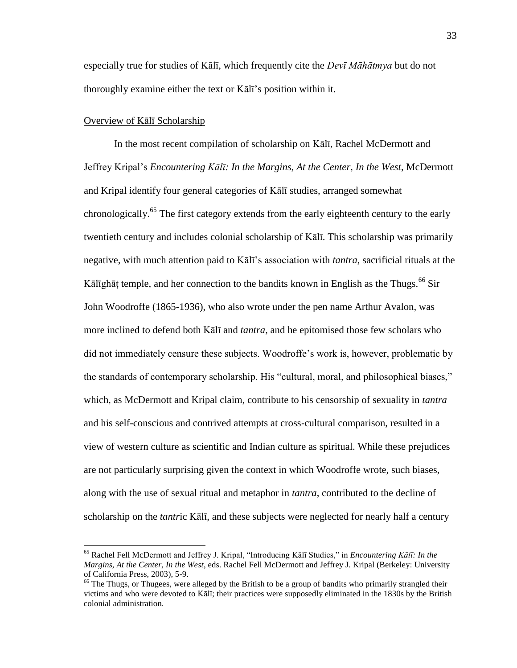especially true for studies of Kālī, which frequently cite the *Devī Māhātmya* but do not thoroughly examine either the text or Kālī's position within it.

## Overview of Kālī Scholarship

 $\overline{a}$ 

 In the most recent compilation of scholarship on Kālī, Rachel McDermott and Jeffrey Kripal's *Encountering Kālī: In the Margins, At the Center, In the West*, McDermott and Kripal identify four general categories of Kālī studies, arranged somewhat chronologically.<sup>65</sup> The first category extends from the early eighteenth century to the early twentieth century and includes colonial scholarship of Kālī. This scholarship was primarily negative, with much attention paid to Kālī's association with *tantra*, sacrificial rituals at the Kālīghāṭ temple, and her connection to the bandits known in English as the Thugs.<sup>66</sup> Sir John Woodroffe (1865-1936), who also wrote under the pen name Arthur Avalon, was more inclined to defend both Kālī and *tantra*, and he epitomised those few scholars who did not immediately censure these subjects. Woodroffe's work is, however, problematic by the standards of contemporary scholarship. His "cultural, moral, and philosophical biases," which, as McDermott and Kripal claim, contribute to his censorship of sexuality in *tantra* and his self-conscious and contrived attempts at cross-cultural comparison, resulted in a view of western culture as scientific and Indian culture as spiritual. While these prejudices are not particularly surprising given the context in which Woodroffe wrote, such biases, along with the use of sexual ritual and metaphor in *tantra*, contributed to the decline of scholarship on the *tantr*ic Kālī, and these subjects were neglected for nearly half a century

<sup>&</sup>lt;sup>65</sup> Rachel Fell McDermott and Jeffrey J. Kripal, "Introducing Kālī Studies," in *Encountering Kālī: In the Margins, At the Center, In the West*, eds. Rachel Fell McDermott and Jeffrey J. Kripal (Berkeley: University of California Press, 2003), 5-9.

<sup>&</sup>lt;sup>66</sup> The Thugs, or Thugees, were alleged by the British to be a group of bandits who primarily strangled their victims and who were devoted to Kālī; their practices were supposedly eliminated in the 1830s by the British colonial administration.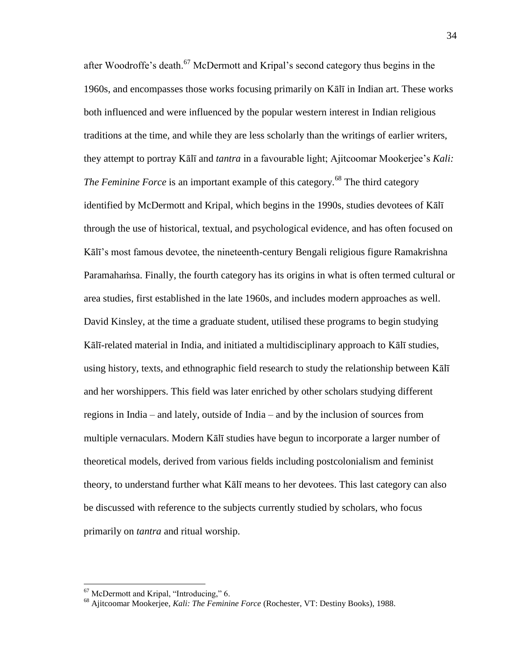after Woodroffe's death.<sup>67</sup> McDermott and Kripal's second category thus begins in the 1960s, and encompasses those works focusing primarily on Kālī in Indian art. These works both influenced and were influenced by the popular western interest in Indian religious traditions at the time, and while they are less scholarly than the writings of earlier writers, they attempt to portray Kālī and *tantra* in a favourable light; Ajitcoomar Mookerjee's *Kali: The Feminine Force* is an important example of this category.<sup>68</sup> The third category identified by McDermott and Kripal, which begins in the 1990s, studies devotees of Kālī through the use of historical, textual, and psychological evidence, and has often focused on Kālī's most famous devotee, the nineteenth-century Bengali religious figure Ramakrishna Paramahaṁsa. Finally, the fourth category has its origins in what is often termed cultural or area studies, first established in the late 1960s, and includes modern approaches as well. David Kinsley, at the time a graduate student, utilised these programs to begin studying Kālī-related material in India, and initiated a multidisciplinary approach to Kālī studies, using history, texts, and ethnographic field research to study the relationship between Kālī and her worshippers. This field was later enriched by other scholars studying different regions in India – and lately, outside of India – and by the inclusion of sources from multiple vernaculars. Modern Kālī studies have begun to incorporate a larger number of theoretical models, derived from various fields including postcolonialism and feminist theory, to understand further what Kālī means to her devotees. This last category can also be discussed with reference to the subjects currently studied by scholars, who focus primarily on *tantra* and ritual worship.

 $67$  McDermott and Kripal, "Introducing," 6.

<sup>68</sup> Ajitcoomar Mookerjee, *Kali: The Feminine Force* (Rochester, VT: Destiny Books), 1988.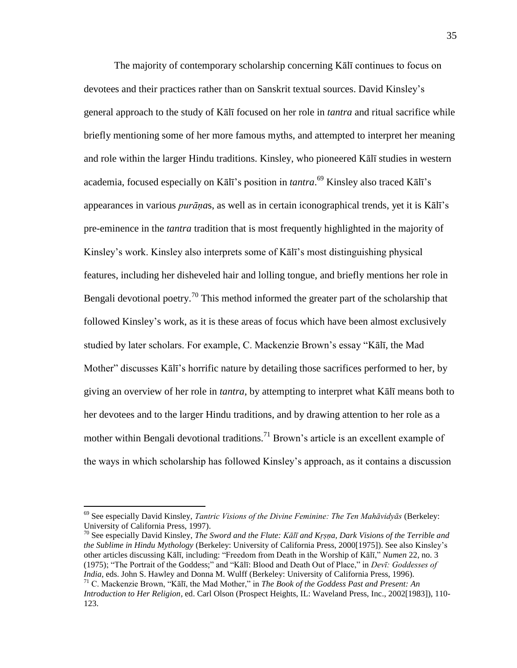The majority of contemporary scholarship concerning Kālī continues to focus on devotees and their practices rather than on Sanskrit textual sources. David Kinsley's general approach to the study of Kālī focused on her role in *tantra* and ritual sacrifice while briefly mentioning some of her more famous myths, and attempted to interpret her meaning and role within the larger Hindu traditions. Kinsley, who pioneered Kālī studies in western academia, focused especially on Kālī's position in *tantra*. <sup>69</sup> Kinsley also traced Kālī's appearances in various *purāṇa*s, as well as in certain iconographical trends, yet it is Kālī's pre-eminence in the *tantra* tradition that is most frequently highlighted in the majority of Kinsley's work. Kinsley also interprets some of Kālī's most distinguishing physical features, including her disheveled hair and lolling tongue, and briefly mentions her role in Bengali devotional poetry.<sup>70</sup> This method informed the greater part of the scholarship that followed Kinsley's work, as it is these areas of focus which have been almost exclusively studied by later scholars. For example, C. Mackenzie Brown's essay "Kālī, the Mad Mother" discusses Kālī's horrific nature by detailing those sacrifices performed to her, by giving an overview of her role in *tantra*, by attempting to interpret what Kālī means both to her devotees and to the larger Hindu traditions, and by drawing attention to her role as a mother within Bengali devotional traditions.<sup>71</sup> Brown's article is an excellent example of the ways in which scholarship has followed Kinsley's approach, as it contains a discussion

 $\overline{a}$ 

<sup>70</sup> See especially David Kinsley, *The Sword and the Flute: Kālī and Kṛṣṇa, Dark Visions of the Terrible and the Sublime in Hindu Mythology* (Berkeley: University of California Press, 2000[1975]). See also Kinsley's other articles discussing Kālī, including: "Freedom from Death in the Worship of Kālī," *Numen* 22, no. 3 (1975); "The Portrait of the Goddess;" and "Kālī: Blood and Death Out of Place," in *Devī: Goddesses of India*, eds. John S. Hawley and Donna M. Wulff (Berkeley: University of California Press, 1996).

<sup>69</sup> See especially David Kinsley, *Tantric Visions of the Divine Feminine: The Ten Mahāvidyās* (Berkeley: University of California Press, 1997).

 $71$  C. Mackenzie Brown, "Kālī, the Mad Mother," in *The Book of the Goddess Past and Present: An Introduction to Her Religion*, ed. Carl Olson (Prospect Heights, IL: Waveland Press, Inc., 2002[1983]), 110- 123.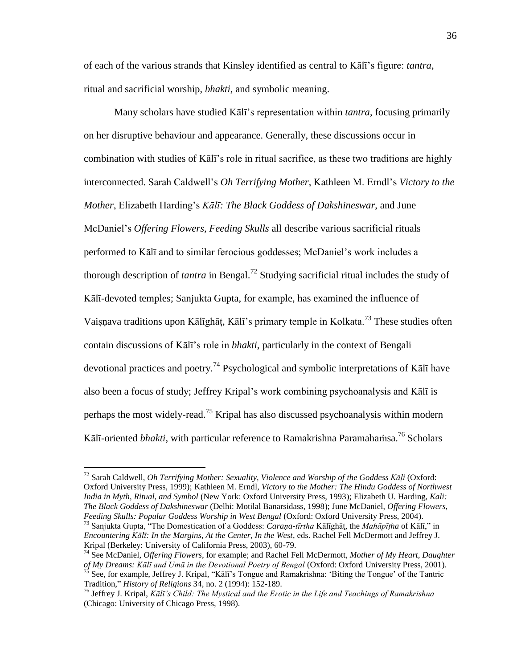of each of the various strands that Kinsley identified as central to Kālī's figure: *tantra*, ritual and sacrificial worship, *bhakti*, and symbolic meaning.

 Many scholars have studied Kālī's representation within *tantra*, focusing primarily on her disruptive behaviour and appearance. Generally, these discussions occur in combination with studies of Kālī's role in ritual sacrifice, as these two traditions are highly interconnected. Sarah Caldwell's *Oh Terrifying Mother*, Kathleen M. Erndl's *Victory to the Mother*, Elizabeth Harding's *Kālī: The Black Goddess of Dakshineswar*, and June McDaniel's *Offering Flowers, Feeding Skulls* all describe various sacrificial rituals performed to Kālī and to similar ferocious goddesses; McDaniel's work includes a thorough description of *tantra* in Bengal.<sup>72</sup> Studying sacrificial ritual includes the study of Kālī-devoted temples; Sanjukta Gupta, for example, has examined the influence of Vaisnava traditions upon Kālīghāt, Kālī's primary temple in Kolkata.<sup>73</sup> These studies often contain discussions of Kālī's role in *bhakti*, particularly in the context of Bengali devotional practices and poetry.<sup>74</sup> Psychological and symbolic interpretations of K $\bar{a}$ l $\bar{b}$  have also been a focus of study; Jeffrey Kripal's work combining psychoanalysis and Kālī is perhaps the most widely-read.<sup>75</sup> Kripal has also discussed psychoanalysis within modern Kālī-oriented *bhakti*, with particular reference to Ramakrishna Paramahamsa.<sup>76</sup> Scholars

Tradition,‖ *History of Religions* 34, no. 2 (1994): 152-189.

<sup>72</sup> Sarah Caldwell, *Oh Terrifying Mother: Sexuality, Violence and Worship of the Goddess Kāḷi* (Oxford: Oxford University Press, 1999); Kathleen M. Erndl, *Victory to the Mother: The Hindu Goddess of Northwest India in Myth, Ritual, and Symbol* (New York: Oxford University Press, 1993); Elizabeth U. Harding, *Kali: The Black Goddess of Dakshineswar* (Delhi: Motilal Banarsidass, 1998); June McDaniel, *Offering Flowers, Feeding Skulls: Popular Goddess Worship in West Bengal* (Oxford: Oxford University Press, 2004).

<sup>&</sup>lt;sup>73</sup> Sanjukta Gupta, "The Domestication of a Goddess: *Caraṇa-tīrtha* Kālīghāṭ, the *Mahāpīṭha* of Kālī," in *Encountering Kālī: In the Margins, At the Center, In the West*, eds. Rachel Fell McDermott and Jeffrey J. Kripal (Berkeley: University of California Press, 2003), 60-79.

<sup>74</sup> See McDaniel, *Offering Flowers*, for example; and Rachel Fell McDermott, *Mother of My Heart, Daughter of My Dreams: Kālī and Umā in the Devotional Poetry of Bengal* (Oxford: Oxford University Press, 2001).  $^{75}$  See, for example, Jeffrey J. Kripal, "Kālī's Tongue and Ramakrishna: 'Biting the Tongue' of the Tantric

<sup>76</sup> Jeffrey J. Kripal, *Kālī's Child: The Mystical and the Erotic in the Life and Teachings of Ramakrishna* (Chicago: University of Chicago Press, 1998).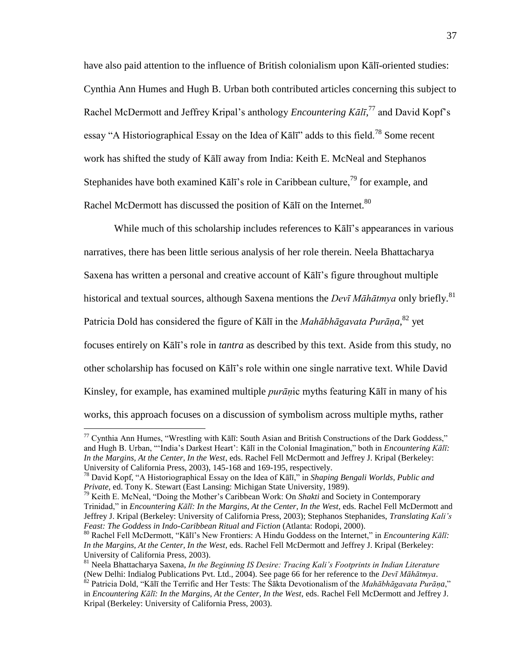have also paid attention to the influence of British colonialism upon Kālī-oriented studies: Cynthia Ann Humes and Hugh B. Urban both contributed articles concerning this subject to Rachel McDermott and Jeffrey Kripal's anthology *Encountering Kālī*,<sup>77</sup> and David Kopf's essay "A Historiographical Essay on the Idea of Kālī" adds to this field.<sup>78</sup> Some recent work has shifted the study of Kālī away from India: Keith E. McNeal and Stephanos Stephanides have both examined Kālī's role in Caribbean culture,<sup>79</sup> for example, and Rachel McDermott has discussed the position of Kalī on the Internet.<sup>80</sup>

 While much of this scholarship includes references to Kālī's appearances in various narratives, there has been little serious analysis of her role therein. Neela Bhattacharya Saxena has written a personal and creative account of Kālī's figure throughout multiple historical and textual sources, although Saxena mentions the *Devī Māhātmya* only briefly.<sup>81</sup> Patricia Dold has considered the figure of Kālī in the *Mahābhāgavata Purāṇa*,<sup>82</sup> yet focuses entirely on Kālī's role in *tantra* as described by this text. Aside from this study, no other scholarship has focused on Kālī's role within one single narrative text. While David Kinsley, for example, has examined multiple *purāṇ*ic myths featuring Kālī in many of his works, this approach focuses on a discussion of symbolism across multiple myths, rather

 $77$  Cynthia Ann Humes, "Wrestling with Kālī: South Asian and British Constructions of the Dark Goddess," and Hugh B. Urban, "'India's Darkest Heart': Kālī in the Colonial Imagination," both in *Encountering Kāl*ī: *In the Margins, At the Center, In the West*, eds. Rachel Fell McDermott and Jeffrey J. Kripal (Berkeley: University of California Press, 2003), 145-168 and 169-195, respectively.

<sup>&</sup>lt;sup>78</sup> David Kopf, "A Historiographical Essay on the Idea of Kālī," in *Shaping Bengali Worlds, Public and Private*, ed. Tony K. Stewart (East Lansing: Michigan State University, 1989).

<sup>&</sup>lt;sup>79</sup> Keith E. McNeal, "Doing the Mother's Caribbean Work: On *Shakti* and Society in Contemporary Trinidad," in *Encountering Kālī: In the Margins, At the Center, In the West*, eds. Rachel Fell McDermott and Jeffrey J. Kripal (Berkeley: University of California Press, 2003); Stephanos Stephanides, *Translating Kali's Feast: The Goddess in Indo-Caribbean Ritual and Fiction* (Atlanta: Rodopi, 2000).

<sup>&</sup>lt;sup>80</sup> Rachel Fell McDermott, "Kālī's New Frontiers: A Hindu Goddess on the Internet," in *Encountering Kālī: In the Margins, At the Center, In the West*, eds. Rachel Fell McDermott and Jeffrey J. Kripal (Berkeley: University of California Press, 2003).

<sup>81</sup> Neela Bhattacharya Saxena, *In the Beginning IS Desire: Tracing Kali's Footprints in Indian Literature* (New Delhi: Indialog Publications Pvt. Ltd., 2004). See page 66 for her reference to the *Devī Māhātmya*.

<sup>&</sup>lt;sup>82</sup> Patricia Dold, "Kālī the Terrific and Her Tests: The Śākta Devotionalism of the *Mahābhāgavata Purāṇa*," in *Encountering Kālī: In the Margins, At the Center, In the West*, eds. Rachel Fell McDermott and Jeffrey J. Kripal (Berkeley: University of California Press, 2003).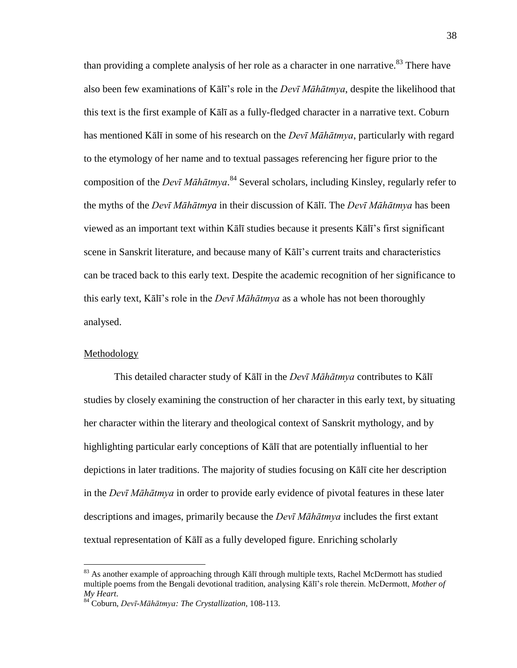than providing a complete analysis of her role as a character in one narrative.<sup>83</sup> There have also been few examinations of Kālī's role in the *Devī Māhātmya*, despite the likelihood that this text is the first example of Kālī as a fully-fledged character in a narrative text. Coburn has mentioned Kālī in some of his research on the *Devī Māhātmya*, particularly with regard to the etymology of her name and to textual passages referencing her figure prior to the composition of the *Devī Māhātmya*. <sup>84</sup> Several scholars, including Kinsley, regularly refer to the myths of the *Devī Māhātmya* in their discussion of Kālī. The *Devī Māhātmya* has been viewed as an important text within Kālī studies because it presents Kālī's first significant scene in Sanskrit literature, and because many of Kālī's current traits and characteristics can be traced back to this early text. Despite the academic recognition of her significance to this early text, Kālī's role in the *Devī Māhātmya* as a whole has not been thoroughly analysed.

## Methodology

 $\overline{a}$ 

 This detailed character study of Kālī in the *Devī Māhātmya* contributes to Kālī studies by closely examining the construction of her character in this early text, by situating her character within the literary and theological context of Sanskrit mythology, and by highlighting particular early conceptions of Kālī that are potentially influential to her depictions in later traditions. The majority of studies focusing on Kālī cite her description in the *Devī Māhātmya* in order to provide early evidence of pivotal features in these later descriptions and images, primarily because the *Devī Māhātmya* includes the first extant textual representation of Kālī as a fully developed figure. Enriching scholarly

 $83$  As another example of approaching through Kalī through multiple texts, Rachel McDermott has studied multiple poems from the Bengali devotional tradition, analysing Kālī's role therein. McDermott, *Mother of My Heart*.

<sup>84</sup> Coburn, *Devī-Māhātmya: The Crystallization*, 108-113.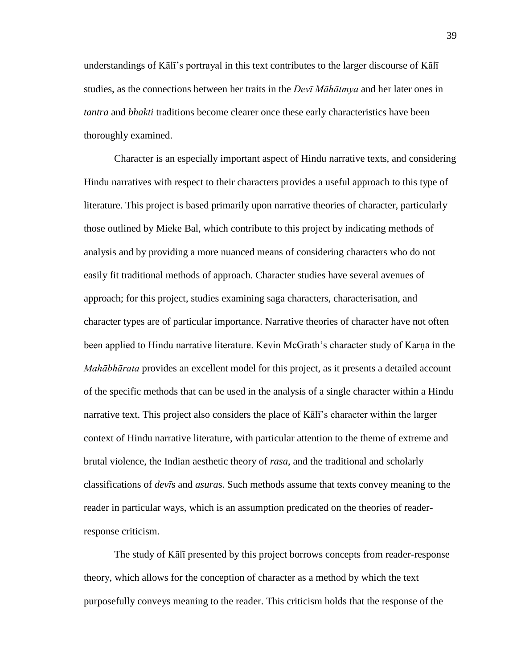understandings of Kālī's portrayal in this text contributes to the larger discourse of Kālī studies, as the connections between her traits in the *Devī Māhātmya* and her later ones in *tantra* and *bhakti* traditions become clearer once these early characteristics have been thoroughly examined.

 Character is an especially important aspect of Hindu narrative texts, and considering Hindu narratives with respect to their characters provides a useful approach to this type of literature. This project is based primarily upon narrative theories of character, particularly those outlined by Mieke Bal, which contribute to this project by indicating methods of analysis and by providing a more nuanced means of considering characters who do not easily fit traditional methods of approach. Character studies have several avenues of approach; for this project, studies examining saga characters, characterisation, and character types are of particular importance. Narrative theories of character have not often been applied to Hindu narrative literature. Kevin McGrath's character study of Karna in the *Mahābhārata* provides an excellent model for this project, as it presents a detailed account of the specific methods that can be used in the analysis of a single character within a Hindu narrative text. This project also considers the place of Kālī's character within the larger context of Hindu narrative literature, with particular attention to the theme of extreme and brutal violence, the Indian aesthetic theory of *rasa*, and the traditional and scholarly classifications of *devī*s and *asura*s. Such methods assume that texts convey meaning to the reader in particular ways, which is an assumption predicated on the theories of readerresponse criticism.

 The study of Kālī presented by this project borrows concepts from reader-response theory, which allows for the conception of character as a method by which the text purposefully conveys meaning to the reader. This criticism holds that the response of the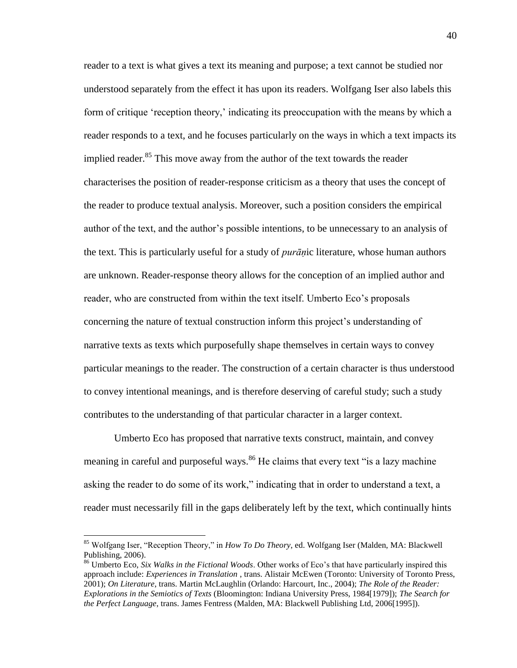reader to a text is what gives a text its meaning and purpose; a text cannot be studied nor understood separately from the effect it has upon its readers. Wolfgang Iser also labels this form of critique 'reception theory,' indicating its preoccupation with the means by which a reader responds to a text, and he focuses particularly on the ways in which a text impacts its implied reader.<sup>85</sup> This move away from the author of the text towards the reader characterises the position of reader-response criticism as a theory that uses the concept of the reader to produce textual analysis. Moreover, such a position considers the empirical author of the text, and the author's possible intentions, to be unnecessary to an analysis of the text. This is particularly useful for a study of *purāṇ*ic literature, whose human authors are unknown. Reader-response theory allows for the conception of an implied author and reader, who are constructed from within the text itself. Umberto Eco's proposals concerning the nature of textual construction inform this project's understanding of narrative texts as texts which purposefully shape themselves in certain ways to convey particular meanings to the reader. The construction of a certain character is thus understood to convey intentional meanings, and is therefore deserving of careful study; such a study contributes to the understanding of that particular character in a larger context.

 Umberto Eco has proposed that narrative texts construct, maintain, and convey meaning in careful and purposeful ways.<sup>86</sup> He claims that every text "is a lazy machine" asking the reader to do some of its work," indicating that in order to understand a text, a reader must necessarily fill in the gaps deliberately left by the text, which continually hints

<sup>&</sup>lt;sup>85</sup> Wolfgang Iser, "Reception Theory," in *How To Do Theory*, ed. Wolfgang Iser (Malden, MA: Blackwell Publishing, 2006).

<sup>86</sup> Umberto Eco, *Six Walks in the Fictional Woods*. Other works of Eco's that have particularly inspired this approach include: *Experiences in Translation* , trans. Alistair McEwen (Toronto: University of Toronto Press, 2001); *On Literature*, trans. Martin McLaughlin (Orlando: Harcourt, Inc., 2004); *The Role of the Reader: Explorations in the Semiotics of Texts* (Bloomington: Indiana University Press, 1984[1979]); *The Search for the Perfect Language*, trans. James Fentress (Malden, MA: Blackwell Publishing Ltd, 2006[1995]).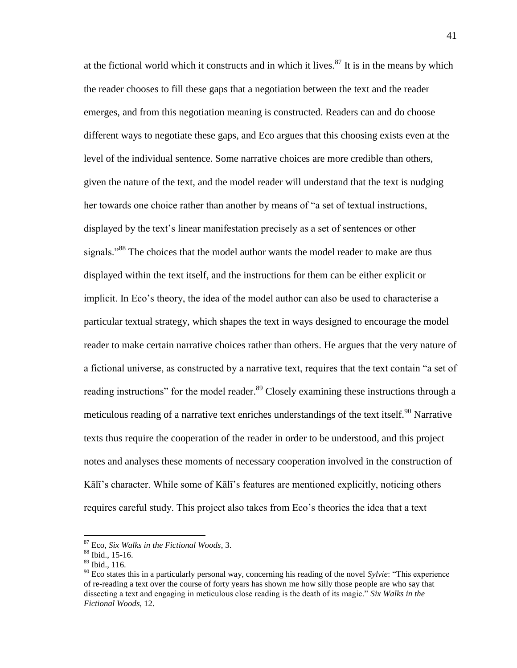at the fictional world which it constructs and in which it lives. $87$  It is in the means by which the reader chooses to fill these gaps that a negotiation between the text and the reader emerges, and from this negotiation meaning is constructed. Readers can and do choose different ways to negotiate these gaps, and Eco argues that this choosing exists even at the level of the individual sentence. Some narrative choices are more credible than others, given the nature of the text, and the model reader will understand that the text is nudging her towards one choice rather than another by means of "a set of textual instructions, displayed by the text's linear manifestation precisely as a set of sentences or other signals.<sup>88</sup> The choices that the model author wants the model reader to make are thus displayed within the text itself, and the instructions for them can be either explicit or implicit. In Eco's theory, the idea of the model author can also be used to characterise a particular textual strategy, which shapes the text in ways designed to encourage the model reader to make certain narrative choices rather than others. He argues that the very nature of a fictional universe, as constructed by a narrative text, requires that the text contain "a set of reading instructions" for the model reader.<sup>89</sup> Closely examining these instructions through a meticulous reading of a narrative text enriches understandings of the text itself.<sup>90</sup> Narrative texts thus require the cooperation of the reader in order to be understood, and this project notes and analyses these moments of necessary cooperation involved in the construction of Kālī's character. While some of Kālī's features are mentioned explicitly, noticing others requires careful study. This project also takes from Eco's theories the idea that a text

<sup>87</sup> Eco, *Six Walks in the Fictional Woods*, 3.

<sup>88</sup> Ibid., 15-16.

<sup>89</sup> Ibid., 116.

 $^{90}$  Eco states this in a particularly personal way, concerning his reading of the novel *Sylvie*: "This experience" of re-reading a text over the course of forty years has shown me how silly those people are who say that dissecting a text and engaging in meticulous close reading is the death of its magic.<sup>"</sup> *Six Walks in the Fictional Woods*, 12.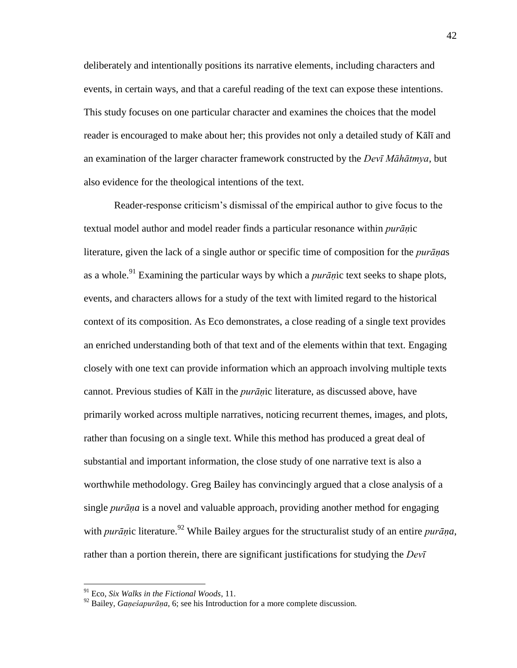deliberately and intentionally positions its narrative elements, including characters and events, in certain ways, and that a careful reading of the text can expose these intentions. This study focuses on one particular character and examines the choices that the model reader is encouraged to make about her; this provides not only a detailed study of Kālī and an examination of the larger character framework constructed by the *Devī Māhātmya*, but also evidence for the theological intentions of the text.

 Reader-response criticism's dismissal of the empirical author to give focus to the textual model author and model reader finds a particular resonance within *purāṇ*ic literature, given the lack of a single author or specific time of composition for the *purāṇa*s as a whole.<sup>91</sup> Examining the particular ways by which a *purāṇ*ic text seeks to shape plots, events, and characters allows for a study of the text with limited regard to the historical context of its composition. As Eco demonstrates, a close reading of a single text provides an enriched understanding both of that text and of the elements within that text. Engaging closely with one text can provide information which an approach involving multiple texts cannot. Previous studies of Kālī in the *purāṇ*ic literature, as discussed above, have primarily worked across multiple narratives, noticing recurrent themes, images, and plots, rather than focusing on a single text. While this method has produced a great deal of substantial and important information, the close study of one narrative text is also a worthwhile methodology. Greg Bailey has convincingly argued that a close analysis of a single *purāṇa* is a novel and valuable approach, providing another method for engaging with *purān*ic literature.<sup>92</sup> While Bailey argues for the structuralist study of an entire *purāna*, rather than a portion therein, there are significant justifications for studying the *Devī* 

<sup>91</sup> Eco, *Six Walks in the Fictional Woods*, 11.

<sup>92</sup> Bailey, *Gaṇeśapurāṇa*, 6; see his Introduction for a more complete discussion.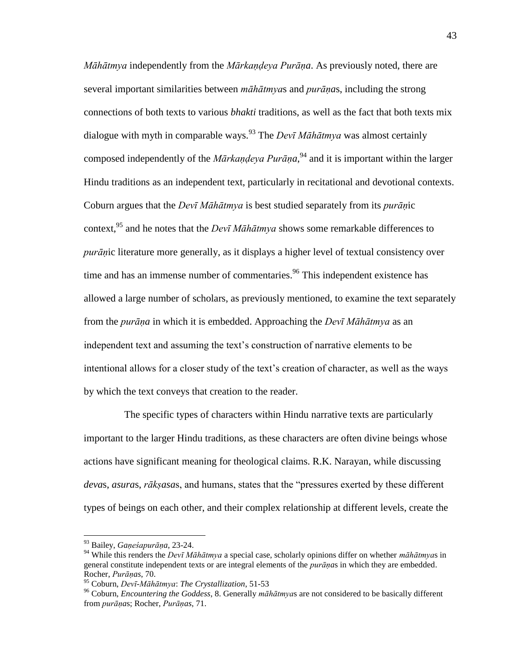*Māhātmya* independently from the *Mārkaṇḍeya Purāṇa*. As previously noted, there are several important similarities between *māhātmya*s and *purāṇa*s, including the strong connections of both texts to various *bhakti* traditions, as well as the fact that both texts mix dialogue with myth in comparable ways.<sup>93</sup> The *Devī Māhātmya* was almost certainly composed independently of the *Mārkaṇḍeya Purāṇa*, <sup>94</sup> and it is important within the larger Hindu traditions as an independent text, particularly in recitational and devotional contexts. Coburn argues that the *Devī Māhātmya* is best studied separately from its *purāṇ*ic context,<sup>95</sup> and he notes that the *Devī Māhātmya* shows some remarkable differences to *purāṇ*ic literature more generally, as it displays a higher level of textual consistency over time and has an immense number of commentaries.<sup>96</sup> This independent existence has allowed a large number of scholars, as previously mentioned, to examine the text separately from the *purāṇa* in which it is embedded. Approaching the *Devī Māhātmya* as an independent text and assuming the text's construction of narrative elements to be intentional allows for a closer study of the text's creation of character, as well as the ways by which the text conveys that creation to the reader.

 The specific types of characters within Hindu narrative texts are particularly important to the larger Hindu traditions, as these characters are often divine beings whose actions have significant meaning for theological claims. R.K. Narayan, while discussing *devas, asuras, rākṣasas, and humans, states that the "pressures exerted by these different* types of beings on each other, and their complex relationship at different levels, create the

<sup>93</sup> Bailey, *Gaṇeśapurāṇa*, 23-24.

<sup>94</sup> While this renders the *Devī Māhātmya* a special case, scholarly opinions differ on whether *māhātmya*s in general constitute independent texts or are integral elements of the *purāṇa*s in which they are embedded. Rocher, *Purāṇas*, 70.

<sup>95</sup> Coburn, *Devī-Māhātmya*: *The Crystallization*, 51-53

<sup>96</sup> Coburn, *Encountering the Goddess*, 8. Generally *māhātmya*s are not considered to be basically different from *purāṇa*s; Rocher, *Purāṇas*, 71.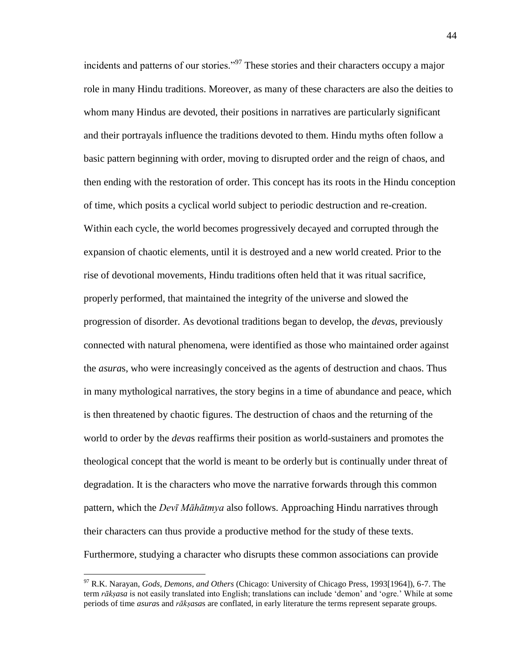incidents and patterns of our stories."<sup>97</sup> These stories and their characters occupy a major role in many Hindu traditions. Moreover, as many of these characters are also the deities to whom many Hindus are devoted, their positions in narratives are particularly significant and their portrayals influence the traditions devoted to them. Hindu myths often follow a basic pattern beginning with order, moving to disrupted order and the reign of chaos, and then ending with the restoration of order. This concept has its roots in the Hindu conception of time, which posits a cyclical world subject to periodic destruction and re-creation. Within each cycle, the world becomes progressively decayed and corrupted through the expansion of chaotic elements, until it is destroyed and a new world created. Prior to the rise of devotional movements, Hindu traditions often held that it was ritual sacrifice, properly performed, that maintained the integrity of the universe and slowed the progression of disorder. As devotional traditions began to develop, the *deva*s, previously connected with natural phenomena, were identified as those who maintained order against the *asura*s, who were increasingly conceived as the agents of destruction and chaos. Thus in many mythological narratives, the story begins in a time of abundance and peace, which is then threatened by chaotic figures. The destruction of chaos and the returning of the world to order by the *deva*s reaffirms their position as world-sustainers and promotes the theological concept that the world is meant to be orderly but is continually under threat of degradation. It is the characters who move the narrative forwards through this common pattern, which the *Devī Māhātmya* also follows. Approaching Hindu narratives through their characters can thus provide a productive method for the study of these texts. Furthermore, studying a character who disrupts these common associations can provide

<sup>97</sup> R.K. Narayan, *Gods, Demons, and Others* (Chicago: University of Chicago Press, 1993[1964]), 6-7. The term *rākṣasa* is not easily translated into English; translations can include 'demon' and 'ogre.' While at some periods of time *asura*s and *rākṣasa*s are conflated, in early literature the terms represent separate groups.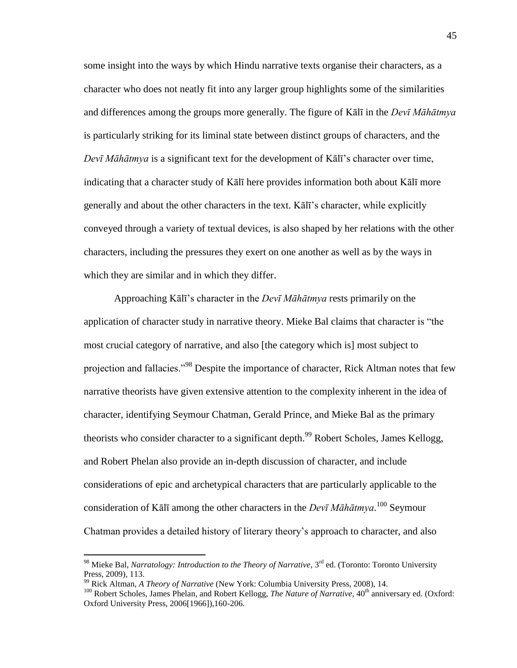some insight into the ways by which Hindu narrative texts organise their characters, as a character who does not neatly fit into any larger group highlights some of the similarities and differences among the groups more generally. The figure of Kālī in the *Devī Māhātmya* is particularly striking for its liminal state between distinct groups of characters, and the *Devī Māhātmya* is a significant text for the development of Kālī's character over time, indicating that a character study of Kālī here provides information both about Kālī more generally and about the other characters in the text. Kālī's character, while explicitly conveyed through a variety of textual devices, is also shaped by her relations with the other characters, including the pressures they exert on one another as well as by the ways in which they are similar and in which they differ.

 Approaching Kālī's character in the *Devī Māhātmya* rests primarily on the application of character study in narrative theory. Mieke Bal claims that character is "the most crucial category of narrative, and also [the category which is] most subject to projection and fallacies.<sup>998</sup> Despite the importance of character, Rick Altman notes that few narrative theorists have given extensive attention to the complexity inherent in the idea of character, identifying Seymour Chatman, Gerald Prince, and Mieke Bal as the primary theorists who consider character to a significant depth.<sup>99</sup> Robert Scholes, James Kellogg, and Robert Phelan also provide an in-depth discussion of character, and include considerations of epic and archetypical characters that are particularly applicable to the consideration of Kālī among the other characters in the *Devī Māhātmya*. <sup>100</sup> Seymour Chatman provides a detailed history of literary theory's approach to character, and also

<sup>&</sup>lt;sup>98</sup> Mieke Bal, *Narratology: Introduction to the Theory of Narrative*, 3<sup>rd</sup> ed. (Toronto: Toronto University Press, 2009)*,* 113.

<sup>99</sup> Rick Altman, *A Theory of Narrative* (New York: Columbia University Press, 2008), 14.

<sup>&</sup>lt;sup>100</sup> Robert Scholes, James Phelan, and Robert Kellogg, *The Nature of Narrative*, 40<sup>th</sup> anniversary ed. (Oxford: Oxford University Press, 2006[1966]),160-206.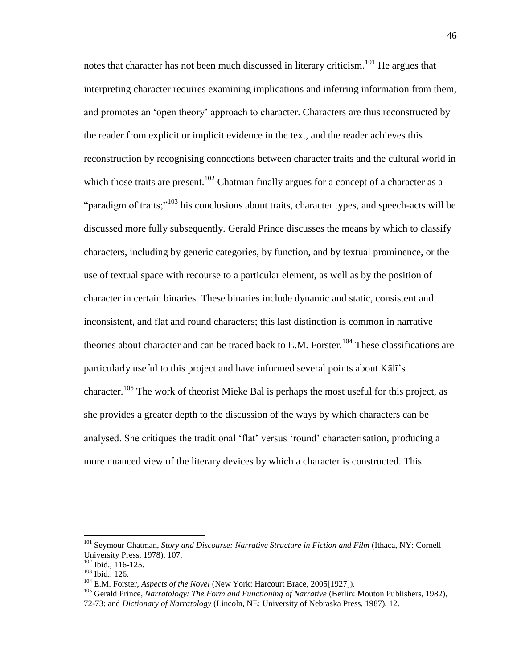notes that character has not been much discussed in literary criticism.<sup>101</sup> He argues that interpreting character requires examining implications and inferring information from them, and promotes an 'open theory' approach to character. Characters are thus reconstructed by the reader from explicit or implicit evidence in the text, and the reader achieves this reconstruction by recognising connections between character traits and the cultural world in which those traits are present.<sup>102</sup> Chatman finally argues for a concept of a character as a "paradigm of traits; $103$  his conclusions about traits, character types, and speech-acts will be discussed more fully subsequently. Gerald Prince discusses the means by which to classify characters, including by generic categories, by function, and by textual prominence, or the use of textual space with recourse to a particular element, as well as by the position of character in certain binaries. These binaries include dynamic and static, consistent and inconsistent, and flat and round characters; this last distinction is common in narrative theories about character and can be traced back to E.M. Forster.<sup>104</sup> These classifications are particularly useful to this project and have informed several points about Kālī's character.<sup>105</sup> The work of theorist Mieke Bal is perhaps the most useful for this project, as she provides a greater depth to the discussion of the ways by which characters can be analysed. She critiques the traditional 'flat' versus 'round' characterisation, producing a more nuanced view of the literary devices by which a character is constructed. This

<sup>101</sup> Seymour Chatman, *Story and Discourse: Narrative Structure in Fiction and Film* (Ithaca, NY: Cornell University Press, 1978), 107.

 $102$  Ibid., 116-125.

<sup>103</sup> Ibid., 126.

<sup>104</sup> E.M. Forster, *Aspects of the Novel* (New York: Harcourt Brace, 2005[1927]).

<sup>&</sup>lt;sup>105</sup> Gerald Prince, Narratology: The Form and Functioning of Narrative (Berlin: Mouton Publishers, 1982),

<sup>72-73;</sup> and *Dictionary of Narratology* (Lincoln, NE: University of Nebraska Press, 1987), 12.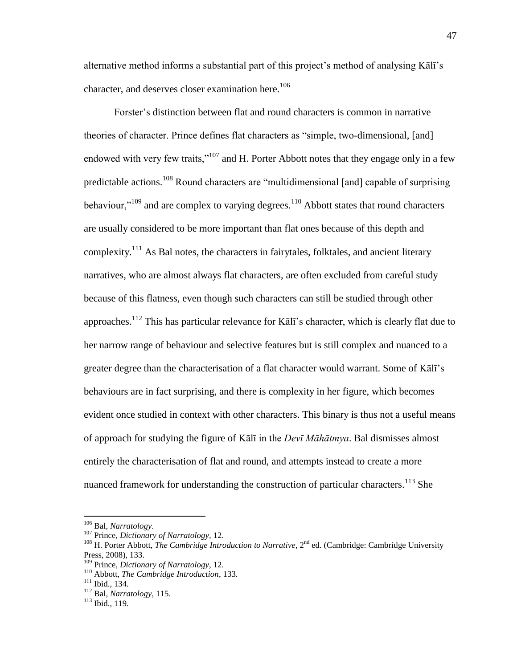alternative method informs a substantial part of this project's method of analysing Kālī's character, and deserves closer examination here.<sup>106</sup>

Forster's distinction between flat and round characters is common in narrative theories of character. Prince defines flat characters as "simple, two-dimensional, [and] endowed with very few traits,"<sup>107</sup> and H. Porter Abbott notes that they engage only in a few predictable actions.<sup>108</sup> Round characters are "multidimensional [and] capable of surprising behaviour,"<sup>109</sup> and are complex to varying degrees.<sup>110</sup> Abbott states that round characters are usually considered to be more important than flat ones because of this depth and complexity.<sup>111</sup> As Bal notes, the characters in fairytales, folktales, and ancient literary narratives, who are almost always flat characters, are often excluded from careful study because of this flatness, even though such characters can still be studied through other approaches.<sup>112</sup> This has particular relevance for Kālī's character, which is clearly flat due to her narrow range of behaviour and selective features but is still complex and nuanced to a greater degree than the characterisation of a flat character would warrant. Some of Kālī's behaviours are in fact surprising, and there is complexity in her figure, which becomes evident once studied in context with other characters. This binary is thus not a useful means of approach for studying the figure of Kālī in the *Devī Māhātmya*. Bal dismisses almost entirely the characterisation of flat and round, and attempts instead to create a more nuanced framework for understanding the construction of particular characters.<sup>113</sup> She

<sup>106</sup> Bal, *Narratology*.

<sup>107</sup> Prince, *Dictionary of Narratology*, 12.

<sup>&</sup>lt;sup>108</sup> H. Porter Abbott, *The Cambridge Introduction to Narrative*, 2<sup>nd</sup> ed. (Cambridge: Cambridge University Press, 2008), 133.

<sup>109</sup> Prince, *Dictionary of Narratology*, 12.

<sup>110</sup> Abbott, *The Cambridge Introduction*, 133.

<sup>111</sup> Ibid., 134.

<sup>112</sup> Bal, *Narratology*, 115.

 $113$  Ibid., 119.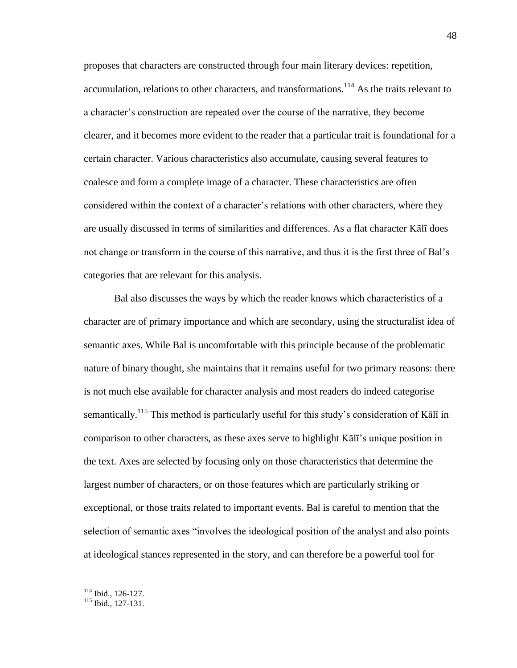proposes that characters are constructed through four main literary devices: repetition, accumulation, relations to other characters, and transformations.<sup>114</sup> As the traits relevant to a character's construction are repeated over the course of the narrative, they become clearer, and it becomes more evident to the reader that a particular trait is foundational for a certain character. Various characteristics also accumulate, causing several features to coalesce and form a complete image of a character. These characteristics are often considered within the context of a character's relations with other characters, where they are usually discussed in terms of similarities and differences. As a flat character Kālī does not change or transform in the course of this narrative, and thus it is the first three of Bal's categories that are relevant for this analysis.

 Bal also discusses the ways by which the reader knows which characteristics of a character are of primary importance and which are secondary, using the structuralist idea of semantic axes. While Bal is uncomfortable with this principle because of the problematic nature of binary thought, she maintains that it remains useful for two primary reasons: there is not much else available for character analysis and most readers do indeed categorise semantically.<sup>115</sup> This method is particularly useful for this study's consideration of Kal<del>l</del> in comparison to other characters, as these axes serve to highlight Kālī's unique position in the text. Axes are selected by focusing only on those characteristics that determine the largest number of characters, or on those features which are particularly striking or exceptional, or those traits related to important events. Bal is careful to mention that the selection of semantic axes "involves the ideological position of the analyst and also points at ideological stances represented in the story, and can therefore be a powerful tool for

<sup>114</sup> Ibid., 126-127.

<sup>115</sup> Ibid., 127-131.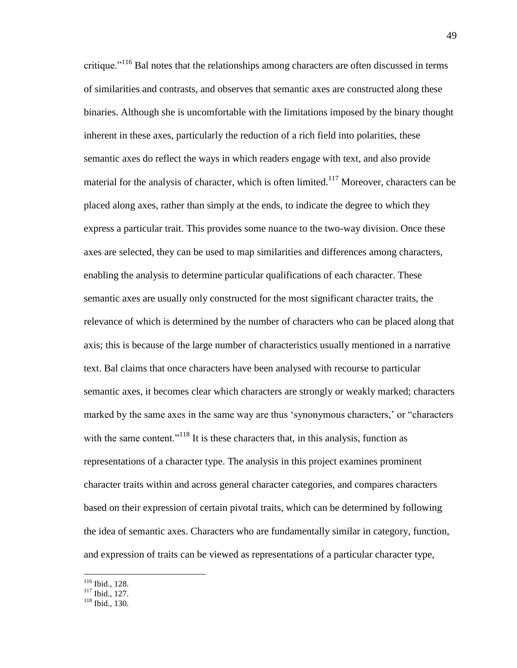critique. $116$  Bal notes that the relationships among characters are often discussed in terms of similarities and contrasts, and observes that semantic axes are constructed along these binaries. Although she is uncomfortable with the limitations imposed by the binary thought inherent in these axes, particularly the reduction of a rich field into polarities, these semantic axes do reflect the ways in which readers engage with text, and also provide material for the analysis of character, which is often limited.<sup>117</sup> Moreover, characters can be placed along axes, rather than simply at the ends, to indicate the degree to which they express a particular trait. This provides some nuance to the two-way division. Once these axes are selected, they can be used to map similarities and differences among characters, enabling the analysis to determine particular qualifications of each character. These semantic axes are usually only constructed for the most significant character traits, the relevance of which is determined by the number of characters who can be placed along that axis; this is because of the large number of characteristics usually mentioned in a narrative text. Bal claims that once characters have been analysed with recourse to particular semantic axes, it becomes clear which characters are strongly or weakly marked; characters marked by the same axes in the same way are thus 'synonymous characters,' or "characters with the same content."<sup>118</sup> It is these characters that, in this analysis, function as representations of a character type. The analysis in this project examines prominent character traits within and across general character categories, and compares characters based on their expression of certain pivotal traits, which can be determined by following the idea of semantic axes. Characters who are fundamentally similar in category, function, and expression of traits can be viewed as representations of a particular character type,

<sup>116</sup> Ibid., 128.

<sup>117</sup> Ibid., 127.

<sup>118</sup> Ibid., 130.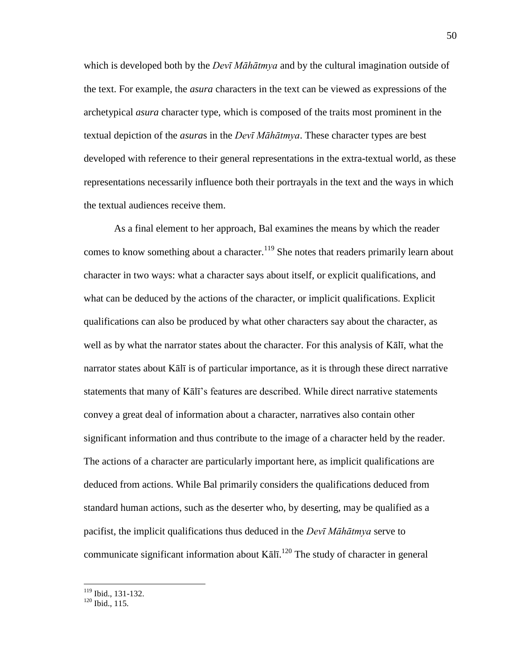which is developed both by the *Devī Māhātmya* and by the cultural imagination outside of the text. For example, the *asura* characters in the text can be viewed as expressions of the archetypical *asura* character type, which is composed of the traits most prominent in the textual depiction of the *asura*s in the *Devī Māhātmya*. These character types are best developed with reference to their general representations in the extra-textual world, as these representations necessarily influence both their portrayals in the text and the ways in which the textual audiences receive them.

 As a final element to her approach, Bal examines the means by which the reader comes to know something about a character.<sup>119</sup> She notes that readers primarily learn about character in two ways: what a character says about itself, or explicit qualifications, and what can be deduced by the actions of the character, or implicit qualifications. Explicit qualifications can also be produced by what other characters say about the character, as well as by what the narrator states about the character. For this analysis of Kālī, what the narrator states about Kālī is of particular importance, as it is through these direct narrative statements that many of Kālī's features are described. While direct narrative statements convey a great deal of information about a character, narratives also contain other significant information and thus contribute to the image of a character held by the reader. The actions of a character are particularly important here, as implicit qualifications are deduced from actions. While Bal primarily considers the qualifications deduced from standard human actions, such as the deserter who, by deserting, may be qualified as a pacifist, the implicit qualifications thus deduced in the *Devī Māhātmya* serve to communicate significant information about  $K\bar{a}$   $\bar{a}$ . The study of character in general

<sup>119</sup> Ibid., 131-132.

 $120$  Ibid., 115.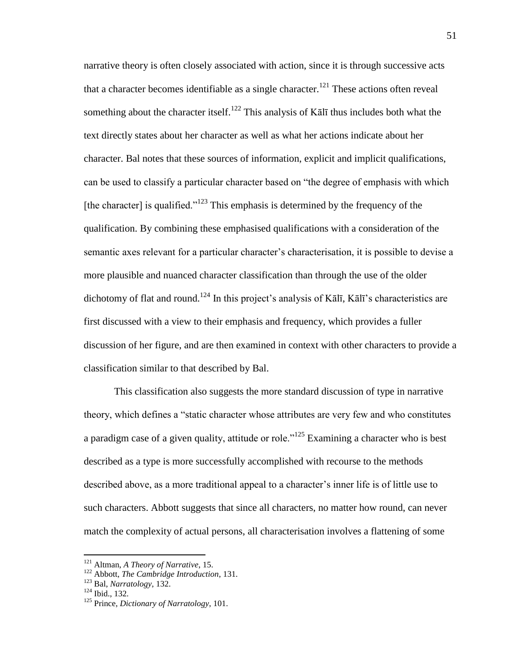narrative theory is often closely associated with action, since it is through successive acts that a character becomes identifiable as a single character.<sup>121</sup> These actions often reveal something about the character itself.<sup>122</sup> This analysis of K $\bar{a}$  l thus includes both what the text directly states about her character as well as what her actions indicate about her character. Bal notes that these sources of information, explicit and implicit qualifications, can be used to classify a particular character based on "the degree of emphasis with which [the character] is qualified.<sup> $123$ </sup> This emphasis is determined by the frequency of the qualification. By combining these emphasised qualifications with a consideration of the semantic axes relevant for a particular character's characterisation, it is possible to devise a more plausible and nuanced character classification than through the use of the older dichotomy of flat and round.<sup>124</sup> In this project's analysis of Kālī, Kālī's characteristics are first discussed with a view to their emphasis and frequency, which provides a fuller discussion of her figure, and are then examined in context with other characters to provide a classification similar to that described by Bal.

 This classification also suggests the more standard discussion of type in narrative theory, which defines a "static character whose attributes are very few and who constitutes a paradigm case of a given quality, attitude or role.<sup> $125$ </sup> Examining a character who is best described as a type is more successfully accomplished with recourse to the methods described above, as a more traditional appeal to a character's inner life is of little use to such characters. Abbott suggests that since all characters, no matter how round, can never match the complexity of actual persons, all characterisation involves a flattening of some

<sup>121</sup> Altman, *A Theory of Narrative*, 15.

<sup>122</sup> Abbott, *The Cambridge Introduction*, 131.

<sup>123</sup> Bal, *Narratology*, 132.

 $124$  Ibid., 132.

<sup>125</sup> Prince, *Dictionary of Narratology*, 101.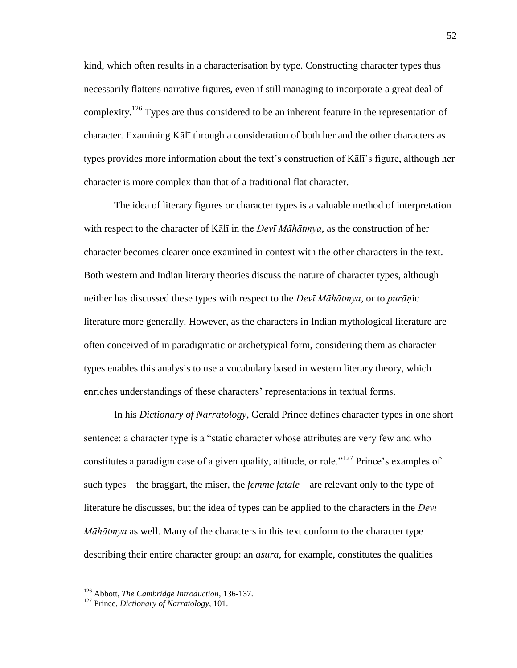kind, which often results in a characterisation by type. Constructing character types thus necessarily flattens narrative figures, even if still managing to incorporate a great deal of complexity.<sup>126</sup> Types are thus considered to be an inherent feature in the representation of character. Examining Kālī through a consideration of both her and the other characters as types provides more information about the text's construction of Kālī's figure, although her character is more complex than that of a traditional flat character.

 The idea of literary figures or character types is a valuable method of interpretation with respect to the character of Kālī in the *Devī Māhātmya*, as the construction of her character becomes clearer once examined in context with the other characters in the text. Both western and Indian literary theories discuss the nature of character types, although neither has discussed these types with respect to the *Devī Māhātmya*, or to *purāṇ*ic literature more generally. However, as the characters in Indian mythological literature are often conceived of in paradigmatic or archetypical form, considering them as character types enables this analysis to use a vocabulary based in western literary theory, which enriches understandings of these characters' representations in textual forms.

 In his *Dictionary of Narratology*, Gerald Prince defines character types in one short sentence: a character type is a "static character whose attributes are very few and who constitutes a paradigm case of a given quality, attitude, or role.<sup> $127$ </sup> Prince's examples of such types – the braggart, the miser, the *femme fatale* – are relevant only to the type of literature he discusses, but the idea of types can be applied to the characters in the *Devī Māhātmya* as well. Many of the characters in this text conform to the character type describing their entire character group: an *asura*, for example, constitutes the qualities

<sup>126</sup> Abbott, *The Cambridge Introduction*, 136-137.

<sup>127</sup> Prince, *Dictionary of Narratology*, 101.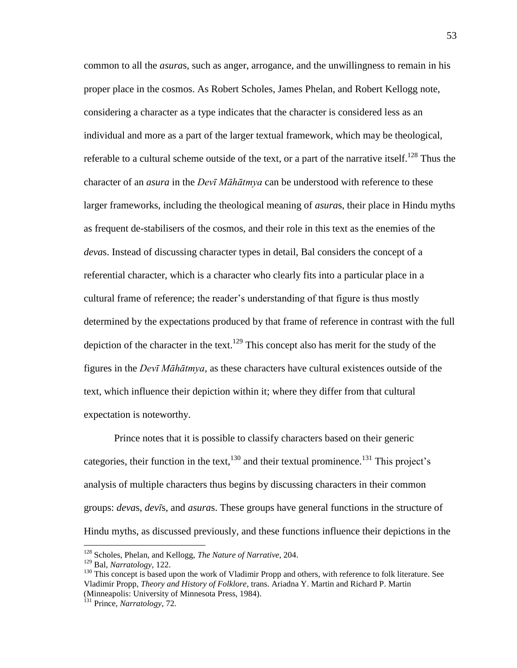common to all the *asura*s, such as anger, arrogance, and the unwillingness to remain in his proper place in the cosmos. As Robert Scholes, James Phelan, and Robert Kellogg note, considering a character as a type indicates that the character is considered less as an individual and more as a part of the larger textual framework, which may be theological, referable to a cultural scheme outside of the text, or a part of the narrative itself.<sup>128</sup> Thus the character of an *asura* in the *Devī Māhātmya* can be understood with reference to these larger frameworks, including the theological meaning of *asura*s, their place in Hindu myths as frequent de-stabilisers of the cosmos, and their role in this text as the enemies of the *deva*s. Instead of discussing character types in detail, Bal considers the concept of a referential character, which is a character who clearly fits into a particular place in a cultural frame of reference; the reader's understanding of that figure is thus mostly determined by the expectations produced by that frame of reference in contrast with the full depiction of the character in the text.<sup>129</sup> This concept also has merit for the study of the figures in the *Devī Māhātmya*, as these characters have cultural existences outside of the text, which influence their depiction within it; where they differ from that cultural expectation is noteworthy.

 Prince notes that it is possible to classify characters based on their generic categories, their function in the text, $130$  and their textual prominence.<sup>131</sup> This project's analysis of multiple characters thus begins by discussing characters in their common groups: *deva*s, *devī*s, and *asura*s. These groups have general functions in the structure of Hindu myths, as discussed previously, and these functions influence their depictions in the

<sup>128</sup> Scholes, Phelan, and Kellogg, *The Nature of Narrative*, 204.

<sup>129</sup> Bal, *Narratology*, 122.

<sup>&</sup>lt;sup>130</sup> This concept is based upon the work of Vladimir Propp and others, with reference to folk literature. See Vladimir Propp, *Theory and History of Folklore*, trans. Ariadna Y. Martin and Richard P. Martin (Minneapolis: University of Minnesota Press, 1984).

<sup>131</sup> Prince, *Narratology*, 72.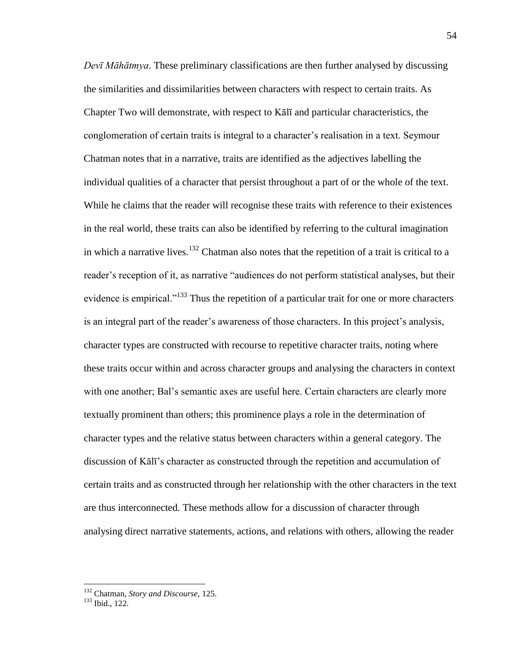*Devī Māhātmya*. These preliminary classifications are then further analysed by discussing the similarities and dissimilarities between characters with respect to certain traits. As Chapter Two will demonstrate, with respect to Kālī and particular characteristics, the conglomeration of certain traits is integral to a character's realisation in a text. Seymour Chatman notes that in a narrative, traits are identified as the adjectives labelling the individual qualities of a character that persist throughout a part of or the whole of the text. While he claims that the reader will recognise these traits with reference to their existences in the real world, these traits can also be identified by referring to the cultural imagination in which a narrative lives.<sup>132</sup> Chatman also notes that the repetition of a trait is critical to a reader's reception of it, as narrative "audiences do not perform statistical analyses, but their evidence is empirical.<sup>133</sup> Thus the repetition of a particular trait for one or more characters is an integral part of the reader's awareness of those characters. In this project's analysis, character types are constructed with recourse to repetitive character traits, noting where these traits occur within and across character groups and analysing the characters in context with one another; Bal's semantic axes are useful here. Certain characters are clearly more textually prominent than others; this prominence plays a role in the determination of character types and the relative status between characters within a general category. The discussion of Kālī's character as constructed through the repetition and accumulation of certain traits and as constructed through her relationship with the other characters in the text are thus interconnected. These methods allow for a discussion of character through analysing direct narrative statements, actions, and relations with others, allowing the reader

<sup>132</sup> Chatman, *Story and Discourse*, 125.

<sup>&</sup>lt;sup>133</sup> Ibid., 122.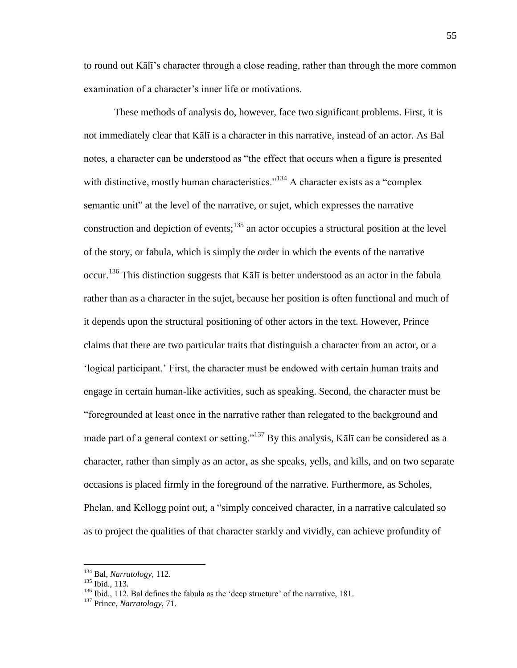to round out Kālī's character through a close reading, rather than through the more common examination of a character's inner life or motivations.

 These methods of analysis do, however, face two significant problems. First, it is not immediately clear that Kālī is a character in this narrative, instead of an actor. As Bal notes, a character can be understood as "the effect that occurs when a figure is presented with distinctive, mostly human characteristics.<sup> $134$ </sup> A character exists as a "complex" semantic unit" at the level of the narrative, or sujet, which expresses the narrative construction and depiction of events; $135$  an actor occupies a structural position at the level of the story, or fabula, which is simply the order in which the events of the narrative occur.<sup>136</sup> This distinction suggests that Kālī is better understood as an actor in the fabula rather than as a character in the sujet, because her position is often functional and much of it depends upon the structural positioning of other actors in the text. However, Prince claims that there are two particular traits that distinguish a character from an actor, or a 'logical participant.' First, the character must be endowed with certain human traits and engage in certain human-like activities, such as speaking. Second, the character must be ―foregrounded at least once in the narrative rather than relegated to the background and made part of a general context or setting.<sup>3137</sup> By this analysis, Kalī can be considered as a character, rather than simply as an actor, as she speaks, yells, and kills, and on two separate occasions is placed firmly in the foreground of the narrative. Furthermore, as Scholes, Phelan, and Kellogg point out, a "simply conceived character, in a narrative calculated so as to project the qualities of that character starkly and vividly, can achieve profundity of

<sup>134</sup> Bal, *Narratology*, 112.

<sup>135</sup> Ibid., 113.

 $136$  Ibid., 112. Bal defines the fabula as the 'deep structure' of the narrative, 181.

<sup>137</sup> Prince, *Narratology*, 71.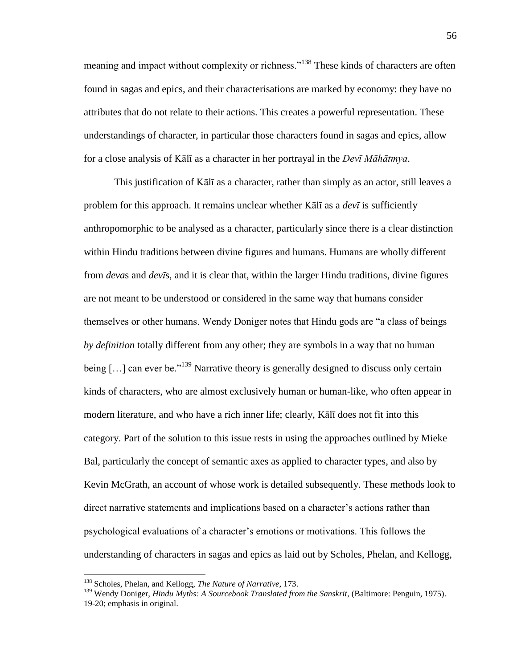meaning and impact without complexity or richness."<sup>138</sup> These kinds of characters are often found in sagas and epics, and their characterisations are marked by economy: they have no attributes that do not relate to their actions. This creates a powerful representation. These understandings of character, in particular those characters found in sagas and epics, allow for a close analysis of Kālī as a character in her portrayal in the *Devī Māhātmya*.

 This justification of Kālī as a character, rather than simply as an actor, still leaves a problem for this approach. It remains unclear whether Kālī as a *devī* is sufficiently anthropomorphic to be analysed as a character, particularly since there is a clear distinction within Hindu traditions between divine figures and humans. Humans are wholly different from *deva*s and *devī*s, and it is clear that, within the larger Hindu traditions, divine figures are not meant to be understood or considered in the same way that humans consider themselves or other humans. Wendy Doniger notes that Hindu gods are "a class of beings *by definition* totally different from any other; they are symbols in a way that no human being  $[\,\ldots]$  can ever be.<sup>139</sup> Narrative theory is generally designed to discuss only certain kinds of characters, who are almost exclusively human or human-like, who often appear in modern literature, and who have a rich inner life; clearly, Kālī does not fit into this category. Part of the solution to this issue rests in using the approaches outlined by Mieke Bal, particularly the concept of semantic axes as applied to character types, and also by Kevin McGrath, an account of whose work is detailed subsequently. These methods look to direct narrative statements and implications based on a character's actions rather than psychological evaluations of a character's emotions or motivations. This follows the understanding of characters in sagas and epics as laid out by Scholes, Phelan, and Kellogg,

<sup>138</sup> Scholes, Phelan, and Kellogg, *The Nature of Narrative*, 173.

<sup>&</sup>lt;sup>139</sup> Wendy Doniger, *Hindu Myths: A Sourcebook Translated from the Sanskrit*, (Baltimore: Penguin, 1975). 19-20; emphasis in original.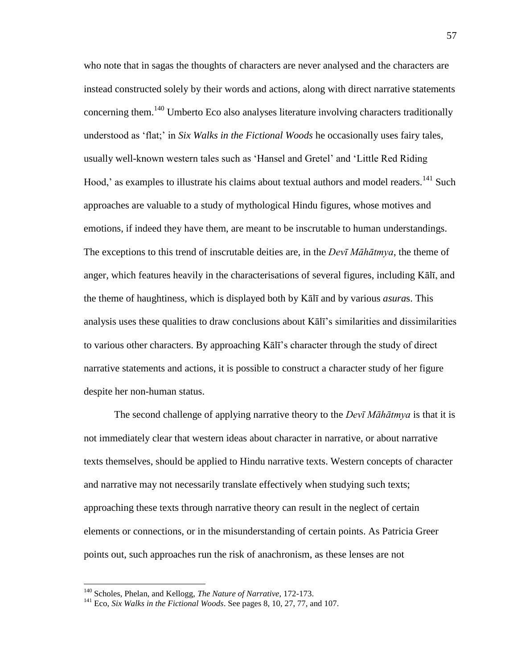who note that in sagas the thoughts of characters are never analysed and the characters are instead constructed solely by their words and actions, along with direct narrative statements concerning them.<sup>140</sup> Umberto Eco also analyses literature involving characters traditionally understood as ‗flat;' in *Six Walks in the Fictional Woods* he occasionally uses fairy tales, usually well-known western tales such as 'Hansel and Gretel' and 'Little Red Riding Hood,' as examples to illustrate his claims about textual authors and model readers.<sup>141</sup> Such approaches are valuable to a study of mythological Hindu figures, whose motives and emotions, if indeed they have them, are meant to be inscrutable to human understandings. The exceptions to this trend of inscrutable deities are, in the *Devī Māhātmya*, the theme of anger, which features heavily in the characterisations of several figures, including Kālī, and the theme of haughtiness, which is displayed both by Kālī and by various *asura*s. This analysis uses these qualities to draw conclusions about Kālī's similarities and dissimilarities to various other characters. By approaching Kālī's character through the study of direct narrative statements and actions, it is possible to construct a character study of her figure despite her non-human status.

 The second challenge of applying narrative theory to the *Devī Māhātmya* is that it is not immediately clear that western ideas about character in narrative, or about narrative texts themselves, should be applied to Hindu narrative texts. Western concepts of character and narrative may not necessarily translate effectively when studying such texts; approaching these texts through narrative theory can result in the neglect of certain elements or connections, or in the misunderstanding of certain points. As Patricia Greer points out, such approaches run the risk of anachronism, as these lenses are not

<sup>140</sup> Scholes, Phelan, and Kellogg, *The Nature of Narrative*, 172-173.

<sup>141</sup> Eco, *Six Walks in the Fictional Woods*. See pages 8, 10, 27, 77, and 107.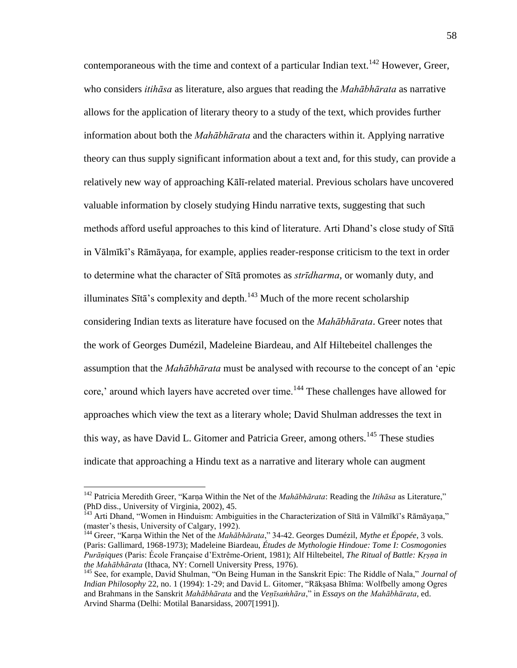contemporaneous with the time and context of a particular Indian text.<sup>142</sup> However, Greer, who considers *itihāsa* as literature, also argues that reading the *Mahābhārata* as narrative allows for the application of literary theory to a study of the text, which provides further information about both the *Mahābhārata* and the characters within it. Applying narrative theory can thus supply significant information about a text and, for this study, can provide a relatively new way of approaching Kālī-related material. Previous scholars have uncovered valuable information by closely studying Hindu narrative texts, suggesting that such methods afford useful approaches to this kind of literature. Arti Dhand's close study of Sītā in Vālmīkī's Rāmāyaṇa, for example, applies reader-response criticism to the text in order to determine what the character of Sītā promotes as *strīdharma*, or womanly duty, and illuminates Sītā's complexity and depth. $143$  Much of the more recent scholarship considering Indian texts as literature have focused on the *Mahābhārata*. Greer notes that the work of Georges Dumézil, Madeleine Biardeau, and Alf Hiltebeitel challenges the assumption that the *Mahābhārata* must be analysed with recourse to the concept of an 'epic core,' around which layers have accreted over time.<sup>144</sup> These challenges have allowed for approaches which view the text as a literary whole; David Shulman addresses the text in this way, as have David L. Gitomer and Patricia Greer, among others.<sup>145</sup> These studies indicate that approaching a Hindu text as a narrative and literary whole can augment

<sup>&</sup>lt;sup>142</sup> Patricia Meredith Greer, "Karņa Within the Net of the *Mahābhārata*: Reading the *Itihāsa* as Literature," (PhD diss., University of Virginia, 2002), 45.

<sup>&</sup>lt;sup>143</sup> Arti Dhand, "Women in Hinduism: Ambiguities in the Characterization of Sītā in Vālmīkī's Rāmāyana," (master's thesis, University of Calgary, 1992).

<sup>&</sup>lt;sup>144</sup> Greer, "Karṇa Within the Net of the *Mahābhārata*," 34-42. Georges Dumézil, *Mythe et Épopée*, 3 vols. (Paris: Gallimard, 1968-1973); Madeleine Biardeau, *Études de Mythologie Hindoue: Tome I: Cosmogonies Purāṇiques* (Paris: École Française d'Extrême-Orient, 1981); Alf Hiltebeitel, *The Ritual of Battle: Kṛṣṇa in the Mahābhārata* (Ithaca, NY: Cornell University Press, 1976).

<sup>&</sup>lt;sup>145</sup> See, for example, David Shulman, "On Being Human in the Sanskrit Epic: The Riddle of Nala," *Journal of Indian Philosophy* 22, no. 1 (1994): 1-29; and David L. Gitomer, "Rākṣasa Bhīma: Wolfbelly among Ogres and Brahmans in the Sanskrit *Mahābhārata* and the *Veṇīsamhāra*," in *Essays on the Mahābhārata*, ed. Arvind Sharma (Delhi: Motilal Banarsidass, 2007[1991]).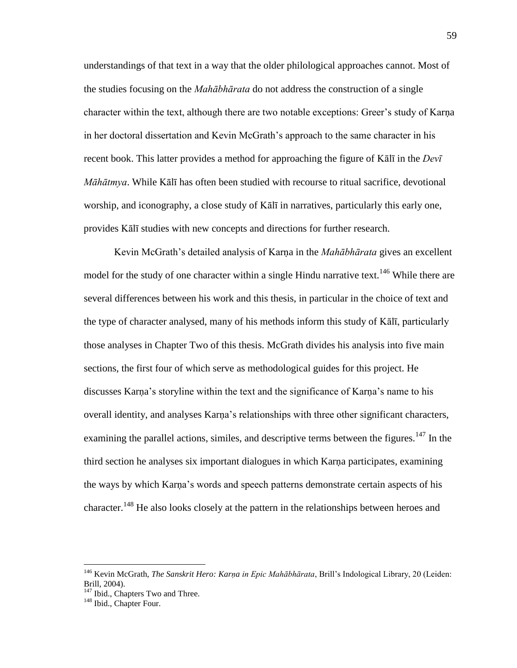understandings of that text in a way that the older philological approaches cannot. Most of the studies focusing on the *Mahābhārata* do not address the construction of a single character within the text, although there are two notable exceptions: Greer's study of Karṇa in her doctoral dissertation and Kevin McGrath's approach to the same character in his recent book. This latter provides a method for approaching the figure of Kālī in the *Devī Māhātmya*. While Kālī has often been studied with recourse to ritual sacrifice, devotional worship, and iconography, a close study of Kālī in narratives, particularly this early one, provides Kālī studies with new concepts and directions for further research.

Kevin McGrath's detailed analysis of Karṇa in the *Mahābhārata* gives an excellent model for the study of one character within a single Hindu narrative text.<sup>146</sup> While there are several differences between his work and this thesis, in particular in the choice of text and the type of character analysed, many of his methods inform this study of Kālī, particularly those analyses in Chapter Two of this thesis. McGrath divides his analysis into five main sections, the first four of which serve as methodological guides for this project. He discusses Karṇa's storyline within the text and the significance of Karṇa's name to his overall identity, and analyses Karna's relationships with three other significant characters, examining the parallel actions, similes, and descriptive terms between the figures.<sup>147</sup> In the third section he analyses six important dialogues in which Karṇa participates, examining the ways by which Karṇa's words and speech patterns demonstrate certain aspects of his character.<sup>148</sup> He also looks closely at the pattern in the relationships between heroes and

<sup>&</sup>lt;sup>146</sup> Kevin McGrath, *The Sanskrit Hero: Karna in Epic Mahābhārata*, Brill's Indological Library, 20 (Leiden: Brill, 2004).

<sup>&</sup>lt;sup>147</sup> Ibid., Chapters Two and Three.

<sup>&</sup>lt;sup>148</sup> Ibid., Chapter Four.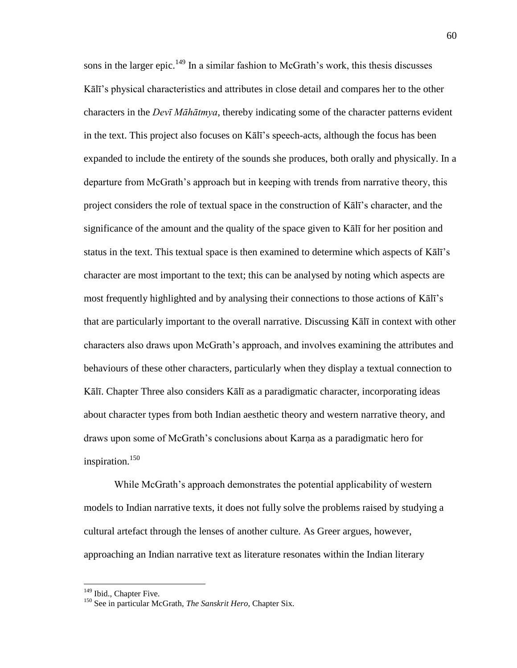sons in the larger epic.<sup>149</sup> In a similar fashion to McGrath's work, this thesis discusses Kālī's physical characteristics and attributes in close detail and compares her to the other characters in the *Devī Māhātmya*, thereby indicating some of the character patterns evident in the text. This project also focuses on Kālī's speech-acts, although the focus has been expanded to include the entirety of the sounds she produces, both orally and physically. In a departure from McGrath's approach but in keeping with trends from narrative theory, this project considers the role of textual space in the construction of Kālī's character, and the significance of the amount and the quality of the space given to Kālī for her position and status in the text. This textual space is then examined to determine which aspects of Kālī's character are most important to the text; this can be analysed by noting which aspects are most frequently highlighted and by analysing their connections to those actions of Kālī's that are particularly important to the overall narrative. Discussing Kālī in context with other characters also draws upon McGrath's approach, and involves examining the attributes and behaviours of these other characters, particularly when they display a textual connection to Kālī. Chapter Three also considers Kālī as a paradigmatic character, incorporating ideas about character types from both Indian aesthetic theory and western narrative theory, and draws upon some of McGrath's conclusions about Karṇa as a paradigmatic hero for inspiration.<sup>150</sup>

While McGrath's approach demonstrates the potential applicability of western models to Indian narrative texts, it does not fully solve the problems raised by studying a cultural artefact through the lenses of another culture. As Greer argues, however, approaching an Indian narrative text as literature resonates within the Indian literary

<sup>&</sup>lt;sup>149</sup> Ibid., Chapter Five.

<sup>150</sup> See in particular McGrath, *The Sanskrit Hero*, Chapter Six.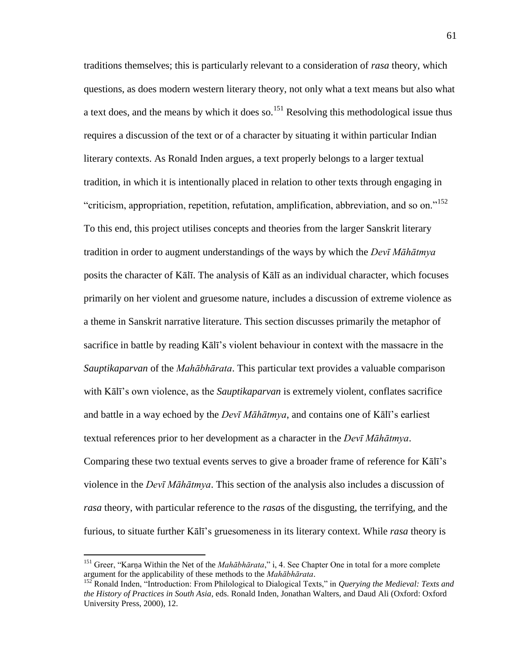traditions themselves; this is particularly relevant to a consideration of *rasa* theory, which questions, as does modern western literary theory, not only what a text means but also what a text does, and the means by which it does so.<sup>151</sup> Resolving this methodological issue thus requires a discussion of the text or of a character by situating it within particular Indian literary contexts. As Ronald Inden argues, a text properly belongs to a larger textual tradition, in which it is intentionally placed in relation to other texts through engaging in "criticism, appropriation, repetition, refutation, amplification, abbreviation, and so on."<sup>152</sup> To this end, this project utilises concepts and theories from the larger Sanskrit literary tradition in order to augment understandings of the ways by which the *Devī Māhātmya* posits the character of Kālī. The analysis of Kālī as an individual character, which focuses primarily on her violent and gruesome nature, includes a discussion of extreme violence as a theme in Sanskrit narrative literature. This section discusses primarily the metaphor of sacrifice in battle by reading Kālī's violent behaviour in context with the massacre in the *Sauptikaparvan* of the *Mahābhārata*. This particular text provides a valuable comparison with Kālī's own violence, as the *Sauptikaparvan* is extremely violent, conflates sacrifice and battle in a way echoed by the *Devī Māhātmya*, and contains one of Kālī's earliest textual references prior to her development as a character in the *Devī Māhātmya*. Comparing these two textual events serves to give a broader frame of reference for Kālī's violence in the *Devī Māhātmya*. This section of the analysis also includes a discussion of *rasa* theory, with particular reference to the *rasa*s of the disgusting, the terrifying, and the furious, to situate further Kālī's gruesomeness in its literary context. While *rasa* theory is

<sup>&</sup>lt;sup>151</sup> Greer, "Karna Within the Net of the *Mahābhārata*," i, 4. See Chapter One in total for a more complete argument for the applicability of these methods to the *Mahābhārata*.

<sup>&</sup>lt;sup>152</sup> Ronald Inden, "Introduction: From Philological to Dialogical Texts," in *Querying the Medieval: Texts and the History of Practices in South Asia*, eds. Ronald Inden, Jonathan Walters, and Daud Ali (Oxford: Oxford University Press, 2000), 12.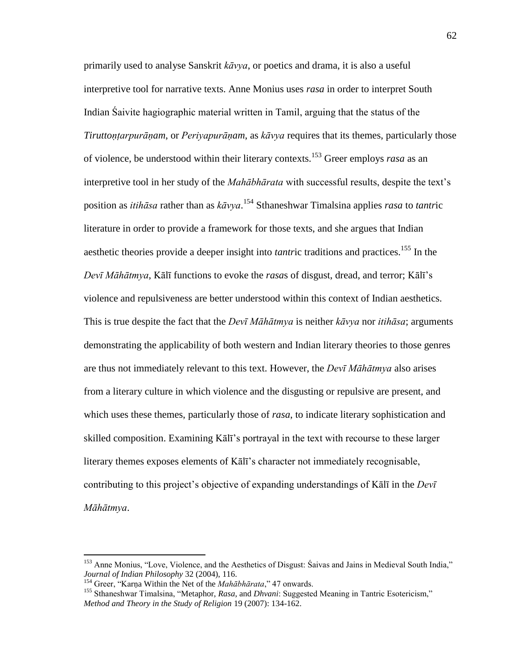primarily used to analyse Sanskrit *kāvya*, or poetics and drama, it is also a useful interpretive tool for narrative texts. Anne Monius uses *rasa* in order to interpret South Indian Śaivite hagiographic material written in Tamil, arguing that the status of the *Tiruttoṇṭarpurāṇam*, or *Periyapurāṇam*, as *kāvya* requires that its themes, particularly those of violence, be understood within their literary contexts.<sup>153</sup> Greer employs *rasa* as an interpretive tool in her study of the *Mahābhārata* with successful results, despite the text's position as *itihāsa* rather than as *kāvya*. <sup>154</sup> Sthaneshwar Timalsina applies *rasa* to *tantr*ic literature in order to provide a framework for those texts, and she argues that Indian aesthetic theories provide a deeper insight into *tantric* traditions and practices.<sup>155</sup> In the *Devī Māhātmya*, Kālī functions to evoke the *rasa*s of disgust, dread, and terror; Kālī's violence and repulsiveness are better understood within this context of Indian aesthetics. This is true despite the fact that the *Devī Māhātmya* is neither *kāvya* nor *itihāsa*; arguments demonstrating the applicability of both western and Indian literary theories to those genres are thus not immediately relevant to this text. However, the *Devī Māhātmya* also arises from a literary culture in which violence and the disgusting or repulsive are present, and which uses these themes, particularly those of *rasa*, to indicate literary sophistication and skilled composition. Examining Kālī's portrayal in the text with recourse to these larger literary themes exposes elements of Kālī's character not immediately recognisable, contributing to this project's objective of expanding understandings of Kālī in the *Devī Māhātmya*.

<sup>&</sup>lt;sup>153</sup> Anne Monius, "Love, Violence, and the Aesthetics of Disgust: Śaivas and Jains in Medieval South India," *Journal of Indian Philosophy* 32 (2004), 116.

<sup>&</sup>lt;sup>154</sup> Greer, "Karṇa Within the Net of the *Mahābhārata*," 47 onwards.

<sup>&</sup>lt;sup>155</sup> Sthaneshwar Timalsina, "Metaphor, *Rasa*, and *Dhvani*: Suggested Meaning in Tantric Esotericism," *Method and Theory in the Study of Religion* 19 (2007): 134-162.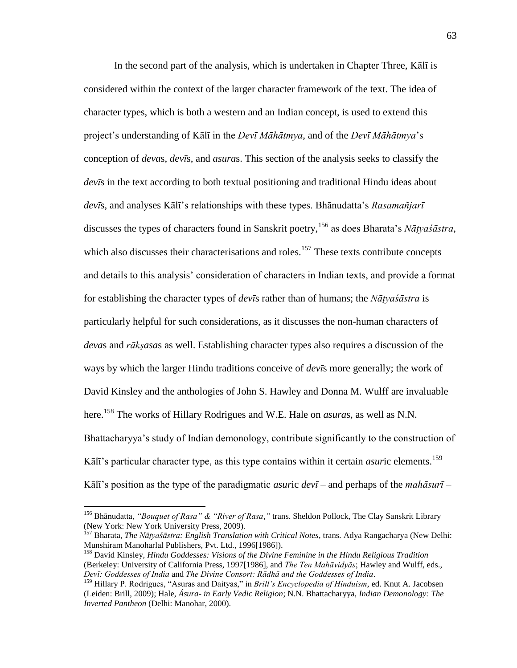In the second part of the analysis, which is undertaken in Chapter Three, Kālī is considered within the context of the larger character framework of the text. The idea of character types, which is both a western and an Indian concept, is used to extend this project's understanding of Kālī in the *Devī Māhātmya*, and of the *Devī Māhātmya*'s conception of *deva*s, *devī*s, and *asura*s. This section of the analysis seeks to classify the *devī*s in the text according to both textual positioning and traditional Hindu ideas about *devī*s, and analyses Kālī's relationships with these types. Bhānudatta's *Rasamañjarī* discusses the types of characters found in Sanskrit poetry,<sup>156</sup> as does Bharata's *Nāṭyaśāstra*, which also discusses their characterisations and roles.<sup>157</sup> These texts contribute concepts and details to this analysis' consideration of characters in Indian texts, and provide a format for establishing the character types of *devī*s rather than of humans; the *Nāṭyaśāstra* is particularly helpful for such considerations, as it discusses the non-human characters of *deva*s and *rākṣasa*s as well. Establishing character types also requires a discussion of the ways by which the larger Hindu traditions conceive of *devī*s more generally; the work of David Kinsley and the anthologies of John S. Hawley and Donna M. Wulff are invaluable here.<sup>158</sup> The works of Hillary Rodrigues and W.E. Hale on *asura*s, as well as N.N. Bhattacharyya's study of Indian demonology, contribute significantly to the construction of Kālī's particular character type, as this type contains within it certain *asuric* elements.<sup>159</sup> Kālī's position as the type of the paradigmatic *asur*ic *devī* – and perhaps of the *mahāsurī* –

<sup>156</sup> Bhānudatta, *"Bouquet of Rasa" & "River of Rasa*,*"* trans. Sheldon Pollock, The Clay Sanskrit Library (New York: New York University Press, 2009).

<sup>157</sup> Bharata, *The Nāṭyaśāstra: English Translation with Critical Notes*, trans. Adya Rangacharya (New Delhi: Munshiram Manoharlal Publishers, Pvt. Ltd., 1996[1986]).

<sup>158</sup> David Kinsley, *Hindu Goddesses: Visions of the Divine Feminine in the Hindu Religious Tradition* (Berkeley: University of California Press, 1997[1986], and *The Ten Mahāvidyās*; Hawley and Wulff, eds., *Devī: Goddesses of India* and *The Divine Consort: Rādhā and the Goddesses of India*.

<sup>&</sup>lt;sup>159</sup> Hillary P. Rodrigues, "Asuras and Daityas," in *Brill's Encyclopedia of Hinduism*, ed. Knut A. Jacobsen (Leiden: Brill, 2009); Hale, *Ásura- in Early Vedic Religion*; N.N. Bhattacharyya, *Indian Demonology: The Inverted Pantheon* (Delhi: Manohar, 2000).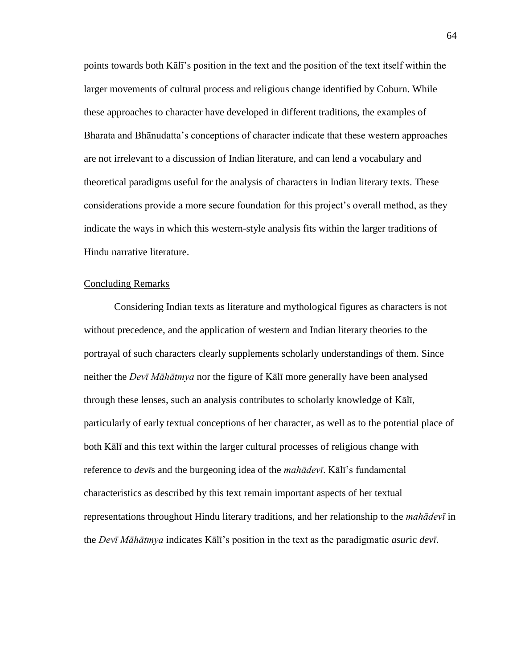points towards both Kālī's position in the text and the position of the text itself within the larger movements of cultural process and religious change identified by Coburn. While these approaches to character have developed in different traditions, the examples of Bharata and Bhānudatta's conceptions of character indicate that these western approaches are not irrelevant to a discussion of Indian literature, and can lend a vocabulary and theoretical paradigms useful for the analysis of characters in Indian literary texts. These considerations provide a more secure foundation for this project's overall method, as they indicate the ways in which this western-style analysis fits within the larger traditions of Hindu narrative literature.

## Concluding Remarks

 Considering Indian texts as literature and mythological figures as characters is not without precedence, and the application of western and Indian literary theories to the portrayal of such characters clearly supplements scholarly understandings of them. Since neither the *Devī Māhātmya* nor the figure of Kālī more generally have been analysed through these lenses, such an analysis contributes to scholarly knowledge of Kālī, particularly of early textual conceptions of her character, as well as to the potential place of both Kālī and this text within the larger cultural processes of religious change with reference to *devī*s and the burgeoning idea of the *mahādevī*. Kālī's fundamental characteristics as described by this text remain important aspects of her textual representations throughout Hindu literary traditions, and her relationship to the *mahādevī* in the *Devī Māhātmya* indicates Kālī's position in the text as the paradigmatic *asur*ic *devī*.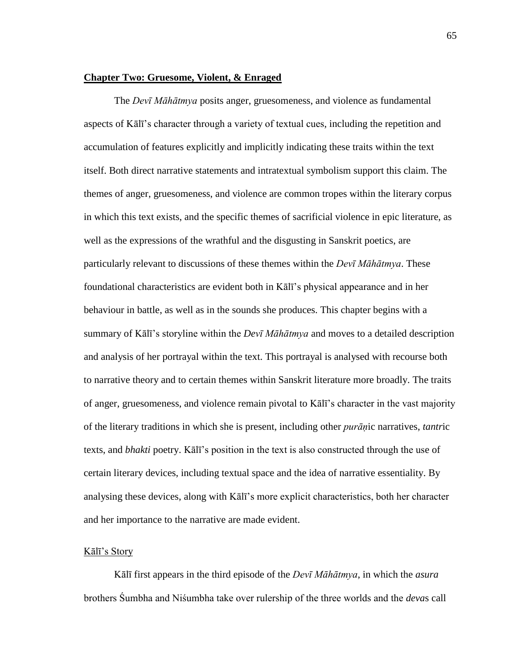#### **Chapter Two: Gruesome, Violent, & Enraged**

 The *Devī Māhātmya* posits anger, gruesomeness, and violence as fundamental aspects of Kālī's character through a variety of textual cues, including the repetition and accumulation of features explicitly and implicitly indicating these traits within the text itself. Both direct narrative statements and intratextual symbolism support this claim. The themes of anger, gruesomeness, and violence are common tropes within the literary corpus in which this text exists, and the specific themes of sacrificial violence in epic literature, as well as the expressions of the wrathful and the disgusting in Sanskrit poetics, are particularly relevant to discussions of these themes within the *Devī Māhātmya*. These foundational characteristics are evident both in Kālī's physical appearance and in her behaviour in battle, as well as in the sounds she produces. This chapter begins with a summary of Kālī's storyline within the *Devī Māhātmya* and moves to a detailed description and analysis of her portrayal within the text. This portrayal is analysed with recourse both to narrative theory and to certain themes within Sanskrit literature more broadly. The traits of anger, gruesomeness, and violence remain pivotal to Kālī's character in the vast majority of the literary traditions in which she is present, including other *purāṇ*ic narratives, *tantr*ic texts, and *bhakti* poetry. Kālī's position in the text is also constructed through the use of certain literary devices, including textual space and the idea of narrative essentiality. By analysing these devices, along with Kālī's more explicit characteristics, both her character and her importance to the narrative are made evident.

## Kālī's Story

Kālī first appears in the third episode of the *Devī Māhātmya*, in which the *asura* brothers Śumbha and Niśumbha take over rulership of the three worlds and the *deva*s call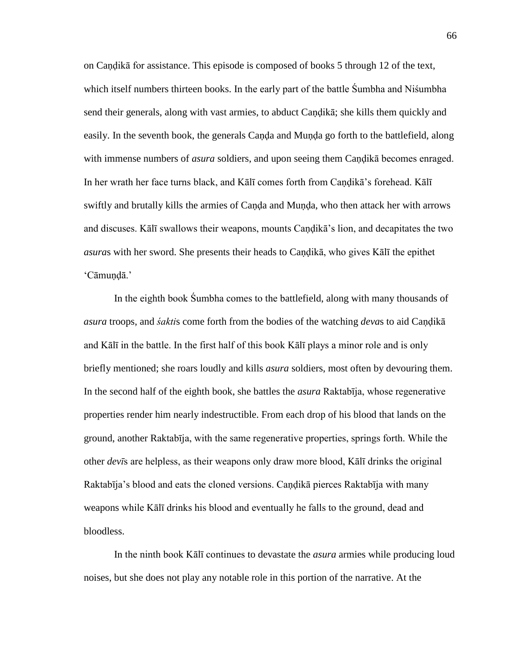on Caṇḍikā for assistance. This episode is composed of books 5 through 12 of the text, which itself numbers thirteen books. In the early part of the battle Śumbha and Niśumbha send their generals, along with vast armies, to abduct Caṇḍikā; she kills them quickly and easily. In the seventh book, the generals Caṇḍa and Muṇḍa go forth to the battlefield, along with immense numbers of *asura* soldiers, and upon seeing them Caṇḍikā becomes enraged. In her wrath her face turns black, and Kālī comes forth from Candikā's forehead. Kālī swiftly and brutally kills the armies of Canda and Munda, who then attack her with arrows and discuses. Kālī swallows their weapons, mounts Caṇḍikā's lion, and decapitates the two *asura*s with her sword. She presents their heads to Caṇḍikā, who gives Kālī the epithet ‗Cāmuṇḍā.'

In the eighth book Śumbha comes to the battlefield, along with many thousands of *asura* troops, and *śakti*s come forth from the bodies of the watching *deva*s to aid Caṇḍikā and Kālī in the battle. In the first half of this book Kālī plays a minor role and is only briefly mentioned; she roars loudly and kills *asura* soldiers, most often by devouring them. In the second half of the eighth book, she battles the *asura* Raktabīja, whose regenerative properties render him nearly indestructible. From each drop of his blood that lands on the ground, another Raktabīja, with the same regenerative properties, springs forth. While the other *devī*s are helpless, as their weapons only draw more blood, Kālī drinks the original Raktabīja's blood and eats the cloned versions. Caṇḍikā pierces Raktabīja with many weapons while Kālī drinks his blood and eventually he falls to the ground, dead and bloodless.

In the ninth book Kālī continues to devastate the *asura* armies while producing loud noises, but she does not play any notable role in this portion of the narrative. At the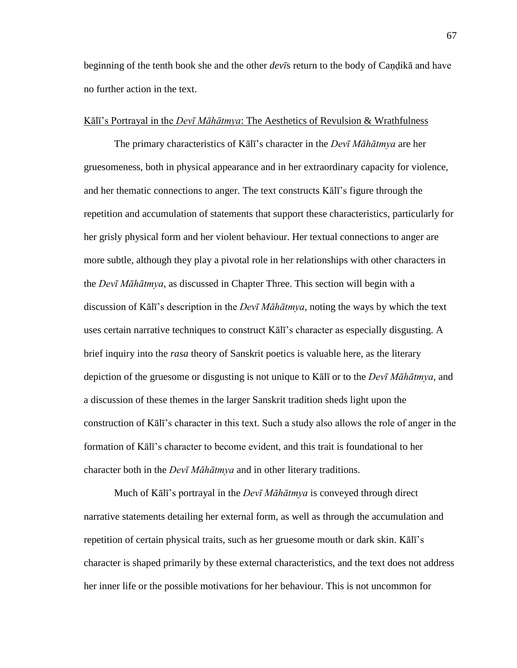beginning of the tenth book she and the other *devī*s return to the body of Caṇḍikā and have no further action in the text.

#### Kālī's Portrayal in the *Devī Māhātmya*: The Aesthetics of Revulsion & Wrathfulness

 The primary characteristics of Kālī's character in the *Devī Māhātmya* are her gruesomeness, both in physical appearance and in her extraordinary capacity for violence, and her thematic connections to anger. The text constructs Kālī's figure through the repetition and accumulation of statements that support these characteristics, particularly for her grisly physical form and her violent behaviour. Her textual connections to anger are more subtle, although they play a pivotal role in her relationships with other characters in the *Devī Māhātmya*, as discussed in Chapter Three. This section will begin with a discussion of Kālī's description in the *Devī Māhātmya*, noting the ways by which the text uses certain narrative techniques to construct Kālī's character as especially disgusting. A brief inquiry into the *rasa* theory of Sanskrit poetics is valuable here, as the literary depiction of the gruesome or disgusting is not unique to Kālī or to the *Devī Māhātmya*, and a discussion of these themes in the larger Sanskrit tradition sheds light upon the construction of Kālī's character in this text. Such a study also allows the role of anger in the formation of Kālī's character to become evident, and this trait is foundational to her character both in the *Devī Māhātmya* and in other literary traditions.

 Much of Kālī's portrayal in the *Devī Māhātmya* is conveyed through direct narrative statements detailing her external form, as well as through the accumulation and repetition of certain physical traits, such as her gruesome mouth or dark skin. Kālī's character is shaped primarily by these external characteristics, and the text does not address her inner life or the possible motivations for her behaviour. This is not uncommon for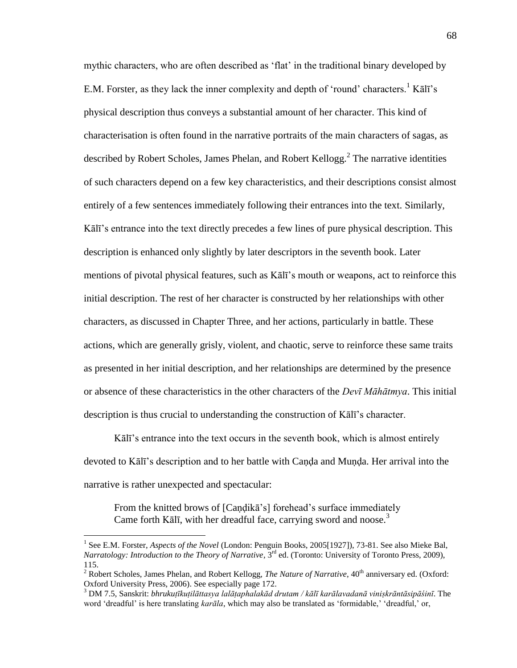mythic characters, who are often described as 'flat' in the traditional binary developed by E.M. Forster, as they lack the inner complexity and depth of 'round' characters.<sup>1</sup> Kalī's physical description thus conveys a substantial amount of her character. This kind of characterisation is often found in the narrative portraits of the main characters of sagas, as described by Robert Scholes, James Phelan, and Robert Kellogg.<sup>2</sup> The narrative identities of such characters depend on a few key characteristics, and their descriptions consist almost entirely of a few sentences immediately following their entrances into the text. Similarly, Kālī's entrance into the text directly precedes a few lines of pure physical description. This description is enhanced only slightly by later descriptors in the seventh book. Later mentions of pivotal physical features, such as Kālī's mouth or weapons, act to reinforce this initial description. The rest of her character is constructed by her relationships with other characters, as discussed in Chapter Three, and her actions, particularly in battle. These actions, which are generally grisly, violent, and chaotic, serve to reinforce these same traits as presented in her initial description, and her relationships are determined by the presence or absence of these characteristics in the other characters of the *Devī Māhātmya*. This initial description is thus crucial to understanding the construction of Kālī's character.

Kālī's entrance into the text occurs in the seventh book, which is almost entirely devoted to Kālī's description and to her battle with Caṇḍa and Muṇḍa. Her arrival into the narrative is rather unexpected and spectacular:

From the knitted brows of [Candika's] forehead's surface immediately Came forth Kālī, with her dreadful face, carrying sword and noose.<sup>3</sup>

<sup>&</sup>lt;sup>1</sup> See E.M. Forster, *Aspects of the Novel* (London: Penguin Books, 2005[1927]), 73-81. See also Mieke Bal, *Narratology: Introduction to the Theory of Narrative*, 3<sup>rd</sup> ed. (Toronto: University of Toronto Press, 2009), 115.

<sup>&</sup>lt;sup>2</sup> Robert Scholes, James Phelan, and Robert Kellogg, *The Nature of Narrative*,  $40<sup>th</sup>$  anniversary ed. (Oxford: Oxford University Press, 2006). See especially page 172.

<sup>3</sup> DM 7.5, Sanskrit: *bhrukuṭīkuṭilāttasya lalāṭaphalakād drutam / kālī karālavadanā viniṣkrāntāsipāśinī*. The word 'dreadful' is here translating *karāla*, which may also be translated as 'formidable,' 'dreadful,' or,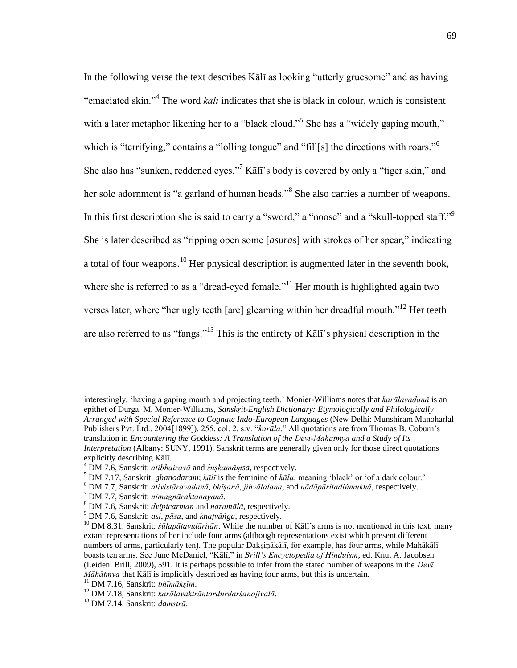In the following verse the text describes Kallar as looking "utterly gruesome" and as having "emaciated skin."<sup>4</sup> The word  $k\bar{a}l\bar{\iota}$  indicates that she is black in colour, which is consistent with a later metaphor likening her to a "black cloud."<sup>5</sup> She has a "widely gaping mouth," which is "terrifying," contains a "lolling tongue" and "fill[s] the directions with roars."<sup>6</sup> She also has "sunken, reddened eyes."<sup>7</sup> Kālī's body is covered by only a "tiger skin," and her sole adornment is "a garland of human heads."<sup>8</sup> She also carries a number of weapons. In this first description she is said to carry a "sword," a "noose" and a "skull-topped staff."<sup>9</sup> She is later described as "ripping open some [*asuras*] with strokes of her spear," indicating a total of four weapons.<sup>10</sup> Her physical description is augmented later in the seventh book, where she is referred to as a "dread-eyed female."<sup>11</sup> Her mouth is highlighted again two verses later, where "her ugly teeth [are] gleaming within her dreadful mouth."<sup>12</sup> Her teeth are also referred to as "fangs."<sup>13</sup> This is the entirety of K $\bar{a}$  l and in the secription in the

interestingly, ‗having a gaping mouth and projecting teeth.' Monier-Williams notes that *karālavadanā* is an epithet of Durgā. M. Monier-Williams, *Sanskṛit-English Dictionary: Etymologically and Philologically Arranged with Special Reference to Cognate Indo-European Languages* (New Delhi: Munshiram Manoharlal Publishers Pvt. Ltd., 2004[1899]), 255, col. 2, s.v. "*karāla*." All quotations are from Thomas B. Coburn's translation in *Encountering the Goddess: A Translation of the Devī-Māhātmya and a Study of Its Interpretation* (Albany: SUNY, 1991). Sanskrit terms are generally given only for those direct quotations explicitly describing Kālī.

<sup>4</sup> DM 7.6, Sanskrit: *atibhairavā* and *śuṣkamāṃsa*, respectively.

 $^5$  DM 7.17, Sanskrit: *ghanodaram*; *kālī* is the feminine of *kāla*, meaning 'black' or 'of a dark colour.'

<sup>6</sup> DM 7.7, Sanskrit: *ativistāravadanā*, *bhīṣanā*, *jihvālalana*, and *nādāpūritadiṅmukhā*, respectively.

<sup>7</sup> DM 7.7, Sanskrit: *nimagnāraktanayanā*.

<sup>8</sup> DM 7.6, Sanskrit: *dvīpicarman* and *naramālā*, respectively.

<sup>9</sup> DM 7.6, Sanskrit: *asi*, *pāśa*, and *khaṭvāṅga*, respectively.

<sup>10</sup> DM 8.31, Sanskrit: *śūlapātavidāritān*. While the number of Kālī's arms is not mentioned in this text, many extant representations of her include four arms (although representations exist which present different numbers of arms, particularly ten). The popular Daksinākālī, for example, has four arms, while Mahākālī boasts ten arms. See June McDaniel, "Kālī," in *Brill's Encyclopedia of Hinduism*, ed. Knut A. Jacobsen (Leiden: Brill, 2009), 591. It is perhaps possible to infer from the stated number of weapons in the *Devī Māhātmya* that Kālī is implicitly described as having four arms, but this is uncertain.

<sup>11</sup> DM 7.16, Sanskrit: *bhīmākṣīm*.

<sup>12</sup> DM 7.18, Sanskrit: *karālavaktrāntardurdarśanojjvalā*.

<sup>13</sup> DM 7.14, Sanskrit: *daṃṣṭrā*.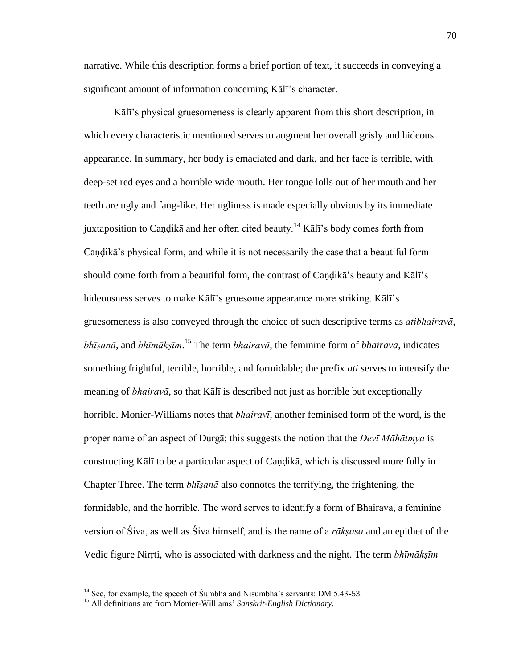narrative. While this description forms a brief portion of text, it succeeds in conveying a significant amount of information concerning Kālī's character.

Kālī's physical gruesomeness is clearly apparent from this short description, in which every characteristic mentioned serves to augment her overall grisly and hideous appearance. In summary, her body is emaciated and dark, and her face is terrible, with deep-set red eyes and a horrible wide mouth. Her tongue lolls out of her mouth and her teeth are ugly and fang-like. Her ugliness is made especially obvious by its immediate juxtaposition to Candikā and her often cited beauty.<sup>14</sup> Kālī's body comes forth from Caṇḍikā's physical form, and while it is not necessarily the case that a beautiful form should come forth from a beautiful form, the contrast of Candika's beauty and Kalī's hideousness serves to make Kālī's gruesome appearance more striking. Kālī's gruesomeness is also conveyed through the choice of such descriptive terms as *atibhairavā*, *bhīṣanā*, and *bhīmākṣīm*. <sup>15</sup> The term *bhairavā*, the feminine form of *bhairava*, indicates something frightful, terrible, horrible, and formidable; the prefix *ati* serves to intensify the meaning of *bhairavā*, so that Kālī is described not just as horrible but exceptionally horrible. Monier-Williams notes that *bhairavī*, another feminised form of the word, is the proper name of an aspect of Durgā; this suggests the notion that the *Devī Māhātmya* is constructing Kālī to be a particular aspect of Caṇḍikā, which is discussed more fully in Chapter Three. The term *bhīṣanā* also connotes the terrifying, the frightening, the formidable, and the horrible. The word serves to identify a form of Bhairavā, a feminine version of Śiva, as well as Śiva himself, and is the name of a *rākṣasa* and an epithet of the Vedic figure Nirṛti, who is associated with darkness and the night. The term *bhīmākṣīm*

 $14$  See, for example, the speech of Sumbha and Nisumbha's servants: DM 5.43-53.

<sup>&</sup>lt;sup>15</sup> All definitions are from Monier-Williams' *Sanskrit-English Dictionary*.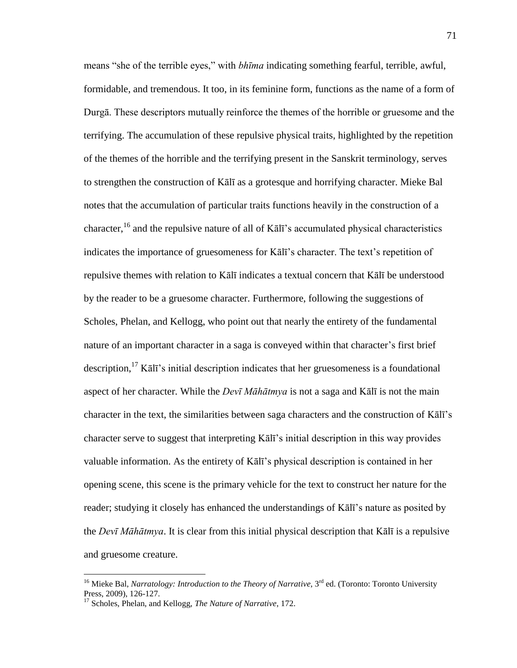means "she of the terrible eyes," with *bhima* indicating something fearful, terrible, awful, formidable, and tremendous. It too, in its feminine form, functions as the name of a form of Durgā. These descriptors mutually reinforce the themes of the horrible or gruesome and the terrifying. The accumulation of these repulsive physical traits, highlighted by the repetition of the themes of the horrible and the terrifying present in the Sanskrit terminology, serves to strengthen the construction of Kālī as a grotesque and horrifying character. Mieke Bal notes that the accumulation of particular traits functions heavily in the construction of a character,<sup>16</sup> and the repulsive nature of all of Kālī's accumulated physical characteristics indicates the importance of gruesomeness for Kālī's character. The text's repetition of repulsive themes with relation to Kālī indicates a textual concern that Kālī be understood by the reader to be a gruesome character. Furthermore, following the suggestions of Scholes, Phelan, and Kellogg, who point out that nearly the entirety of the fundamental nature of an important character in a saga is conveyed within that character's first brief description,<sup>17</sup> Kālī's initial description indicates that her gruesomeness is a foundational aspect of her character. While the *Devī Māhātmya* is not a saga and Kālī is not the main character in the text, the similarities between saga characters and the construction of Kālī's character serve to suggest that interpreting Kālī's initial description in this way provides valuable information. As the entirety of Kālī's physical description is contained in her opening scene, this scene is the primary vehicle for the text to construct her nature for the reader; studying it closely has enhanced the understandings of Kālī's nature as posited by the *Devī Māhātmya*. It is clear from this initial physical description that Kālī is a repulsive and gruesome creature.

<sup>&</sup>lt;sup>16</sup> Mieke Bal, *Narratology: Introduction to the Theory of Narrative*, 3<sup>rd</sup> ed. (Toronto: Toronto University Press, 2009), 126-127.

<sup>17</sup> Scholes, Phelan, and Kellogg, *The Nature of Narrative*, 172.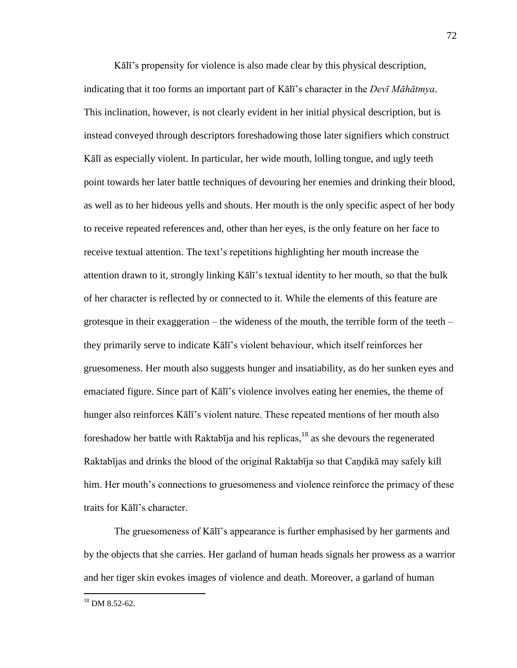Kālī's propensity for violence is also made clear by this physical description, indicating that it too forms an important part of Kālī's character in the *Devī Māhātmya*. This inclination, however, is not clearly evident in her initial physical description, but is instead conveyed through descriptors foreshadowing those later signifiers which construct Kālī as especially violent. In particular, her wide mouth, lolling tongue, and ugly teeth point towards her later battle techniques of devouring her enemies and drinking their blood, as well as to her hideous yells and shouts. Her mouth is the only specific aspect of her body to receive repeated references and, other than her eyes, is the only feature on her face to receive textual attention. The text's repetitions highlighting her mouth increase the attention drawn to it, strongly linking Kālī's textual identity to her mouth, so that the bulk of her character is reflected by or connected to it. While the elements of this feature are grotesque in their exaggeration – the wideness of the mouth, the terrible form of the teeth – they primarily serve to indicate Kālī's violent behaviour, which itself reinforces her gruesomeness. Her mouth also suggests hunger and insatiability, as do her sunken eyes and emaciated figure. Since part of Kālī's violence involves eating her enemies, the theme of hunger also reinforces Kālī's violent nature. These repeated mentions of her mouth also foreshadow her battle with Raktabīja and his replicas, $18$  as she devours the regenerated Raktabījas and drinks the blood of the original Raktabīja so that Caṇḍikā may safely kill him. Her mouth's connections to gruesomeness and violence reinforce the primacy of these traits for Kālī's character.

The gruesomeness of Kālī's appearance is further emphasised by her garments and by the objects that she carries. Her garland of human heads signals her prowess as a warrior and her tiger skin evokes images of violence and death. Moreover, a garland of human

 $18$  DM 8.52-62.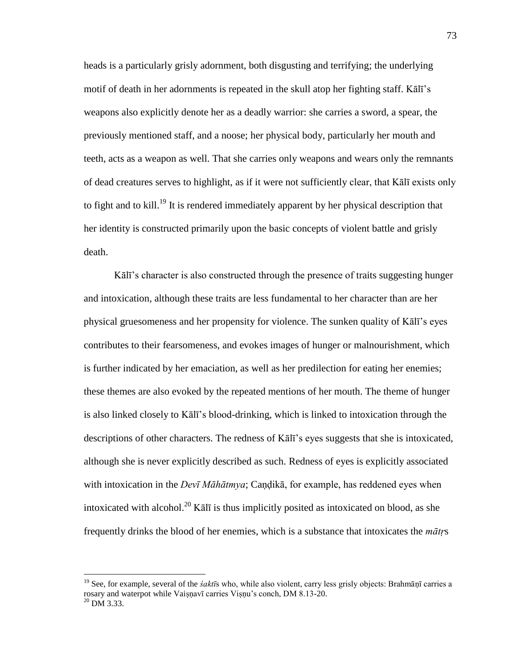heads is a particularly grisly adornment, both disgusting and terrifying; the underlying motif of death in her adornments is repeated in the skull atop her fighting staff. Kālī's weapons also explicitly denote her as a deadly warrior: she carries a sword, a spear, the previously mentioned staff, and a noose; her physical body, particularly her mouth and teeth, acts as a weapon as well. That she carries only weapons and wears only the remnants of dead creatures serves to highlight, as if it were not sufficiently clear, that Kālī exists only to fight and to kill.<sup>19</sup> It is rendered immediately apparent by her physical description that her identity is constructed primarily upon the basic concepts of violent battle and grisly death.

Kālī's character is also constructed through the presence of traits suggesting hunger and intoxication, although these traits are less fundamental to her character than are her physical gruesomeness and her propensity for violence. The sunken quality of Kālī's eyes contributes to their fearsomeness, and evokes images of hunger or malnourishment, which is further indicated by her emaciation, as well as her predilection for eating her enemies; these themes are also evoked by the repeated mentions of her mouth. The theme of hunger is also linked closely to Kālī's blood-drinking, which is linked to intoxication through the descriptions of other characters. The redness of Kālī's eyes suggests that she is intoxicated, although she is never explicitly described as such. Redness of eyes is explicitly associated with intoxication in the *Devī Māhātmya*; Caṇḍikā, for example, has reddened eyes when intoxicated with alcohol.<sup>20</sup> K $\bar{a}$ l $\bar{b}$  is thus implicitly posited as intoxicated on blood, as she frequently drinks the blood of her enemies, which is a substance that intoxicates the *mātṛ*s

<sup>19</sup> See, for example, several of the *śaktī*s who, while also violent, carry less grisly objects: Brahmāṇī carries a rosary and waterpot while Vaiṣṇavī carries Viṣṇu's conch, DM 8.13-20.  $^{20}$  DM 3.33.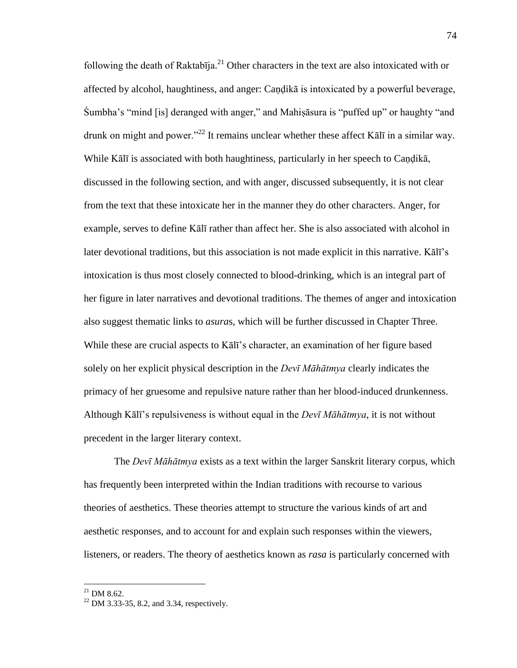following the death of Raktabīja.<sup>21</sup> Other characters in the text are also intoxicated with or affected by alcohol, haughtiness, and anger: Caṇḍikā is intoxicated by a powerful beverage, Sumbha's "mind [is] deranged with anger," and Mahiṣāsura is "puffed up" or haughty "and drunk on might and power."<sup>22</sup> It remains unclear whether these affect K $\bar{a}$ lī in a similar way. While Kālī is associated with both haughtiness, particularly in her speech to Caṇḍikā, discussed in the following section, and with anger, discussed subsequently, it is not clear from the text that these intoxicate her in the manner they do other characters. Anger, for example, serves to define Kālī rather than affect her. She is also associated with alcohol in later devotional traditions, but this association is not made explicit in this narrative. Kālī's intoxication is thus most closely connected to blood-drinking, which is an integral part of her figure in later narratives and devotional traditions. The themes of anger and intoxication also suggest thematic links to *asura*s, which will be further discussed in Chapter Three. While these are crucial aspects to Kālī's character, an examination of her figure based solely on her explicit physical description in the *Devī Māhātmya* clearly indicates the primacy of her gruesome and repulsive nature rather than her blood-induced drunkenness. Although Kālī's repulsiveness is without equal in the *Devī Māhātmya*, it is not without precedent in the larger literary context.

 The *Devī Māhātmya* exists as a text within the larger Sanskrit literary corpus, which has frequently been interpreted within the Indian traditions with recourse to various theories of aesthetics. These theories attempt to structure the various kinds of art and aesthetic responses, and to account for and explain such responses within the viewers, listeners, or readers. The theory of aesthetics known as *rasa* is particularly concerned with

 $^{21}$  DM 8.62.

 $22$  DM 3.33-35, 8.2, and 3.34, respectively.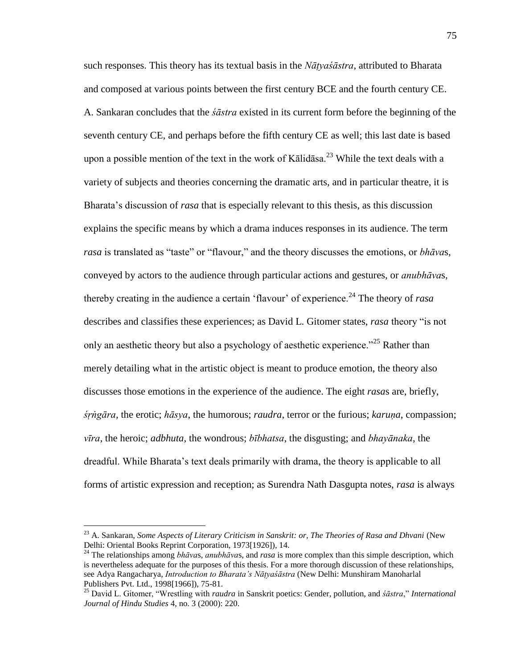such responses. This theory has its textual basis in the *Nāṭyaśāstra*, attributed to Bharata and composed at various points between the first century BCE and the fourth century CE. A. Sankaran concludes that the *śāstra* existed in its current form before the beginning of the seventh century CE, and perhaps before the fifth century CE as well; this last date is based upon a possible mention of the text in the work of Kalidasa.<sup>23</sup> While the text deals with a variety of subjects and theories concerning the dramatic arts, and in particular theatre, it is Bharata's discussion of *rasa* that is especially relevant to this thesis, as this discussion explains the specific means by which a drama induces responses in its audience. The term *rasa* is translated as "taste" or "flavour," and the theory discusses the emotions, or *bhāvas*, conveyed by actors to the audience through particular actions and gestures, or *anubhāva*s, thereby creating in the audience a certain 'flavour' of experience.<sup>24</sup> The theory of *rasa* describes and classifies these experiences; as David L. Gitomer states, *rasa* theory "is not only an aesthetic theory but also a psychology of aesthetic experience.<sup> $25$ </sup> Rather than merely detailing what in the artistic object is meant to produce emotion, the theory also discusses those emotions in the experience of the audience. The eight *rasa*s are, briefly, *śṛṅgāra*, the erotic; *hāsya*, the humorous; *raudra*, terror or the furious; *karuṇa*, compassion; *vīra*, the heroic; *adbhuta*, the wondrous; *bībhatsa*, the disgusting; and *bhayānaka*, the dreadful. While Bharata's text deals primarily with drama, the theory is applicable to all forms of artistic expression and reception; as Surendra Nath Dasgupta notes, *rasa* is always

<sup>&</sup>lt;sup>23</sup> A. Sankaran, *Some Aspects of Literary Criticism in Sanskrit: or, The Theories of Rasa and Dhvani* (New Delhi: Oriental Books Reprint Corporation, 1973[1926]), 14.

<sup>24</sup> The relationships among *bhāva*s, *anubhāva*s, and *rasa* is more complex than this simple description, which is nevertheless adequate for the purposes of this thesis. For a more thorough discussion of these relationships, see Adya Rangacharya, *Introduction to Bharata's Nāṭyaśāstra* (New Delhi: Munshiram Manoharlal Publishers Pvt. Ltd., 1998[1966]), 75-81.

<sup>&</sup>lt;sup>25</sup> David L. Gitomer, "Wrestling with *raudra* in Sanskrit poetics: Gender, pollution, and *śāstra*," *International Journal of Hindu Studies* 4, no. 3 (2000): 220.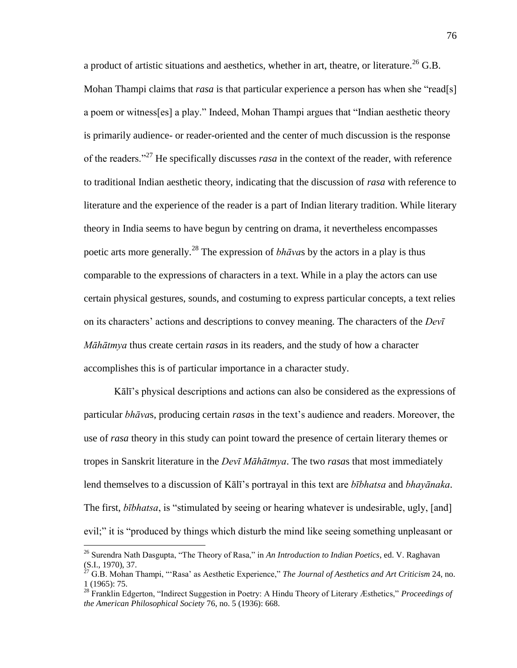a product of artistic situations and aesthetics, whether in art, theatre, or literature.<sup>26</sup> G.B. Mohan Thampi claims that *rasa* is that particular experience a person has when she "read[s] a poem or witness[es] a play." Indeed, Mohan Thampi argues that "Indian aesthetic theory is primarily audience- or reader-oriented and the center of much discussion is the response of the readers.<sup>27</sup> He specifically discusses *rasa* in the context of the reader, with reference to traditional Indian aesthetic theory, indicating that the discussion of *rasa* with reference to literature and the experience of the reader is a part of Indian literary tradition. While literary theory in India seems to have begun by centring on drama, it nevertheless encompasses poetic arts more generally.<sup>28</sup> The expression of *bhāva*s by the actors in a play is thus comparable to the expressions of characters in a text. While in a play the actors can use certain physical gestures, sounds, and costuming to express particular concepts, a text relies on its characters' actions and descriptions to convey meaning. The characters of the *Devī Māhātmya* thus create certain *rasa*s in its readers, and the study of how a character accomplishes this is of particular importance in a character study.

Kālī's physical descriptions and actions can also be considered as the expressions of particular *bhāva*s, producing certain *rasa*s in the text's audience and readers. Moreover, the use of *rasa* theory in this study can point toward the presence of certain literary themes or tropes in Sanskrit literature in the *Devī Māhātmya*. The two *rasa*s that most immediately lend themselves to a discussion of Kālī's portrayal in this text are *bībhatsa* and *bhayānaka*. The first, *bībhatsa*, is "stimulated by seeing or hearing whatever is undesirable, ugly, [and] evil;" it is "produced by things which disturb the mind like seeing something unpleasant or

<sup>&</sup>lt;sup>26</sup> Surendra Nath Dasgupta, "The Theory of Rasa," in *An Introduction to Indian Poetics*, ed. V. Raghavan (S.I., 1970), 37.

 $^{27}$  G.B. Mohan Thampi, "'Rasa' as Aesthetic Experience," *The Journal of Aesthetics and Art Criticism* 24, no. 1 (1965): 75.

<sup>&</sup>lt;sup>28</sup> Franklin Edgerton, "Indirect Suggestion in Poetry: A Hindu Theory of Literary Æsthetics," Proceedings of *the American Philosophical Society* 76, no. 5 (1936): 668.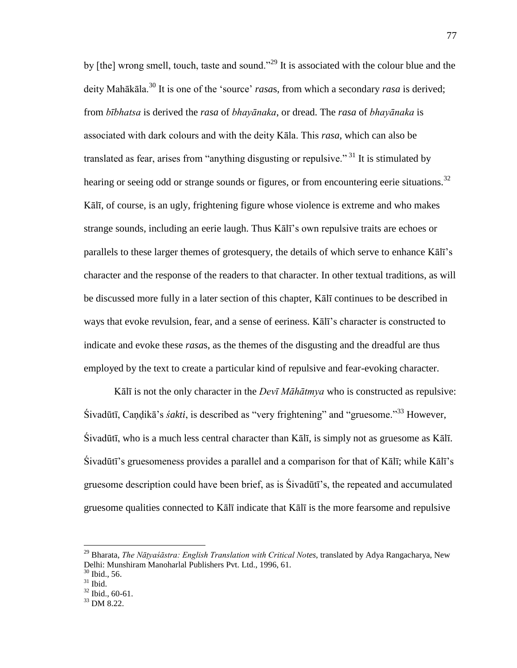by [the] wrong smell, touch, taste and sound.<sup>229</sup> It is associated with the colour blue and the deity Mahākāla.<sup>30</sup> It is one of the 'source' *rasas*, from which a secondary *rasa* is derived; from *bībhatsa* is derived the *rasa* of *bhayānaka*, or dread. The *rasa* of *bhayānaka* is associated with dark colours and with the deity Kāla. This *rasa*, which can also be translated as fear, arises from "anything disgusting or repulsive."<sup>31</sup> It is stimulated by hearing or seeing odd or strange sounds or figures, or from encountering eerie situations.<sup>32</sup> Kālī, of course, is an ugly, frightening figure whose violence is extreme and who makes strange sounds, including an eerie laugh. Thus Kālī's own repulsive traits are echoes or parallels to these larger themes of grotesquery, the details of which serve to enhance Kālī's character and the response of the readers to that character. In other textual traditions, as will be discussed more fully in a later section of this chapter, Kālī continues to be described in ways that evoke revulsion, fear, and a sense of eeriness. Kālī's character is constructed to indicate and evoke these *rasa*s, as the themes of the disgusting and the dreadful are thus employed by the text to create a particular kind of repulsive and fear-evoking character.

Kālī is not the only character in the *Devī Māhātmya* who is constructed as repulsive: Śivadūtī, Candikā's *śakti*, is described as "very frightening" and "gruesome."<sup>33</sup> However, Śivadūtī, who is a much less central character than Kālī, is simply not as gruesome as Kālī. Śivadūtī's gruesomeness provides a parallel and a comparison for that of Kālī; while Kālī's gruesome description could have been brief, as is Śivadūtī's, the repeated and accumulated gruesome qualities connected to Kālī indicate that Kālī is the more fearsome and repulsive

<sup>29</sup> Bharata, *The Nāṭyaśāstra: English Translation with Critical Notes*, translated by Adya Rangacharya, New Delhi: Munshiram Manoharlal Publishers Pvt. Ltd., 1996, 61.

 $30$  Ibid., 56.

 $31$  Ibid.

<sup>32</sup> Ibid., 60-61.

<sup>&</sup>lt;sup>33</sup> DM 8.22.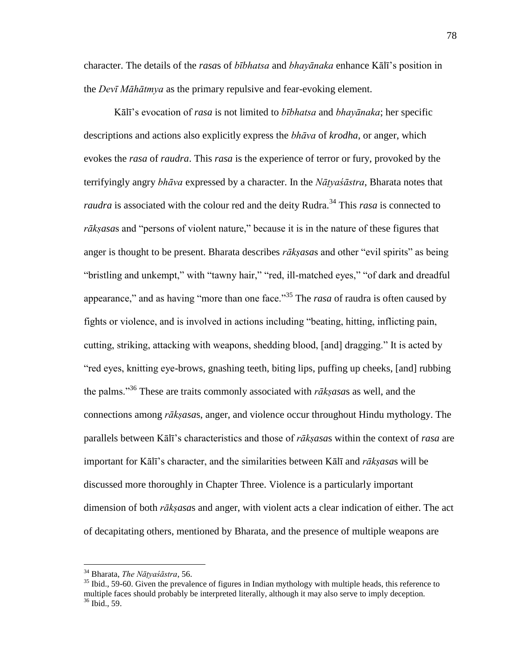character. The details of the *rasa*s of *bībhatsa* and *bhayānaka* enhance Kālī's position in the *Devī Māhātmya* as the primary repulsive and fear-evoking element.

Kālī's evocation of *rasa* is not limited to *bībhatsa* and *bhayānaka*; her specific descriptions and actions also explicitly express the *bhāva* of *krodha*, or anger, which evokes the *rasa* of *raudra*. This *rasa* is the experience of terror or fury, provoked by the terrifyingly angry *bhāva* expressed by a character. In the *Nāṭyaśāstra*, Bharata notes that *raudra* is associated with the colour red and the deity Rudra.<sup>34</sup> This *rasa* is connected to rāksasas and "persons of violent nature," because it is in the nature of these figures that anger is thought to be present. Bharata describes *rākṣasas* and other "evil spirits" as being "bristling and unkempt," with "tawny hair," "red, ill-matched eyes," "of dark and dreadful appearance," and as having "more than one face.<sup>35</sup> The *rasa* of raudra is often caused by fights or violence, and is involved in actions including "beating, hitting, inflicting pain, cutting, striking, attacking with weapons, shedding blood, [and] dragging." It is acted by "red eyes, knitting eye-brows, gnashing teeth, biting lips, puffing up cheeks, [and] rubbing the palms.<sup>356</sup> These are traits commonly associated with  $r\bar{a}$ *ksasas* as well, and the connections among *rākṣasa*s, anger, and violence occur throughout Hindu mythology. The parallels between Kālī's characteristics and those of *rākṣasa*s within the context of *rasa* are important for Kālī's character, and the similarities between Kālī and *rākṣasa*s will be discussed more thoroughly in Chapter Three. Violence is a particularly important dimension of both *rākṣasa*s and anger, with violent acts a clear indication of either. The act of decapitating others, mentioned by Bharata, and the presence of multiple weapons are

<sup>34</sup> Bharata, *The Nāṭyaśāstra*, 56.

 $35$  Ibid., 59-60. Given the prevalence of figures in Indian mythology with multiple heads, this reference to multiple faces should probably be interpreted literally, although it may also serve to imply deception. <sup>36</sup> Ibid., 59.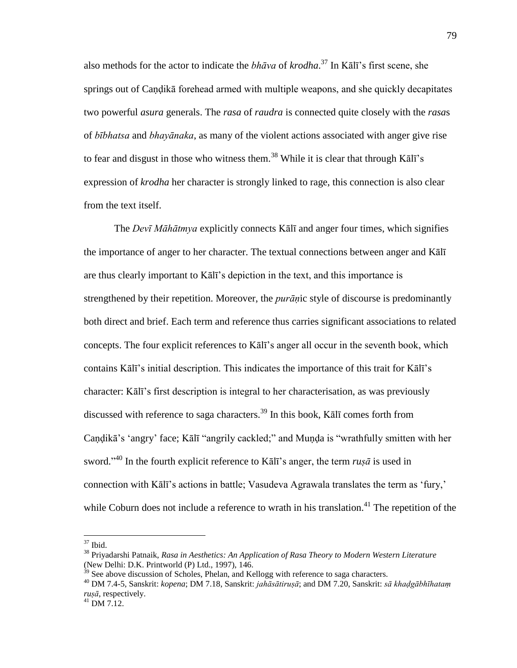also methods for the actor to indicate the *bhāva* of *krodha*. <sup>37</sup> In Kālī's first scene, she springs out of Candika forehead armed with multiple weapons, and she quickly decapitates two powerful *asura* generals. The *rasa* of *raudra* is connected quite closely with the *rasa*s of *bībhatsa* and *bhayānaka*, as many of the violent actions associated with anger give rise to fear and disgust in those who witness them.<sup>38</sup> While it is clear that through K $\overline{a}$ l $\overline{a}$ 's expression of *krodha* her character is strongly linked to rage, this connection is also clear from the text itself.

 The *Devī Māhātmya* explicitly connects Kālī and anger four times, which signifies the importance of anger to her character. The textual connections between anger and Kālī are thus clearly important to Kālī's depiction in the text, and this importance is strengthened by their repetition. Moreover, the *purāṇ*ic style of discourse is predominantly both direct and brief. Each term and reference thus carries significant associations to related concepts. The four explicit references to Kālī's anger all occur in the seventh book, which contains Kālī's initial description. This indicates the importance of this trait for Kālī's character: Kālī's first description is integral to her characterisation, as was previously discussed with reference to saga characters.<sup>39</sup> In this book, Kalī comes forth from Candikā's 'angry' face; Kālī "angrily cackled;" and Munda is "wrathfully smitten with her sword."<sup>40</sup> In the fourth explicit reference to Kālī's anger, the term  $ruş\bar{a}$  is used in connection with Kālī's actions in battle; Vasudeva Agrawala translates the term as 'fury,' while Coburn does not include a reference to wrath in his translation.<sup>41</sup> The repetition of the

 $37$  Ibid.

<sup>38</sup> Priyadarshi Patnaik, *Rasa in Aesthetics: An Application of Rasa Theory to Modern Western Literature* (New Delhi: D.K. Printworld (P) Ltd., 1997), 146.

 $39$  See above discussion of Scholes, Phelan, and Kellogg with reference to saga characters.

<sup>40</sup> DM 7.4-5, Sanskrit: *kopena*; DM 7.18, Sanskrit: *jahāsātiruṣā*; and DM 7.20, Sanskrit: *sā khaḍgābhīhataṃ ruṣā*, respectively.

 $^{41}$  DM 7.12.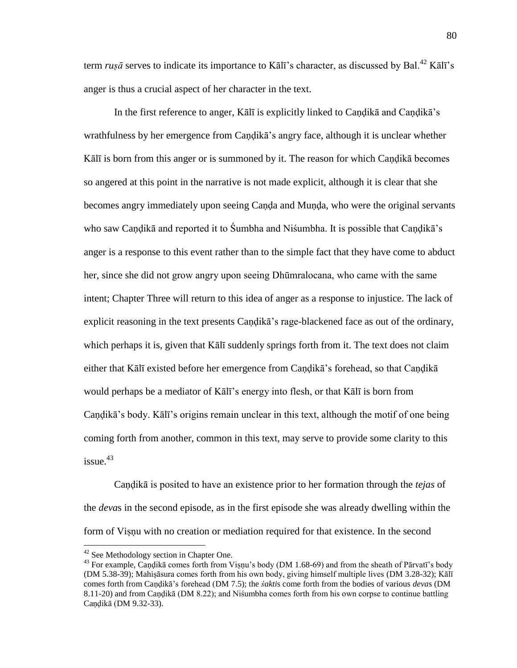term *rusā* serves to indicate its importance to Kālī's character, as discussed by Bal.<sup>42</sup> Kālī's anger is thus a crucial aspect of her character in the text.

 In the first reference to anger, Kālī is explicitly linked to Caṇḍikā and Caṇḍikā's wrathfulness by her emergence from Caṇḍikā's angry face, although it is unclear whether Kālī is born from this anger or is summoned by it. The reason for which Caṇḍikā becomes so angered at this point in the narrative is not made explicit, although it is clear that she becomes angry immediately upon seeing Canda and Munda, who were the original servants who saw Caṇḍikā and reported it to Śumbha and Niśumbha. It is possible that Caṇḍikā's anger is a response to this event rather than to the simple fact that they have come to abduct her, since she did not grow angry upon seeing Dhūmralocana, who came with the same intent; Chapter Three will return to this idea of anger as a response to injustice. The lack of explicit reasoning in the text presents Candika's rage-blackened face as out of the ordinary, which perhaps it is, given that Kall suddenly springs forth from it. The text does not claim either that Kālī existed before her emergence from Caṇḍikā's forehead, so that Caṇḍikā would perhaps be a mediator of Kālī's energy into flesh, or that Kālī is born from Caṇḍikā's body. Kālī's origins remain unclear in this text, although the motif of one being coming forth from another, common in this text, may serve to provide some clarity to this issue. 43

Caṇḍikā is posited to have an existence prior to her formation through the *tejas* of the *deva*s in the second episode, as in the first episode she was already dwelling within the form of Viṣṇu with no creation or mediation required for that existence. In the second

<sup>&</sup>lt;sup>42</sup> See Methodology section in Chapter One.

<sup>&</sup>lt;sup>43</sup> For example, Candikā comes forth from Visnu's body (DM 1.68-69) and from the sheath of Pārvatī's body (DM 5.38-39); Mahiṣāsura comes forth from his own body, giving himself multiple lives (DM 3.28-32); Kālī comes forth from Caṇḍikā's forehead (DM 7.5); the *śakti*s come forth from the bodies of various *deva*s (DM 8.11-20) and from Caṇḍikā (DM 8.22); and Niśumbha comes forth from his own corpse to continue battling Candikā (DM 9.32-33).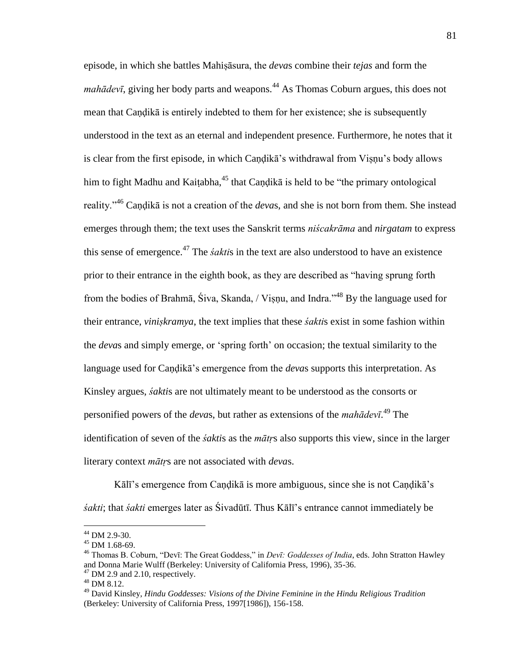episode, in which she battles Mahiṣāsura, the *deva*s combine their *tejas* and form the *mahādevī*, giving her body parts and weapons.<sup>44</sup> As Thomas Coburn argues, this does not mean that Caṇḍikā is entirely indebted to them for her existence; she is subsequently understood in the text as an eternal and independent presence. Furthermore, he notes that it is clear from the first episode, in which Caṇḍikā's withdrawal from Viṣṇu's body allows him to fight Madhu and Kaitabha, $45$  that Candika is held to be "the primary ontological reality."<sup>46</sup> Candika is not a creation of the *devas*, and she is not born from them. She instead emerges through them; the text uses the Sanskrit terms *niścakrāma* and *nirgatam* to express this sense of emergence.<sup>47</sup> The *śakti*s in the text are also understood to have an existence prior to their entrance in the eighth book, as they are described as "having sprung forth from the bodies of Brahmā, Śiva, Skanda, / Visnu, and Indra.<sup> $148$ </sup> By the language used for their entrance, *viniṣkramya*, the text implies that these *śakti*s exist in some fashion within the *deva*s and simply emerge, or ‗spring forth' on occasion; the textual similarity to the language used for Caṇḍikā's emergence from the *deva*s supports this interpretation. As Kinsley argues, *śakti*s are not ultimately meant to be understood as the consorts or personified powers of the *deva*s, but rather as extensions of the *mahādevī*. <sup>49</sup> The identification of seven of the *śakti*s as the *mātṛ*s also supports this view, since in the larger literary context *mātṛ*s are not associated with *deva*s.

Kālī's emergence from Candikā is more ambiguous, since she is not Candikā's *śakti*; that *śakti* emerges later as Śivadūtī. Thus Kālī's entrance cannot immediately be

<sup>44</sup> DM 2.9-30.

<sup>45</sup> DM 1.68-69.

<sup>&</sup>lt;sup>46</sup> Thomas B. Coburn, "Devī: The Great Goddess," in *Devī: Goddesses of India*, eds. John Stratton Hawley and Donna Marie Wulff (Berkeley: University of California Press, 1996), 35-36.

 $47$  DM 2.9 and 2.10, respectively.

 $48$  DM 8.12.

<sup>49</sup> David Kinsley, *Hindu Goddesses: Visions of the Divine Feminine in the Hindu Religious Tradition* (Berkeley: University of California Press, 1997[1986]), 156-158.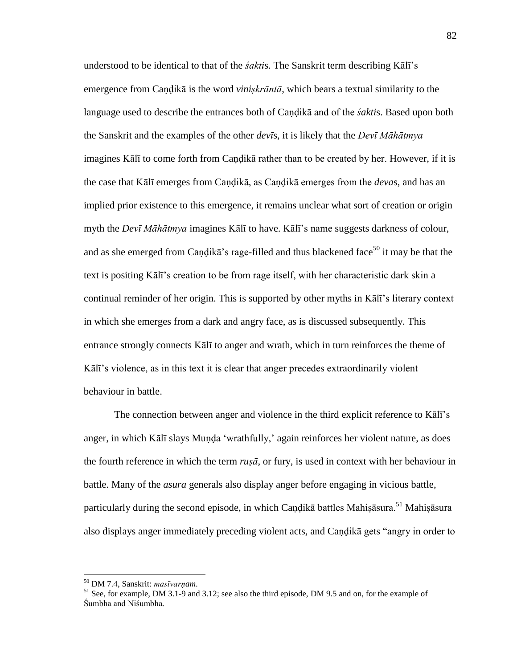understood to be identical to that of the *śakti*s. The Sanskrit term describing Kālī's emergence from Candikā is the word *viniskrāntā*, which bears a textual similarity to the language used to describe the entrances both of Caṇḍikā and of the *śakti*s. Based upon both the Sanskrit and the examples of the other *devī*s, it is likely that the *Devī Māhātmya* imagines Kālī to come forth from Caṇḍikā rather than to be created by her. However, if it is the case that Kālī emerges from Caṇḍikā, as Caṇḍikā emerges from the *deva*s, and has an implied prior existence to this emergence, it remains unclear what sort of creation or origin myth the *Devī Māhātmya* imagines Kālī to have. Kālī's name suggests darkness of colour, and as she emerged from Candika's rage-filled and thus blackened face<sup>50</sup> it may be that the text is positing Kālī's creation to be from rage itself, with her characteristic dark skin a continual reminder of her origin. This is supported by other myths in Kālī's literary context in which she emerges from a dark and angry face, as is discussed subsequently. This entrance strongly connects Kālī to anger and wrath, which in turn reinforces the theme of Kālī's violence, as in this text it is clear that anger precedes extraordinarily violent behaviour in battle.

 The connection between anger and violence in the third explicit reference to Kālī's anger, in which Kālī slays Munda 'wrathfully,' again reinforces her violent nature, as does the fourth reference in which the term *ruṣā*, or fury, is used in context with her behaviour in battle. Many of the *asura* generals also display anger before engaging in vicious battle, particularly during the second episode, in which Candikā battles Mahisāsura.<sup>51</sup> Mahisāsura also displays anger immediately preceding violent acts, and Candika gets "angry in order to

<sup>50</sup> DM 7.4, Sanskrit: *masīvarṇam*.

<sup>&</sup>lt;sup>51</sup> See, for example, DM 3.1-9 and 3.12; see also the third episode, DM 9.5 and on, for the example of Śumbha and Niśumbha.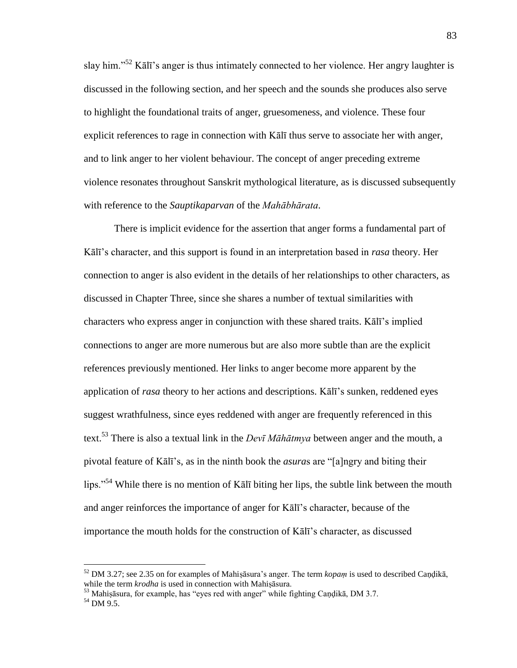slay him.<sup>52</sup> Kālī's anger is thus intimately connected to her violence. Her angry laughter is discussed in the following section, and her speech and the sounds she produces also serve to highlight the foundational traits of anger, gruesomeness, and violence. These four explicit references to rage in connection with Kālī thus serve to associate her with anger, and to link anger to her violent behaviour. The concept of anger preceding extreme violence resonates throughout Sanskrit mythological literature, as is discussed subsequently with reference to the *Sauptikaparvan* of the *Mahābhārata*.

 There is implicit evidence for the assertion that anger forms a fundamental part of Kālī's character, and this support is found in an interpretation based in *rasa* theory. Her connection to anger is also evident in the details of her relationships to other characters, as discussed in Chapter Three, since she shares a number of textual similarities with characters who express anger in conjunction with these shared traits. Kālī's implied connections to anger are more numerous but are also more subtle than are the explicit references previously mentioned. Her links to anger become more apparent by the application of *rasa* theory to her actions and descriptions. Kālī's sunken, reddened eyes suggest wrathfulness, since eyes reddened with anger are frequently referenced in this text.<sup>53</sup> There is also a textual link in the *Devī Māhātmya* between anger and the mouth, a pivotal feature of Kālī's, as in the ninth book the *asuras* are "[a]ngry and biting their lips."<sup>54</sup> While there is no mention of Kalī biting her lips, the subtle link between the mouth and anger reinforces the importance of anger for Kālī's character, because of the importance the mouth holds for the construction of Kālī's character, as discussed

<sup>52</sup> DM 3.27; see 2.35 on for examples of Mahiṣāsura's anger. The term *kopaṃ* is used to described Caṇḍikā, while the term *krodha* is used in connection with Mahiṣāsura.

 $53$  Mahiṣāsura, for example, has "eyes red with anger" while fighting Caṇḍikā, DM 3.7.

<sup>54</sup> DM 9.5.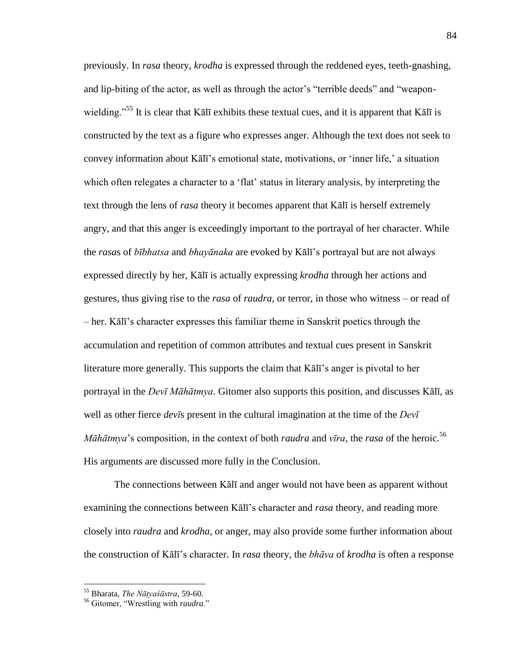previously. In *rasa* theory, *krodha* is expressed through the reddened eyes, teeth-gnashing, and lip-biting of the actor, as well as through the actor's "terrible deeds" and "weaponwielding.<sup>55</sup> It is clear that Kālī exhibits these textual cues, and it is apparent that Kālī is constructed by the text as a figure who expresses anger. Although the text does not seek to convey information about Kālī's emotional state, motivations, or ‗inner life,' a situation which often relegates a character to a 'flat' status in literary analysis, by interpreting the text through the lens of *rasa* theory it becomes apparent that Kālī is herself extremely angry, and that this anger is exceedingly important to the portrayal of her character. While the *rasa*s of *bībhatsa* and *bhayānaka* are evoked by Kālī's portrayal but are not always expressed directly by her, Kālī is actually expressing *krodha* through her actions and gestures, thus giving rise to the *rasa* of *raudra*, or terror, in those who witness – or read of – her. Kālī's character expresses this familiar theme in Sanskrit poetics through the accumulation and repetition of common attributes and textual cues present in Sanskrit literature more generally. This supports the claim that Kālī's anger is pivotal to her portrayal in the *Devī Māhātmya*. Gitomer also supports this position, and discusses Kālī, as well as other fierce *devī*s present in the cultural imagination at the time of the *Devī Māhātmya*'s composition, in the context of both *raudra* and *vīra*, the *rasa* of the heroic.<sup>56</sup> His arguments are discussed more fully in the Conclusion.

 The connections between Kālī and anger would not have been as apparent without examining the connections between Kālī's character and *rasa* theory, and reading more closely into *raudra* and *krodha*, or anger, may also provide some further information about the construction of Kālī's character. In *rasa* theory, the *bhāva* of *krodha* is often a response

<sup>55</sup> Bharata, *The Nāṭyaśāstra*, 59-60.

<sup>&</sup>lt;sup>56</sup> Gitomer, "Wrestling with *raudra*."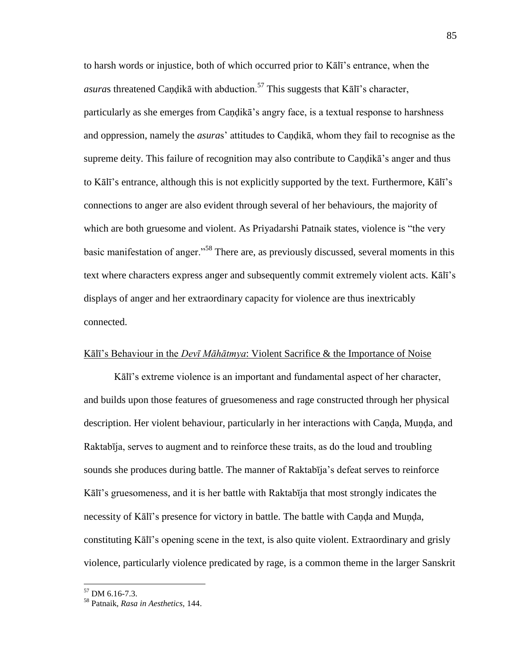to harsh words or injustice, both of which occurred prior to Kālī's entrance, when the *asura*s threatened Candikā with abduction.<sup>57</sup> This suggests that Kālī's character, particularly as she emerges from Caṇḍikā's angry face, is a textual response to harshness and oppression, namely the *asura*s' attitudes to Caṇḍikā, whom they fail to recognise as the supreme deity. This failure of recognition may also contribute to Caṇḍikā's anger and thus to Kālī's entrance, although this is not explicitly supported by the text. Furthermore, Kālī's connections to anger are also evident through several of her behaviours, the majority of which are both gruesome and violent. As Priyadarshi Patnaik states, violence is "the very basic manifestation of anger.<sup>58</sup> There are, as previously discussed, several moments in this text where characters express anger and subsequently commit extremely violent acts. Kālī's displays of anger and her extraordinary capacity for violence are thus inextricably connected.

# Kālī's Behaviour in the *Devī Māhātmya*: Violent Sacrifice & the Importance of Noise

Kālī's extreme violence is an important and fundamental aspect of her character, and builds upon those features of gruesomeness and rage constructed through her physical description. Her violent behaviour, particularly in her interactions with Caṇḍa, Muṇḍa, and Raktabīja, serves to augment and to reinforce these traits, as do the loud and troubling sounds she produces during battle. The manner of Raktabīja's defeat serves to reinforce Kālī's gruesomeness, and it is her battle with Raktabīja that most strongly indicates the necessity of Kālī's presence for victory in battle. The battle with Canda and Munda, constituting Kālī's opening scene in the text, is also quite violent. Extraordinary and grisly violence, particularly violence predicated by rage, is a common theme in the larger Sanskrit

<sup>57</sup> DM 6.16-7.3.

<sup>58</sup> Patnaik, *Rasa in Aesthetics,* 144.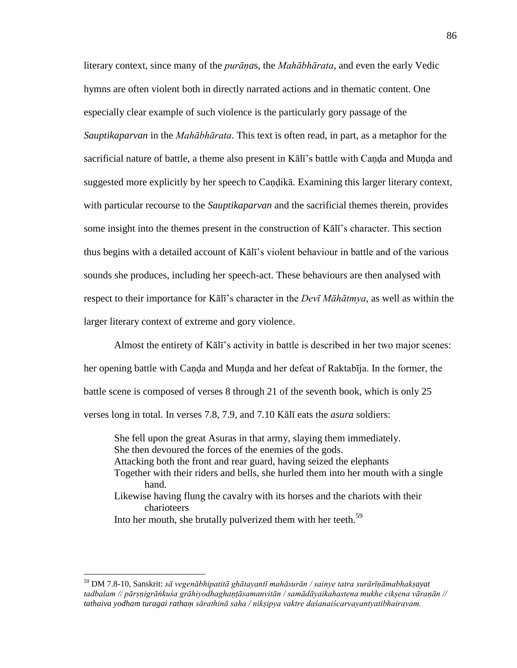literary context, since many of the *purāṇa*s, the *Mahābhārata*, and even the early Vedic hymns are often violent both in directly narrated actions and in thematic content. One especially clear example of such violence is the particularly gory passage of the *Sauptikaparvan* in the *Mahābhārata*. This text is often read, in part, as a metaphor for the sacrificial nature of battle, a theme also present in Kālī's battle with Caṇḍa and Muṇḍa and suggested more explicitly by her speech to Candika. Examining this larger literary context, with particular recourse to the *Sauptikaparvan* and the sacrificial themes therein, provides some insight into the themes present in the construction of Kālī's character. This section thus begins with a detailed account of Kālī's violent behaviour in battle and of the various sounds she produces, including her speech-act. These behaviours are then analysed with respect to their importance for Kālī's character in the *Devī Māhātmya*, as well as within the larger literary context of extreme and gory violence.

 Almost the entirety of Kālī's activity in battle is described in her two major scenes: her opening battle with Caṇḍa and Muṇḍa and her defeat of Raktabīja. In the former, the battle scene is composed of verses 8 through 21 of the seventh book, which is only 25 verses long in total. In verses 7.8, 7.9, and 7.10 Kālī eats the *asura* soldiers:

 She fell upon the great Asuras in that army, slaying them immediately. She then devoured the forces of the enemies of the gods. Attacking both the front and rear guard, having seized the elephants Together with their riders and bells, she hurled them into her mouth with a single hand. Likewise having flung the cavalry with its horses and the chariots with their charioteers Into her mouth, she brutally pulverized them with her teeth.<sup>59</sup>

<sup>59</sup> DM 7.8-10, Sanskrit: *sā vegenābhipatitā ghātayantī mahāsurān / sainye tatra surārīṇāmabhakṣayat tadbalam // pārṣṇigrāṅkuśa grāhiyodhaghaṇṭāsamanvitān / samādāyaikahastena mukhe cikṣena vāraṇān // tathaiva yodham turagai rathaṃ sārathinā saha / nikṣipya vaktre daśanaiścarvayantyatibhairavam.*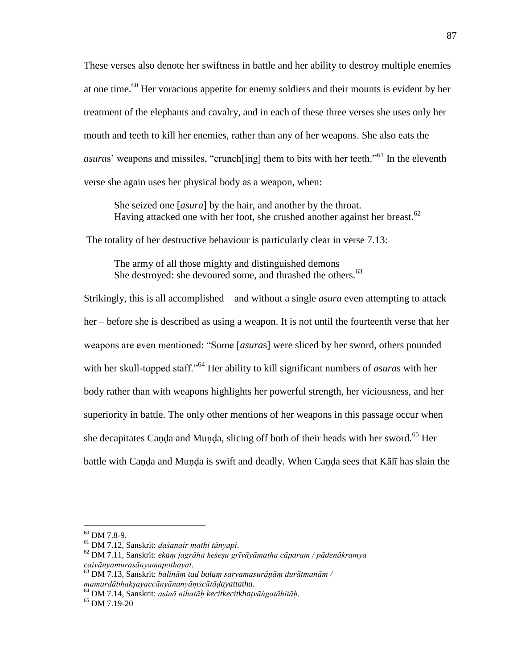These verses also denote her swiftness in battle and her ability to destroy multiple enemies at one time.<sup>60</sup> Her voracious appetite for enemy soldiers and their mounts is evident by her treatment of the elephants and cavalry, and in each of these three verses she uses only her mouth and teeth to kill her enemies, rather than any of her weapons. She also eats the *asuras*' weapons and missiles, "crunch[ing] them to bits with her teeth."<sup>61</sup> In the eleventh verse she again uses her physical body as a weapon, when:

 She seized one [*asura*] by the hair, and another by the throat. Having attacked one with her foot, she crushed another against her breast.<sup>62</sup>

The totality of her destructive behaviour is particularly clear in verse 7.13:

 The army of all those mighty and distinguished demons She destroyed: she devoured some, and thrashed the others.<sup>63</sup>

Strikingly, this is all accomplished – and without a single *asura* even attempting to attack her – before she is described as using a weapon. It is not until the fourteenth verse that her weapons are even mentioned: "Some [*asuras*] were sliced by her sword, others pounded with her skull-topped staff.<sup>564</sup> Her ability to kill significant numbers of *asuras* with her body rather than with weapons highlights her powerful strength, her viciousness, and her superiority in battle. The only other mentions of her weapons in this passage occur when she decapitates Canda and Munda, slicing off both of their heads with her sword.<sup>65</sup> Her battle with Caṇḍa and Muṇḍa is swift and deadly. When Caṇḍa sees that Kālī has slain the

 $60$  DM 7.8-9.

<sup>61</sup> DM 7.12, Sanskrit: *daśanair mathi tānyapi*.

<sup>62</sup> DM 7.11, Sanskrit: *ekaṃ jagrāha keśeṣu grīvāyāmatha cāparam / pādenākramya caivānyamurasānyamapothayat*.

<sup>63</sup> DM 7.13, Sanskrit: *balināṃ tad balaṃ sarvamasurāṇāṃ durātmanām / mamardābhakṣayaccānyānanyāṃścātāḍayattatha*.

<sup>64</sup> DM 7.14, Sanskrit: *asinā nihatāḥ kecitkecitkhaṭvāṅgatāhitāḥ*.

 $65$  DM 7.19-20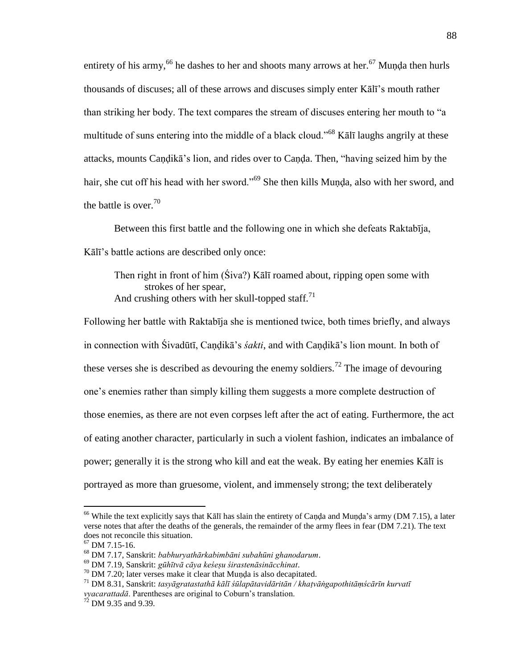entirety of his army,<sup>66</sup> he dashes to her and shoots many arrows at her.<sup>67</sup> Munda then hurls thousands of discuses; all of these arrows and discuses simply enter Kālī's mouth rather than striking her body. The text compares the stream of discuses entering her mouth to "a multitude of suns entering into the middle of a black cloud.<sup>568</sup> Kalī laughs angrily at these attacks, mounts Caṇḍikā's lion, and rides over to Caṇḍa. Then, "having seized him by the hair, she cut off his head with her sword.<sup>569</sup> She then kills Munda, also with her sword, and the battle is over. $70$ 

 Between this first battle and the following one in which she defeats Raktabīja, Kālī's battle actions are described only once:

Then right in front of him (Śiva?) Kālī roamed about, ripping open some with strokes of her spear, And crushing others with her skull-topped staff.<sup>71</sup>

Following her battle with Raktabīja she is mentioned twice, both times briefly, and always in connection with Śivadūtī, Caṇḍikā's *śakti*, and with Caṇḍikā's lion mount. In both of these verses she is described as devouring the enemy soldiers.<sup>72</sup> The image of devouring one's enemies rather than simply killing them suggests a more complete destruction of those enemies, as there are not even corpses left after the act of eating. Furthermore, the act of eating another character, particularly in such a violent fashion, indicates an imbalance of power; generally it is the strong who kill and eat the weak. By eating her enemies Kālī is portrayed as more than gruesome, violent, and immensely strong; the text deliberately

<sup>&</sup>lt;sup>66</sup> While the text explicitly says that Kālī has slain the entirety of Caṇḍa and Muṇḍa's army (DM 7.15), a later verse notes that after the deaths of the generals, the remainder of the army flees in fear (DM 7.21). The text does not reconcile this situation.

 $67$  DM 7.15-16.

<sup>68</sup> DM 7.17, Sanskrit: *babhuryathārkabimbāni subahūni ghanodarum*.

<sup>69</sup> DM 7.19, Sanskrit: *gūhītvā cāya keśeṣu śirastenāsinācchinat*.

 $70$  DM 7.20; later verses make it clear that Munda is also decapitated.

<sup>71</sup> DM 8.31, Sanskrit: *tasyāgratastathā kālī śūlapātavidāritān / khaṭvāṅgapothitāṃścārīn kurvatī vyacarattadā*. Parentheses are original to Coburn's translation.

 $72$  DM 9.35 and 9.39.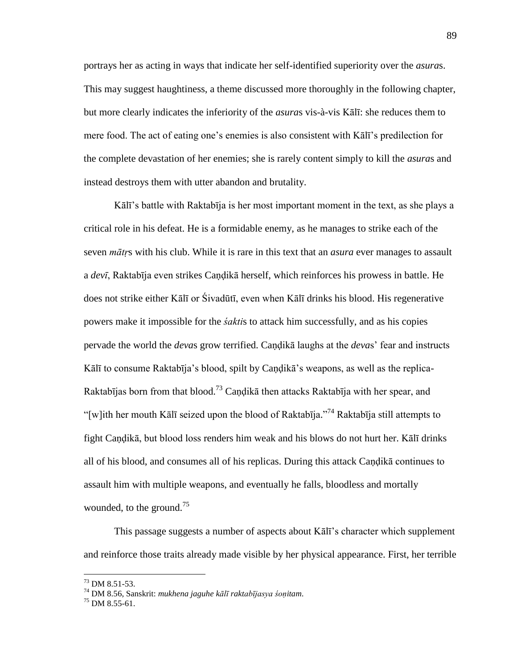portrays her as acting in ways that indicate her self-identified superiority over the *asura*s. This may suggest haughtiness, a theme discussed more thoroughly in the following chapter, but more clearly indicates the inferiority of the *asura*s vis-à-vis Kālī: she reduces them to mere food. The act of eating one's enemies is also consistent with Kālī's predilection for the complete devastation of her enemies; she is rarely content simply to kill the *asura*s and instead destroys them with utter abandon and brutality.

Kālī's battle with Raktabīja is her most important moment in the text, as she plays a critical role in his defeat. He is a formidable enemy, as he manages to strike each of the seven *mātṛ*s with his club. While it is rare in this text that an *asura* ever manages to assault a *devī*, Raktabīja even strikes Caṇḍikā herself, which reinforces his prowess in battle. He does not strike either Kālī or Śivadūtī, even when Kālī drinks his blood. His regenerative powers make it impossible for the *śakti*s to attack him successfully, and as his copies pervade the world the *deva*s grow terrified. Caṇḍikā laughs at the *deva*s' fear and instructs Kālī to consume Raktabīja's blood, spilt by Caṇḍikā's weapons, as well as the replica-Raktabījas born from that blood.<sup>73</sup> Candikā then attacks Raktabīja with her spear, and "[w]ith her mouth Kālī seized upon the blood of Raktabīja."<sup>74</sup> Raktabīja still attempts to fight Caṇḍikā, but blood loss renders him weak and his blows do not hurt her. Kālī drinks all of his blood, and consumes all of his replicas. During this attack Caṇḍikā continues to assault him with multiple weapons, and eventually he falls, bloodless and mortally wounded, to the ground.<sup>75</sup>

 This passage suggests a number of aspects about Kālī's character which supplement and reinforce those traits already made visible by her physical appearance. First, her terrible

<sup>73</sup> DM 8.51-53.

<sup>74</sup> DM 8.56, Sanskrit: *mukhena jaguhe kālī raktabījasya śoṇitam*.

 $^{75}$  DM 8.55-61.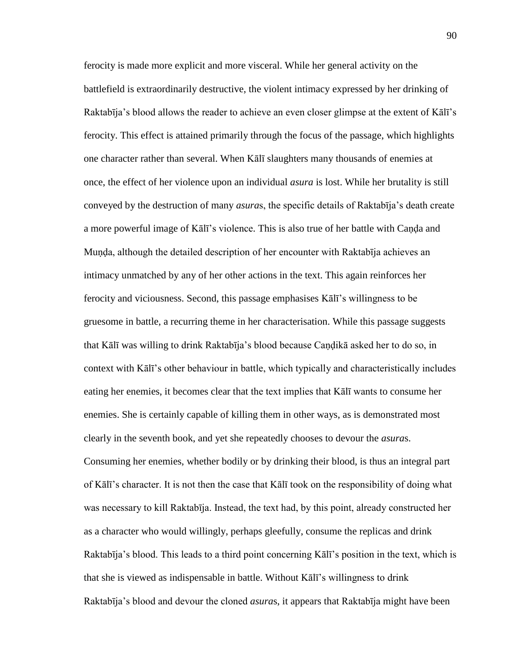ferocity is made more explicit and more visceral. While her general activity on the battlefield is extraordinarily destructive, the violent intimacy expressed by her drinking of Raktabīja's blood allows the reader to achieve an even closer glimpse at the extent of Kālī's ferocity. This effect is attained primarily through the focus of the passage, which highlights one character rather than several. When Kālī slaughters many thousands of enemies at once, the effect of her violence upon an individual *asura* is lost. While her brutality is still conveyed by the destruction of many *asura*s, the specific details of Raktabīja's death create a more powerful image of Kālī's violence. This is also true of her battle with Caṇḍa and Muṇḍa, although the detailed description of her encounter with Raktabīja achieves an intimacy unmatched by any of her other actions in the text. This again reinforces her ferocity and viciousness. Second, this passage emphasises Kālī's willingness to be gruesome in battle, a recurring theme in her characterisation. While this passage suggests that Kālī was willing to drink Raktabīja's blood because Caṇḍikā asked her to do so, in context with Kālī's other behaviour in battle, which typically and characteristically includes eating her enemies, it becomes clear that the text implies that Kālī wants to consume her enemies. She is certainly capable of killing them in other ways, as is demonstrated most clearly in the seventh book, and yet she repeatedly chooses to devour the *asura*s. Consuming her enemies, whether bodily or by drinking their blood, is thus an integral part of Kālī's character. It is not then the case that Kālī took on the responsibility of doing what was necessary to kill Raktabīja. Instead, the text had, by this point, already constructed her as a character who would willingly, perhaps gleefully, consume the replicas and drink Raktabīja's blood. This leads to a third point concerning Kālī's position in the text, which is that she is viewed as indispensable in battle. Without Kālī's willingness to drink Raktabīja's blood and devour the cloned *asura*s, it appears that Raktabīja might have been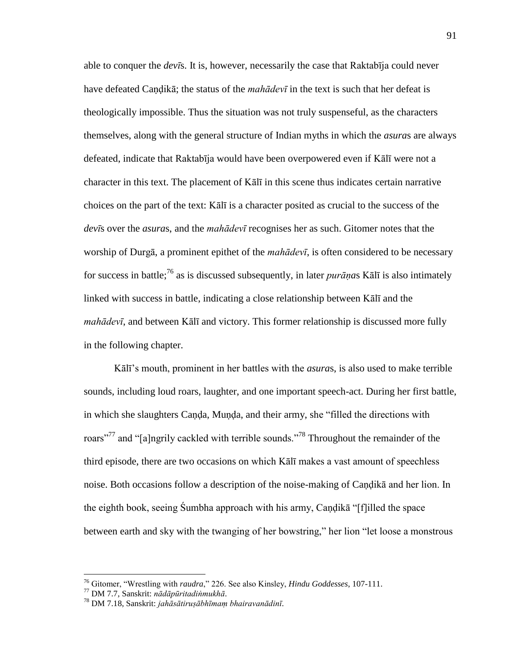able to conquer the *devī*s. It is, however, necessarily the case that Raktabīja could never have defeated Caṇḍikā; the status of the *mahādevī* in the text is such that her defeat is theologically impossible. Thus the situation was not truly suspenseful, as the characters themselves, along with the general structure of Indian myths in which the *asura*s are always defeated, indicate that Raktabīja would have been overpowered even if Kālī were not a character in this text. The placement of Kālī in this scene thus indicates certain narrative choices on the part of the text: Kālī is a character posited as crucial to the success of the *devī*s over the *asura*s, and the *mahādevī* recognises her as such. Gitomer notes that the worship of Durgā, a prominent epithet of the *mahādevī*, is often considered to be necessary for success in battle;<sup>76</sup> as is discussed subsequently, in later *purāṇa*s Kālī is also intimately linked with success in battle, indicating a close relationship between Kālī and the *mahādevī*, and between Kālī and victory. This former relationship is discussed more fully in the following chapter.

Kālī's mouth, prominent in her battles with the *asura*s, is also used to make terrible sounds, including loud roars, laughter, and one important speech-act. During her first battle, in which she slaughters Canda, Munda, and their army, she "filled the directions with roars<sup>"77</sup> and "[a]ngrily cackled with terrible sounds."<sup>78</sup> Throughout the remainder of the third episode, there are two occasions on which Kālī makes a vast amount of speechless noise. Both occasions follow a description of the noise-making of Caṇḍikā and her lion. In the eighth book, seeing Sumbha approach with his army, Caṇḍikā "[f]illed the space between earth and sky with the twanging of her bowstring," her lion "let loose a monstrous"

<sup>&</sup>lt;sup>76</sup> Gitomer, "Wrestling with *raudra*," 226. See also Kinsley, *Hindu Goddesses*, 107-111.

<sup>77</sup> DM 7.7, Sanskrit: *nādāpūritadiṅmukhā*.

<sup>78</sup> DM 7.18, Sanskrit: *jahāsātiruṣābhīmaṃ bhairavanādinī*.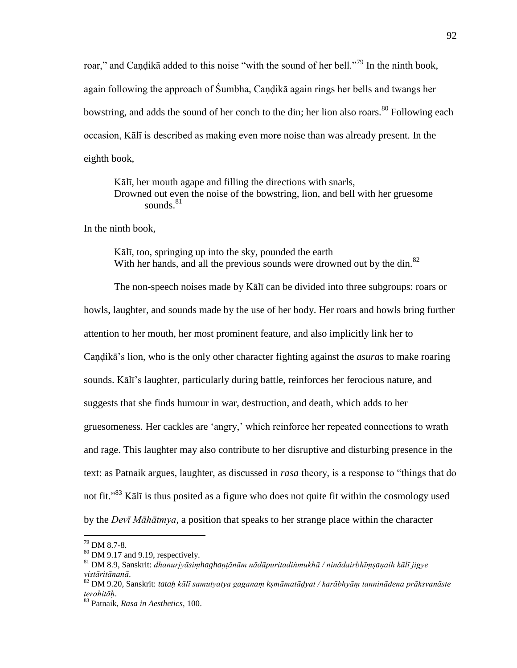roar," and Candikā added to this noise "with the sound of her bell."<sup>79</sup> In the ninth book, again following the approach of Śumbha, Caṇḍikā again rings her bells and twangs her bowstring, and adds the sound of her conch to the din; her lion also roars.<sup>80</sup> Following each occasion, Kālī is described as making even more noise than was already present. In the eighth book,

Kālī, her mouth agape and filling the directions with snarls, Drowned out even the noise of the bowstring, lion, and bell with her gruesome sounds. $81$ 

In the ninth book,

Kālī, too, springing up into the sky, pounded the earth With her hands, and all the previous sounds were drowned out by the din.<sup>82</sup>

 The non-speech noises made by Kālī can be divided into three subgroups: roars or howls, laughter, and sounds made by the use of her body. Her roars and howls bring further attention to her mouth, her most prominent feature, and also implicitly link her to Caṇḍikā's lion, who is the only other character fighting against the *asura*s to make roaring sounds. Kālī's laughter, particularly during battle, reinforces her ferocious nature, and suggests that she finds humour in war, destruction, and death, which adds to her gruesomeness. Her cackles are 'angry,' which reinforce her repeated connections to wrath and rage. This laughter may also contribute to her disruptive and disturbing presence in the text: as Patnaik argues, laughter, as discussed in *rasa* theory, is a response to "things that do not fit.<sup>83</sup> K $\bar{a}$ lī is thus posited as a figure who does not quite fit within the cosmology used by the *Devī Māhātmya*, a position that speaks to her strange place within the character

<sup>79</sup> DM 8.7-8.

<sup>&</sup>lt;sup>80</sup> DM 9.17 and 9.19, respectively.

<sup>81</sup> DM 8.9, Sanskrit: *dhanurjyāsiṃhaghaṇṭānām nādāpuritadiṅmukhā / ninādairbhīṃṣaṇaih kālī jigye vistāritānanā*.

<sup>82</sup> DM 9.20, Sanskrit: *tataḥ kālī samutyatya gaganaṃ kṣmāmatāḍyat / karābhyāṃ tanninādena prāksvanāste terohitāḥ*.

<sup>83</sup> Patnaik, *Rasa in Aesthetics*, 100.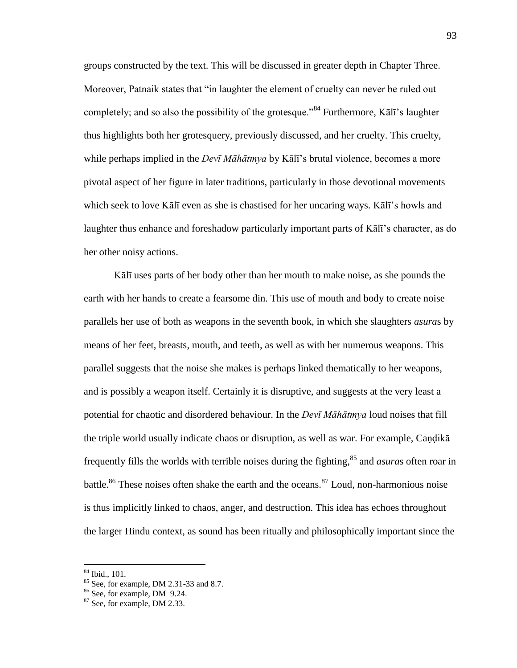groups constructed by the text. This will be discussed in greater depth in Chapter Three. Moreover, Patnaik states that "in laughter the element of cruelty can never be ruled out completely; and so also the possibility of the grotesque.<sup>84</sup> Furthermore, Kalū's laughter thus highlights both her grotesquery, previously discussed, and her cruelty. This cruelty, while perhaps implied in the *Devī Māhātmya* by Kālī's brutal violence, becomes a more pivotal aspect of her figure in later traditions, particularly in those devotional movements which seek to love Kālī even as she is chastised for her uncaring ways. Kālī's howls and laughter thus enhance and foreshadow particularly important parts of Kālī's character, as do her other noisy actions.

Kālī uses parts of her body other than her mouth to make noise, as she pounds the earth with her hands to create a fearsome din. This use of mouth and body to create noise parallels her use of both as weapons in the seventh book, in which she slaughters *asura*s by means of her feet, breasts, mouth, and teeth, as well as with her numerous weapons. This parallel suggests that the noise she makes is perhaps linked thematically to her weapons, and is possibly a weapon itself. Certainly it is disruptive, and suggests at the very least a potential for chaotic and disordered behaviour. In the *Devī Māhātmya* loud noises that fill the triple world usually indicate chaos or disruption, as well as war. For example, Caṇḍikā frequently fills the worlds with terrible noises during the fighting, <sup>85</sup> and *asura*s often roar in battle.<sup>86</sup> These noises often shake the earth and the oceans.<sup>87</sup> Loud, non-harmonious noise is thus implicitly linked to chaos, anger, and destruction. This idea has echoes throughout the larger Hindu context, as sound has been ritually and philosophically important since the

 $84$  Ibid., 101.

<sup>85</sup> See, for example, DM 2.31-33 and 8.7.

<sup>86</sup> See, for example, DM 9.24.

<sup>87</sup> See, for example, DM 2.33.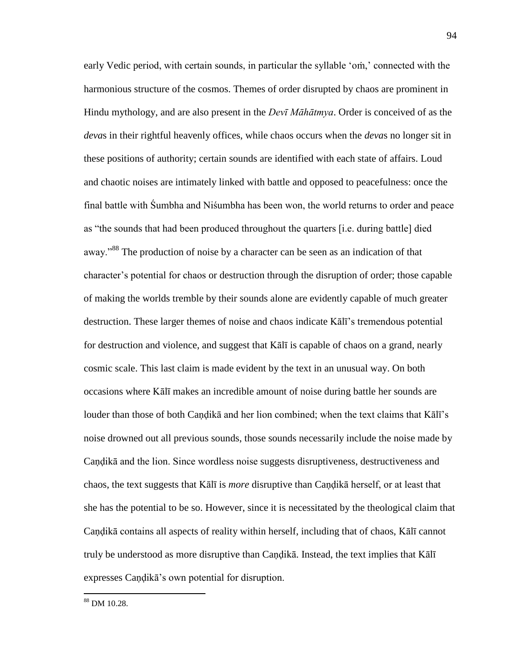early Vedic period, with certain sounds, in particular the syllable 'om,' connected with the harmonious structure of the cosmos. Themes of order disrupted by chaos are prominent in Hindu mythology, and are also present in the *Devī Māhātmya*. Order is conceived of as the *deva*s in their rightful heavenly offices, while chaos occurs when the *deva*s no longer sit in these positions of authority; certain sounds are identified with each state of affairs. Loud and chaotic noises are intimately linked with battle and opposed to peacefulness: once the final battle with Śumbha and Niśumbha has been won, the world returns to order and peace as "the sounds that had been produced throughout the quarters [i.e. during battle] died away.<sup>388</sup> The production of noise by a character can be seen as an indication of that character's potential for chaos or destruction through the disruption of order; those capable of making the worlds tremble by their sounds alone are evidently capable of much greater destruction. These larger themes of noise and chaos indicate Kālī's tremendous potential for destruction and violence, and suggest that Kālī is capable of chaos on a grand, nearly cosmic scale. This last claim is made evident by the text in an unusual way. On both occasions where Kālī makes an incredible amount of noise during battle her sounds are louder than those of both Candikā and her lion combined; when the text claims that Kālī's noise drowned out all previous sounds, those sounds necessarily include the noise made by Caṇḍikā and the lion. Since wordless noise suggests disruptiveness, destructiveness and chaos, the text suggests that Kālī is *more* disruptive than Caṇḍikā herself, or at least that she has the potential to be so. However, since it is necessitated by the theological claim that Caṇḍikā contains all aspects of reality within herself, including that of chaos, Kālī cannot truly be understood as more disruptive than Caṇḍikā. Instead, the text implies that Kālī expresses Caṇḍikā's own potential for disruption.

<sup>88</sup> DM 10.28.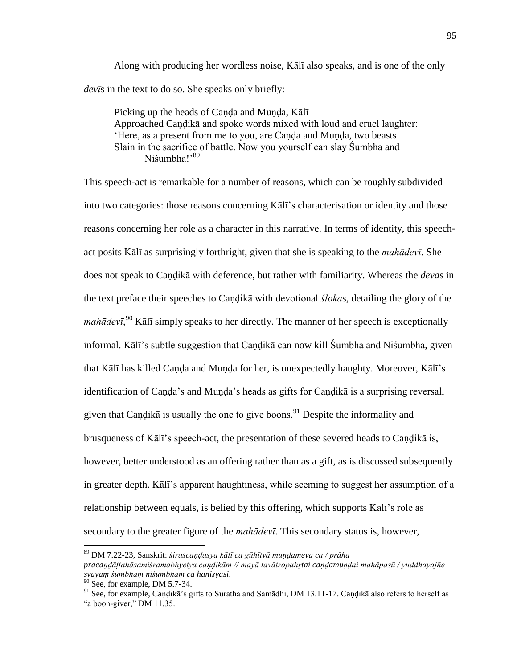Along with producing her wordless noise, Kālī also speaks, and is one of the only *devī*s in the text to do so. She speaks only briefly:

 Picking up the heads of Caṇḍa and Muṇḍa, Kālī Approached Candikā and spoke words mixed with loud and cruel laughter: ‗Here, as a present from me to you, are Caṇḍa and Muṇḍa, two beasts Slain in the sacrifice of battle. Now you yourself can slay Śumbha and Niśumbha!<sup>89</sup>

This speech-act is remarkable for a number of reasons, which can be roughly subdivided into two categories: those reasons concerning Kālī's characterisation or identity and those reasons concerning her role as a character in this narrative. In terms of identity, this speechact posits Kālī as surprisingly forthright, given that she is speaking to the *mahādevī*. She does not speak to Caṇḍikā with deference, but rather with familiarity. Whereas the *deva*s in the text preface their speeches to Caṇḍikā with devotional *śloka*s, detailing the glory of the *mahādevī*, <sup>90</sup> Kālī simply speaks to her directly. The manner of her speech is exceptionally informal. Kālī's subtle suggestion that Caṇḍikā can now kill Śumbha and Niśumbha, given that Kālī has killed Caṇḍa and Muṇḍa for her, is unexpectedly haughty. Moreover, Kālī's identification of Caṇḍa's and Muṇḍa's heads as gifts for Caṇḍikā is a surprising reversal, given that Candika is usually the one to give boons.<sup>91</sup> Despite the informality and brusqueness of Kālī's speech-act, the presentation of these severed heads to Candikā is, however, better understood as an offering rather than as a gift, as is discussed subsequently in greater depth. Kālī's apparent haughtiness, while seeming to suggest her assumption of a relationship between equals, is belied by this offering, which supports Kālī's role as secondary to the greater figure of the *mahādevī*. This secondary status is, however,

<sup>89</sup> DM 7.22-23, Sanskrit: *śiraścaṇḍasya kālī ca gūhītvā muṇḍameva ca / prāha pracaṇḍāṭṭahāsamiśramabhyetya caṇḍikām // mayā tavātropahṛtai caṇḍamuṇḍai mahāpaśū / yuddhayajñe svayaṃ śumbhaṃ niśumbhaṃ ca haniṣyasi*.

 $90$  See, for example, DM 5.7-34.

<sup>91</sup> See, for example, Caṇḍikā's gifts to Suratha and Samādhi, DM 13.11-17. Caṇḍikā also refers to herself as "a boon-giver," DM 11.35.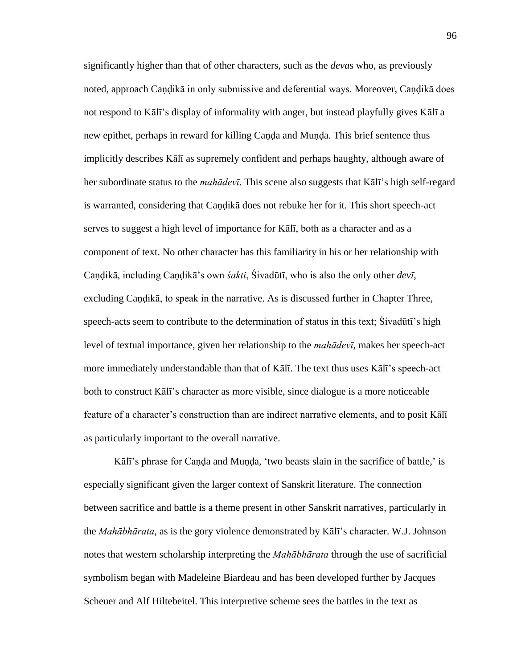significantly higher than that of other characters, such as the *deva*s who, as previously noted, approach Caṇḍikā in only submissive and deferential ways. Moreover, Caṇḍikā does not respond to Kālī's display of informality with anger, but instead playfully gives Kālī a new epithet, perhaps in reward for killing Caṇḍa and Muṇḍa. This brief sentence thus implicitly describes Kālī as supremely confident and perhaps haughty, although aware of her subordinate status to the *mahādevī*. This scene also suggests that Kālī's high self-regard is warranted, considering that Candika does not rebuke her for it. This short speech-act serves to suggest a high level of importance for Kālī, both as a character and as a component of text. No other character has this familiarity in his or her relationship with Caṇḍikā, including Caṇḍikā's own *śakti*, Śivadūtī, who is also the only other *devī*, excluding Candikā, to speak in the narrative. As is discussed further in Chapter Three, speech-acts seem to contribute to the determination of status in this text; Śivadūtī's high level of textual importance, given her relationship to the *mahādevī*, makes her speech-act more immediately understandable than that of Kālī. The text thus uses Kālī's speech-act both to construct Kālī's character as more visible, since dialogue is a more noticeable feature of a character's construction than are indirect narrative elements, and to posit Kālī as particularly important to the overall narrative.

Kālī's phrase for Canda and Munda, 'two beasts slain in the sacrifice of battle,' is especially significant given the larger context of Sanskrit literature. The connection between sacrifice and battle is a theme present in other Sanskrit narratives, particularly in the *Mahābhārata*, as is the gory violence demonstrated by Kālī's character. W.J. Johnson notes that western scholarship interpreting the *Mahābhārata* through the use of sacrificial symbolism began with Madeleine Biardeau and has been developed further by Jacques Scheuer and Alf Hiltebeitel. This interpretive scheme sees the battles in the text as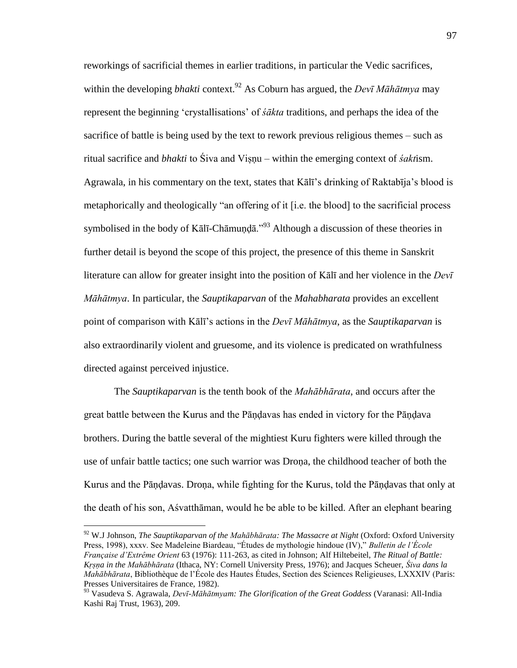reworkings of sacrificial themes in earlier traditions, in particular the Vedic sacrifices, within the developing *bhakti* context.<sup>92</sup> As Coburn has argued, the *Devī Māhātmya* may represent the beginning ‗crystallisations' of *śākta* traditions, and perhaps the idea of the sacrifice of battle is being used by the text to rework previous religious themes – such as ritual sacrifice and *bhakti* to Śiva and Viṣṇu – within the emerging context of *śakt*ism. Agrawala, in his commentary on the text, states that Kālī's drinking of Raktabīja's blood is metaphorically and theologically "an offering of it [i.e. the blood] to the sacrificial process symbolised in the body of Kālī-Chāmundā."<sup>93</sup> Although a discussion of these theories in further detail is beyond the scope of this project, the presence of this theme in Sanskrit literature can allow for greater insight into the position of Kālī and her violence in the *Devī Māhātmya*. In particular, the *Sauptikaparvan* of the *Mahabharata* provides an excellent point of comparison with Kālī's actions in the *Devī Māhātmya*, as the *Sauptikaparvan* is also extraordinarily violent and gruesome, and its violence is predicated on wrathfulness directed against perceived injustice.

 The *Sauptikaparvan* is the tenth book of the *Mahābhārata*, and occurs after the great battle between the Kurus and the Pāṇḍavas has ended in victory for the Pāṇḍava brothers. During the battle several of the mightiest Kuru fighters were killed through the use of unfair battle tactics; one such warrior was Droṇa, the childhood teacher of both the Kurus and the Pāṇḍavas. Droṇa, while fighting for the Kurus, told the Pāṇḍavas that only at the death of his son, Aśvatthāman, would he be able to be killed. After an elephant bearing

<sup>92</sup> W.J Johnson, *The Sauptikaparvan of the Mahābhārata: The Massacre at Night* (Oxford: Oxford University Press, 1998), xxxv. See Madeleine Biardeau, "Études de mythologie hindoue (IV)," *Bulletin de l'École Française d'Extrême Orient* 63 (1976): 111-263, as cited in Johnson; Alf Hiltebeitel, *The Ritual of Battle: Kṛṣṇa in the Mahābhārata* (Ithaca, NY: Cornell University Press, 1976); and Jacques Scheuer, *Śiva dans la Mahābhārata*, Bibliothèque de l'École des Hautes Études, Section des Sciences Religieuses, LXXXIV (Paris: Presses Universitaires de France, 1982).

<sup>93</sup> Vasudeva S. Agrawala, *Devī-Māhātmyam: The Glorification of the Great Goddess* (Varanasi: All-India Kashi Raj Trust, 1963), 209.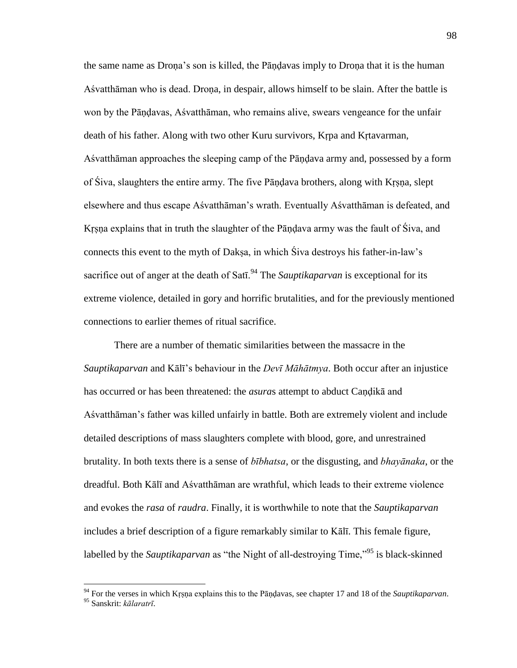the same name as Droṇa's son is killed, the Pāṇḍavas imply to Droṇa that it is the human Aśvatthāman who is dead. Droṇa, in despair, allows himself to be slain. After the battle is won by the Pāṇḍavas, Aśvatthāman, who remains alive, swears vengeance for the unfair death of his father. Along with two other Kuru survivors, Kṛpa and Kṛtavarman, Aśvatthāman approaches the sleeping camp of the Pāṇḍava army and, possessed by a form of Śiva, slaughters the entire army. The five Pāṇḍava brothers, along with Kṛṣṇa, slept elsewhere and thus escape Aśvatthāman's wrath. Eventually Aśvatthāman is defeated, and Kṛṣṇa explains that in truth the slaughter of the Pāṇḍava army was the fault of Śiva, and connects this event to the myth of Dakṣa, in which Śiva destroys his father-in-law's sacrifice out of anger at the death of Sati.<sup>94</sup> The *Sauptikaparvan* is exceptional for its extreme violence, detailed in gory and horrific brutalities, and for the previously mentioned connections to earlier themes of ritual sacrifice.

 There are a number of thematic similarities between the massacre in the *Sauptikaparvan* and Kālī's behaviour in the *Devī Māhātmya*. Both occur after an injustice has occurred or has been threatened: the *asura*s attempt to abduct Caṇḍikā and Aśvatthāman's father was killed unfairly in battle. Both are extremely violent and include detailed descriptions of mass slaughters complete with blood, gore, and unrestrained brutality. In both texts there is a sense of *bībhatsa*, or the disgusting, and *bhayānaka*, or the dreadful. Both Kālī and Aśvatthāman are wrathful, which leads to their extreme violence and evokes the *rasa* of *raudra*. Finally, it is worthwhile to note that the *Sauptikaparvan* includes a brief description of a figure remarkably similar to Kālī. This female figure, labelled by the *Sauptikaparvan* as "the Night of all-destroying Time,"<sup>95</sup> is black-skinned

<sup>94</sup> For the verses in which Kṛṣṇa explains this to the Pāṇḍavas, see chapter 17 and 18 of the *Sauptikaparvan*. <sup>95</sup> Sanskrit: *kālaratrī*.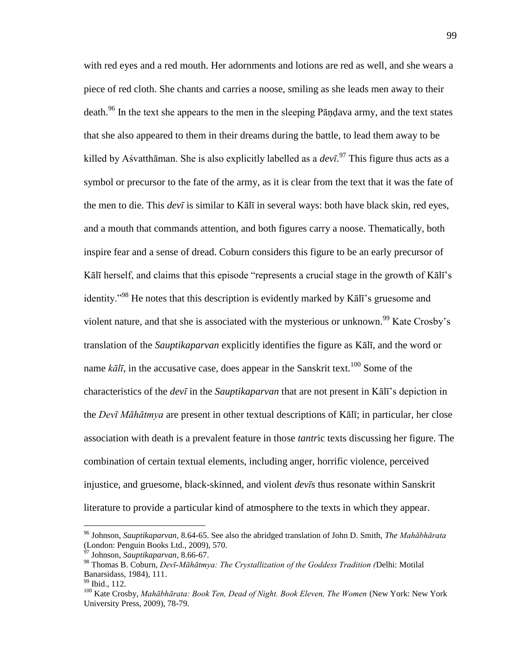with red eyes and a red mouth. Her adornments and lotions are red as well, and she wears a piece of red cloth. She chants and carries a noose, smiling as she leads men away to their death.<sup>96</sup> In the text she appears to the men in the sleeping Pāndava army, and the text states that she also appeared to them in their dreams during the battle, to lead them away to be killed by Aśvatthāman. She is also explicitly labelled as a *devī*. <sup>97</sup> This figure thus acts as a symbol or precursor to the fate of the army, as it is clear from the text that it was the fate of the men to die. This *devī* is similar to Kālī in several ways: both have black skin, red eyes, and a mouth that commands attention, and both figures carry a noose. Thematically, both inspire fear and a sense of dread. Coburn considers this figure to be an early precursor of Kālī herself, and claims that this episode "represents a crucial stage in the growth of Kālī's identity.<sup> $98$ </sup> He notes that this description is evidently marked by K $\bar{a}$ l $\bar{a}$ 's gruesome and violent nature, and that she is associated with the mysterious or unknown.<sup>99</sup> Kate Crosby's translation of the *Sauptikaparvan* explicitly identifies the figure as Kālī, and the word or name  $k\bar{a}l\bar{i}$ , in the accusative case, does appear in the Sanskrit text.<sup>100</sup> Some of the characteristics of the *devī* in the *Sauptikaparvan* that are not present in Kālī's depiction in the *Devī Māhātmya* are present in other textual descriptions of Kālī; in particular, her close association with death is a prevalent feature in those *tantr*ic texts discussing her figure. The combination of certain textual elements, including anger, horrific violence, perceived injustice, and gruesome, black-skinned, and violent *devī*s thus resonate within Sanskrit literature to provide a particular kind of atmosphere to the texts in which they appear.

<sup>96</sup> Johnson, *Sauptikaparvan*, 8.64-65. See also the abridged translation of John D. Smith, *The Mahābhārata* (London: Penguin Books Ltd., 2009), 570.

<sup>97</sup> Johnson, *Sauptikaparvan*, 8.66-67.

<sup>98</sup> Thomas B. Coburn, *Devī-Māhātmya: The Crystallization of the Goddess Tradition (*Delhi: Motilal Banarsidass, 1984), 111.

<sup>&</sup>lt;sup>99</sup> Ibid., 112.

<sup>100</sup> Kate Crosby, *Mahābhārata: Book Ten, Dead of Night. Book Eleven, The Women* (New York: New York University Press, 2009), 78-79.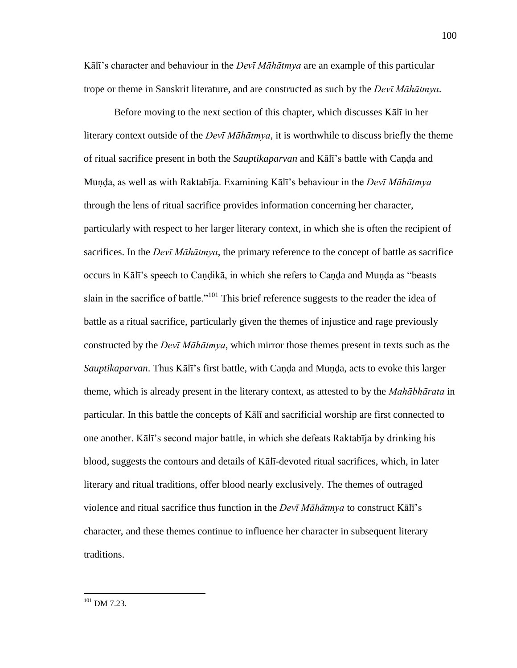Kālī's character and behaviour in the *Devī Māhātmya* are an example of this particular trope or theme in Sanskrit literature, and are constructed as such by the *Devī Māhātmya*.

 Before moving to the next section of this chapter, which discusses Kālī in her literary context outside of the *Devī Māhātmya*, it is worthwhile to discuss briefly the theme of ritual sacrifice present in both the *Sauptikaparvan* and Kālī's battle with Caṇḍa and Muṇḍa, as well as with Raktabīja. Examining Kālī's behaviour in the *Devī Māhātmya* through the lens of ritual sacrifice provides information concerning her character, particularly with respect to her larger literary context, in which she is often the recipient of sacrifices. In the *Devī Māhātmya*, the primary reference to the concept of battle as sacrifice occurs in Kālī's speech to Caṇḍikā, in which she refers to Caṇḍa and Muṇḍa as "beasts slain in the sacrifice of battle."<sup>101</sup> This brief reference suggests to the reader the idea of battle as a ritual sacrifice, particularly given the themes of injustice and rage previously constructed by the *Devī Māhātmya*, which mirror those themes present in texts such as the *Sauptikaparvan*. Thus Kālī's first battle, with Caṇḍa and Muṇḍa, acts to evoke this larger theme, which is already present in the literary context, as attested to by the *Mahābhārata* in particular. In this battle the concepts of Kālī and sacrificial worship are first connected to one another. Kālī's second major battle, in which she defeats Raktabīja by drinking his blood, suggests the contours and details of Kālī-devoted ritual sacrifices, which, in later literary and ritual traditions, offer blood nearly exclusively. The themes of outraged violence and ritual sacrifice thus function in the *Devī Māhātmya* to construct Kālī's character, and these themes continue to influence her character in subsequent literary traditions.

 $^{101}$  DM 7.23.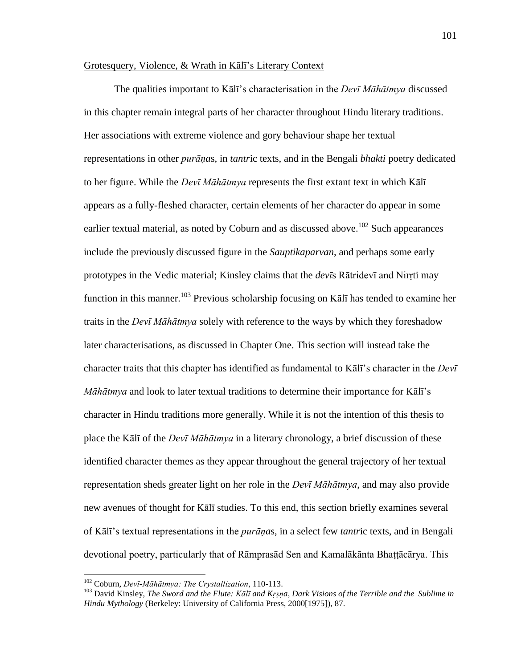# Grotesquery, Violence, & Wrath in Kālī's Literary Context

 The qualities important to Kālī's characterisation in the *Devī Māhātmya* discussed in this chapter remain integral parts of her character throughout Hindu literary traditions. Her associations with extreme violence and gory behaviour shape her textual representations in other *purāṇa*s, in *tantr*ic texts, and in the Bengali *bhakti* poetry dedicated to her figure. While the *Devī Māhātmya* represents the first extant text in which Kālī appears as a fully-fleshed character, certain elements of her character do appear in some earlier textual material, as noted by Coburn and as discussed above.<sup>102</sup> Such appearances include the previously discussed figure in the *Sauptikaparvan*, and perhaps some early prototypes in the Vedic material; Kinsley claims that the *devī*s Rātridevī and Nirṛti may function in this manner.<sup>103</sup> Previous scholarship focusing on K $\bar{a}$ l<sub>i</sub> has tended to examine her traits in the *Devī Māhātmya* solely with reference to the ways by which they foreshadow later characterisations, as discussed in Chapter One. This section will instead take the character traits that this chapter has identified as fundamental to Kālī's character in the *Devī Māhātmya* and look to later textual traditions to determine their importance for Kālī's character in Hindu traditions more generally. While it is not the intention of this thesis to place the Kālī of the *Devī Māhātmya* in a literary chronology, a brief discussion of these identified character themes as they appear throughout the general trajectory of her textual representation sheds greater light on her role in the *Devī Māhātmya*, and may also provide new avenues of thought for Kālī studies. To this end, this section briefly examines several of Kālī's textual representations in the *purāṇa*s, in a select few *tantr*ic texts, and in Bengali devotional poetry, particularly that of Rāmprasād Sen and Kamalākānta Bhaṭṭācārya. This

<sup>102</sup> Coburn, *Devī-Māhātmya: The Crystallization*, 110-113.

<sup>103</sup> David Kinsley, *The Sword and the Flute: Kālī and Kṛṣṇa, Dark Visions of the Terrible and the Sublime in Hindu Mythology* (Berkeley: University of California Press, 2000[1975]), 87.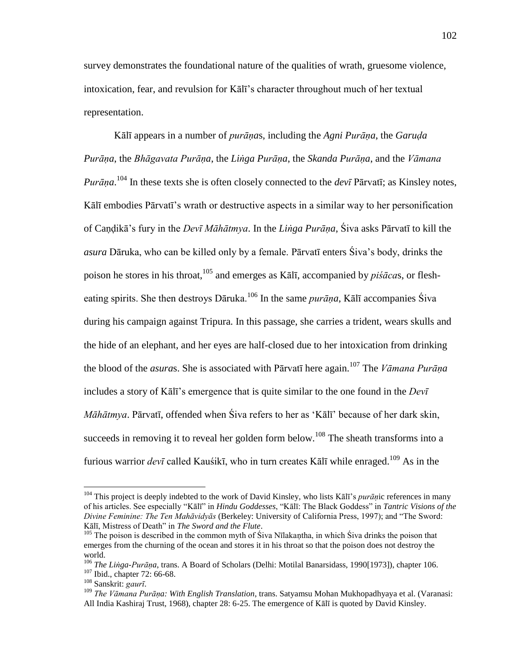survey demonstrates the foundational nature of the qualities of wrath, gruesome violence, intoxication, fear, and revulsion for Kālī's character throughout much of her textual representation.

Kālī appears in a number of *purāṇa*s, including the *Agni Purāṇa*, the *Garuḍa Purāṇa*, the *Bhāgavata Purāṇa*, the *Liṅga Purāṇa*, the *Skanda Purāṇa*, and the *Vāmana Purāṇa*. <sup>104</sup> In these texts she is often closely connected to the *devī* Pārvatī; as Kinsley notes, Kālī embodies Pārvatī's wrath or destructive aspects in a similar way to her personification of Caṇḍikā's fury in the *Devī Māhātmya*. In the *Liṅga Purāṇa*, Śiva asks Pārvatī to kill the *asura* Dāruka, who can be killed only by a female. Pārvatī enters Śiva's body, drinks the poison he stores in his throat,<sup>105</sup> and emerges as Kālī, accompanied by *piśāca*s, or flesheating spirits. She then destroys Dāruka.<sup>106</sup> In the same *purāṇa*, Kālī accompanies Śiva during his campaign against Tripura. In this passage, she carries a trident, wears skulls and the hide of an elephant, and her eyes are half-closed due to her intoxication from drinking the blood of the *asura*s. She is associated with Pārvatī here again.<sup>107</sup> The *Vāmana Purāṇa* includes a story of Kālī's emergence that is quite similar to the one found in the *Devī Māhātmya*. Pārvatī, offended when Šiva refers to her as 'Kālī' because of her dark skin, succeeds in removing it to reveal her golden form below.<sup>108</sup> The sheath transforms into a furious warrior *devī* called Kauśikī, who in turn creates Kālī while enraged.<sup>109</sup> As in the

<sup>&</sup>lt;sup>104</sup> This project is deeply indebted to the work of David Kinsley, who lists Kālī's *purāṇ*ic references in many of his articles. See especially "Kālī" in *Hindu Goddesses*, "Kālī: The Black Goddess" in *Tantric Visions of the Divine Feminine: The Ten Mahāvidyās (Berkeley: University of California Press, 1997); and "The Sword:* Kālī, Mistress of Death" in *The Sword and the Flute*.

 $105$  The poison is described in the common myth of Śiva Nīlakantha, in which Śiva drinks the poison that emerges from the churning of the ocean and stores it in his throat so that the poison does not destroy the world.

<sup>106</sup> *The Liṅga-Purāṇa*, trans. A Board of Scholars (Delhi: Motilal Banarsidass, 1990[1973]), chapter 106.

<sup>&</sup>lt;sup>107</sup> Ibid., chapter 72: 66-68.

<sup>108</sup> Sanskrit: *gaurī*.

<sup>109</sup> *The Vāmana Purāṇa: With English Translation*, trans. Satyamsu Mohan Mukhopadhyaya et al. (Varanasi: All India Kashiraj Trust, 1968), chapter 28: 6-25. The emergence of Kālī is quoted by David Kinsley.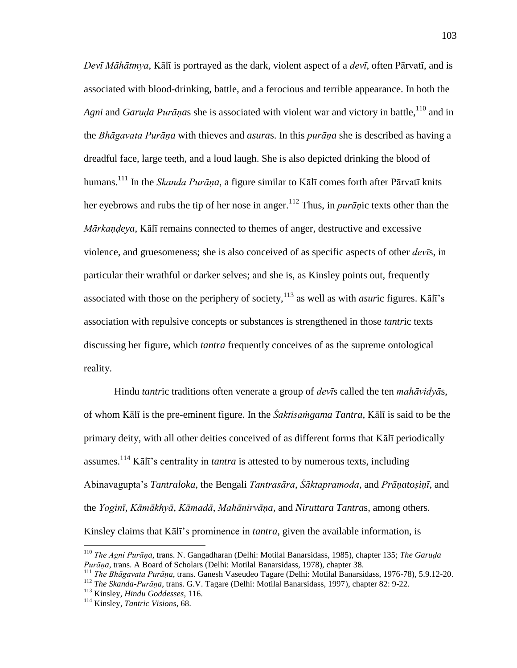*Devī Māhātmya*, Kālī is portrayed as the dark, violent aspect of a *devī*, often Pārvatī, and is associated with blood-drinking, battle, and a ferocious and terrible appearance. In both the *Agni* and *Garuda Purānas* she is associated with violent war and victory in battle,<sup>110</sup> and in the *Bhāgavata Purāṇa* with thieves and *asura*s. In this *purāṇa* she is described as having a dreadful face, large teeth, and a loud laugh. She is also depicted drinking the blood of humans. <sup>111</sup> In the *Skanda Purāṇa*, a figure similar to Kālī comes forth after Pārvatī knits her eyebrows and rubs the tip of her nose in anger.<sup>112</sup> Thus, in *purān*ic texts other than the *Mārkaṇḍeya*, Kālī remains connected to themes of anger, destructive and excessive violence, and gruesomeness; she is also conceived of as specific aspects of other *devī*s, in particular their wrathful or darker selves; and she is, as Kinsley points out, frequently associated with those on the periphery of society,  $^{113}$  as well as with *asuric* figures. Kal<sub>1</sub>'s association with repulsive concepts or substances is strengthened in those *tantr*ic texts discussing her figure, which *tantra* frequently conceives of as the supreme ontological reality.

 Hindu *tantr*ic traditions often venerate a group of *devī*s called the ten *mahāvidyā*s, of whom Kālī is the pre-eminent figure. In the *Śaktisaṁgama Tantra*, Kālī is said to be the primary deity, with all other deities conceived of as different forms that Kālī periodically assumes.<sup>114</sup> Kālī's centrality in *tantra* is attested to by numerous texts, including Abinavagupta's *Tantraloka*, the Bengali *Tantrasāra*, *Śāktapramoda*, and *Prāṇatoṣiṇī*, and the *Yoginī*, *Kāmākhyā*, *Kāmadā*, *Mahānirvāṇa,* and *Niruttara Tantra*s, among others. Kinsley claims that Kālī's prominence in *tantra*, given the available information, is

<sup>110</sup> *The Agni Purāṇa*, trans. N. Gangadharan (Delhi: Motilal Banarsidass, 1985), chapter 135; *The Garuḍa Purāṇa*, trans. A Board of Scholars (Delhi: Motilal Banarsidass, 1978), chapter 38.

<sup>111</sup> *The Bhāgavata Purāṇa*, trans. Ganesh Vaseudeo Tagare (Delhi: Motilal Banarsidass, 1976-78), 5.9.12-20.

<sup>112</sup> *The Skanda-Purāṇa*, trans. G.V. Tagare (Delhi: Motilal Banarsidass, 1997), chapter 82: 9-22.

<sup>113</sup> Kinsley, *Hindu Goddesses*, 116.

<sup>114</sup> Kinsley, *Tantric Visions*, 68.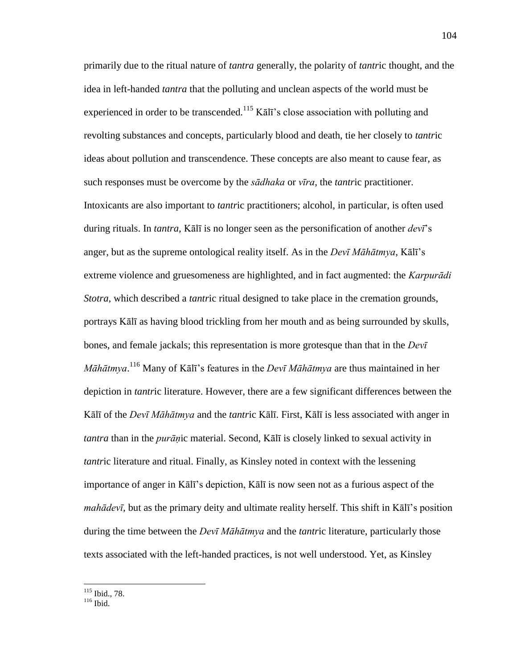primarily due to the ritual nature of *tantra* generally, the polarity of *tantr*ic thought, and the idea in left-handed *tantra* that the polluting and unclean aspects of the world must be experienced in order to be transcended.<sup>115</sup> Kālī's close association with polluting and revolting substances and concepts, particularly blood and death, tie her closely to *tantr*ic ideas about pollution and transcendence. These concepts are also meant to cause fear, as such responses must be overcome by the *sādhaka* or *vīra*, the *tantr*ic practitioner. Intoxicants are also important to *tantr*ic practitioners; alcohol, in particular, is often used during rituals. In *tantra*, Kālī is no longer seen as the personification of another *devī*'s anger, but as the supreme ontological reality itself. As in the *Devī Māhātmya*, Kālī's extreme violence and gruesomeness are highlighted, and in fact augmented: the *Karpurādi Stotra*, which described a *tantr*ic ritual designed to take place in the cremation grounds, portrays Kālī as having blood trickling from her mouth and as being surrounded by skulls, bones, and female jackals; this representation is more grotesque than that in the *Devī Māhātmya*. <sup>116</sup> Many of Kālī's features in the *Devī Māhātmya* are thus maintained in her depiction in *tantr*ic literature. However, there are a few significant differences between the Kālī of the *Devī Māhātmya* and the *tantr*ic Kālī. First, Kālī is less associated with anger in *tantra* than in the *purāṇ*ic material. Second, Kālī is closely linked to sexual activity in *tantr*ic literature and ritual. Finally, as Kinsley noted in context with the lessening importance of anger in Kālī's depiction, Kālī is now seen not as a furious aspect of the *mahādevī*, but as the primary deity and ultimate reality herself. This shift in Kālī's position during the time between the *Devī Māhātmya* and the *tantr*ic literature, particularly those texts associated with the left-handed practices, is not well understood. Yet, as Kinsley

<sup>115</sup> Ibid., 78.

<sup>116</sup> Ibid.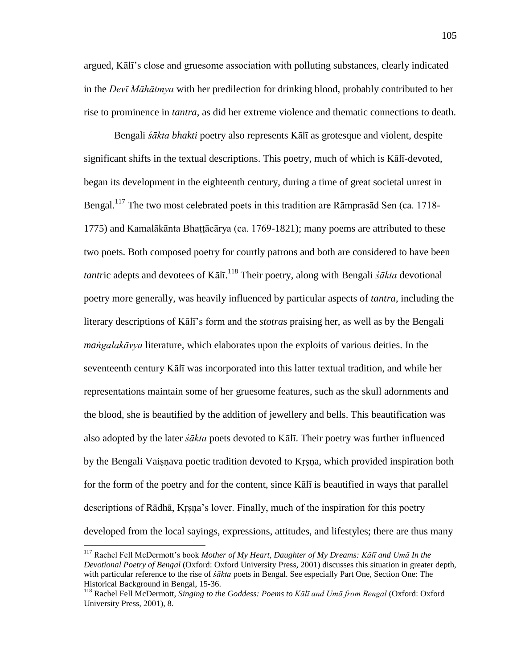argued, Kālī's close and gruesome association with polluting substances, clearly indicated in the *Devī Māhātmya* with her predilection for drinking blood, probably contributed to her rise to prominence in *tantra*, as did her extreme violence and thematic connections to death.

 Bengali *śākta bhakti* poetry also represents Kālī as grotesque and violent, despite significant shifts in the textual descriptions. This poetry, much of which is Kālī-devoted, began its development in the eighteenth century, during a time of great societal unrest in Bengal.<sup>117</sup> The two most celebrated poets in this tradition are Rāmprasād Sen (ca. 1718-1775) and Kamalākānta Bhaṭṭācārya (ca. 1769-1821); many poems are attributed to these two poets. Both composed poetry for courtly patrons and both are considered to have been *tantr*ic adepts and devotees of Kālī. <sup>118</sup> Their poetry, along with Bengali *śākta* devotional poetry more generally, was heavily influenced by particular aspects of *tantra*, including the literary descriptions of Kālī's form and the *stotra*s praising her, as well as by the Bengali *maṅgalakāvya* literature, which elaborates upon the exploits of various deities. In the seventeenth century Kālī was incorporated into this latter textual tradition, and while her representations maintain some of her gruesome features, such as the skull adornments and the blood, she is beautified by the addition of jewellery and bells. This beautification was also adopted by the later *śākta* poets devoted to Kālī. Their poetry was further influenced by the Bengali Vaiṣṇava poetic tradition devoted to Kṛṣṇa, which provided inspiration both for the form of the poetry and for the content, since Kālī is beautified in ways that parallel descriptions of Rādhā, Kṛṣṇa's lover. Finally, much of the inspiration for this poetry developed from the local sayings, expressions, attitudes, and lifestyles; there are thus many

<sup>117</sup> Rachel Fell McDermott's book *Mother of My Heart, Daughter of My Dreams: Kālī and Umā In the Devotional Poetry of Bengal* (Oxford: Oxford University Press, 2001) discusses this situation in greater depth, with particular reference to the rise of *śākta* poets in Bengal. See especially Part One, Section One: The Historical Background in Bengal, 15-36.

<sup>118</sup> Rachel Fell McDermott, *Singing to the Goddess: Poems to Kālī and Umā from Bengal* (Oxford: Oxford University Press, 2001), 8.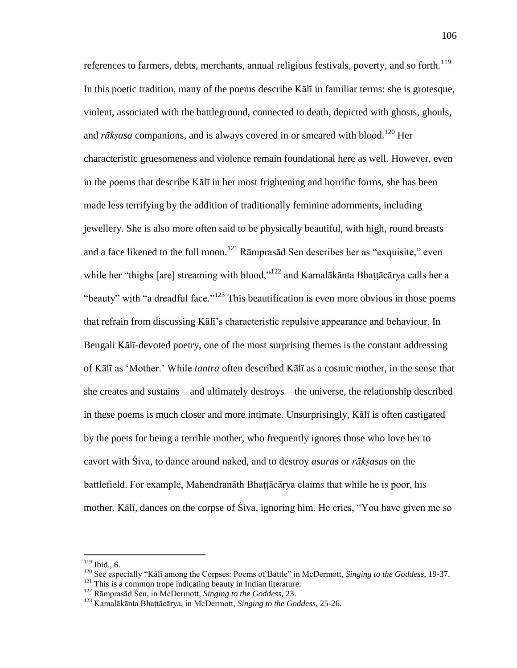references to farmers, debts, merchants, annual religious festivals, poverty, and so forth.<sup>119</sup> In this poetic tradition, many of the poems describe Kālī in familiar terms: she is grotesque, violent, associated with the battleground, connected to death, depicted with ghosts, ghouls, and *rāksasa* companions, and is always covered in or smeared with blood.<sup>120</sup> Her characteristic gruesomeness and violence remain foundational here as well. However, even in the poems that describe Kālī in her most frightening and horrific forms, she has been made less terrifying by the addition of traditionally feminine adornments, including jewellery. She is also more often said to be physically beautiful, with high, round breasts and a face likened to the full moon.<sup>121</sup> Rāmprasād Sen describes her as "exquisite," even while her "thighs [are] streaming with blood,"<sup>122</sup> and Kamalākānta Bhattācārya calls her a "beauty" with "a dreadful face."<sup>123</sup> This beautification is even more obvious in those poems that refrain from discussing Kālī's characteristic repulsive appearance and behaviour. In Bengali Kālī-devoted poetry, one of the most surprising themes is the constant addressing of Kālī as ‗Mother.' While *tantra* often described Kālī as a cosmic mother, in the sense that she creates and sustains – and ultimately destroys – the universe, the relationship described in these poems is much closer and more intimate. Unsurprisingly, Kālī is often castigated by the poets for being a terrible mother, who frequently ignores those who love her to cavort with Śiva, to dance around naked, and to destroy *asura*s or *rākṣasa*s on the battlefield. For example, Mahendranāth Bhaṭṭācārya claims that while he is poor, his mother, Kālī, dances on the corpse of Śiva, ignoring him. He cries, "You have given me so

 $119$  Ibid., 6.

<sup>&</sup>lt;sup>120</sup> See especially "Kālī among the Corpses: Poems of Battle" in McDermott, *Singing to the Goddess*, 19-37.

<sup>&</sup>lt;sup>121</sup> This is a common trope indicating beauty in Indian literature.

<sup>122</sup> Rāmprasād Sen, in McDermott, *Singing to the Goddess*, 23.

<sup>&</sup>lt;sup>123</sup> Kamalākānta Bhattācārya, in McDermott, *Singing to the Goddess*, 25-26.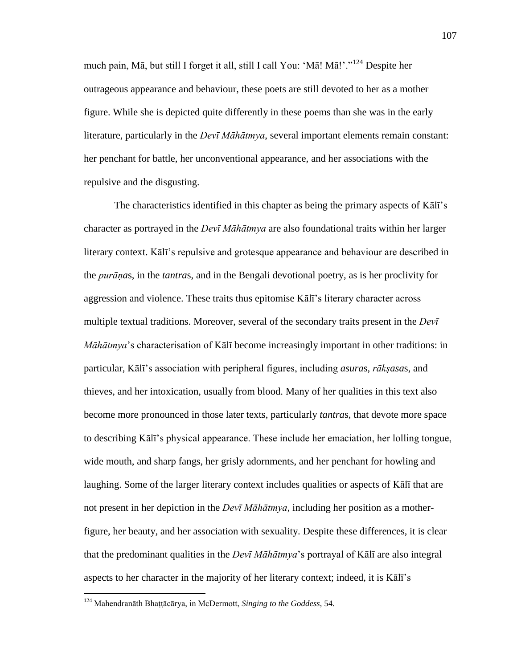much pain, Mā, but still I forget it all, still I call You: 'Mā! Mā!'."<sup>124</sup> Despite her outrageous appearance and behaviour, these poets are still devoted to her as a mother figure. While she is depicted quite differently in these poems than she was in the early literature, particularly in the *Devī Māhātmya*, several important elements remain constant: her penchant for battle, her unconventional appearance, and her associations with the repulsive and the disgusting.

 The characteristics identified in this chapter as being the primary aspects of Kālī's character as portrayed in the *Devī Māhātmya* are also foundational traits within her larger literary context. Kālī's repulsive and grotesque appearance and behaviour are described in the *purāṇa*s, in the *tantra*s, and in the Bengali devotional poetry, as is her proclivity for aggression and violence. These traits thus epitomise Kālī's literary character across multiple textual traditions. Moreover, several of the secondary traits present in the *Devī Māhātmya*'s characterisation of Kālī become increasingly important in other traditions: in particular, Kālī's association with peripheral figures, including *asura*s, *rākṣasa*s, and thieves, and her intoxication, usually from blood. Many of her qualities in this text also become more pronounced in those later texts, particularly *tantra*s, that devote more space to describing Kālī's physical appearance. These include her emaciation, her lolling tongue, wide mouth, and sharp fangs, her grisly adornments, and her penchant for howling and laughing. Some of the larger literary context includes qualities or aspects of Kālī that are not present in her depiction in the *Devī Māhātmya*, including her position as a motherfigure, her beauty, and her association with sexuality. Despite these differences, it is clear that the predominant qualities in the *Devī Māhātmya*'s portrayal of Kālī are also integral aspects to her character in the majority of her literary context; indeed, it is Kālī's

<sup>124</sup> Mahendranāth Bhaṭṭācārya, in McDermott, *Singing to the Goddess*, 54.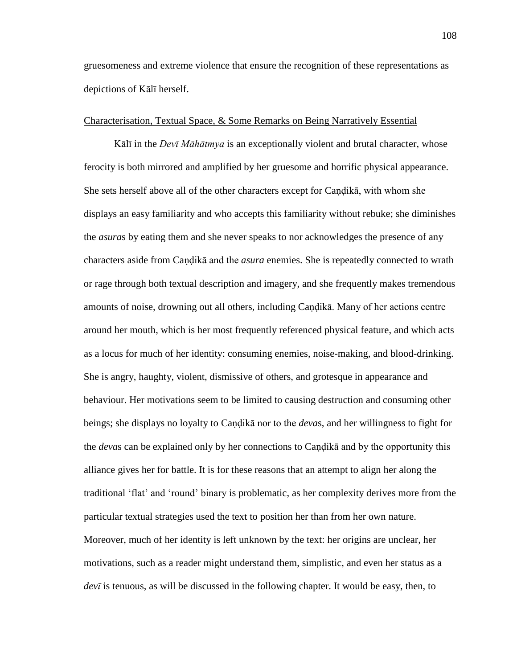gruesomeness and extreme violence that ensure the recognition of these representations as depictions of Kālī herself.

#### Characterisation, Textual Space, & Some Remarks on Being Narratively Essential

Kālī in the *Devī Māhātmya* is an exceptionally violent and brutal character, whose ferocity is both mirrored and amplified by her gruesome and horrific physical appearance. She sets herself above all of the other characters except for Caṇḍikā, with whom she displays an easy familiarity and who accepts this familiarity without rebuke; she diminishes the *asura*s by eating them and she never speaks to nor acknowledges the presence of any characters aside from Caṇḍikā and the *asura* enemies. She is repeatedly connected to wrath or rage through both textual description and imagery, and she frequently makes tremendous amounts of noise, drowning out all others, including Caṇḍikā. Many of her actions centre around her mouth, which is her most frequently referenced physical feature, and which acts as a locus for much of her identity: consuming enemies, noise-making, and blood-drinking. She is angry, haughty, violent, dismissive of others, and grotesque in appearance and behaviour. Her motivations seem to be limited to causing destruction and consuming other beings; she displays no loyalty to Caṇḍikā nor to the *deva*s, and her willingness to fight for the *deva*s can be explained only by her connections to Caṇḍikā and by the opportunity this alliance gives her for battle. It is for these reasons that an attempt to align her along the traditional ‗flat' and ‗round' binary is problematic, as her complexity derives more from the particular textual strategies used the text to position her than from her own nature. Moreover, much of her identity is left unknown by the text: her origins are unclear, her motivations, such as a reader might understand them, simplistic, and even her status as a *devī* is tenuous, as will be discussed in the following chapter. It would be easy, then, to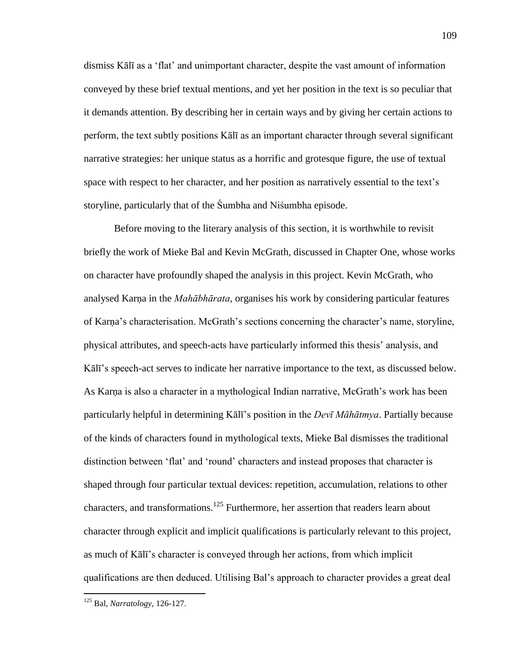dismiss Kālī as a ‗flat' and unimportant character, despite the vast amount of information conveyed by these brief textual mentions, and yet her position in the text is so peculiar that it demands attention. By describing her in certain ways and by giving her certain actions to perform, the text subtly positions Kālī as an important character through several significant narrative strategies: her unique status as a horrific and grotesque figure, the use of textual space with respect to her character, and her position as narratively essential to the text's storyline, particularly that of the Śumbha and Niśumbha episode.

 Before moving to the literary analysis of this section, it is worthwhile to revisit briefly the work of Mieke Bal and Kevin McGrath, discussed in Chapter One, whose works on character have profoundly shaped the analysis in this project. Kevin McGrath, who analysed Karṇa in the *Mahābhārata*, organises his work by considering particular features of Karṇa's characterisation. McGrath's sections concerning the character's name, storyline, physical attributes, and speech-acts have particularly informed this thesis' analysis, and Kālī's speech-act serves to indicate her narrative importance to the text, as discussed below. As Karṇa is also a character in a mythological Indian narrative, McGrath's work has been particularly helpful in determining Kālī's position in the *Devī Māhātmya*. Partially because of the kinds of characters found in mythological texts, Mieke Bal dismisses the traditional distinction between 'flat' and 'round' characters and instead proposes that character is shaped through four particular textual devices: repetition, accumulation, relations to other characters, and transformations.<sup>125</sup> Furthermore, her assertion that readers learn about character through explicit and implicit qualifications is particularly relevant to this project, as much of Kālī's character is conveyed through her actions, from which implicit qualifications are then deduced. Utilising Bal's approach to character provides a great deal

<sup>125</sup> Bal, *Narratology*, 126-127.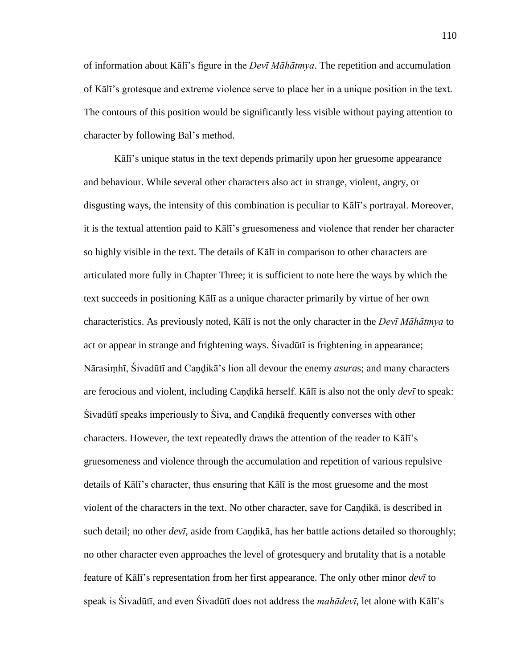of information about Kālī's figure in the *Devī Māhātmya*. The repetition and accumulation of Kālī's grotesque and extreme violence serve to place her in a unique position in the text. The contours of this position would be significantly less visible without paying attention to character by following Bal's method.

Kālī's unique status in the text depends primarily upon her gruesome appearance and behaviour. While several other characters also act in strange, violent, angry, or disgusting ways, the intensity of this combination is peculiar to Kālī's portrayal. Moreover, it is the textual attention paid to Kālī's gruesomeness and violence that render her character so highly visible in the text. The details of Kālī in comparison to other characters are articulated more fully in Chapter Three; it is sufficient to note here the ways by which the text succeeds in positioning Kālī as a unique character primarily by virtue of her own characteristics. As previously noted, Kālī is not the only character in the *Devī Māhātmya* to act or appear in strange and frightening ways. Śivadūtī is frightening in appearance; Nārasiṃhī, Śivadūtī and Caṇḍikā's lion all devour the enemy *asura*s; and many characters are ferocious and violent, including Caṇḍikā herself. Kālī is also not the only *devī* to speak: Śivadūtī speaks imperiously to Śiva, and Caṇḍikā frequently converses with other characters. However, the text repeatedly draws the attention of the reader to Kālī's gruesomeness and violence through the accumulation and repetition of various repulsive details of Kālī's character, thus ensuring that Kālī is the most gruesome and the most violent of the characters in the text. No other character, save for Caṇḍikā, is described in such detail; no other *devī*, aside from Caṇḍikā, has her battle actions detailed so thoroughly; no other character even approaches the level of grotesquery and brutality that is a notable feature of Kālī's representation from her first appearance. The only other minor *devī* to speak is Śivadūtī, and even Śivadūtī does not address the *mahādevī*, let alone with Kālī's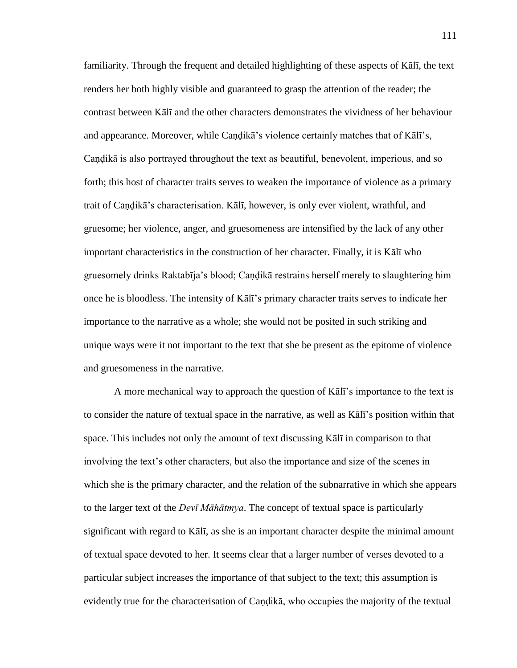familiarity. Through the frequent and detailed highlighting of these aspects of Kālī, the text renders her both highly visible and guaranteed to grasp the attention of the reader; the contrast between Kālī and the other characters demonstrates the vividness of her behaviour and appearance. Moreover, while Caṇḍikā's violence certainly matches that of Kālī's, Caṇḍikā is also portrayed throughout the text as beautiful, benevolent, imperious, and so forth; this host of character traits serves to weaken the importance of violence as a primary trait of Caṇḍikā's characterisation. Kālī, however, is only ever violent, wrathful, and gruesome; her violence, anger, and gruesomeness are intensified by the lack of any other important characteristics in the construction of her character. Finally, it is Kālī who gruesomely drinks Raktabīja's blood; Caṇḍikā restrains herself merely to slaughtering him once he is bloodless. The intensity of Kālī's primary character traits serves to indicate her importance to the narrative as a whole; she would not be posited in such striking and unique ways were it not important to the text that she be present as the epitome of violence and gruesomeness in the narrative.

 A more mechanical way to approach the question of Kālī's importance to the text is to consider the nature of textual space in the narrative, as well as Kālī's position within that space. This includes not only the amount of text discussing Kālī in comparison to that involving the text's other characters, but also the importance and size of the scenes in which she is the primary character, and the relation of the subnarrative in which she appears to the larger text of the *Devī Māhātmya*. The concept of textual space is particularly significant with regard to Kālī, as she is an important character despite the minimal amount of textual space devoted to her. It seems clear that a larger number of verses devoted to a particular subject increases the importance of that subject to the text; this assumption is evidently true for the characterisation of Caṇḍikā, who occupies the majority of the textual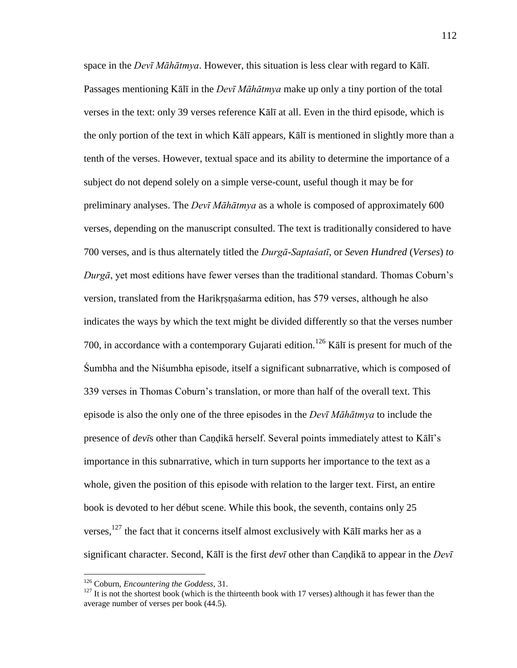space in the *Devī Māhātmya*. However, this situation is less clear with regard to Kālī. Passages mentioning Kālī in the *Devī Māhātmya* make up only a tiny portion of the total verses in the text: only 39 verses reference Kālī at all. Even in the third episode, which is the only portion of the text in which Kālī appears, Kālī is mentioned in slightly more than a tenth of the verses. However, textual space and its ability to determine the importance of a subject do not depend solely on a simple verse-count, useful though it may be for preliminary analyses. The *Devī Māhātmya* as a whole is composed of approximately 600 verses, depending on the manuscript consulted. The text is traditionally considered to have 700 verses, and is thus alternately titled the *Durgā-Saptaśatī*, or *Seven Hundred* (*Verses*) *to Durgā*, yet most editions have fewer verses than the traditional standard. Thomas Coburn's version, translated from the Harikṛṣṇaśarma edition, has 579 verses, although he also indicates the ways by which the text might be divided differently so that the verses number 700, in accordance with a contemporary Gujarati edition.<sup>126</sup> Kalī is present for much of the Śumbha and the Niśumbha episode, itself a significant subnarrative, which is composed of 339 verses in Thomas Coburn's translation, or more than half of the overall text. This episode is also the only one of the three episodes in the *Devī Māhātmya* to include the presence of *devi*s other than Candikā herself. Several points immediately attest to Kālī's importance in this subnarrative, which in turn supports her importance to the text as a whole, given the position of this episode with relation to the larger text. First, an entire book is devoted to her début scene. While this book, the seventh, contains only 25 verses, $127$  the fact that it concerns itself almost exclusively with K $\overline{a}$ l $\overline{b}$  marks her as a significant character. Second, Kālī is the first *devī* other than Caṇḍikā to appear in the *Devī* 

<sup>126</sup> Coburn, *Encountering the Goddess*, 31.

 $127$  It is not the shortest book (which is the thirteenth book with 17 verses) although it has fewer than the average number of verses per book (44.5).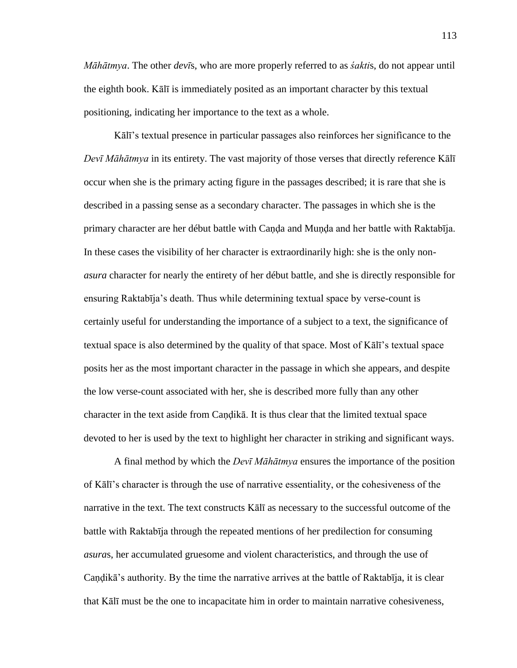*Māhātmya*. The other *devī*s, who are more properly referred to as *śakti*s, do not appear until the eighth book. Kālī is immediately posited as an important character by this textual positioning, indicating her importance to the text as a whole.

Kālī's textual presence in particular passages also reinforces her significance to the *Devī Māhātmya* in its entirety. The vast majority of those verses that directly reference Kālī occur when she is the primary acting figure in the passages described; it is rare that she is described in a passing sense as a secondary character. The passages in which she is the primary character are her début battle with Caṇḍa and Muṇḍa and her battle with Raktabīja. In these cases the visibility of her character is extraordinarily high: she is the only non*asura* character for nearly the entirety of her début battle, and she is directly responsible for ensuring Raktabīja's death. Thus while determining textual space by verse-count is certainly useful for understanding the importance of a subject to a text, the significance of textual space is also determined by the quality of that space. Most of Kālī's textual space posits her as the most important character in the passage in which she appears, and despite the low verse-count associated with her, she is described more fully than any other character in the text aside from Candika. It is thus clear that the limited textual space devoted to her is used by the text to highlight her character in striking and significant ways.

 A final method by which the *Devī Māhātmya* ensures the importance of the position of Kālī's character is through the use of narrative essentiality, or the cohesiveness of the narrative in the text. The text constructs Kālī as necessary to the successful outcome of the battle with Raktabīja through the repeated mentions of her predilection for consuming *asura*s, her accumulated gruesome and violent characteristics, and through the use of Caṇḍikā's authority. By the time the narrative arrives at the battle of Raktabīja, it is clear that Kālī must be the one to incapacitate him in order to maintain narrative cohesiveness,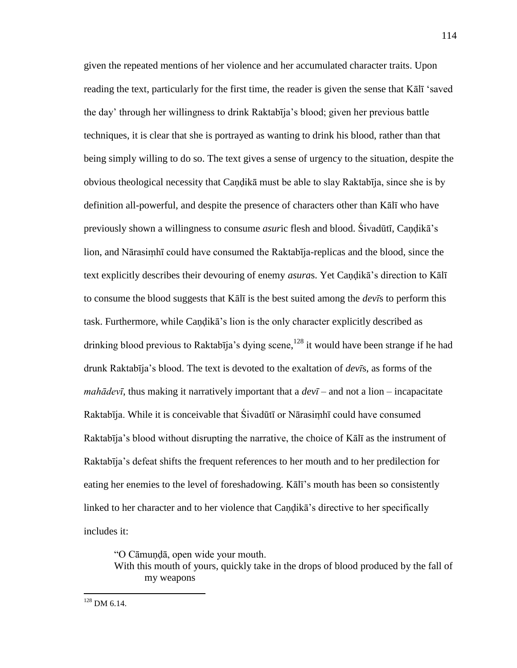given the repeated mentions of her violence and her accumulated character traits. Upon reading the text, particularly for the first time, the reader is given the sense that Kall 'saved the day' through her willingness to drink Raktabīja's blood; given her previous battle techniques, it is clear that she is portrayed as wanting to drink his blood, rather than that being simply willing to do so. The text gives a sense of urgency to the situation, despite the obvious theological necessity that Caṇḍikā must be able to slay Raktabīja, since she is by definition all-powerful, and despite the presence of characters other than Kālī who have previously shown a willingness to consume *asur*ic flesh and blood. Śivadūtī, Caṇḍikā's lion, and Nārasiṃhī could have consumed the Raktabīja-replicas and the blood, since the text explicitly describes their devouring of enemy *asura*s. Yet Caṇḍikā's direction to Kālī to consume the blood suggests that Kālī is the best suited among the *devī*s to perform this task. Furthermore, while Caṇḍikā's lion is the only character explicitly described as drinking blood previous to Raktabīja's dying scene, <sup>128</sup> it would have been strange if he had drunk Raktabīja's blood. The text is devoted to the exaltation of *devī*s, as forms of the *mahādevī*, thus making it narratively important that a  $dev\bar{i}$  – and not a lion – incapacitate Raktabīja. While it is conceivable that Śivadūtī or Nārasiṃhī could have consumed Raktabīja's blood without disrupting the narrative, the choice of Kālī as the instrument of Raktabīja's defeat shifts the frequent references to her mouth and to her predilection for eating her enemies to the level of foreshadowing. Kālī's mouth has been so consistently linked to her character and to her violence that Caṇḍikā's directive to her specifically includes it:

―O Cāmuṇḍā, open wide your mouth. With this mouth of yours, quickly take in the drops of blood produced by the fall of my weapons

 $128$  DM 6.14.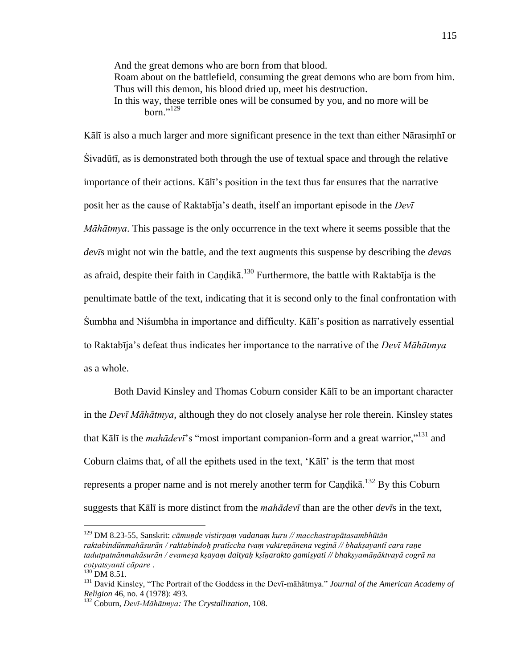And the great demons who are born from that blood. Roam about on the battlefield, consuming the great demons who are born from him. Thus will this demon, his blood dried up, meet his destruction. In this way, these terrible ones will be consumed by you, and no more will be born." $^{129}$ 

Kālī is also a much larger and more significant presence in the text than either Nārasiṃhī or Śivadūtī, as is demonstrated both through the use of textual space and through the relative importance of their actions. Kālī's position in the text thus far ensures that the narrative posit her as the cause of Raktabīja's death, itself an important episode in the *Devī Māhātmya*. This passage is the only occurrence in the text where it seems possible that the *devī*s might not win the battle, and the text augments this suspense by describing the *deva*s as afraid, despite their faith in Candikā.<sup>130</sup> Furthermore, the battle with Raktabīja is the penultimate battle of the text, indicating that it is second only to the final confrontation with Śumbha and Niśumbha in importance and difficulty. Kālī's position as narratively essential to Raktabīja's defeat thus indicates her importance to the narrative of the *Devī Māhātmya* as a whole.

 Both David Kinsley and Thomas Coburn consider Kālī to be an important character in the *Devī Māhātmya*, although they do not closely analyse her role therein. Kinsley states that Kālī is the *mahādevī*'s "most important companion-form and a great warrior,"<sup>131</sup> and Coburn claims that, of all the epithets used in the text, ‗Kālī' is the term that most represents a proper name and is not merely another term for Candika.<sup>132</sup> By this Coburn suggests that Kālī is more distinct from the *mahādevī* than are the other *devī*s in the text,

<sup>129</sup> DM 8.23-55, Sanskrit: *cāmuṇḍe vistirṇaṃ vadanaṃ kuru // macchastrapātasambhūtān raktabindūnmahāsurān / raktabindoḥ pratīccha tvaṃ vaktreṇānena veginā // bhakṣayantī cara raṇe tadutpatnānmahāsurān / evameṣa kṣayaṃ daityaḥ kṣīṇarakto gamiṣyati // bhakṣyamāṇāktvayā cogrā na cotyatsyanti cāpare* .

 $^{130}$  DM 8.51.

<sup>&</sup>lt;sup>131</sup> David Kinsley, "The Portrait of the Goddess in the Devī-māhātmya." *Journal of the American Academy of Religion* 46, no. 4 (1978): 493.

<sup>132</sup> Coburn, *Devī-Māhātmya: The Crystallization*, 108.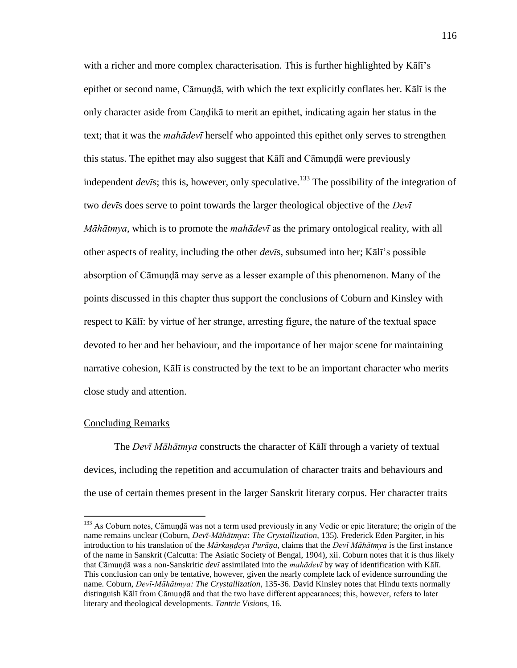with a richer and more complex characterisation. This is further highlighted by Kālī's epithet or second name, Cāmundā, with which the text explicitly conflates her. Kālī is the only character aside from Caṇḍikā to merit an epithet, indicating again her status in the text; that it was the *mahādevī* herself who appointed this epithet only serves to strengthen this status. The epithet may also suggest that Kālī and Cāmuṇḍā were previously independent *devi*s; this is, however, only speculative.<sup>133</sup> The possibility of the integration of two *devī*s does serve to point towards the larger theological objective of the *Devī Māhātmya*, which is to promote the *mahādevī* as the primary ontological reality, with all other aspects of reality, including the other *devī*s, subsumed into her; Kālī's possible absorption of Cāmuṇḍā may serve as a lesser example of this phenomenon. Many of the points discussed in this chapter thus support the conclusions of Coburn and Kinsley with respect to Kālī: by virtue of her strange, arresting figure, the nature of the textual space devoted to her and her behaviour, and the importance of her major scene for maintaining narrative cohesion, Kālī is constructed by the text to be an important character who merits close study and attention.

#### Concluding Remarks

 $\overline{a}$ 

 The *Devī Māhātmya* constructs the character of Kālī through a variety of textual devices, including the repetition and accumulation of character traits and behaviours and the use of certain themes present in the larger Sanskrit literary corpus. Her character traits

<sup>&</sup>lt;sup>133</sup> As Coburn notes, Cāmuṇḍā was not a term used previously in any Vedic or epic literature; the origin of the name remains unclear (Coburn, *Devī-Māhātmya: The Crystallization*, 135). Frederick Eden Pargiter, in his introduction to his translation of the *Mārkaṇḍeya Purāṇa*, claims that the *Devī Māhātmya* is the first instance of the name in Sanskrit (Calcutta: The Asiatic Society of Bengal, 1904), xii. Coburn notes that it is thus likely that Cāmuṇḍā was a non-Sanskritic *devī* assimilated into the *mahādevī* by way of identification with Kālī. This conclusion can only be tentative, however, given the nearly complete lack of evidence surrounding the name. Coburn, *Devī-Māhātmya: The Crystallization*, 135-36. David Kinsley notes that Hindu texts normally distinguish Kālī from Cāmuṇḍā and that the two have different appearances; this, however, refers to later literary and theological developments. *Tantric Visions*, 16.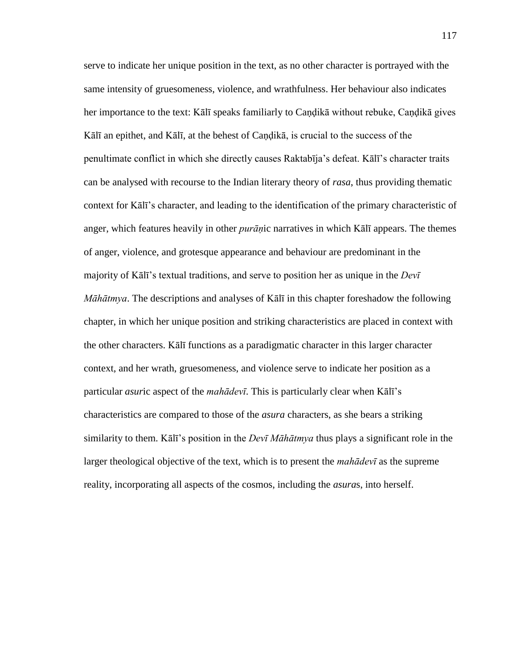serve to indicate her unique position in the text, as no other character is portrayed with the same intensity of gruesomeness, violence, and wrathfulness. Her behaviour also indicates her importance to the text: Kālī speaks familiarly to Caṇḍikā without rebuke, Caṇḍikā gives Kālī an epithet, and Kālī, at the behest of Caṇḍikā, is crucial to the success of the penultimate conflict in which she directly causes Raktabīja's defeat. Kālī's character traits can be analysed with recourse to the Indian literary theory of *rasa*, thus providing thematic context for Kālī's character, and leading to the identification of the primary characteristic of anger, which features heavily in other *purāṇ*ic narratives in which Kālī appears. The themes of anger, violence, and grotesque appearance and behaviour are predominant in the majority of Kālī's textual traditions, and serve to position her as unique in the *Devī Māhātmya*. The descriptions and analyses of Kālī in this chapter foreshadow the following chapter, in which her unique position and striking characteristics are placed in context with the other characters. Kālī functions as a paradigmatic character in this larger character context, and her wrath, gruesomeness, and violence serve to indicate her position as a particular *asur*ic aspect of the *mahādevī*. This is particularly clear when Kālī's characteristics are compared to those of the *asura* characters, as she bears a striking similarity to them. Kālī's position in the *Devī Māhātmya* thus plays a significant role in the larger theological objective of the text, which is to present the *mahādevī* as the supreme reality, incorporating all aspects of the cosmos, including the *asura*s, into herself.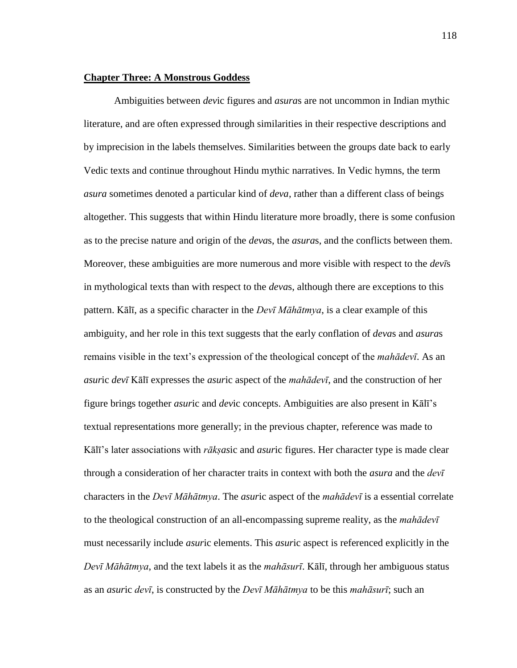### **Chapter Three: A Monstrous Goddess**

 Ambiguities between *dev*ic figures and *asura*s are not uncommon in Indian mythic literature, and are often expressed through similarities in their respective descriptions and by imprecision in the labels themselves. Similarities between the groups date back to early Vedic texts and continue throughout Hindu mythic narratives. In Vedic hymns, the term *asura* sometimes denoted a particular kind of *deva*, rather than a different class of beings altogether. This suggests that within Hindu literature more broadly, there is some confusion as to the precise nature and origin of the *deva*s, the *asura*s, and the conflicts between them. Moreover, these ambiguities are more numerous and more visible with respect to the *devī*s in mythological texts than with respect to the *deva*s, although there are exceptions to this pattern. Kālī, as a specific character in the *Devī Māhātmya*, is a clear example of this ambiguity, and her role in this text suggests that the early conflation of *deva*s and *asura*s remains visible in the text's expression of the theological concept of the *mahādevī*. As an *asur*ic *devī* Kālī expresses the *asur*ic aspect of the *mahādevī*, and the construction of her figure brings together *asur*ic and *dev*ic concepts. Ambiguities are also present in Kālī's textual representations more generally; in the previous chapter, reference was made to Kālī's later associations with *rākṣas*ic and *asur*ic figures. Her character type is made clear through a consideration of her character traits in context with both the *asura* and the *devī* characters in the *Devī Māhātmya*. The *asur*ic aspect of the *mahādevī* is a essential correlate to the theological construction of an all-encompassing supreme reality, as the *mahādevī* must necessarily include *asur*ic elements. This *asur*ic aspect is referenced explicitly in the *Devī Māhātmya*, and the text labels it as the *mahāsurī*. Kālī, through her ambiguous status as an *asur*ic *devī*, is constructed by the *Devī Māhātmya* to be this *mahāsurī*; such an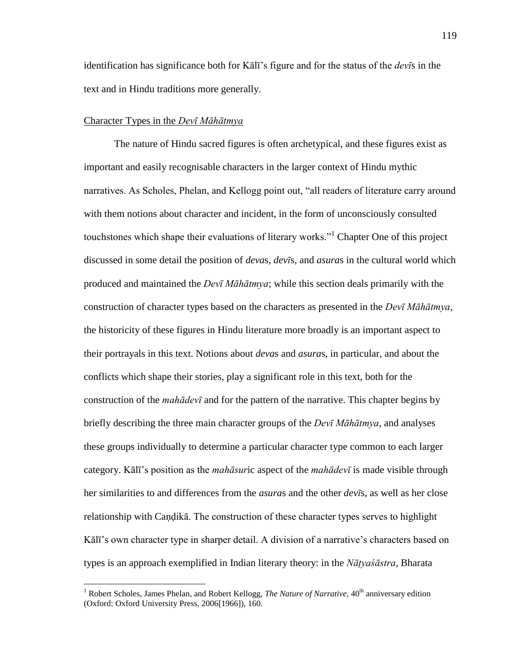identification has significance both for Kālī's figure and for the status of the *devī*s in the text and in Hindu traditions more generally.

### Character Types in the *Devī Māhātmya*

 $\overline{a}$ 

 The nature of Hindu sacred figures is often archetypical, and these figures exist as important and easily recognisable characters in the larger context of Hindu mythic narratives. As Scholes, Phelan, and Kellogg point out, "all readers of literature carry around with them notions about character and incident, in the form of unconsciously consulted touchstones which shape their evaluations of literary works."<sup>1</sup> Chapter One of this project discussed in some detail the position of *deva*s, *devī*s, and *asura*s in the cultural world which produced and maintained the *Devī Māhātmya*; while this section deals primarily with the construction of character types based on the characters as presented in the *Devī Māhātmya*, the historicity of these figures in Hindu literature more broadly is an important aspect to their portrayals in this text. Notions about *deva*s and *asura*s, in particular, and about the conflicts which shape their stories, play a significant role in this text, both for the construction of the *mahādevī* and for the pattern of the narrative. This chapter begins by briefly describing the three main character groups of the *Devī Māhātmya*, and analyses these groups individually to determine a particular character type common to each larger category. Kālī's position as the *mahāsur*ic aspect of the *mahādevī* is made visible through her similarities to and differences from the *asura*s and the other *devī*s, as well as her close relationship with Caṇḍikā. The construction of these character types serves to highlight Kālī's own character type in sharper detail. A division of a narrative's characters based on types is an approach exemplified in Indian literary theory: in the *Nāṭyaśāstra*, Bharata

<sup>&</sup>lt;sup>1</sup> Robert Scholes, James Phelan, and Robert Kellogg, *The Nature of Narrative*, 40<sup>th</sup> anniversary edition (Oxford: Oxford University Press, 2006[1966]), 160.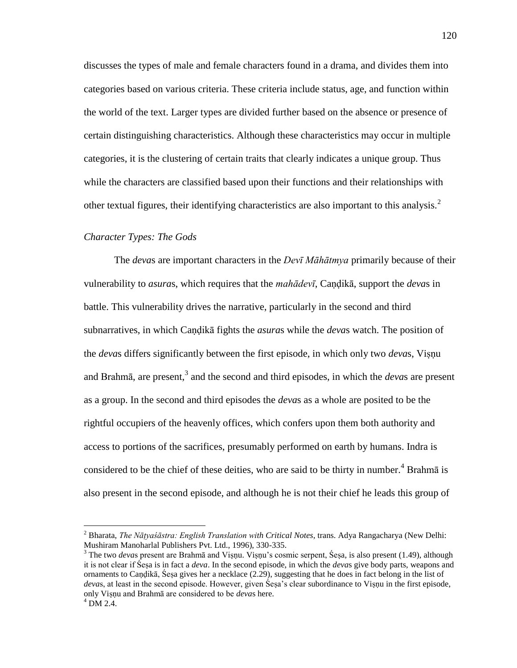discusses the types of male and female characters found in a drama, and divides them into categories based on various criteria. These criteria include status, age, and function within the world of the text. Larger types are divided further based on the absence or presence of certain distinguishing characteristics. Although these characteristics may occur in multiple categories, it is the clustering of certain traits that clearly indicates a unique group. Thus while the characters are classified based upon their functions and their relationships with other textual figures, their identifying characteristics are also important to this analysis.<sup>2</sup>

### *Character Types: The Gods*

 $\overline{a}$ 

 The *deva*s are important characters in the *Devī Māhātmya* primarily because of their vulnerability to *asura*s, which requires that the *mahādevī*, Caṇḍikā, support the *deva*s in battle. This vulnerability drives the narrative, particularly in the second and third subnarratives, in which Caṇḍikā fights the *asura*s while the *deva*s watch. The position of the *deva*s differs significantly between the first episode, in which only two *deva*s, Viṣṇu and Brahmā, are present,<sup>3</sup> and the second and third episodes, in which the *devas* are present as a group. In the second and third episodes the *deva*s as a whole are posited to be the rightful occupiers of the heavenly offices, which confers upon them both authority and access to portions of the sacrifices, presumably performed on earth by humans. Indra is considered to be the chief of these deities, who are said to be thirty in number.<sup>4</sup> Brahma is also present in the second episode, and although he is not their chief he leads this group of

<sup>2</sup> Bharata, *The Nāṭyaśāstra: English Translation with Critical Notes*, trans. Adya Rangacharya (New Delhi: Mushiram Manoharlal Publishers Pvt. Ltd., 1996), 330-335.

<sup>&</sup>lt;sup>3</sup> The two *devas* present are Brahmā and Viṣṇu. Viṣṇu's cosmic serpent, Śeṣa, is also present (1.49), although it is not clear if Śeṣa is in fact a *deva*. In the second episode, in which the *deva*s give body parts, weapons and ornaments to Caṇḍikā, Śeṣa gives her a necklace (2.29), suggesting that he does in fact belong in the list of *deva*s, at least in the second episode. However, given Śeṣa's clear subordinance to Viṣṇu in the first episode, only Viṣṇu and Brahmā are considered to be *deva*s here.  $^{4}$  DM 2.4.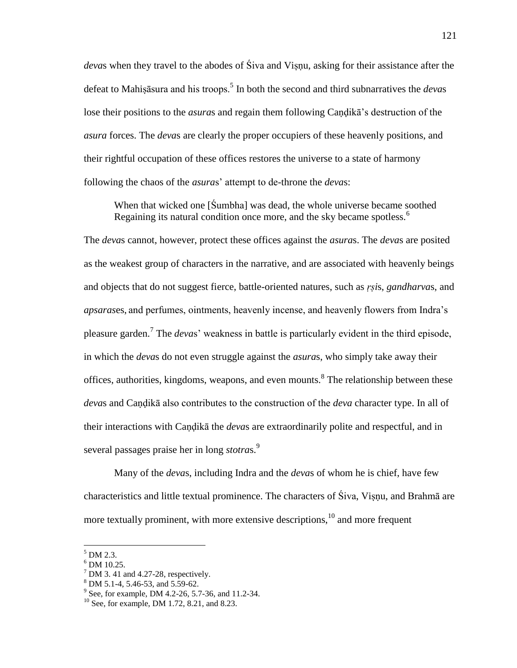*deva*s when they travel to the abodes of Śiva and Viṣṇu, asking for their assistance after the defeat to Mahiṣāsura and his troops.<sup>5</sup> In both the second and third subnarratives the *deva*s lose their positions to the *asura*s and regain them following Caṇḍikā's destruction of the *asura* forces. The *deva*s are clearly the proper occupiers of these heavenly positions, and their rightful occupation of these offices restores the universe to a state of harmony following the chaos of the *asura*s' attempt to de-throne the *deva*s:

When that wicked one [Sumbha] was dead, the whole universe became soothed Regaining its natural condition once more, and the sky became spotless.<sup>6</sup>

The *deva*s cannot, however, protect these offices against the *asura*s. The *deva*s are posited as the weakest group of characters in the narrative, and are associated with heavenly beings and objects that do not suggest fierce, battle-oriented natures, such as *ṛṣi*s, *gandharva*s, and *apsaras*es, and perfumes, ointments, heavenly incense, and heavenly flowers from Indra's pleasure garden.<sup>7</sup> The *devas*' weakness in battle is particularly evident in the third episode, in which the *deva*s do not even struggle against the *asura*s, who simply take away their offices, authorities, kingdoms, weapons, and even mounts. <sup>8</sup> The relationship between these *deva*s and Caṇḍikā also contributes to the construction of the *deva* character type. In all of their interactions with Caṇḍikā the *deva*s are extraordinarily polite and respectful, and in several passages praise her in long *stotras*.<sup>9</sup>

 Many of the *deva*s, including Indra and the *deva*s of whom he is chief, have few characteristics and little textual prominence. The characters of Śiva, Viṣṇu, and Brahmā are more textually prominent, with more extensive descriptions, $10$  and more frequent

 $<sup>5</sup> DM 2.3.$ </sup>

<sup>6</sup> DM 10.25.

 $<sup>7</sup>$  DM 3.41 and 4.27-28, respectively.</sup>

<sup>8</sup> DM 5.1-4, 5.46-53, and 5.59-62.

<sup>&</sup>lt;sup>9</sup> See, for example, DM 4.2-26, 5.7-36, and 11.2-34.

 $10$  See, for example, DM 1.72, 8.21, and 8.23.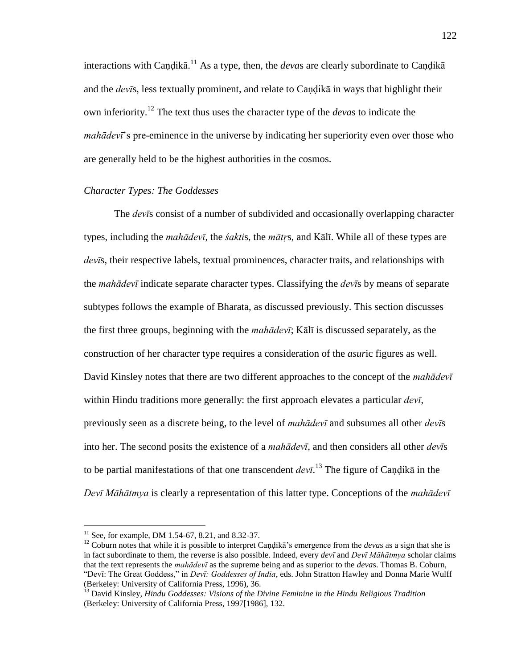interactions with Caṇḍikā. <sup>11</sup> As a type, then, the *deva*s are clearly subordinate to Caṇḍikā and the *devīs*, less textually prominent, and relate to Candika in ways that highlight their own inferiority.<sup>12</sup> The text thus uses the character type of the *deva*s to indicate the *mahādevī*'s pre-eminence in the universe by indicating her superiority even over those who are generally held to be the highest authorities in the cosmos.

# *Character Types: The Goddesses*

 The *devī*s consist of a number of subdivided and occasionally overlapping character types, including the *mahādevī*, the *śakti*s, the *mātṛ*s, and Kālī. While all of these types are *devī*s, their respective labels, textual prominences, character traits, and relationships with the *mahādevī* indicate separate character types. Classifying the *devī*s by means of separate subtypes follows the example of Bharata, as discussed previously. This section discusses the first three groups, beginning with the *mahādevī*; Kālī is discussed separately, as the construction of her character type requires a consideration of the *asur*ic figures as well. David Kinsley notes that there are two different approaches to the concept of the *mahādevī* within Hindu traditions more generally: the first approach elevates a particular *devī*, previously seen as a discrete being, to the level of *mahādevī* and subsumes all other *devī*s into her. The second posits the existence of a *mahādevī*, and then considers all other *devī*s to be partial manifestations of that one transcendent *devī*. <sup>13</sup> The figure of Caṇḍikā in the *Devī Māhātmya* is clearly a representation of this latter type. Conceptions of the *mahādevī*

<sup>&</sup>lt;sup>11</sup> See, for example, DM 1.54-67, 8.21, and 8.32-37.

<sup>&</sup>lt;sup>12</sup> Coburn notes that while it is possible to interpret Candika's emergence from the *devas* as a sign that she is in fact subordinate to them, the reverse is also possible. Indeed, every *devī* and *Devī Māhātmya* scholar claims that the text represents the *mahādevī* as the supreme being and as superior to the *deva*s. Thomas B. Coburn, ―Devī: The Great Goddess,‖ in *Devī: Goddesses of India*, eds. John Stratton Hawley and Donna Marie Wulff (Berkeley: University of California Press, 1996), 36.

<sup>13</sup> David Kinsley, *Hindu Goddesses: Visions of the Divine Feminine in the Hindu Religious Tradition* (Berkeley: University of California Press, 1997[1986], 132.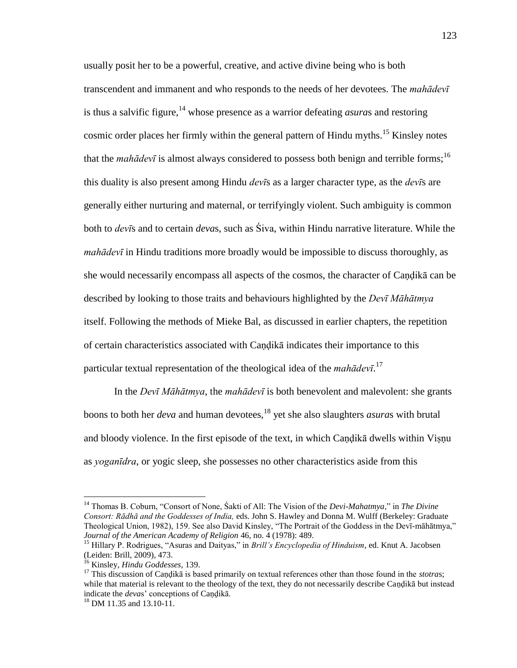usually posit her to be a powerful, creative, and active divine being who is both transcendent and immanent and who responds to the needs of her devotees. The *mahādevī* is thus a salvific figure,<sup>14</sup> whose presence as a warrior defeating *asuras* and restoring cosmic order places her firmly within the general pattern of Hindu myths.<sup>15</sup> Kinsley notes that the *mahādevī* is almost always considered to possess both benign and terrible forms;<sup>16</sup> this duality is also present among Hindu *devī*s as a larger character type, as the *devī*s are generally either nurturing and maternal, or terrifyingly violent. Such ambiguity is common both to *devī*s and to certain *deva*s, such as Śiva, within Hindu narrative literature. While the *mahādevī* in Hindu traditions more broadly would be impossible to discuss thoroughly, as she would necessarily encompass all aspects of the cosmos, the character of Caṇḍikā can be described by looking to those traits and behaviours highlighted by the *Devī Māhātmya* itself. Following the methods of Mieke Bal, as discussed in earlier chapters, the repetition of certain characteristics associated with Caṇḍikā indicates their importance to this particular textual representation of the theological idea of the *mahādevī*. 17

 In the *Devī Māhātmya*, the *mahādevī* is both benevolent and malevolent: she grants boons to both her *deva* and human devotees,<sup>18</sup> yet she also slaughters *asuras* with brutal and bloody violence. In the first episode of the text, in which Candika dwells within Visnu as *yoganīdra*, or yogic sleep, she possesses no other characteristics aside from this

<sup>&</sup>lt;sup>14</sup> Thomas B. Coburn, "Consort of None, Śakti of All: The Vision of the *Devi-Mahatmya*," in *The Divine Consort: Rādhā and the Goddesses of India,* eds. John S. Hawley and Donna M. Wulff (Berkeley: Graduate Theological Union, 1982), 159. See also David Kinsley, "The Portrait of the Goddess in the Devī-māhātmya," *Journal of the American Academy of Religion* 46, no. 4 (1978): 489.

<sup>&</sup>lt;sup>15</sup> Hillary P. Rodrigues, "Asuras and Daityas," in *Brill's Encyclopedia of Hinduism*, ed. Knut A. Jacobsen (Leiden: Brill, 2009), 473.

<sup>16</sup> Kinsley, *Hindu Goddesses*, 139.

<sup>&</sup>lt;sup>17</sup> This discussion of Caṇḍikā is based primarily on textual references other than those found in the *stotras*; while that material is relevant to the theology of the text, they do not necessarily describe Caṇḍikā but instead indicate the *deva*s' conceptions of Caṇḍikā.

<sup>&</sup>lt;sup>18</sup> DM 11.35 and 13.10-11.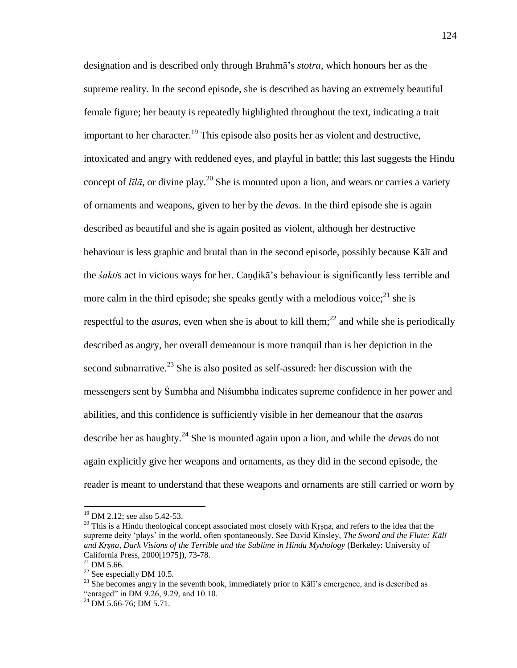designation and is described only through Brahmā's *stotra*, which honours her as the supreme reality. In the second episode, she is described as having an extremely beautiful female figure; her beauty is repeatedly highlighted throughout the text, indicating a trait important to her character.<sup>19</sup> This episode also posits her as violent and destructive, intoxicated and angry with reddened eyes, and playful in battle; this last suggests the Hindu concept of  $l\bar{l}l\bar{a}$ , or divine play.<sup>20</sup> She is mounted upon a lion, and wears or carries a variety of ornaments and weapons, given to her by the *deva*s. In the third episode she is again described as beautiful and she is again posited as violent, although her destructive behaviour is less graphic and brutal than in the second episode, possibly because Kālī and the *śakti*s act in vicious ways for her. Caṇḍikā's behaviour is significantly less terrible and more calm in the third episode; she speaks gently with a melodious voice;  $^{21}$  she is respectful to the *asuras*, even when she is about to kill them;<sup>22</sup> and while she is periodically described as angry, her overall demeanour is more tranquil than is her depiction in the second subnarrative.<sup>23</sup> She is also posited as self-assured: her discussion with the messengers sent by Śumbha and Niśumbha indicates supreme confidence in her power and abilities, and this confidence is sufficiently visible in her demeanour that the *asura*s describe her as haughty.<sup>24</sup> She is mounted again upon a lion, and while the *deva*s do not again explicitly give her weapons and ornaments, as they did in the second episode, the reader is meant to understand that these weapons and ornaments are still carried or worn by

<sup>&</sup>lt;sup>19</sup> DM 2.12; see also 5.42-53.

<sup>&</sup>lt;sup>20</sup> This is a Hindu theological concept associated most closely with Krṣṇa, and refers to the idea that the supreme deity 'plays' in the world, often spontaneously. See David Kinsley, *The Sword and the Flute: Kālī and Kṛṣṇa, Dark Visions of the Terrible and the Sublime in Hindu Mythology* (Berkeley: University of California Press, 2000[1975]), 73-78.

 $^{21}$  DM 5.66.

 $22$  See especially DM 10.5.

<sup>&</sup>lt;sup>23</sup> She becomes angry in the seventh book, immediately prior to Kālī's emergence, and is described as "enraged" in DM 9.26, 9.29, and 10.10.

 $^{24}$  DM 5.66-76; DM 5.71.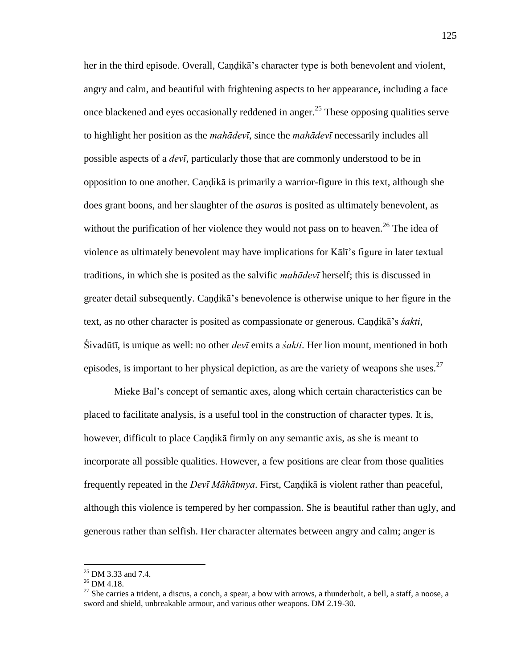her in the third episode. Overall, Candika's character type is both benevolent and violent, angry and calm, and beautiful with frightening aspects to her appearance, including a face once blackened and eyes occasionally reddened in anger.<sup>25</sup> These opposing qualities serve to highlight her position as the *mahādevī*, since the *mahādevī* necessarily includes all possible aspects of a *devī*, particularly those that are commonly understood to be in opposition to one another. Caṇḍikā is primarily a warrior-figure in this text, although she does grant boons, and her slaughter of the *asura*s is posited as ultimately benevolent, as without the purification of her violence they would not pass on to heaven.<sup>26</sup> The idea of violence as ultimately benevolent may have implications for Kālī's figure in later textual traditions, in which she is posited as the salvific *mahādevī* herself; this is discussed in greater detail subsequently. Candika's benevolence is otherwise unique to her figure in the text, as no other character is posited as compassionate or generous. Caṇḍikā's *śakti*, Śivadūtī, is unique as well: no other *devī* emits a *śakti*. Her lion mount, mentioned in both episodes, is important to her physical depiction, as are the variety of weapons she uses. $27$ 

Mieke Bal's concept of semantic axes, along which certain characteristics can be placed to facilitate analysis, is a useful tool in the construction of character types. It is, however, difficult to place Caṇḍikā firmly on any semantic axis, as she is meant to incorporate all possible qualities. However, a few positions are clear from those qualities frequently repeated in the *Devī Māhātmya*. First, Caṇḍikā is violent rather than peaceful, although this violence is tempered by her compassion. She is beautiful rather than ugly, and generous rather than selfish. Her character alternates between angry and calm; anger is

 $^{25}$  DM 3.33 and 7.4.

 $^{26}$  DM 4.18.

 $27$  She carries a trident, a discus, a conch, a spear, a bow with arrows, a thunderbolt, a bell, a staff, a noose, a sword and shield, unbreakable armour, and various other weapons. DM 2.19-30.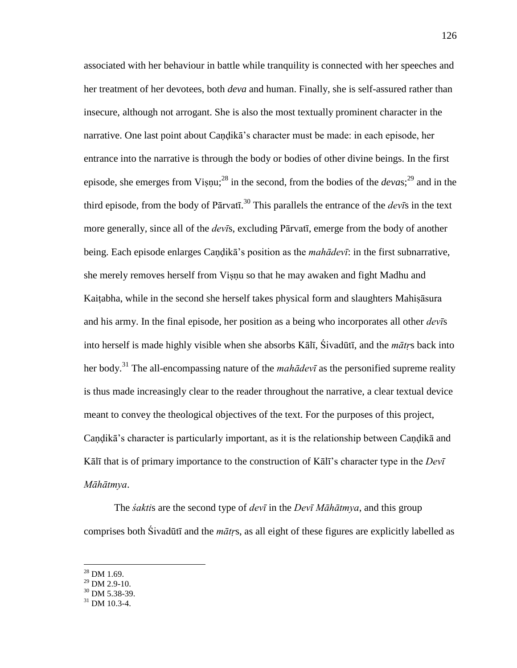associated with her behaviour in battle while tranquility is connected with her speeches and her treatment of her devotees, both *deva* and human. Finally, she is self-assured rather than insecure, although not arrogant. She is also the most textually prominent character in the narrative. One last point about Candika's character must be made: in each episode, her entrance into the narrative is through the body or bodies of other divine beings. In the first episode, she emerges from Viṣṇu;<sup>28</sup> in the second, from the bodies of the *devas*;<sup>29</sup> and in the third episode, from the body of Pārvatī. <sup>30</sup> This parallels the entrance of the *devī*s in the text more generally, since all of the *devī*s, excluding Pārvatī, emerge from the body of another being. Each episode enlarges Caṇḍikā's position as the *mahādevī*: in the first subnarrative, she merely removes herself from Viṣṇu so that he may awaken and fight Madhu and Kaitabha, while in the second she herself takes physical form and slaughters Mahisāsura and his army. In the final episode, her position as a being who incorporates all other *devī*s into herself is made highly visible when she absorbs Kālī, Śivadūtī, and the *mātṛ*s back into her body.<sup>31</sup> The all-encompassing nature of the *mahādevī* as the personified supreme reality is thus made increasingly clear to the reader throughout the narrative, a clear textual device meant to convey the theological objectives of the text. For the purposes of this project, Candikā's character is particularly important, as it is the relationship between Candikā and Kālī that is of primary importance to the construction of Kālī's character type in the *Devī Māhātmya*.

 The *śakti*s are the second type of *devī* in the *Devī Māhātmya*, and this group comprises both Śivadūtī and the *mātṛ*s, as all eight of these figures are explicitly labelled as

- $29$  DM 2.9-10.
- $30$  DM 5.38-39.

 $28$  DM 1.69.

<sup>31</sup> DM 10.3-4.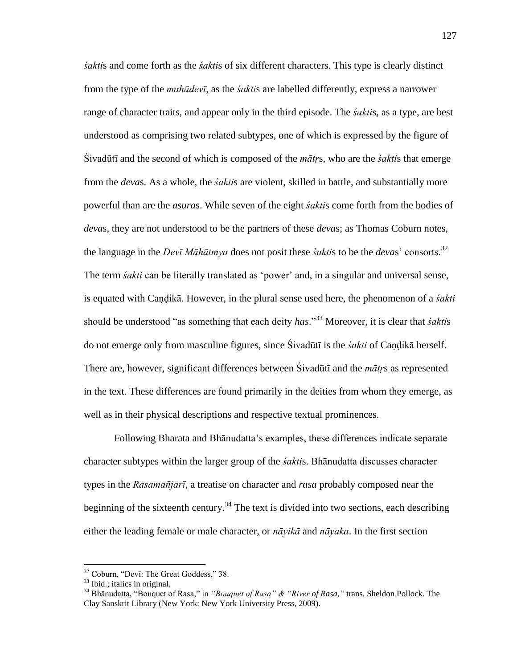*śakti*s and come forth as the *śakti*s of six different characters. This type is clearly distinct from the type of the *mahādevī*, as the *śakti*s are labelled differently, express a narrower range of character traits, and appear only in the third episode. The *śakti*s, as a type, are best understood as comprising two related subtypes, one of which is expressed by the figure of Śivadūtī and the second of which is composed of the *mātṛ*s, who are the *śakti*s that emerge from the *deva*s. As a whole, the *śakti*s are violent, skilled in battle, and substantially more powerful than are the *asura*s. While seven of the eight *śakti*s come forth from the bodies of *deva*s, they are not understood to be the partners of these *deva*s; as Thomas Coburn notes, the language in the *Devī Māhātmya* does not posit these *śakti*s to be the *deva*s' consorts.<sup>32</sup> The term *śakti* can be literally translated as 'power' and, in a singular and universal sense, is equated with Caṇḍikā. However, in the plural sense used here, the phenomenon of a *śakti* should be understood "as something that each deity *has*.<sup>33</sup> Moreover, it is clear that *śaktis* do not emerge only from masculine figures, since Śivadūtī is the *śakti* of Caṇḍikā herself. There are, however, significant differences between Śivadūtī and the *mātṛ*s as represented in the text. These differences are found primarily in the deities from whom they emerge, as well as in their physical descriptions and respective textual prominences.

 Following Bharata and Bhānudatta's examples, these differences indicate separate character subtypes within the larger group of the *śakti*s. Bhānudatta discusses character types in the *Rasamañjarī*, a treatise on character and *rasa* probably composed near the beginning of the sixteenth century.<sup>34</sup> The text is divided into two sections, each describing either the leading female or male character, or *nāyikā* and *nāyaka*. In the first section

 $32$  Coburn, "Devī: The Great Goddess," 38.

 $33$  Ibid.; italics in original.

<sup>&</sup>lt;sup>34</sup> Bhānudatta, "Bouquet of Rasa," in *"Bouquet of Rasa" & "River of Rasa*," trans. Sheldon Pollock. The Clay Sanskrit Library (New York: New York University Press, 2009).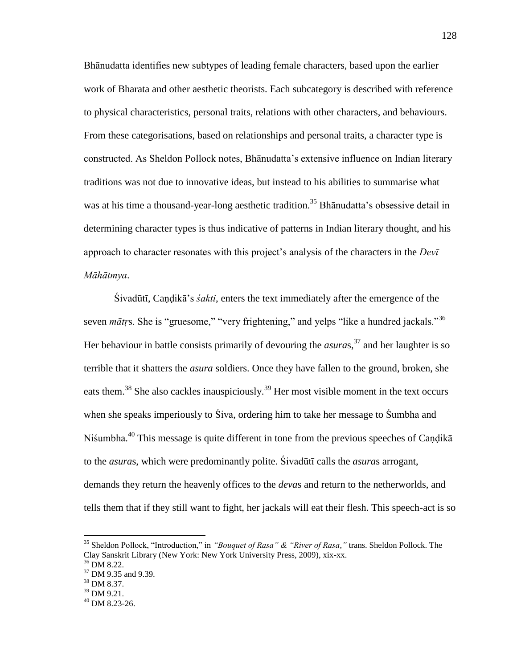Bhānudatta identifies new subtypes of leading female characters, based upon the earlier work of Bharata and other aesthetic theorists. Each subcategory is described with reference to physical characteristics, personal traits, relations with other characters, and behaviours. From these categorisations, based on relationships and personal traits, a character type is constructed. As Sheldon Pollock notes, Bhānudatta's extensive influence on Indian literary traditions was not due to innovative ideas, but instead to his abilities to summarise what was at his time a thousand-year-long aesthetic tradition.<sup>35</sup> Bhanudatta's obsessive detail in determining character types is thus indicative of patterns in Indian literary thought, and his approach to character resonates with this project's analysis of the characters in the *Devī Māhātmya*.

Śivadūtī, Caṇḍikā's *śakti*, enters the text immediately after the emergence of the seven *mātr*s. She is "gruesome," "very frightening," and yelps "like a hundred jackals."<sup>36</sup> Her behaviour in battle consists primarily of devouring the *asuras*,<sup>37</sup> and her laughter is so terrible that it shatters the *asura* soldiers. Once they have fallen to the ground, broken, she eats them.<sup>38</sup> She also cackles inauspiciously.<sup>39</sup> Her most visible moment in the text occurs when she speaks imperiously to Siva, ordering him to take her message to Sumbha and Niśumbha.<sup>40</sup> This message is quite different in tone from the previous speeches of Caṇḍikā to the *asura*s, which were predominantly polite. Śivadūtī calls the *asura*s arrogant, demands they return the heavenly offices to the *deva*s and return to the netherworlds, and tells them that if they still want to fight, her jackals will eat their flesh. This speech-act is so

<sup>&</sup>lt;sup>35</sup> Sheldon Pollock, "Introduction," in *"Bouquet of Rasa" & "River of Rasa*," trans. Sheldon Pollock. The Clay Sanskrit Library (New York: New York University Press, 2009), xix-xx.

 $36$  DM 8.22.

<sup>37</sup> DM 9.35 and 9.39.

<sup>38</sup> DM 8.37.

<sup>&</sup>lt;sup>39</sup> DM 9.21.

 $40$  DM 8.23-26.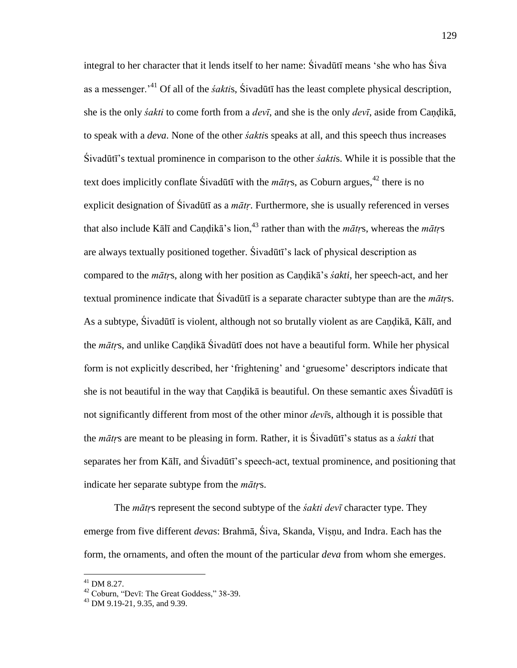integral to her character that it lends itself to her name: Śivadūtī means 'she who has Śiva as a messenger.'<sup>41</sup> Of all of the *śakti*s, Śivadūtī has the least complete physical description, she is the only *śakti* to come forth from a *devī*, and she is the only *devī*, aside from Caṇḍikā, to speak with a *deva*. None of the other *śakti*s speaks at all, and this speech thus increases Śivadūtī's textual prominence in comparison to the other *śakti*s. While it is possible that the text does implicitly conflate Sivadūtī with the  $m\bar{a}$ trs, as Coburn argues,  $42$  there is no explicit designation of Śivadūtī as a *mātṛ*. Furthermore, she is usually referenced in verses that also include Kālī and Candikā's lion,<sup>43</sup> rather than with the *mātrs*, whereas the *mātrs* are always textually positioned together. Śivadūtī's lack of physical description as compared to the *mātṛ*s, along with her position as Caṇḍikā's *śakti*, her speech-act, and her textual prominence indicate that Śivadūtī is a separate character subtype than are the *mātṛ*s. As a subtype, Śivadūtī is violent, although not so brutally violent as are Candikā, Kālī, and the *mātṛ*s, and unlike Caṇḍikā Śivadūtī does not have a beautiful form. While her physical form is not explicitly described, her 'frightening' and 'gruesome' descriptors indicate that she is not beautiful in the way that Caṇḍikā is beautiful. On these semantic axes Śivadūtī is not significantly different from most of the other minor *devī*s, although it is possible that the *mātṛ*s are meant to be pleasing in form. Rather, it is Śivadūtī's status as a *śakti* that separates her from Kālī, and Śivadūtī's speech-act, textual prominence, and positioning that indicate her separate subtype from the *mātṛ*s.

 The *mātṛ*s represent the second subtype of the *śakti devī* character type. They emerge from five different *deva*s: Brahmā, Śiva, Skanda, Viṣṇu, and Indra. Each has the form, the ornaments, and often the mount of the particular *deva* from whom she emerges.

 $^{41}$  DM 8.27.

 $42$  Coburn, "Devī: The Great Goddess," 38-39.

<sup>43</sup> DM 9.19-21, 9.35, and 9.39.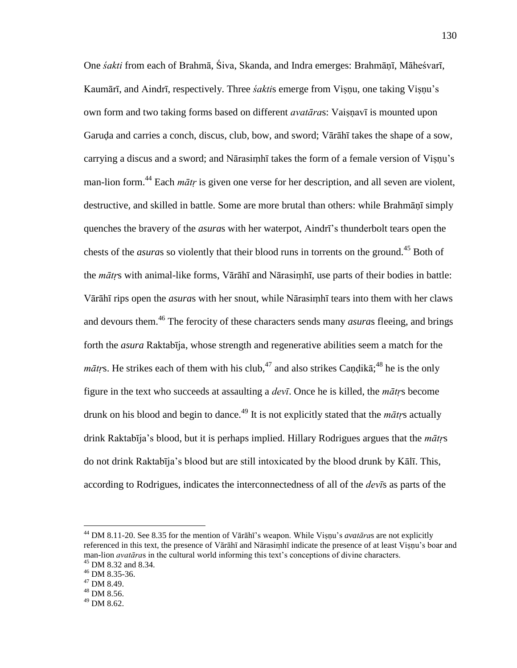One *śakti* from each of Brahmā, Śiva, Skanda, and Indra emerges: Brahmāṇī, Māheśvarī, Kaumārī, and Aindrī, respectively. Three *śakti*s emerge from Viṣṇu, one taking Viṣṇu's own form and two taking forms based on different *avatāra*s: Vaiṣṇavī is mounted upon Garuḍa and carries a conch, discus, club, bow, and sword; Vārāhī takes the shape of a sow, carrying a discus and a sword; and Nārasiṃhī takes the form of a female version of Viṣṇu's man-lion form.<sup>44</sup> Each *mātr* is given one verse for her description, and all seven are violent, destructive, and skilled in battle. Some are more brutal than others: while Brahmāṇī simply quenches the bravery of the *asura*s with her waterpot, Aindrī's thunderbolt tears open the chests of the *asura*s so violently that their blood runs in torrents on the ground.<sup>45</sup> Both of the *mātṛ*s with animal-like forms, Vārāhī and Nārasiṃhī, use parts of their bodies in battle: Vārāhī rips open the *asura*s with her snout, while Nārasiṃhī tears into them with her claws and devours them.<sup>46</sup> The ferocity of these characters sends many *asuras* fleeing, and brings forth the *asura* Raktabīja, whose strength and regenerative abilities seem a match for the  $m\bar{a}t$ rs. He strikes each of them with his club,<sup>47</sup> and also strikes Caṇḍikā;<sup>48</sup> he is the only figure in the text who succeeds at assaulting a *devī*. Once he is killed, the *mātṛ*s become drunk on his blood and begin to dance.<sup>49</sup> It is not explicitly stated that the *mātr*s actually drink Raktabīja's blood, but it is perhaps implied. Hillary Rodrigues argues that the *mātṛ*s do not drink Raktabīja's blood but are still intoxicated by the blood drunk by Kālī. This, according to Rodrigues, indicates the interconnectedness of all of the *devī*s as parts of the

<sup>44</sup> DM 8.11-20. See 8.35 for the mention of Vārāhī's weapon. While Viṣṇu's *avatāra*s are not explicitly referenced in this text, the presence of Vārāhī and Nārasiṃhī indicate the presence of at least Viṣṇu's boar and man-lion *avatāra*s in the cultural world informing this text's conceptions of divine characters.

<sup>&</sup>lt;sup>45</sup> DM 8.32 and 8.34.

<sup>46</sup> DM 8.35-36.

 $47$  DM 8.49.

<sup>48</sup> DM 8.56.

<sup>49</sup> DM 8.62.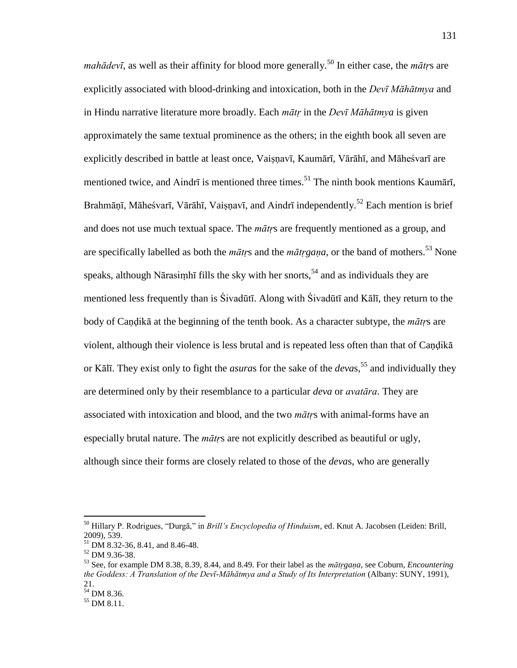*mahādevī*, as well as their affinity for blood more generally.<sup>50</sup> In either case, the *mātrs* are explicitly associated with blood-drinking and intoxication, both in the *Devī Māhātmya* and in Hindu narrative literature more broadly. Each *mātṛ* in the *Devī Māhātmya* is given approximately the same textual prominence as the others; in the eighth book all seven are explicitly described in battle at least once, Vaiṣṇavī, Kaumārī, Vārāhī, and Māheśvarī are mentioned twice, and Aindrī is mentioned three times.<sup>51</sup> The ninth book mentions Kaumārī, Brahmānī, Māheśvarī, Vārāhī, Vaisnavī, and Aindrī independently.<sup>52</sup> Each mention is brief and does not use much textual space. The *mātṛ*s are frequently mentioned as a group, and are specifically labelled as both the *mātrs* and the *mātrgaṇa*, or the band of mothers.<sup>53</sup> None speaks, although Nārasimhī fills the sky with her snorts,<sup>54</sup> and as individuals they are mentioned less frequently than is Śivadūtī. Along with Śivadūtī and Kālī, they return to the body of Caṇḍikā at the beginning of the tenth book. As a character subtype, the *mātṛ*s are violent, although their violence is less brutal and is repeated less often than that of Caṇḍikā or Kālī. They exist only to fight the *asuras* for the sake of the *devas*,<sup>55</sup> and individually they are determined only by their resemblance to a particular *deva* or *avatāra*. They are associated with intoxication and blood, and the two *mātṛ*s with animal-forms have an especially brutal nature. The *mātṛ*s are not explicitly described as beautiful or ugly, although since their forms are closely related to those of the *deva*s, who are generally

<sup>&</sup>lt;sup>50</sup> Hillary P. Rodrigues, "Durgā," in *Brill's Encyclopedia of Hinduism*, ed. Knut A. Jacobsen (Leiden: Brill, 2009), 539.

<sup>51</sup> DM 8.32-36, 8.41, and 8.46-48.

<sup>52</sup> DM 9.36-38.

<sup>53</sup> See, for example DM 8.38, 8.39, 8.44, and 8.49. For their label as the *mātṛgaṇa*, see Coburn, *Encountering the Goddess: A Translation of the Devī-Māhātmya and a Study of Its Interpretation* (Albany: SUNY, 1991), 21.

 $54$  DM 8.36.

<sup>55</sup> DM 8.11.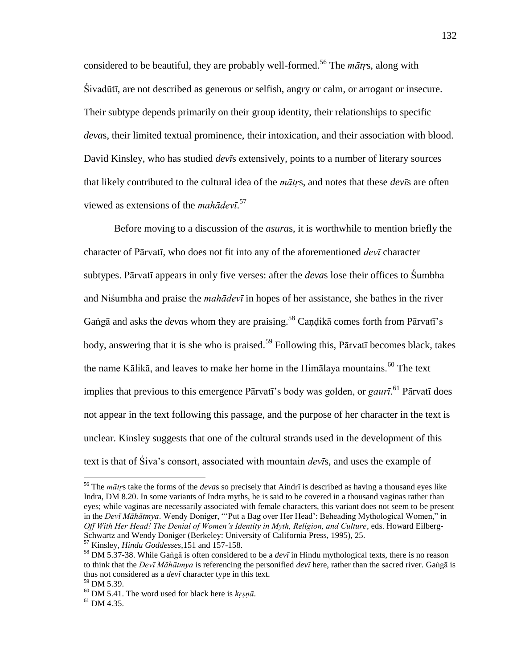considered to be beautiful, they are probably well-formed.<sup>56</sup> The *mātrs*, along with Śivadūtī, are not described as generous or selfish, angry or calm, or arrogant or insecure. Their subtype depends primarily on their group identity, their relationships to specific *deva*s, their limited textual prominence, their intoxication, and their association with blood. David Kinsley, who has studied *devī*s extensively, points to a number of literary sources that likely contributed to the cultural idea of the *mātṛ*s, and notes that these *devī*s are often viewed as extensions of the *mahādevī*. 57

 Before moving to a discussion of the *asura*s, it is worthwhile to mention briefly the character of Pārvatī, who does not fit into any of the aforementioned *devī* character subtypes. Pārvatī appears in only five verses: after the *deva*s lose their offices to Śumbha and Niśumbha and praise the *mahādevī* in hopes of her assistance, she bathes in the river Gaṅgā and asks the *devas* whom they are praising.<sup>58</sup> Candikā comes forth from Pārvatī's body, answering that it is she who is praised.<sup>59</sup> Following this, Pārvatī becomes black, takes the name Kālikā, and leaves to make her home in the Himālaya mountains.<sup>60</sup> The text implies that previous to this emergence Pārvatī's body was golden, or *gaurī*. <sup>61</sup> Pārvatī does not appear in the text following this passage, and the purpose of her character in the text is unclear. Kinsley suggests that one of the cultural strands used in the development of this text is that of Śiva's consort, associated with mountain *devī*s, and uses the example of

<sup>56</sup> The *mātṛ*s take the forms of the *deva*s so precisely that Aindrī is described as having a thousand eyes like Indra, DM 8.20. In some variants of Indra myths, he is said to be covered in a thousand vaginas rather than eyes; while vaginas are necessarily associated with female characters, this variant does not seem to be present in the *Devī Māhātmya*. Wendy Doniger, "'Put a Bag over Her Head': Beheading Mythological Women," in *Off With Her Head! The Denial of Women's Identity in Myth, Religion, and Culture*, eds. Howard Eilberg-Schwartz and Wendy Doniger (Berkeley: University of California Press, 1995), 25.

<sup>57</sup> Kinsley, *Hindu Goddesses,*151 and 157-158.

<sup>58</sup> DM 5.37-38. While Gaṅgā is often considered to be a *devī* in Hindu mythological texts, there is no reason to think that the *Devī Māhātmya* is referencing the personified *devī* here, rather than the sacred river. Gaṅgā is thus not considered as a *devī* character type in this text.

 $59$  DM 5.39.

<sup>60</sup> DM 5.41. The word used for black here is *kṛṣṇā*.

 $61$  DM 4.35.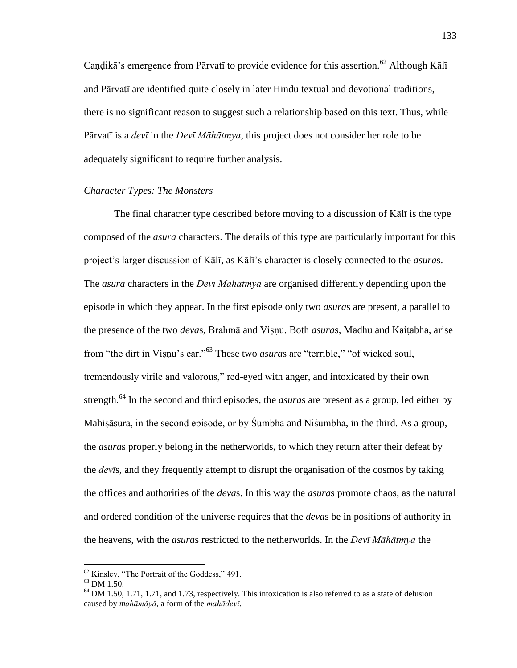Candikā's emergence from Pārvatī to provide evidence for this assertion.<sup>62</sup> Although Kālī and Pārvatī are identified quite closely in later Hindu textual and devotional traditions, there is no significant reason to suggest such a relationship based on this text. Thus, while Pārvatī is a *devī* in the *Devī Māhātmya*, this project does not consider her role to be adequately significant to require further analysis.

# *Character Types: The Monsters*

 The final character type described before moving to a discussion of Kālī is the type composed of the *asura* characters. The details of this type are particularly important for this project's larger discussion of Kālī, as Kālī's character is closely connected to the *asura*s. The *asura* characters in the *Devī Māhātmya* are organised differently depending upon the episode in which they appear. In the first episode only two *asura*s are present, a parallel to the presence of the two *deva*s, Brahmā and Viṣṇu. Both *asura*s, Madhu and Kaiṭabha, arise from "the dirt in Viṣṇu's ear."<sup>63</sup> These two *asuras* are "terrible," "of wicked soul, tremendously virile and valorous," red-eyed with anger, and intoxicated by their own strength.<sup>64</sup> In the second and third episodes, the *asura*s are present as a group, led either by Mahiṣāsura, in the second episode, or by Śumbha and Niśumbha, in the third. As a group, the *asura*s properly belong in the netherworlds, to which they return after their defeat by the *devī*s, and they frequently attempt to disrupt the organisation of the cosmos by taking the offices and authorities of the *deva*s. In this way the *asura*s promote chaos, as the natural and ordered condition of the universe requires that the *deva*s be in positions of authority in the heavens, with the *asura*s restricted to the netherworlds. In the *Devī Māhātmya* the

 $62$  Kinsley, "The Portrait of the Goddess," 491.

<sup>63</sup> DM 1.50.

<sup>&</sup>lt;sup>64</sup> DM 1.50, 1.71, 1.71, and 1.73, respectively. This intoxication is also referred to as a state of delusion caused by *mahāmāyā*, a form of the *mahādevī*.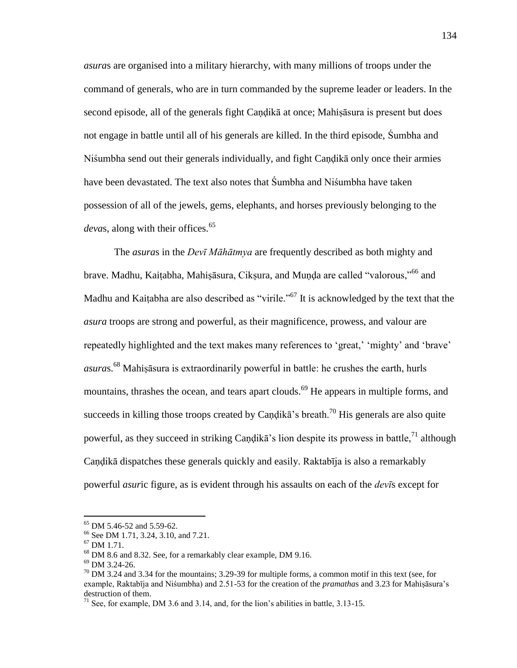*asura*s are organised into a military hierarchy, with many millions of troops under the command of generals, who are in turn commanded by the supreme leader or leaders. In the second episode, all of the generals fight Caṇḍikā at once; Mahiṣāsura is present but does not engage in battle until all of his generals are killed. In the third episode, Śumbha and Niśumbha send out their generals individually, and fight Caṇḍikā only once their armies have been devastated. The text also notes that Śumbha and Niśumbha have taken possession of all of the jewels, gems, elephants, and horses previously belonging to the *devas*, along with their offices.<sup>65</sup>

 The *asura*s in the *Devī Māhātmya* are frequently described as both mighty and brave. Madhu, Kaiṭabha, Mahiṣāsura, Cikṣura, and Munda are called "valorous."<sup>66</sup> and Madhu and Kaiṭabha are also described as "virile."<sup>67</sup> It is acknowledged by the text that the *asura* troops are strong and powerful, as their magnificence, prowess, and valour are repeatedly highlighted and the text makes many references to 'great,' 'mighty' and 'brave' *asura*s.<sup>68</sup> Mahiṣāsura is extraordinarily powerful in battle: he crushes the earth, hurls mountains, thrashes the ocean, and tears apart clouds.<sup>69</sup> He appears in multiple forms, and succeeds in killing those troops created by Candika's breath.<sup>70</sup> His generals are also quite powerful, as they succeed in striking Candika's lion despite its prowess in battle,  $^{71}$  although Caṇḍikā dispatches these generals quickly and easily. Raktabīja is also a remarkably powerful *asur*ic figure, as is evident through his assaults on each of the *devī*s except for

<sup>65</sup> DM 5.46-52 and 5.59-62.

<sup>66</sup> See DM 1.71, 3.24, 3.10, and 7.21.

<sup>67</sup> DM 1.71.

<sup>68</sup> DM 8.6 and 8.32. See, for a remarkably clear example, DM 9.16.

<sup>69</sup> DM 3.24-26.

 $^{70}$  DM 3.24 and 3.34 for the mountains; 3.29-39 for multiple forms, a common motif in this text (see, for example, Raktabīja and Niśumbha) and 2.51-53 for the creation of the *pramatha*s and 3.23 for Mahiṣāsura's destruction of them.

 $71$  See, for example, DM 3.6 and 3.14, and, for the lion's abilities in battle, 3.13-15.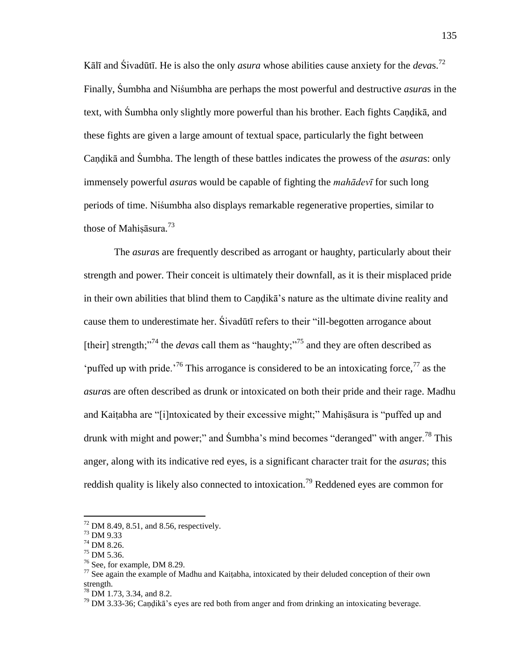Kālī and Śivadūtī. He is also the only *asura* whose abilities cause anxiety for the *deva*s.<sup>72</sup> Finally, Śumbha and Niśumbha are perhaps the most powerful and destructive *asura*s in the text, with Śumbha only slightly more powerful than his brother. Each fights Caṇḍikā, and these fights are given a large amount of textual space, particularly the fight between Caṇḍikā and Śumbha. The length of these battles indicates the prowess of the *asura*s: only immensely powerful *asura*s would be capable of fighting the *mahādevī* for such long periods of time. Niśumbha also displays remarkable regenerative properties, similar to those of Mahiṣāsura.<sup>73</sup>

 The *asura*s are frequently described as arrogant or haughty, particularly about their strength and power. Their conceit is ultimately their downfall, as it is their misplaced pride in their own abilities that blind them to Candika's nature as the ultimate divine reality and cause them to underestimate her. Sivadūtī refers to their "ill-begotten arrogance about [their] strength;<sup>74</sup> the *devas* call them as "haughty;<sup>75</sup> and they are often described as 'puffed up with pride.<sup>76</sup> This arrogance is considered to be an intoxicating force,<sup>77</sup> as the *asura*s are often described as drunk or intoxicated on both their pride and their rage. Madhu and Kaitabha are "[i]ntoxicated by their excessive might;" Mahisasura is "puffed up and drunk with might and power;" and Sumbha's mind becomes "deranged" with anger.<sup>78</sup> This anger, along with its indicative red eyes, is a significant character trait for the *asura*s; this reddish quality is likely also connected to intoxication.<sup>79</sup> Reddened eyes are common for

 $72$  DM 8.49, 8.51, and 8.56, respectively.

<sup>73</sup> DM 9.33

<sup>74</sup> DM 8.26.

<sup>75</sup> DM 5.36.

<sup>76</sup> See, for example, DM 8.29.

 $^{77}$  See again the example of Madhu and Kaitabha, intoxicated by their deluded conception of their own strength.

 $^{78}$  DM 1.73, 3.34, and 8.2.

 $79$  DM 3.33-36; Candika's eyes are red both from anger and from drinking an intoxicating beverage.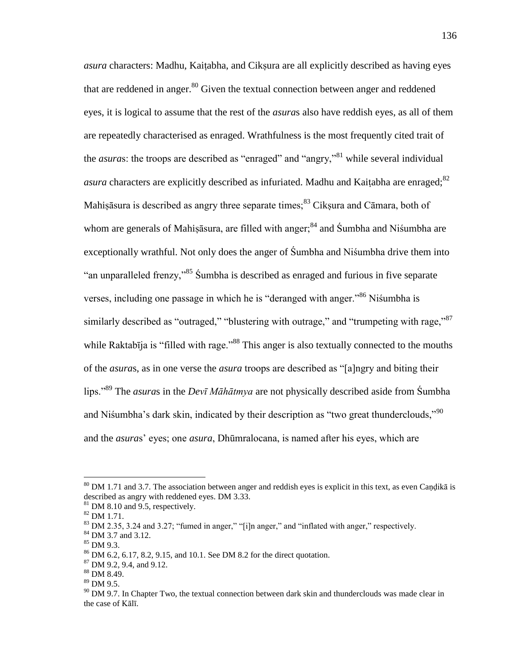*asura* characters: Madhu, Kaitabha, and Ciksura are all explicitly described as having eyes that are reddened in anger. $80$  Given the textual connection between anger and reddened eyes, it is logical to assume that the rest of the *asura*s also have reddish eyes, as all of them are repeatedly characterised as enraged. Wrathfulness is the most frequently cited trait of the *asuras*: the troops are described as "enraged" and "angry,"<sup>81</sup> while several individual *asura* characters are explicitly described as infuriated. Madhu and Kaitabha are enraged; $82$ Mahisāsura is described as angry three separate times; $83$  Ciksura and Cāmara, both of whom are generals of Mahisāsura, are filled with anger;<sup>84</sup> and Śumbha and Niśumbha are exceptionally wrathful. Not only does the anger of Śumbha and Niśumbha drive them into "an unparalleled frenzy,"<sup>85</sup> Sumbha is described as enraged and furious in five separate verses, including one passage in which he is "deranged with anger."<sup>86</sup> Nisumbha is similarly described as "outraged," "blustering with outrage," and "trumpeting with rage,"<sup>87</sup> while Raktabīja is "filled with rage."<sup>88</sup> This anger is also textually connected to the mouths of the *asuras*, as in one verse the *asura* troops are described as "[a]ngry and biting their lips.<sup>89</sup> The *asuras* in the *Devī Māhātmya* are not physically described aside from Śumbha and Nisumbha's dark skin, indicated by their description as "two great thunderclouds," $90$ and the *asura*s' eyes; one *asura*, Dhūmralocana, is named after his eyes, which are

 $80$  DM 1.71 and 3.7. The association between anger and reddish eyes is explicit in this text, as even Candika is described as angry with reddened eyes. DM 3.33.

 $81$  DM 8.10 and 9.5, respectively.

<sup>82</sup> DM 1.71.

<sup>&</sup>lt;sup>83</sup> DM 2.35, 3.24 and 3.27; "fumed in anger," "[i]n anger," and "inflated with anger," respectively.

<sup>84</sup> DM 3.7 and 3.12.

<sup>85</sup> DM 9.3.

<sup>86</sup> DM 6.2, 6.17, 8.2, 9.15, and 10.1. See DM 8.2 for the direct quotation.

<sup>87</sup> DM 9.2, 9.4, and 9.12.

<sup>88</sup> DM 8.49.

 $89$  DM 9.5.

 $^{90}$  DM 9.7. In Chapter Two, the textual connection between dark skin and thunderclouds was made clear in the case of Kālī.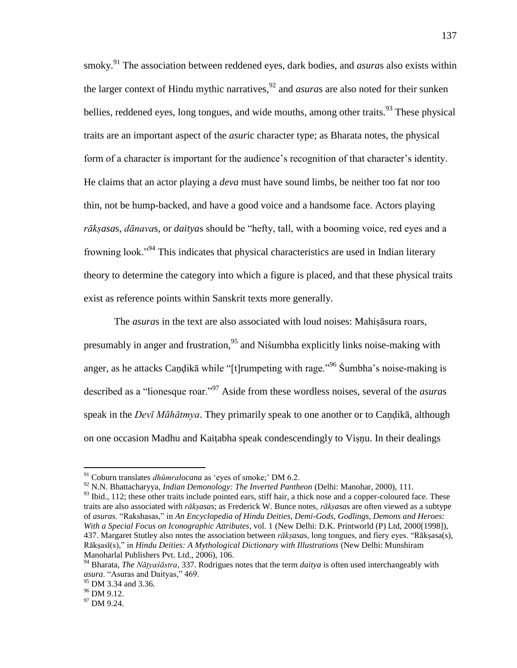smoky.<sup>91</sup> The association between reddened eyes, dark bodies, and *asura*s also exists within the larger context of Hindu mythic narratives,<sup>92</sup> and *asuras* are also noted for their sunken bellies, reddened eyes, long tongues, and wide mouths, among other traits.<sup>93</sup> These physical traits are an important aspect of the *asur*ic character type; as Bharata notes, the physical form of a character is important for the audience's recognition of that character's identity. He claims that an actor playing a *deva* must have sound limbs, be neither too fat nor too thin, not be hump-backed, and have a good voice and a handsome face. Actors playing rāksasas, *dānavas*, or *daityas* should be "hefty, tall, with a booming voice, red eyes and a frowning look."<sup>94</sup> This indicates that physical characteristics are used in Indian literary theory to determine the category into which a figure is placed, and that these physical traits exist as reference points within Sanskrit texts more generally.

The *asuras* in the text are also associated with loud noises: Mahisasura roars, presumably in anger and frustration,<sup>95</sup> and Niśumbha explicitly links noise-making with anger, as he attacks Caṇḍikā while "[t]rumpeting with rage."<sup>96</sup> Śumbha's noise-making is described as a "lionesque roar."<sup>97</sup> Aside from these wordless noises, several of the *asuras* speak in the *Devī Māhātmya*. They primarily speak to one another or to Caṇḍikā, although on one occasion Madhu and Kaiṭabha speak condescendingly to Viṣṇu. In their dealings

<sup>92</sup> N.N. Bhattacharyya, *Indian Demonology: The Inverted Pantheon* (Delhi: Manohar, 2000), 111.

<sup>&</sup>lt;sup>91</sup> Coburn translates *dhūmralocana* as 'eyes of smoke;' DM 6.2.

<sup>&</sup>lt;sup>93</sup> Ibid., 112; these other traits include pointed ears, stiff hair, a thick nose and a copper-coloured face. These traits are also associated with *rākṣasa*s; as Frederick W. Bunce notes, *rākṣasa*s are often viewed as a subtype of *asuras.* "Rakshasas," in An Encyclopedia of Hindu Deities, Demi-Gods, Godlings, Demons and Heroes: *With a Special Focus on Iconographic Attributes*, vol. 1 (New Delhi: D.K. Printworld (P) Ltd, 2000[1998]), 437. Margaret Stutley also notes the association between *rākṣasas*, long tongues, and fiery eyes. "Rākṣasa(s), Rāksasī(s)," in *Hindu Deities: A Mythological Dictionary with Illustrations* (New Delhi: Munshiram Manoharlal Publishers Pvt. Ltd., 2006), 106.

<sup>94</sup> Bharata, *The Nāṭyaśāstra*, 337. Rodrigues notes that the term *daitya* is often used interchangeably with *asura*. "Asuras and Daityas," 469.

<sup>&</sup>lt;sup>95</sup> DM 3.34 and 3.36.

<sup>&</sup>lt;sup>96</sup> DM 9.12.

<sup>&</sup>lt;sup>97</sup> DM 9.24.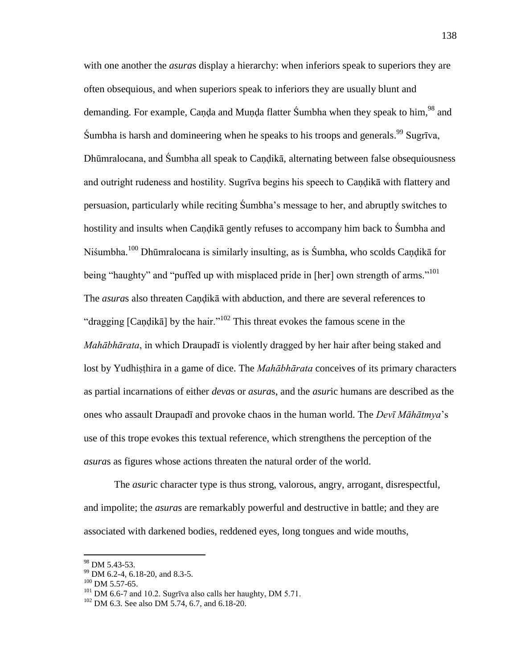with one another the *asuras* display a hierarchy: when inferiors speak to superiors they are often obsequious, and when superiors speak to inferiors they are usually blunt and demanding. For example, Canda and Munda flatter Sumbha when they speak to him,<sup>98</sup> and Sumbha is harsh and domineering when he speaks to his troops and generals.<sup>99</sup> Sugrīva, Dhūmralocana, and Śumbha all speak to Caṇḍikā, alternating between false obsequiousness and outright rudeness and hostility. Sugrīva begins his speech to Caṇḍikā with flattery and persuasion, particularly while reciting Śumbha's message to her, and abruptly switches to hostility and insults when Caṇḍikā gently refuses to accompany him back to Śumbha and Niśumbha.<sup>100</sup> Dhūmralocana is similarly insulting, as is Śumbha, who scolds Caṇḍikā for being "haughty" and "puffed up with misplaced pride in [her] own strength of arms."<sup>101</sup> The *asura*s also threaten Caṇḍikā with abduction, and there are several references to "dragging [Candika] by the hair."<sup>102</sup> This threat evokes the famous scene in the *Mahābhārata*, in which Draupadī is violently dragged by her hair after being staked and lost by Yudhiṣṭhira in a game of dice. The *Mahābhārata* conceives of its primary characters as partial incarnations of either *deva*s or *asura*s, and the *asur*ic humans are described as the ones who assault Draupadī and provoke chaos in the human world. The *Devī Māhātmya*'s use of this trope evokes this textual reference, which strengthens the perception of the *asura*s as figures whose actions threaten the natural order of the world.

 The *asur*ic character type is thus strong, valorous, angry, arrogant, disrespectful, and impolite; the *asura*s are remarkably powerful and destructive in battle; and they are associated with darkened bodies, reddened eyes, long tongues and wide mouths,

<sup>98</sup> DM 5.43-53.

<sup>&</sup>lt;sup>99</sup> DM 6.2-4, 6.18-20, and 8.3-5.

 $100$  DM 5.57-65.

 $101$  DM 6.6-7 and 10.2. Sugrīva also calls her haughty, DM 5.71.

 $102$  DM 6.3. See also DM 5.74, 6.7, and 6.18-20.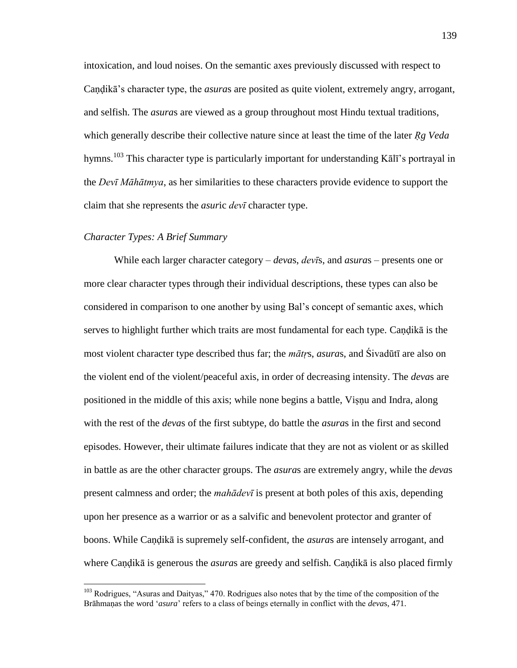intoxication, and loud noises. On the semantic axes previously discussed with respect to Candika's character type, the *asuras* are posited as quite violent, extremely angry, arrogant, and selfish. The *asura*s are viewed as a group throughout most Hindu textual traditions, which generally describe their collective nature since at least the time of the later *Rg Veda* hymns.<sup>103</sup> This character type is particularly important for understanding Kālī's portrayal in the *Devī Māhātmya*, as her similarities to these characters provide evidence to support the claim that she represents the *asur*ic *devī* character type.

# *Character Types: A Brief Summary*

 $\overline{a}$ 

 While each larger character category – *deva*s, *devī*s, and *asura*s – presents one or more clear character types through their individual descriptions, these types can also be considered in comparison to one another by using Bal's concept of semantic axes, which serves to highlight further which traits are most fundamental for each type. Caṇḍikā is the most violent character type described thus far; the *mātṛ*s, *asura*s, and Śivadūtī are also on the violent end of the violent/peaceful axis, in order of decreasing intensity. The *deva*s are positioned in the middle of this axis; while none begins a battle, Viṣṇu and Indra, along with the rest of the *deva*s of the first subtype, do battle the *asura*s in the first and second episodes. However, their ultimate failures indicate that they are not as violent or as skilled in battle as are the other character groups. The *asura*s are extremely angry, while the *deva*s present calmness and order; the *mahādevī* is present at both poles of this axis, depending upon her presence as a warrior or as a salvific and benevolent protector and granter of boons. While Caṇḍikā is supremely self-confident, the *asura*s are intensely arrogant, and where Caṇḍikā is generous the *asura*s are greedy and selfish. Caṇḍikā is also placed firmly

<sup>&</sup>lt;sup>103</sup> Rodrigues, "Asuras and Daityas," 470. Rodrigues also notes that by the time of the composition of the Brāhmaṇas the word ‗*asura*' refers to a class of beings eternally in conflict with the *deva*s, 471.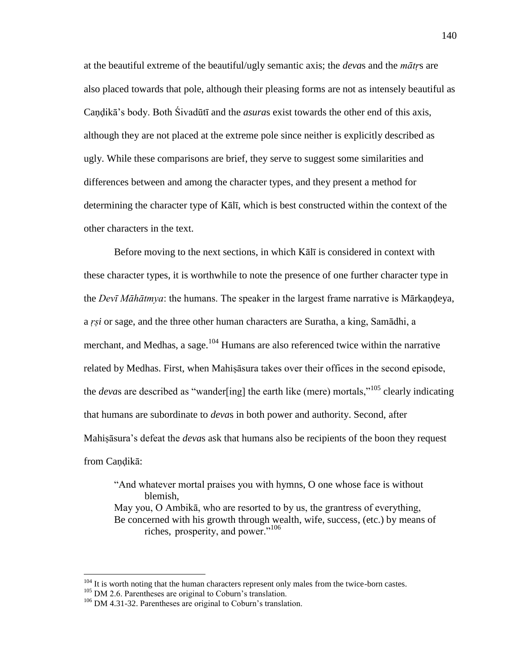at the beautiful extreme of the beautiful/ugly semantic axis; the *deva*s and the *mātṛ*s are also placed towards that pole, although their pleasing forms are not as intensely beautiful as Candika's body. Both Sivadūtī and the *asuras* exist towards the other end of this axis, although they are not placed at the extreme pole since neither is explicitly described as ugly. While these comparisons are brief, they serve to suggest some similarities and differences between and among the character types, and they present a method for determining the character type of Kālī, which is best constructed within the context of the other characters in the text.

 Before moving to the next sections, in which Kālī is considered in context with these character types, it is worthwhile to note the presence of one further character type in the *Devī Māhātmya*: the humans. The speaker in the largest frame narrative is Mārkaṇḍeya, a *ṛṣi* or sage, and the three other human characters are Suratha, a king, Samādhi, a merchant, and Medhas, a sage.<sup>104</sup> Humans are also referenced twice within the narrative related by Medhas. First, when Mahiṣāsura takes over their offices in the second episode, the *deva*s are described as "wander[ing] the earth like (mere) mortals,  $105$  clearly indicating that humans are subordinate to *deva*s in both power and authority. Second, after Mahiṣāsura's defeat the *deva*s ask that humans also be recipients of the boon they request from Caṇḍikā:

"And whatever mortal praises you with hymns, O one whose face is without blemish, May you, O Ambikā, who are resorted to by us, the grantress of everything, Be concerned with his growth through wealth, wife, success, (etc.) by means of riches, prosperity, and power."<sup>106</sup>

<sup>&</sup>lt;sup>104</sup> It is worth noting that the human characters represent only males from the twice-born castes.

<sup>&</sup>lt;sup>105</sup> DM 2.6. Parentheses are original to Coburn's translation.

<sup>&</sup>lt;sup>106</sup> DM 4.31-32. Parentheses are original to Coburn's translation.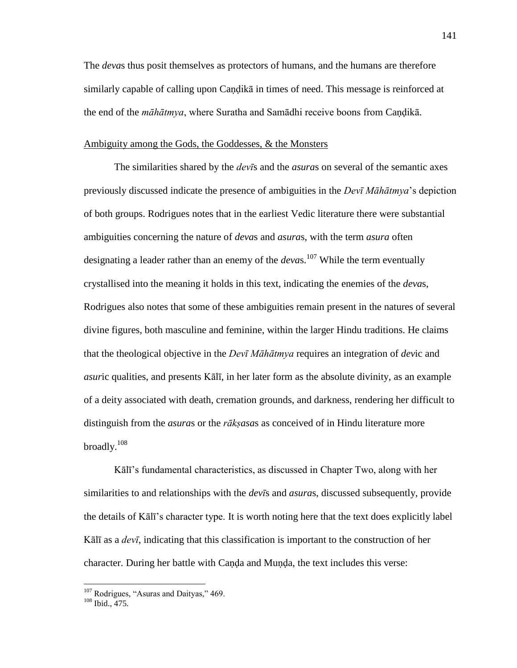The *deva*s thus posit themselves as protectors of humans, and the humans are therefore similarly capable of calling upon Candika in times of need. This message is reinforced at the end of the *māhātmya*, where Suratha and Samādhi receive boons from Caṇḍikā.

# Ambiguity among the Gods, the Goddesses, & the Monsters

 The similarities shared by the *devī*s and the *asura*s on several of the semantic axes previously discussed indicate the presence of ambiguities in the *Devī Māhātmya*'s depiction of both groups. Rodrigues notes that in the earliest Vedic literature there were substantial ambiguities concerning the nature of *deva*s and *asura*s, with the term *asura* often designating a leader rather than an enemy of the *devas*.<sup>107</sup> While the term eventually crystallised into the meaning it holds in this text, indicating the enemies of the *deva*s, Rodrigues also notes that some of these ambiguities remain present in the natures of several divine figures, both masculine and feminine, within the larger Hindu traditions. He claims that the theological objective in the *Devī Māhātmya* requires an integration of *dev*ic and *asur*ic qualities, and presents Kālī, in her later form as the absolute divinity, as an example of a deity associated with death, cremation grounds, and darkness, rendering her difficult to distinguish from the *asura*s or the *rākṣasa*s as conceived of in Hindu literature more broadly.<sup>108</sup>

Kālī's fundamental characteristics, as discussed in Chapter Two, along with her similarities to and relationships with the *devī*s and *asura*s, discussed subsequently, provide the details of Kālī's character type. It is worth noting here that the text does explicitly label Kālī as a *devī*, indicating that this classification is important to the construction of her character. During her battle with Canda and Munda, the text includes this verse:

 $107$  Rodrigues, "Asuras and Daityas," 469.

<sup>108</sup> Ibid., 475.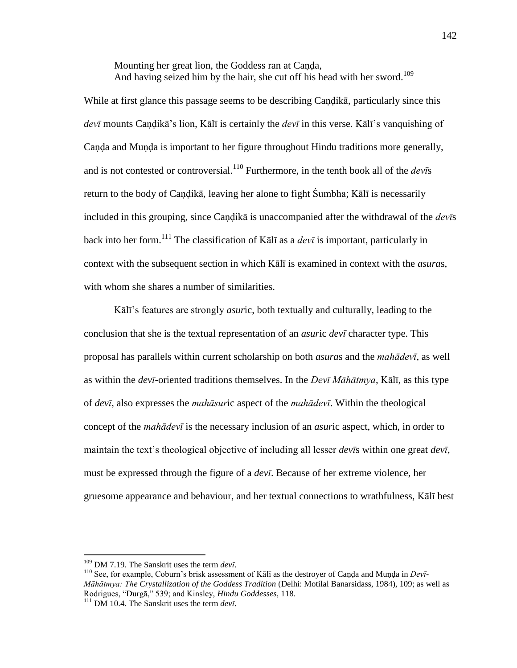Mounting her great lion, the Goddess ran at Canda, And having seized him by the hair, she cut off his head with her sword.<sup>109</sup>

While at first glance this passage seems to be describing Caṇḍikā, particularly since this *devī* mounts Caṇḍikā's lion, Kālī is certainly the *devī* in this verse. Kālī's vanquishing of Canda and Munda is important to her figure throughout Hindu traditions more generally, and is not contested or controversial.<sup>110</sup> Furthermore, in the tenth book all of the  $dev\bar{s}$ return to the body of Caṇḍikā, leaving her alone to fight Śumbha; Kālī is necessarily included in this grouping, since Caṇḍikā is unaccompanied after the withdrawal of the *devī*s back into her form.<sup>111</sup> The classification of Kal<del>l</del> as a *devi* is important, particularly in context with the subsequent section in which Kālī is examined in context with the *asura*s, with whom she shares a number of similarities.

Kālī's features are strongly *asur*ic, both textually and culturally, leading to the conclusion that she is the textual representation of an *asur*ic *devī* character type. This proposal has parallels within current scholarship on both *asura*s and the *mahādevī*, as well as within the *devī*-oriented traditions themselves. In the *Devī Māhātmya*, Kālī, as this type of *devī*, also expresses the *mahāsur*ic aspect of the *mahādevī*. Within the theological concept of the *mahādevī* is the necessary inclusion of an *asur*ic aspect, which, in order to maintain the text's theological objective of including all lesser *devī*s within one great *devī*, must be expressed through the figure of a *devī*. Because of her extreme violence, her gruesome appearance and behaviour, and her textual connections to wrathfulness, Kālī best

<sup>109</sup> DM 7.19. The Sanskrit uses the term *devī*.

<sup>&</sup>lt;sup>110</sup> See, for example, Coburn's brisk assessment of Kālī as the destroyer of Canda and Munda in *Devī*-*Māhātmya: The Crystallization of the Goddess Tradition* (Delhi: Motilal Banarsidass, 1984), 109; as well as Rodrigues, "Durgā," 539; and Kinsley, *Hindu Goddesses*, 118.

<sup>111</sup> DM 10.4. The Sanskrit uses the term *devī*.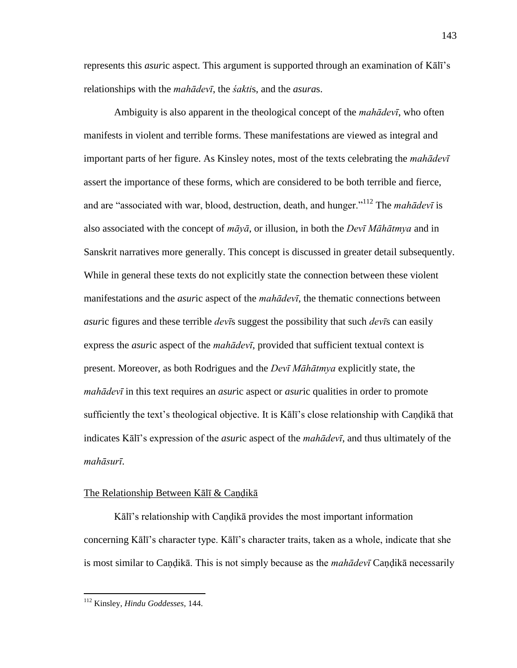represents this *asur*ic aspect. This argument is supported through an examination of Kālī's relationships with the *mahādevī*, the *śakti*s, and the *asura*s.

 Ambiguity is also apparent in the theological concept of the *mahādevī*, who often manifests in violent and terrible forms. These manifestations are viewed as integral and important parts of her figure. As Kinsley notes, most of the texts celebrating the *mahādevī* assert the importance of these forms, which are considered to be both terrible and fierce, and are "associated with war, blood, destruction, death, and hunger."<sup>112</sup> The *mahādevī* is also associated with the concept of *māyā*, or illusion, in both the *Devī Māhātmya* and in Sanskrit narratives more generally. This concept is discussed in greater detail subsequently. While in general these texts do not explicitly state the connection between these violent manifestations and the *asur*ic aspect of the *mahādevī*, the thematic connections between *asur*ic figures and these terrible *devī*s suggest the possibility that such *devī*s can easily express the *asur*ic aspect of the *mahādevī*, provided that sufficient textual context is present. Moreover, as both Rodrigues and the *Devī Māhātmya* explicitly state, the *mahādevī* in this text requires an *asur*ic aspect or *asur*ic qualities in order to promote sufficiently the text's theological objective. It is Kālī's close relationship with Caṇḍikā that indicates Kālī's expression of the *asur*ic aspect of the *mahādevī*, and thus ultimately of the *mahāsurī*.

# The Relationship Between Kālī & Caṇḍikā

Kālī's relationship with Caṇḍikā provides the most important information concerning Kālī's character type. Kālī's character traits, taken as a whole, indicate that she is most similar to Caṇḍikā. This is not simply because as the *mahādevī* Caṇḍikā necessarily

<sup>112</sup> Kinsley, *Hindu Goddesses*, 144.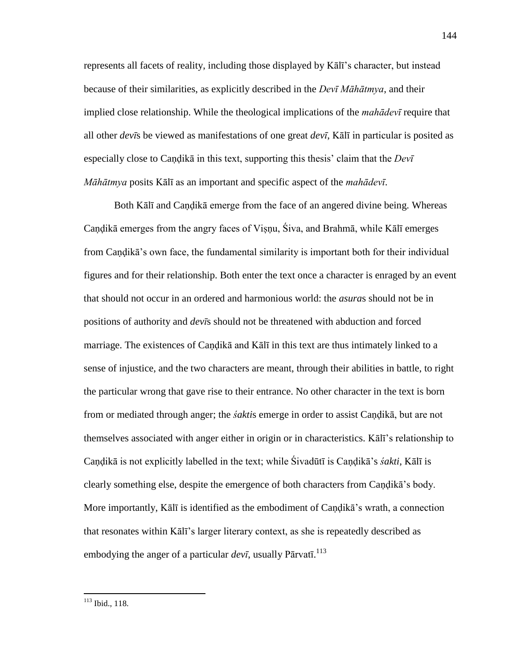represents all facets of reality, including those displayed by Kālī's character, but instead because of their similarities, as explicitly described in the *Devī Māhātmya*, and their implied close relationship. While the theological implications of the *mahādevī* require that all other *devī*s be viewed as manifestations of one great *devī*, Kālī in particular is posited as especially close to Caṇḍikā in this text, supporting this thesis' claim that the *Devī Māhātmya* posits Kālī as an important and specific aspect of the *mahādevī*.

Both Kālī and Candikā emerge from the face of an angered divine being. Whereas Caṇḍikā emerges from the angry faces of Viṣṇu, Śiva, and Brahmā, while Kālī emerges from Caṇḍikā's own face, the fundamental similarity is important both for their individual figures and for their relationship. Both enter the text once a character is enraged by an event that should not occur in an ordered and harmonious world: the *asura*s should not be in positions of authority and *devī*s should not be threatened with abduction and forced marriage. The existences of Caṇḍikā and Kālī in this text are thus intimately linked to a sense of injustice, and the two characters are meant, through their abilities in battle, to right the particular wrong that gave rise to their entrance. No other character in the text is born from or mediated through anger; the *śakti*s emerge in order to assist Caṇḍikā, but are not themselves associated with anger either in origin or in characteristics. Kālī's relationship to Caṇḍikā is not explicitly labelled in the text; while Śivadūtī is Caṇḍikā's *śakti*, Kālī is clearly something else, despite the emergence of both characters from Caṇḍikā's body. More importantly, Kālī is identified as the embodiment of Caṇḍikā's wrath, a connection that resonates within Kālī's larger literary context, as she is repeatedly described as embodying the anger of a particular *devī*, usually Pārvatī. 113

<sup>113</sup> Ibid., 118.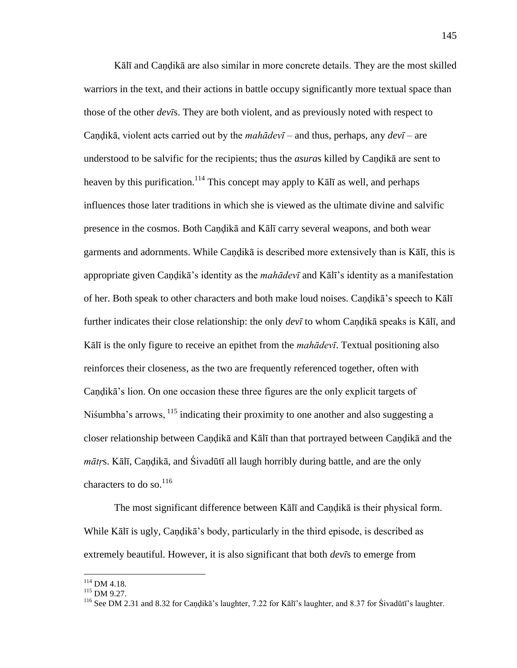Kālī and Candikā are also similar in more concrete details. They are the most skilled warriors in the text, and their actions in battle occupy significantly more textual space than those of the other *devī*s. They are both violent, and as previously noted with respect to Caṇḍikā, violent acts carried out by the *mahādevī* – and thus, perhaps, any *devī* – are understood to be salvific for the recipients; thus the *asura*s killed by Caṇḍikā are sent to heaven by this purification.<sup>114</sup> This concept may apply to K $\bar{a}$ l as well, and perhaps influences those later traditions in which she is viewed as the ultimate divine and salvific presence in the cosmos. Both Caṇḍikā and Kālī carry several weapons, and both wear garments and adornments. While Caṇḍikā is described more extensively than is Kālī, this is appropriate given Caṇḍikā's identity as the *mahādevī* and Kālī's identity as a manifestation of her. Both speak to other characters and both make loud noises. Candika's speech to Kālī further indicates their close relationship: the only *devī* to whom Caṇḍikā speaks is Kālī, and Kālī is the only figure to receive an epithet from the *mahādevī*. Textual positioning also reinforces their closeness, as the two are frequently referenced together, often with Caṇḍikā's lion. On one occasion these three figures are the only explicit targets of Niśumbha's arrows, <sup>115</sup> indicating their proximity to one another and also suggesting a closer relationship between Caṇḍikā and Kālī than that portrayed between Caṇḍikā and the *mātṛ*s. Kālī, Caṇḍikā, and Śivadūtī all laugh horribly during battle, and are the only characters to do so.<sup>116</sup>

 The most significant difference between Kālī and Caṇḍikā is their physical form. While Kālī is ugly, Caṇḍikā's body, particularly in the third episode, is described as extremely beautiful. However, it is also significant that both *devī*s to emerge from

 $114$  DM 4.18.

<sup>&</sup>lt;sup>115</sup> DM 9.27.

<sup>116</sup> See DM 2.31 and 8.32 for Caṇḍikā's laughter, 7.22 for Kālī's laughter, and 8.37 for Śivadūtī's laughter.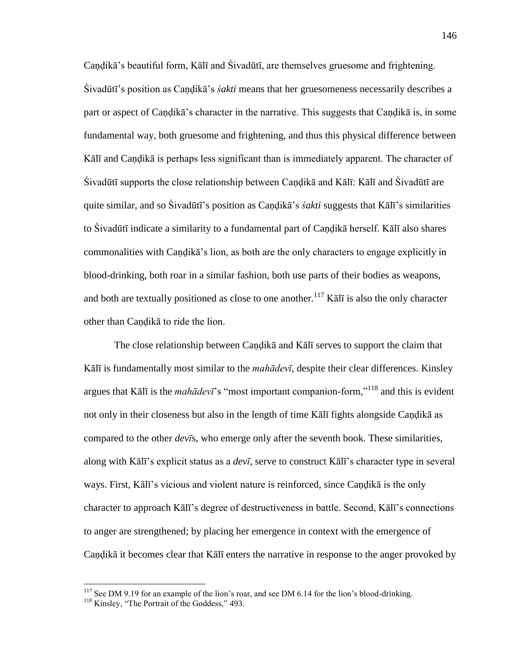Candikā's beautiful form, Kālī and Śivadūtī, are themselves gruesome and frightening. Śivadūtī's position as Caṇḍikā's *śakti* means that her gruesomeness necessarily describes a part or aspect of Caṇḍikā's character in the narrative. This suggests that Caṇḍikā is, in some fundamental way, both gruesome and frightening, and thus this physical difference between Kālī and Caṇḍikā is perhaps less significant than is immediately apparent. The character of Śivadūtī supports the close relationship between Caṇḍikā and Kālī: Kālī and Śivadūtī are quite similar, and so Śivadūtī's position as Caṇḍikā's *śakti* suggests that Kālī's similarities to Śivadūtī indicate a similarity to a fundamental part of Caṇḍikā herself. Kālī also shares commonalities with Caṇḍikā's lion, as both are the only characters to engage explicitly in blood-drinking, both roar in a similar fashion, both use parts of their bodies as weapons, and both are textually positioned as close to one another.<sup>117</sup> K $\bar{a}$ l $\bar{a}$  is also the only character other than Caṇḍikā to ride the lion.

 The close relationship between Caṇḍikā and Kālī serves to support the claim that Kālī is fundamentally most similar to the *mahādevī*, despite their clear differences. Kinsley argues that Kālī is the *mahādevī*'s "most important companion-form,"<sup>118</sup> and this is evident not only in their closeness but also in the length of time Kālī fights alongside Caṇḍikā as compared to the other *devī*s, who emerge only after the seventh book. These similarities, along with Kālī's explicit status as a *devī*, serve to construct Kālī's character type in several ways. First, Kālī's vicious and violent nature is reinforced, since Caṇḍikā is the only character to approach Kālī's degree of destructiveness in battle. Second, Kālī's connections to anger are strengthened; by placing her emergence in context with the emergence of Caṇḍikā it becomes clear that Kālī enters the narrative in response to the anger provoked by

<sup>&</sup>lt;sup>117</sup> See DM 9.19 for an example of the lion's roar, and see DM 6.14 for the lion's blood-drinking.

<sup>&</sup>lt;sup>118</sup> Kinsley, "The Portrait of the Goddess," 493.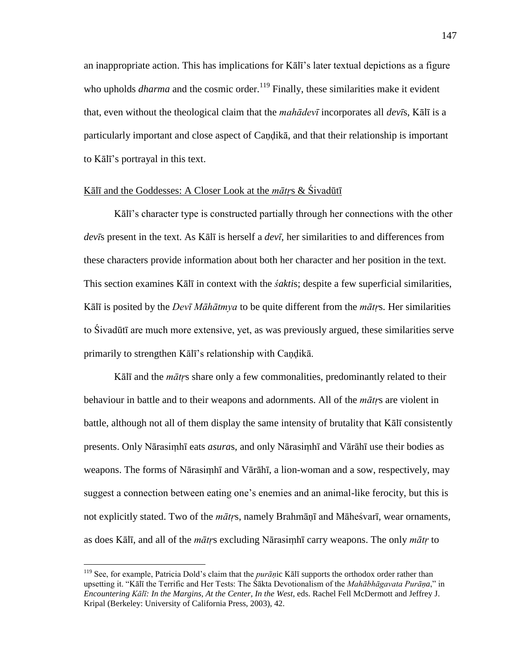an inappropriate action. This has implications for Kālī's later textual depictions as a figure who upholds *dharma* and the cosmic order.<sup>119</sup> Finally, these similarities make it evident that, even without the theological claim that the *mahādevī* incorporates all *devī*s, Kālī is a particularly important and close aspect of Caṇḍikā, and that their relationship is important to Kālī's portrayal in this text.

# Kālī and the Goddesses: A Closer Look at the *mātṛ*s & Śivadūtī

Kālī's character type is constructed partially through her connections with the other *devī*s present in the text. As Kālī is herself a *devī*, her similarities to and differences from these characters provide information about both her character and her position in the text. This section examines Kālī in context with the *śakti*s; despite a few superficial similarities, Kālī is posited by the *Devī Māhātmya* to be quite different from the *mātṛ*s. Her similarities to Śivadūtī are much more extensive, yet, as was previously argued, these similarities serve primarily to strengthen Kālī's relationship with Caṇḍikā.

Kālī and the *mātṛ*s share only a few commonalities, predominantly related to their behaviour in battle and to their weapons and adornments. All of the *mātṛ*s are violent in battle, although not all of them display the same intensity of brutality that Kālī consistently presents. Only Nārasiṃhī eats *asura*s, and only Nārasiṃhī and Vārāhī use their bodies as weapons. The forms of Nārasiṃhī and Vārāhī, a lion-woman and a sow, respectively, may suggest a connection between eating one's enemies and an animal-like ferocity, but this is not explicitly stated. Two of the *mātṛ*s, namely Brahmāṇī and Māheśvarī, wear ornaments, as does Kālī, and all of the *mātṛ*s excluding Nārasiṃhī carry weapons. The only *mātṛ* to

<sup>119</sup> See, for example, Patricia Dold's claim that the *purāṇ*ic Kālī supports the orthodox order rather than upsetting it. "Kālī the Terrific and Her Tests: The Śākta Devotionalism of the *Mahābhāgavata Purāṇa*," in *Encountering Kālī: In the Margins, At the Center, In the West*, eds. Rachel Fell McDermott and Jeffrey J. Kripal (Berkeley: University of California Press, 2003), 42.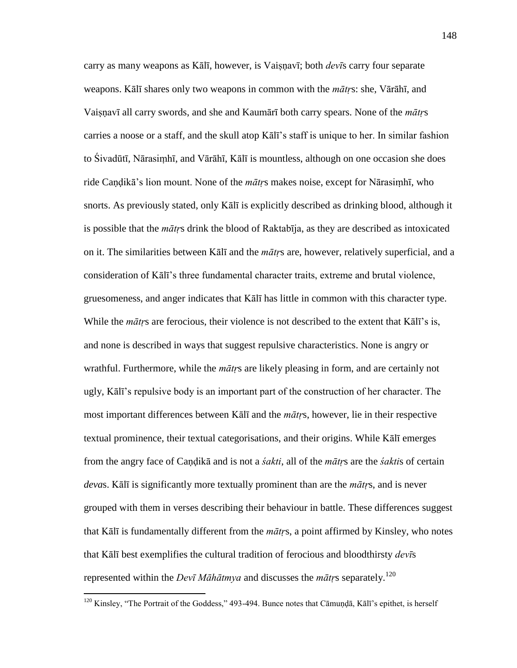carry as many weapons as Kālī, however, is Vaiṣṇavī; both *devī*s carry four separate weapons. Kālī shares only two weapons in common with the *mātṛ*s: she, Vārāhī, and Vaiṣṇavī all carry swords, and she and Kaumārī both carry spears. None of the *mātṛ*s carries a noose or a staff, and the skull atop Kālī's staff is unique to her. In similar fashion to Śivadūtī, Nārasiṃhī, and Vārāhī, Kālī is mountless, although on one occasion she does ride Caṇḍikā's lion mount. None of the *mātṛ*s makes noise, except for Nārasiṃhī, who snorts. As previously stated, only Kālī is explicitly described as drinking blood, although it is possible that the *mātṛ*s drink the blood of Raktabīja, as they are described as intoxicated on it. The similarities between Kālī and the *mātṛ*s are, however, relatively superficial, and a consideration of Kālī's three fundamental character traits, extreme and brutal violence, gruesomeness, and anger indicates that Kālī has little in common with this character type. While the *mātrs* are ferocious, their violence is not described to the extent that Kālī's is, and none is described in ways that suggest repulsive characteristics. None is angry or wrathful. Furthermore, while the *mātṛ*s are likely pleasing in form, and are certainly not ugly, Kālī's repulsive body is an important part of the construction of her character. The most important differences between Kālī and the *mātṛ*s, however, lie in their respective textual prominence, their textual categorisations, and their origins. While Kālī emerges from the angry face of Caṇḍikā and is not a *śakti*, all of the *mātṛ*s are the *śakti*s of certain *deva*s. Kālī is significantly more textually prominent than are the *mātṛ*s, and is never grouped with them in verses describing their behaviour in battle. These differences suggest that Kālī is fundamentally different from the *mātṛ*s, a point affirmed by Kinsley, who notes that Kālī best exemplifies the cultural tradition of ferocious and bloodthirsty *devī*s represented within the *Devī Māhātmya* and discusses the  $m\bar{a}t$ *r*s separately.<sup>120</sup>

<sup>&</sup>lt;sup>120</sup> Kinsley, "The Portrait of the Goddess," 493-494. Bunce notes that Cāmuṇḍā, Kālī's epithet, is herself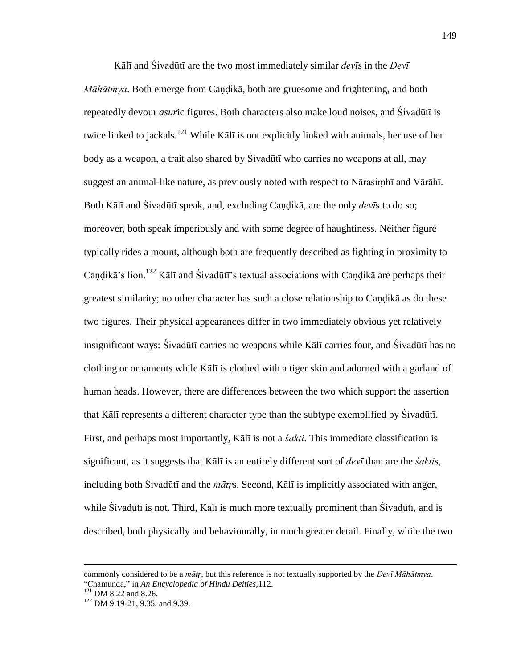Kālī and Śivadūtī are the two most immediately similar *devī*s in the *Devī Māhātmya*. Both emerge from Candikā, both are gruesome and frightening, and both repeatedly devour *asur*ic figures. Both characters also make loud noises, and Śivadūtī is twice linked to jackals.<sup>121</sup> While Kālī is not explicitly linked with animals, her use of her body as a weapon, a trait also shared by Śivadūtī who carries no weapons at all, may suggest an animal-like nature, as previously noted with respect to Nārasiṃhī and Vārāhī. Both Kālī and Śivadūtī speak, and, excluding Caṇḍikā, are the only *devī*s to do so; moreover, both speak imperiously and with some degree of haughtiness. Neither figure typically rides a mount, although both are frequently described as fighting in proximity to Candikā's lion.<sup>122</sup> Kālī and Śivadūtī's textual associations with Candikā are perhaps their greatest similarity; no other character has such a close relationship to Caṇḍikā as do these two figures. Their physical appearances differ in two immediately obvious yet relatively insignificant ways: Śivadūtī carries no weapons while Kālī carries four, and Śivadūtī has no clothing or ornaments while Kālī is clothed with a tiger skin and adorned with a garland of human heads. However, there are differences between the two which support the assertion that Kālī represents a different character type than the subtype exemplified by Śivadūtī. First, and perhaps most importantly, Kālī is not a *śakti*. This immediate classification is significant, as it suggests that Kālī is an entirely different sort of *devī* than are the *śakti*s, including both Śivadūtī and the *mātṛ*s. Second, Kālī is implicitly associated with anger, while Sivadūtī is not. Third, Kālī is much more textually prominent than Sivadūtī, and is described, both physically and behaviourally, in much greater detail. Finally, while the two

commonly considered to be a *mātṛ*, but this reference is not textually supported by the *Devī Māhātmya*. ―Chamunda,‖ in *An Encyclopedia of Hindu Deities,*112.

<sup>&</sup>lt;sup>121</sup> DM 8.22 and 8.26.

<sup>&</sup>lt;sup>122</sup> DM 9.19-21, 9.35, and 9.39.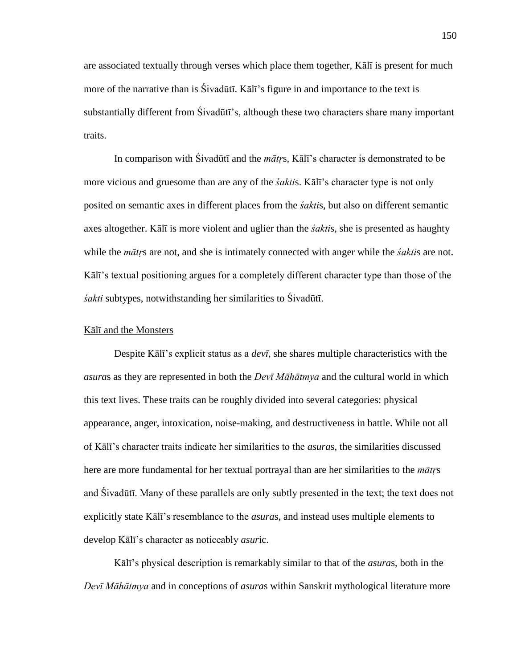are associated textually through verses which place them together, Kālī is present for much more of the narrative than is Śivadūtī. Kālī's figure in and importance to the text is substantially different from Śivadūtī's, although these two characters share many important traits.

 In comparison with Śivadūtī and the *mātṛ*s, Kālī's character is demonstrated to be more vicious and gruesome than are any of the *śakti*s. Kālī's character type is not only posited on semantic axes in different places from the *śakti*s, but also on different semantic axes altogether. Kālī is more violent and uglier than the *śakti*s, she is presented as haughty while the *mātṛ*s are not, and she is intimately connected with anger while the *śakti*s are not. Kālī's textual positioning argues for a completely different character type than those of the *śakti* subtypes, notwithstanding her similarities to Śivadūtī.

### Kālī and the Monsters

 Despite Kālī's explicit status as a *devī*, she shares multiple characteristics with the *asura*s as they are represented in both the *Devī Māhātmya* and the cultural world in which this text lives. These traits can be roughly divided into several categories: physical appearance, anger, intoxication, noise-making, and destructiveness in battle. While not all of Kālī's character traits indicate her similarities to the *asura*s, the similarities discussed here are more fundamental for her textual portrayal than are her similarities to the *mātṛ*s and Śivadūtī. Many of these parallels are only subtly presented in the text; the text does not explicitly state Kālī's resemblance to the *asura*s, and instead uses multiple elements to develop Kālī's character as noticeably *asur*ic.

Kālī's physical description is remarkably similar to that of the *asura*s, both in the *Devī Māhātmya* and in conceptions of *asura*s within Sanskrit mythological literature more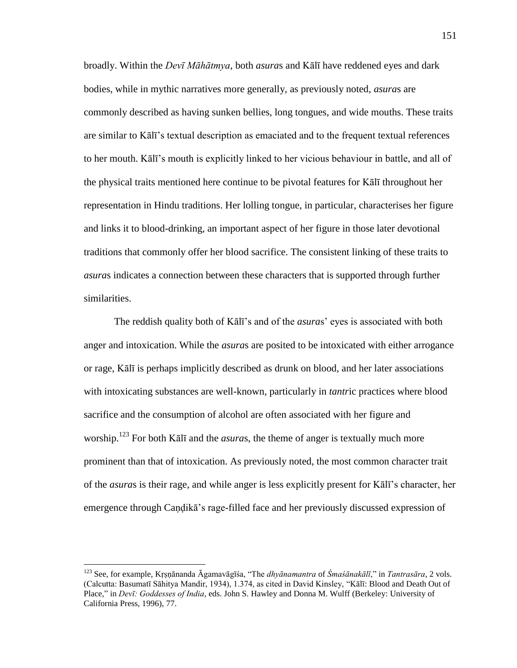broadly. Within the *Devī Māhātmya*, both *asura*s and Kālī have reddened eyes and dark bodies, while in mythic narratives more generally, as previously noted, *asura*s are commonly described as having sunken bellies, long tongues, and wide mouths. These traits are similar to Kālī's textual description as emaciated and to the frequent textual references to her mouth. Kālī's mouth is explicitly linked to her vicious behaviour in battle, and all of the physical traits mentioned here continue to be pivotal features for Kālī throughout her representation in Hindu traditions. Her lolling tongue, in particular, characterises her figure and links it to blood-drinking, an important aspect of her figure in those later devotional traditions that commonly offer her blood sacrifice. The consistent linking of these traits to *asura*s indicates a connection between these characters that is supported through further similarities.

 The reddish quality both of Kālī's and of the *asura*s' eyes is associated with both anger and intoxication. While the *asura*s are posited to be intoxicated with either arrogance or rage, Kālī is perhaps implicitly described as drunk on blood, and her later associations with intoxicating substances are well-known, particularly in *tantr*ic practices where blood sacrifice and the consumption of alcohol are often associated with her figure and worship. <sup>123</sup> For both Kālī and the *asura*s, the theme of anger is textually much more prominent than that of intoxication. As previously noted, the most common character trait of the *asura*s is their rage, and while anger is less explicitly present for Kālī's character, her emergence through Caṇḍikā's rage-filled face and her previously discussed expression of

<sup>&</sup>lt;sup>123</sup> See, for example, Krsnānanda Āgamavāgīśa, "The *dhyānamantra* of *Śmaśānakālī*," in *Tantrasāra*, 2 vols. (Calcutta: Basumatī Sāhitya Mandir, 1934), 1.374, as cited in David Kinsley, "Kālī: Blood and Death Out of Place," in *Devī: Goddesses of India*, eds. John S. Hawley and Donna M. Wulff (Berkeley: University of California Press, 1996), 77.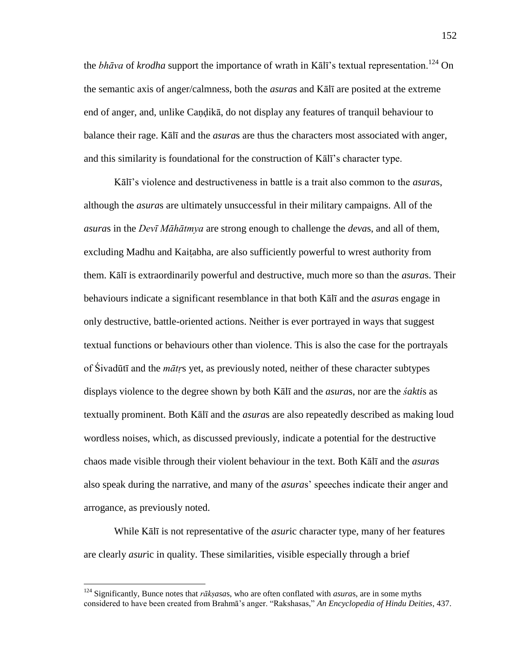the *bhāva* of *krodha* support the importance of wrath in Kālī's textual representation.<sup>124</sup> On the semantic axis of anger/calmness, both the *asura*s and Kālī are posited at the extreme end of anger, and, unlike Caṇḍikā, do not display any features of tranquil behaviour to balance their rage. Kālī and the *asura*s are thus the characters most associated with anger, and this similarity is foundational for the construction of Kālī's character type.

Kālī's violence and destructiveness in battle is a trait also common to the *asura*s, although the *asura*s are ultimately unsuccessful in their military campaigns. All of the *asura*s in the *Devī Māhātmya* are strong enough to challenge the *deva*s, and all of them, excluding Madhu and Kaiṭabha, are also sufficiently powerful to wrest authority from them. Kālī is extraordinarily powerful and destructive, much more so than the *asura*s. Their behaviours indicate a significant resemblance in that both Kālī and the *asura*s engage in only destructive, battle-oriented actions. Neither is ever portrayed in ways that suggest textual functions or behaviours other than violence. This is also the case for the portrayals of Śivadūtī and the *mātṛ*s yet, as previously noted, neither of these character subtypes displays violence to the degree shown by both Kālī and the *asura*s, nor are the *śakti*s as textually prominent. Both Kālī and the *asura*s are also repeatedly described as making loud wordless noises, which, as discussed previously, indicate a potential for the destructive chaos made visible through their violent behaviour in the text. Both Kālī and the *asura*s also speak during the narrative, and many of the *asura*s' speeches indicate their anger and arrogance, as previously noted.

 While Kālī is not representative of the *asur*ic character type, many of her features are clearly *asur*ic in quality. These similarities, visible especially through a brief

<sup>124</sup> Significantly, Bunce notes that *rākṣasa*s, who are often conflated with *asura*s, are in some myths considered to have been created from Brahmā's anger. "Rakshasas," *An Encyclopedia of Hindu Deities*, 437.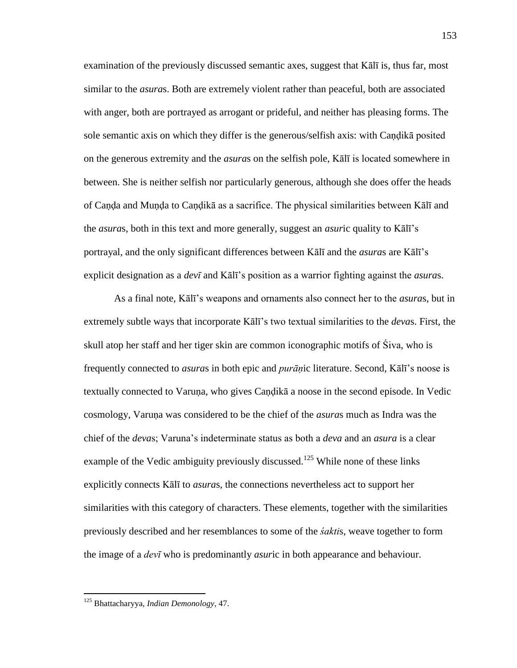examination of the previously discussed semantic axes, suggest that Kālī is, thus far, most similar to the *asura*s. Both are extremely violent rather than peaceful, both are associated with anger, both are portrayed as arrogant or prideful, and neither has pleasing forms. The sole semantic axis on which they differ is the generous/selfish axis: with Caṇḍikā posited on the generous extremity and the *asura*s on the selfish pole, Kālī is located somewhere in between. She is neither selfish nor particularly generous, although she does offer the heads of Caṇḍa and Muṇḍa to Caṇḍikā as a sacrifice. The physical similarities between Kālī and the *asura*s, both in this text and more generally, suggest an *asur*ic quality to Kālī's portrayal, and the only significant differences between Kālī and the *asura*s are Kālī's explicit designation as a *devī* and Kālī's position as a warrior fighting against the *asura*s.

 As a final note, Kālī's weapons and ornaments also connect her to the *asura*s, but in extremely subtle ways that incorporate Kālī's two textual similarities to the *deva*s. First, the skull atop her staff and her tiger skin are common iconographic motifs of Śiva, who is frequently connected to *asura*s in both epic and *purāṇ*ic literature. Second, Kālī's noose is textually connected to Varuṇa, who gives Caṇḍikā a noose in the second episode. In Vedic cosmology, Varuṇa was considered to be the chief of the *asura*s much as Indra was the chief of the *deva*s; Varuna's indeterminate status as both a *deva* and an *asura* is a clear example of the Vedic ambiguity previously discussed.<sup>125</sup> While none of these links explicitly connects Kālī to *asura*s, the connections nevertheless act to support her similarities with this category of characters. These elements, together with the similarities previously described and her resemblances to some of the *śakti*s, weave together to form the image of a *devī* who is predominantly *asur*ic in both appearance and behaviour.

<sup>125</sup> Bhattacharyya, *Indian Demonology*, 47.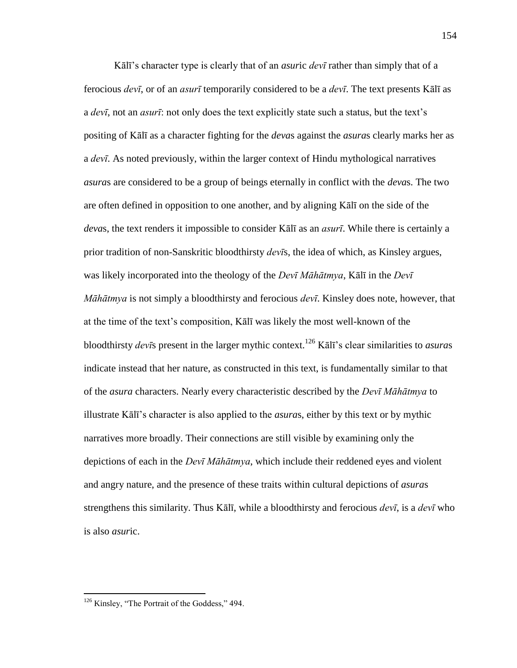Kālī's character type is clearly that of an *asur*ic *devī* rather than simply that of a ferocious *devī*, or of an *asurī* temporarily considered to be a *devī*. The text presents Kālī as a *devī*, not an *asurī*: not only does the text explicitly state such a status, but the text's positing of Kālī as a character fighting for the *deva*s against the *asura*s clearly marks her as a *devī*. As noted previously, within the larger context of Hindu mythological narratives *asura*s are considered to be a group of beings eternally in conflict with the *deva*s. The two are often defined in opposition to one another, and by aligning Kālī on the side of the *deva*s, the text renders it impossible to consider Kālī as an *asurī*. While there is certainly a prior tradition of non-Sanskritic bloodthirsty *devī*s, the idea of which, as Kinsley argues, was likely incorporated into the theology of the *Devī Māhātmya*, Kālī in the *Devī Māhātmya* is not simply a bloodthirsty and ferocious *devī*. Kinsley does note, however, that at the time of the text's composition, Kālī was likely the most well-known of the bloodthirsty *devī*s present in the larger mythic context.<sup>126</sup> Kālī's clear similarities to *asura*s indicate instead that her nature, as constructed in this text, is fundamentally similar to that of the *asura* characters. Nearly every characteristic described by the *Devī Māhātmya* to illustrate Kālī's character is also applied to the *asura*s, either by this text or by mythic narratives more broadly. Their connections are still visible by examining only the depictions of each in the *Devī Māhātmya*, which include their reddened eyes and violent and angry nature, and the presence of these traits within cultural depictions of *asura*s strengthens this similarity. Thus Kālī, while a bloodthirsty and ferocious *devī*, is a *devī* who is also *asur*ic.

 $126$  Kinsley, "The Portrait of the Goddess," 494.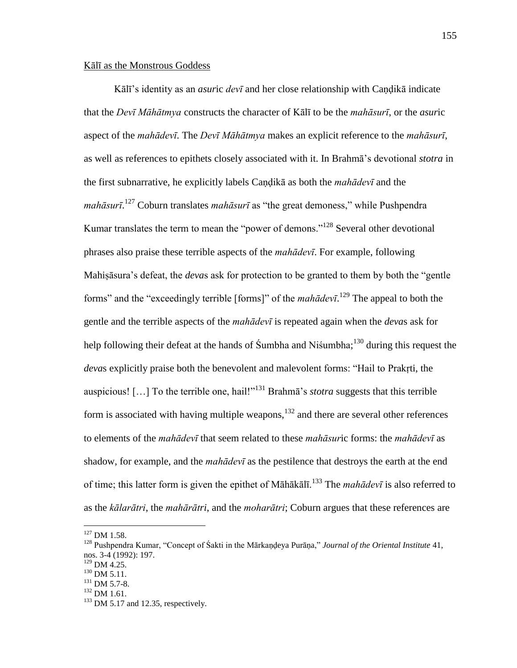## Kālī as the Monstrous Goddess

Kālī's identity as an *asur*ic *devī* and her close relationship with Caṇḍikā indicate that the *Devī Māhātmya* constructs the character of Kālī to be the *mahāsurī*, or the *asur*ic aspect of the *mahādevī*. The *Devī Māhātmya* makes an explicit reference to the *mahāsurī*, as well as references to epithets closely associated with it. In Brahmā's devotional *stotra* in the first subnarrative, he explicitly labels Caṇḍikā as both the *mahādevī* and the *mahāsurī*.<sup>127</sup> Coburn translates *mahāsurī* as "the great demoness," while Pushpendra Kumar translates the term to mean the "power of demons."<sup>128</sup> Several other devotional phrases also praise these terrible aspects of the *mahādevī*. For example, following Mahisāsura's defeat, the *devas* ask for protection to be granted to them by both the "gentle" forms" and the "exceedingly terrible [forms]" of the  $mah\bar{a}dev\bar{\iota}$ .<sup>129</sup> The appeal to both the gentle and the terrible aspects of the *mahādevī* is repeated again when the *deva*s ask for help following their defeat at the hands of Śumbha and Niśumbha;<sup>130</sup> during this request the *devas* explicitly praise both the benevolent and malevolent forms: "Hail to Prakrti, the auspicious!  $[\dots]$  To the terrible one, hail!"<sup>131</sup> Brahma's *stotra* suggests that this terrible form is associated with having multiple weapons, $132$  and there are several other references to elements of the *mahādevī* that seem related to these *mahāsur*ic forms: the *mahādevī* as shadow, for example, and the *mahādevī* as the pestilence that destroys the earth at the end of time; this latter form is given the epithet of Māhākālī.<sup>133</sup> The *mahādevī* is also referred to as the *kālarātri*, the *mahārātri*, and the *moharātri*; Coburn argues that these references are

 $127$  DM 1.58.

<sup>&</sup>lt;sup>128</sup> Pushpendra Kumar, "Concept of Śakti in the Mārkandeya Purāna," *Journal of the Oriental Institute* 41, nos. 3-4 (1992): 197.

 $129$  DM 4.25.

 $130$  DM 5.11.

 $131$  DM 5.7-8.

<sup>132</sup> DM 1.61.

 $133$  DM 5.17 and 12.35, respectively.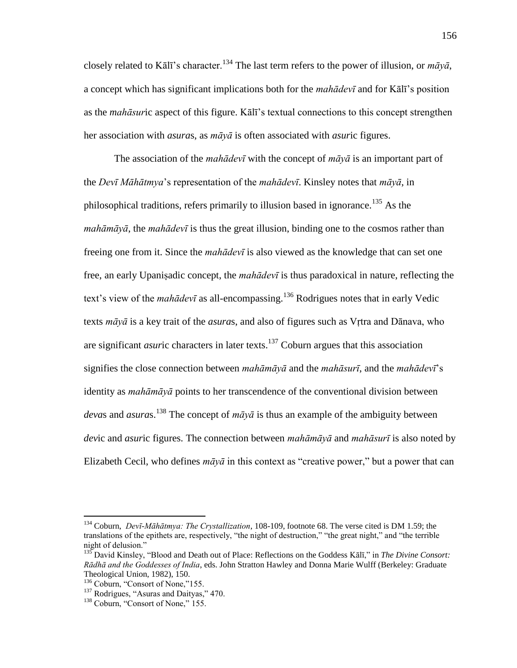closely related to Kālī's character.<sup>134</sup> The last term refers to the power of illusion, or  $m\bar{a}v\bar{a}$ , a concept which has significant implications both for the *mahādevī* and for Kālī's position as the *mahāsur*ic aspect of this figure. Kālī's textual connections to this concept strengthen her association with *asura*s, as *māyā* is often associated with *asur*ic figures.

 The association of the *mahādevī* with the concept of *māyā* is an important part of the *Devī Māhātmya*'s representation of the *mahādevī*. Kinsley notes that *māyā*, in philosophical traditions, refers primarily to illusion based in ignorance.<sup>135</sup> As the *mahāmāyā*, the *mahādevī* is thus the great illusion, binding one to the cosmos rather than freeing one from it. Since the *mahādevī* is also viewed as the knowledge that can set one free, an early Upaniṣadic concept, the *mahādevī* is thus paradoxical in nature, reflecting the text's view of the *mahādevī* as all-encompassing.<sup>136</sup> Rodrigues notes that in early Vedic texts *māyā* is a key trait of the *asura*s, and also of figures such as Vṛtra and Dānava, who are significant *asuric* characters in later texts.<sup>137</sup> Coburn argues that this association signifies the close connection between *mahāmāyā* and the *mahāsurī*, and the *mahādevī*'s identity as *mahāmāyā* points to her transcendence of the conventional division between *devas* and *asuras*.<sup>138</sup> The concept of  $m\bar{a}y\bar{a}$  is thus an example of the ambiguity between *dev*ic and *asur*ic figures. The connection between *mahāmāyā* and *mahāsurī* is also noted by Elizabeth Cecil, who defines  $m\bar{a}y\bar{a}$  in this context as "creative power," but a power that can

<sup>134</sup> Coburn, *Devī-Māhātmya: The Crystallization*, 108-109, footnote 68. The verse cited is DM 1.59; the translations of the epithets are, respectively, "the night of destruction," "the great night," and "the terrible night of delusion."

<sup>&</sup>lt;sup>135</sup> David Kinsley, "Blood and Death out of Place: Reflections on the Goddess Kālī," in *The Divine Consort: Rādhā and the Goddesses of India*, eds. John Stratton Hawley and Donna Marie Wulff (Berkeley: Graduate Theological Union, 1982), 150.

<sup>&</sup>lt;sup>136</sup> Coburn, "Consort of None,"155.

 $137$  Rodrigues, "Asuras and Daityas," 470.

 $138$  Coburn, "Consort of None," 155.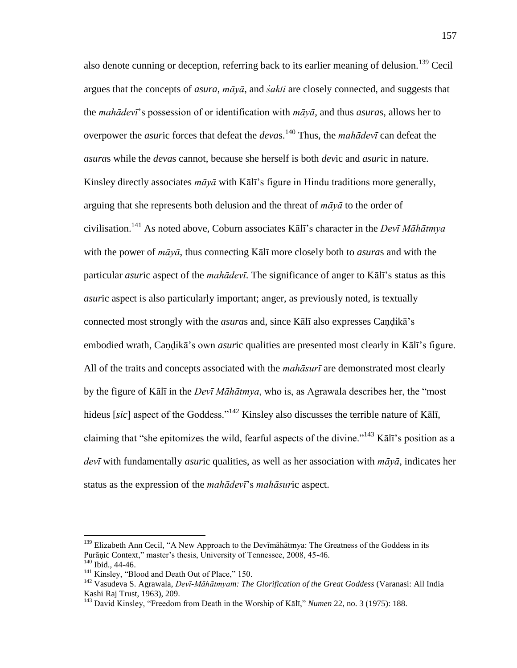also denote cunning or deception, referring back to its earlier meaning of delusion.<sup>139</sup> Cecil argues that the concepts of *asura*, *māyā*, and *śakti* are closely connected, and suggests that the *mahādevī*'s possession of or identification with *māyā*, and thus *asura*s, allows her to overpower the *asur*ic forces that defeat the *deva*s.<sup>140</sup> Thus, the *mahādevī* can defeat the *asura*s while the *deva*s cannot, because she herself is both *dev*ic and *asur*ic in nature. Kinsley directly associates *māyā* with Kālī's figure in Hindu traditions more generally, arguing that she represents both delusion and the threat of *māyā* to the order of civilisation.<sup>141</sup> As noted above, Coburn associates Kālī's character in the *Devī Māhātmya* with the power of *māyā*, thus connecting Kālī more closely both to *asura*s and with the particular *asur*ic aspect of the *mahādevī*. The significance of anger to Kālī's status as this *asur*ic aspect is also particularly important; anger, as previously noted, is textually connected most strongly with the *asura*s and, since Kālī also expresses Caṇḍikā's embodied wrath, Caṇḍikā's own *asur*ic qualities are presented most clearly in Kālī's figure. All of the traits and concepts associated with the *mahāsurī* are demonstrated most clearly by the figure of Kālī in the *Devī Māhātmya*, who is, as Agrawala describes her, the "most hideus [sic] aspect of the Goddess."<sup>142</sup> Kinsley also discusses the terrible nature of Kālī, claiming that "she epitomizes the wild, fearful aspects of the divine."<sup>143</sup> Kālī's position as a *devī* with fundamentally *asur*ic qualities, as well as her association with *māyā*, indicates her status as the expression of the *mahādevī*'s *mahāsur*ic aspect.

<sup>&</sup>lt;sup>139</sup> Elizabeth Ann Cecil, "A New Approach to the Dev<del>imalda allowareary and allow</del> Softhe Goddess in its Purāṇic Context," master's thesis, University of Tennessee, 2008, 45-46.  $140$  Ibid., 44-46.

 $141$  Kinsley, "Blood and Death Out of Place," 150.

<sup>142</sup> Vasudeva S. Agrawala, *Devī-Māhātmyam: The Glorification of the Great Goddess* (Varanasi: All India Kashi Raj Trust, 1963), 209.

<sup>&</sup>lt;sup>143</sup> David Kinsley, "Freedom from Death in the Worship of Kālī," *Numen* 22, no. 3 (1975): 188.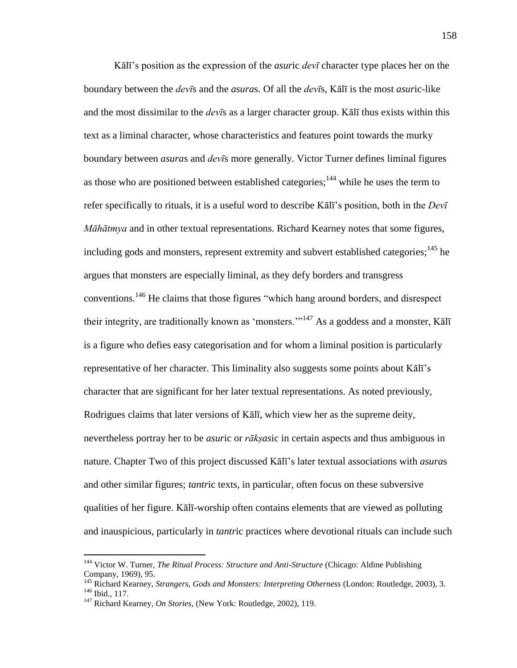Kālī's position as the expression of the *asur*ic *devī* character type places her on the boundary between the *devī*s and the *asura*s. Of all the *devī*s, Kālī is the most *asur*ic-like and the most dissimilar to the *devī*s as a larger character group. Kālī thus exists within this text as a liminal character, whose characteristics and features point towards the murky boundary between *asura*s and *devī*s more generally. Victor Turner defines liminal figures as those who are positioned between established categories;  $144$  while he uses the term to refer specifically to rituals, it is a useful word to describe Kālī's position, both in the *Devī Māhātmya* and in other textual representations. Richard Kearney notes that some figures, including gods and monsters, represent extremity and subvert established categories;  $^{145}$  he argues that monsters are especially liminal, as they defy borders and transgress conventions.<sup>146</sup> He claims that those figures "which hang around borders, and disrespect their integrity, are traditionally known as 'monsters. $m<sup>147</sup>$  As a goddess and a monster, Kal<sub>I</sub> is a figure who defies easy categorisation and for whom a liminal position is particularly representative of her character. This liminality also suggests some points about Kālī's character that are significant for her later textual representations. As noted previously, Rodrigues claims that later versions of Kālī, which view her as the supreme deity, nevertheless portray her to be *asur*ic or *rākṣas*ic in certain aspects and thus ambiguous in nature. Chapter Two of this project discussed Kālī's later textual associations with *asura*s and other similar figures; *tantr*ic texts, in particular, often focus on these subversive qualities of her figure. Kālī-worship often contains elements that are viewed as polluting and inauspicious, particularly in *tantr*ic practices where devotional rituals can include such

<sup>&</sup>lt;sup>144</sup> Victor W. Turner, *The Ritual Process: Structure and Anti-Structure* (Chicago: Aldine Publishing Company, 1969), 95.

<sup>145</sup> Richard Kearney, *Strangers, Gods and Monsters: Interpreting Otherness* (London: Routledge, 2003), 3. <sup>146</sup> Ibid., 117.

<sup>147</sup> Richard Kearney, *On Stories*, (New York: Routledge, 2002), 119.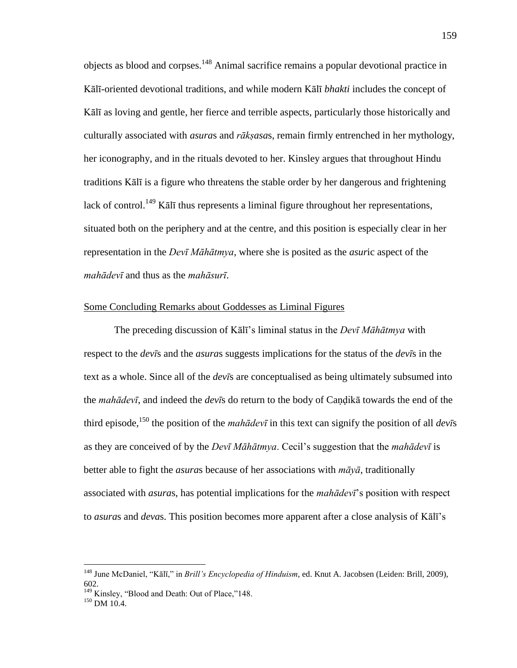objects as blood and corpses.<sup>148</sup> Animal sacrifice remains a popular devotional practice in Kālī-oriented devotional traditions, and while modern Kālī *bhakti* includes the concept of Kālī as loving and gentle, her fierce and terrible aspects, particularly those historically and culturally associated with *asura*s and *rākṣasa*s, remain firmly entrenched in her mythology, her iconography, and in the rituals devoted to her. Kinsley argues that throughout Hindu traditions Kālī is a figure who threatens the stable order by her dangerous and frightening lack of control.<sup>149</sup> Kālī thus represents a liminal figure throughout her representations, situated both on the periphery and at the centre, and this position is especially clear in her representation in the *Devī Māhātmya*, where she is posited as the *asur*ic aspect of the *mahādevī* and thus as the *mahāsurī*.

### Some Concluding Remarks about Goddesses as Liminal Figures

 The preceding discussion of Kālī's liminal status in the *Devī Māhātmya* with respect to the *devī*s and the *asura*s suggests implications for the status of the *devī*s in the text as a whole. Since all of the *devī*s are conceptualised as being ultimately subsumed into the *mahādevī*, and indeed the *devī*s do return to the body of Caṇḍikā towards the end of the third episode,<sup>150</sup> the position of the *mahādevī* in this text can signify the position of all *dev* $\bar{s}$ as they are conceived of by the *Devī Māhātmya*. Cecil's suggestion that the *mahādevī* is better able to fight the *asura*s because of her associations with *māyā*, traditionally associated with *asura*s, has potential implications for the *mahādevī*'s position with respect to *asura*s and *deva*s. This position becomes more apparent after a close analysis of Kālī's

<sup>&</sup>lt;sup>148</sup> June McDaniel, "Kālī," in *Brill's Encyclopedia of Hinduism*, ed. Knut A. Jacobsen (Leiden: Brill, 2009), 602.

<sup>&</sup>lt;sup>149</sup> Kinsley, "Blood and Death: Out of Place,"148.

<sup>&</sup>lt;sup>150</sup> DM 10.4.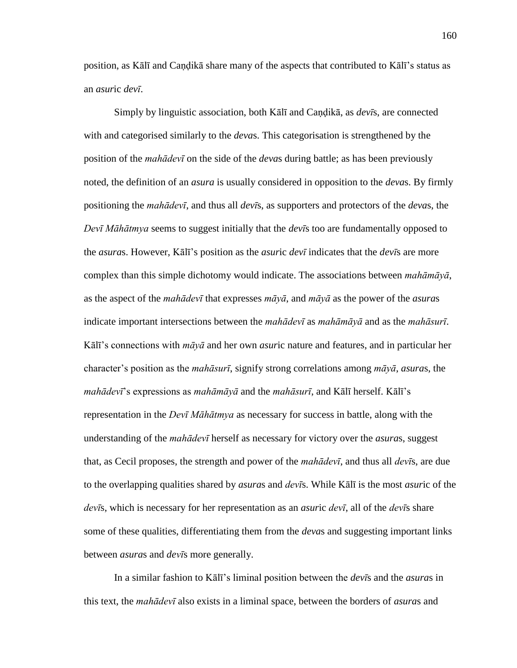position, as Kālī and Caṇḍikā share many of the aspects that contributed to Kālī's status as an *asur*ic *devī*.

 Simply by linguistic association, both Kālī and Caṇḍikā, as *devī*s, are connected with and categorised similarly to the *deva*s. This categorisation is strengthened by the position of the *mahādevī* on the side of the *deva*s during battle; as has been previously noted, the definition of an *asura* is usually considered in opposition to the *deva*s. By firmly positioning the *mahādevī*, and thus all *devī*s, as supporters and protectors of the *deva*s, the *Devī Māhātmya* seems to suggest initially that the *devī*s too are fundamentally opposed to the *asura*s. However, Kālī's position as the *asur*ic *devī* indicates that the *devī*s are more complex than this simple dichotomy would indicate. The associations between *mahāmāyā*, as the aspect of the *mahādevī* that expresses *māyā*, and *māyā* as the power of the *asura*s indicate important intersections between the *mahādevī* as *mahāmāyā* and as the *mahāsurī*. Kālī's connections with *māyā* and her own *asur*ic nature and features, and in particular her character's position as the *mahāsurī*, signify strong correlations among *māyā*, *asura*s, the *mahādevī*'s expressions as *mahāmāyā* and the *mahāsurī*, and Kālī herself. Kālī's representation in the *Devī Māhātmya* as necessary for success in battle, along with the understanding of the *mahādevī* herself as necessary for victory over the *asura*s, suggest that, as Cecil proposes, the strength and power of the *mahādevī*, and thus all *devī*s, are due to the overlapping qualities shared by *asura*s and *devī*s. While Kālī is the most *asur*ic of the *devī*s, which is necessary for her representation as an *asur*ic *devī*, all of the *devī*s share some of these qualities, differentiating them from the *deva*s and suggesting important links between *asura*s and *devī*s more generally.

 In a similar fashion to Kālī's liminal position between the *devī*s and the *asura*s in this text, the *mahādevī* also exists in a liminal space, between the borders of *asura*s and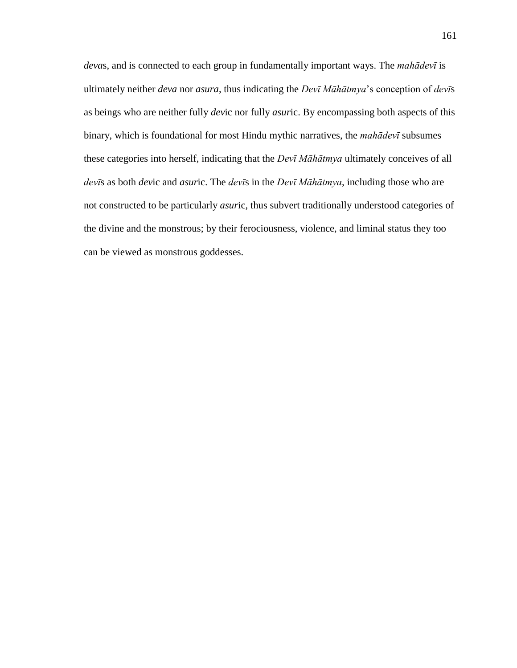*deva*s, and is connected to each group in fundamentally important ways. The *mahādevī* is ultimately neither *deva* nor *asura*, thus indicating the *Devī Māhātmya*'s conception of *devī*s as beings who are neither fully *dev*ic nor fully *asur*ic. By encompassing both aspects of this binary, which is foundational for most Hindu mythic narratives, the *mahādevī* subsumes these categories into herself, indicating that the *Devī Māhātmya* ultimately conceives of all *devī*s as both *dev*ic and *asur*ic. The *devī*s in the *Devī Māhātmya*, including those who are not constructed to be particularly *asur*ic, thus subvert traditionally understood categories of the divine and the monstrous; by their ferociousness, violence, and liminal status they too can be viewed as monstrous goddesses.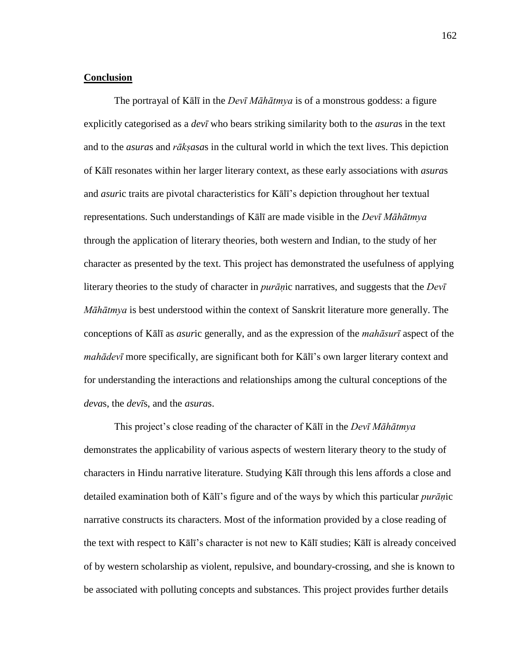#### **Conclusion**

 The portrayal of Kālī in the *Devī Māhātmya* is of a monstrous goddess: a figure explicitly categorised as a *devī* who bears striking similarity both to the *asura*s in the text and to the *asura*s and *rākṣasa*s in the cultural world in which the text lives. This depiction of Kālī resonates within her larger literary context, as these early associations with *asura*s and *asur*ic traits are pivotal characteristics for Kālī's depiction throughout her textual representations. Such understandings of Kālī are made visible in the *Devī Māhātmya* through the application of literary theories, both western and Indian, to the study of her character as presented by the text. This project has demonstrated the usefulness of applying literary theories to the study of character in *purāṇ*ic narratives, and suggests that the *Devī Māhātmya* is best understood within the context of Sanskrit literature more generally. The conceptions of Kālī as *asur*ic generally, and as the expression of the *mahāsurī* aspect of the *mahādevī* more specifically, are significant both for Kālī's own larger literary context and for understanding the interactions and relationships among the cultural conceptions of the *deva*s, the *devī*s, and the *asura*s.

This project's close reading of the character of Kālī in the *Devī Māhātmya* demonstrates the applicability of various aspects of western literary theory to the study of characters in Hindu narrative literature. Studying Kālī through this lens affords a close and detailed examination both of Kālī's figure and of the ways by which this particular *purāṇ*ic narrative constructs its characters. Most of the information provided by a close reading of the text with respect to Kālī's character is not new to Kālī studies; Kālī is already conceived of by western scholarship as violent, repulsive, and boundary-crossing, and she is known to be associated with polluting concepts and substances. This project provides further details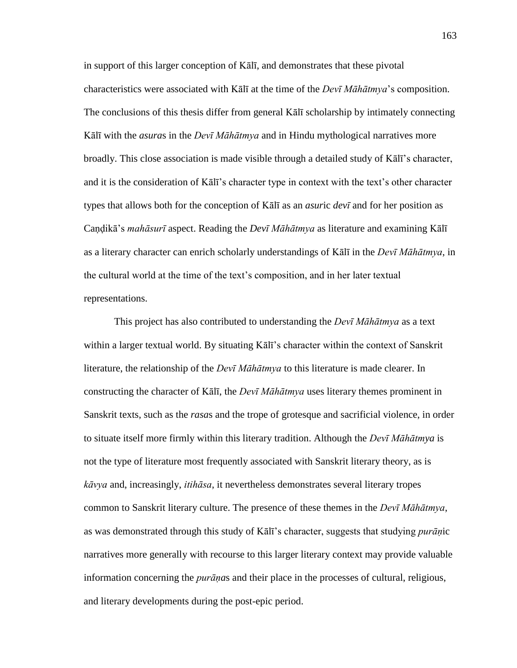in support of this larger conception of Kālī, and demonstrates that these pivotal characteristics were associated with Kālī at the time of the *Devī Māhātmya*'s composition. The conclusions of this thesis differ from general Kālī scholarship by intimately connecting Kālī with the *asura*s in the *Devī Māhātmya* and in Hindu mythological narratives more broadly. This close association is made visible through a detailed study of Kālī's character, and it is the consideration of Kālī's character type in context with the text's other character types that allows both for the conception of Kālī as an *asur*ic *devī* and for her position as Caṇḍikā's *mahāsurī* aspect. Reading the *Devī Māhātmya* as literature and examining Kālī as a literary character can enrich scholarly understandings of Kālī in the *Devī Māhātmya*, in the cultural world at the time of the text's composition, and in her later textual representations.

 This project has also contributed to understanding the *Devī Māhātmya* as a text within a larger textual world. By situating Kālī's character within the context of Sanskrit literature, the relationship of the *Devī Māhātmya* to this literature is made clearer. In constructing the character of Kālī, the *Devī Māhātmya* uses literary themes prominent in Sanskrit texts, such as the *rasa*s and the trope of grotesque and sacrificial violence, in order to situate itself more firmly within this literary tradition. Although the *Devī Māhātmya* is not the type of literature most frequently associated with Sanskrit literary theory, as is *kāvya* and, increasingly, *itihāsa*, it nevertheless demonstrates several literary tropes common to Sanskrit literary culture. The presence of these themes in the *Devī Māhātmya*, as was demonstrated through this study of Kālī's character, suggests that studying *purāṇ*ic narratives more generally with recourse to this larger literary context may provide valuable information concerning the *purāṇa*s and their place in the processes of cultural, religious, and literary developments during the post-epic period.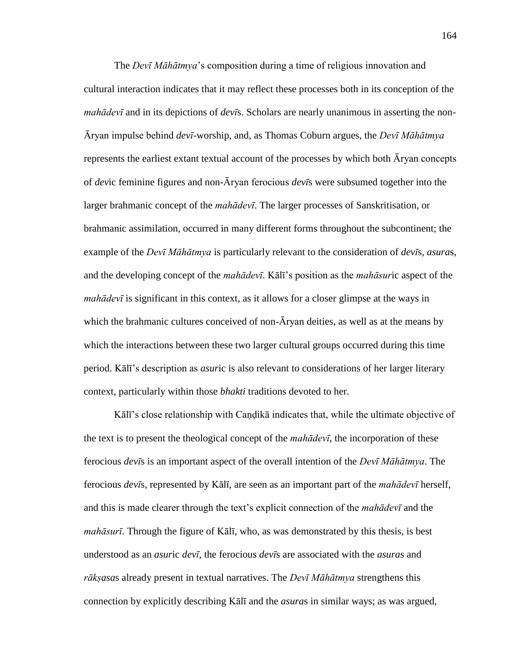The *Devī Māhātmya*'s composition during a time of religious innovation and cultural interaction indicates that it may reflect these processes both in its conception of the *mahādevī* and in its depictions of *devī*s. Scholars are nearly unanimous in asserting the non-Āryan impulse behind *devī*-worship, and, as Thomas Coburn argues, the *Devī Māhātmya* represents the earliest extant textual account of the processes by which both Āryan concepts of *dev*ic feminine figures and non-Āryan ferocious *devī*s were subsumed together into the larger brahmanic concept of the *mahādevī*. The larger processes of Sanskritisation, or brahmanic assimilation, occurred in many different forms throughout the subcontinent; the example of the *Devī Māhātmya* is particularly relevant to the consideration of *devī*s, *asura*s, and the developing concept of the *mahādevī*. Kālī's position as the *mahāsur*ic aspect of the *mahādevī* is significant in this context, as it allows for a closer glimpse at the ways in which the brahmanic cultures conceived of non- $\bar{A}$ ryan deities, as well as at the means by which the interactions between these two larger cultural groups occurred during this time period. Kālī's description as *asur*ic is also relevant to considerations of her larger literary context, particularly within those *bhakti* traditions devoted to her.

Kālī's close relationship with Caṇḍikā indicates that, while the ultimate objective of the text is to present the theological concept of the *mahādevī*, the incorporation of these ferocious *devī*s is an important aspect of the overall intention of the *Devī Māhātmya*. The ferocious *devī*s, represented by Kālī, are seen as an important part of the *mahādevī* herself, and this is made clearer through the text's explicit connection of the *mahādevī* and the *mahāsurī*. Through the figure of Kālī, who, as was demonstrated by this thesis, is best understood as an *asur*ic *devī*, the ferocious *devī*s are associated with the *asura*s and *rākṣasa*s already present in textual narratives. The *Devī Māhātmya* strengthens this connection by explicitly describing Kālī and the *asura*s in similar ways; as was argued,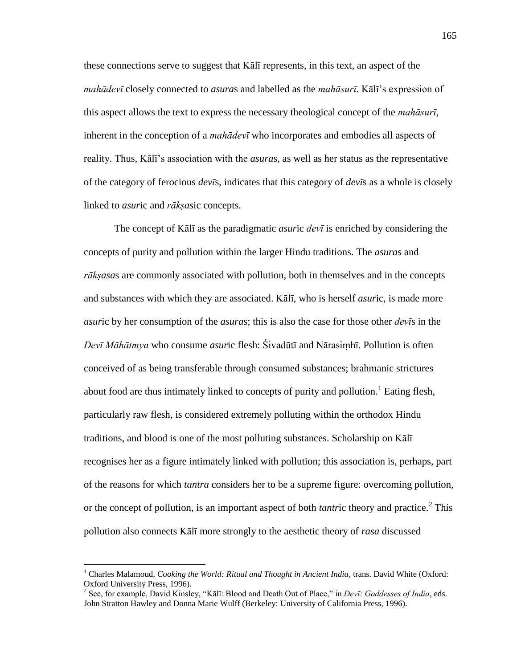these connections serve to suggest that Kālī represents, in this text, an aspect of the *mahādevī* closely connected to *asura*s and labelled as the *mahāsurī*. Kālī's expression of this aspect allows the text to express the necessary theological concept of the *mahāsurī*, inherent in the conception of a *mahādevī* who incorporates and embodies all aspects of reality. Thus, Kālī's association with the *asura*s, as well as her status as the representative of the category of ferocious *devī*s, indicates that this category of *devī*s as a whole is closely linked to *asur*ic and *rākṣas*ic concepts.

 The concept of Kālī as the paradigmatic *asur*ic *devī* is enriched by considering the concepts of purity and pollution within the larger Hindu traditions. The *asura*s and *rākṣasa*s are commonly associated with pollution, both in themselves and in the concepts and substances with which they are associated. Kālī, who is herself *asur*ic, is made more *asur*ic by her consumption of the *asura*s; this is also the case for those other *devī*s in the *Devī Māhātmya* who consume *asur*ic flesh: Śivadūtī and Nārasiṃhī. Pollution is often conceived of as being transferable through consumed substances; brahmanic strictures about food are thus intimately linked to concepts of purity and pollution.<sup>1</sup> Eating flesh, particularly raw flesh, is considered extremely polluting within the orthodox Hindu traditions, and blood is one of the most polluting substances. Scholarship on Kālī recognises her as a figure intimately linked with pollution; this association is, perhaps, part of the reasons for which *tantra* considers her to be a supreme figure: overcoming pollution, or the concept of pollution, is an important aspect of both *tantric* theory and practice.<sup>2</sup> This pollution also connects Kālī more strongly to the aesthetic theory of *rasa* discussed

<sup>&</sup>lt;sup>1</sup> Charles Malamoud, *Cooking the World: Ritual and Thought in Ancient India*, trans. David White (Oxford: Oxford University Press, 1996).

<sup>&</sup>lt;sup>2</sup> See, for example, David Kinsley, "Kālī: Blood and Death Out of Place," in *Devī: Goddesses of India*, eds. John Stratton Hawley and Donna Marie Wulff (Berkeley: University of California Press, 1996).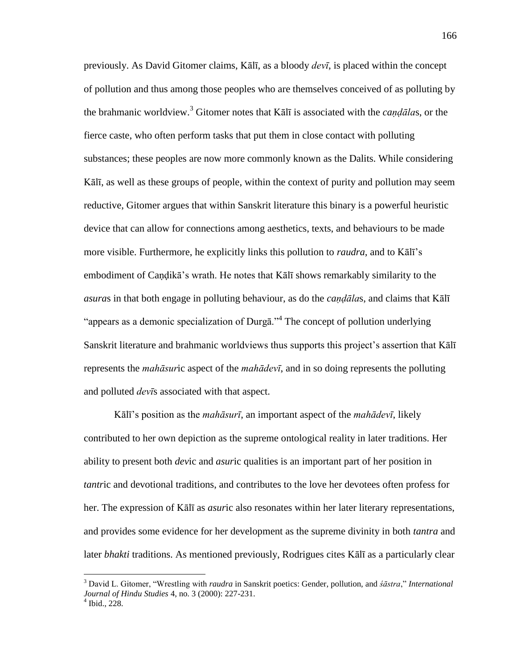previously. As David Gitomer claims, Kālī, as a bloody *devī*, is placed within the concept of pollution and thus among those peoples who are themselves conceived of as polluting by the brahmanic worldview.<sup>3</sup> Gitomer notes that Kālī is associated with the *candālas*, or the fierce caste, who often perform tasks that put them in close contact with polluting substances; these peoples are now more commonly known as the Dalits. While considering Kālī, as well as these groups of people, within the context of purity and pollution may seem reductive, Gitomer argues that within Sanskrit literature this binary is a powerful heuristic device that can allow for connections among aesthetics, texts, and behaviours to be made more visible. Furthermore, he explicitly links this pollution to *raudra*, and to Kālī's embodiment of Caṇḍikā's wrath. He notes that Kālī shows remarkably similarity to the *asura*s in that both engage in polluting behaviour, as do the *caṇḍāla*s, and claims that Kālī "appears as a demonic specialization of Durgā."<sup>4</sup> The concept of pollution underlying Sanskrit literature and brahmanic worldviews thus supports this project's assertion that Kālī represents the *mahāsur*ic aspect of the *mahādevī*, and in so doing represents the polluting and polluted *devī*s associated with that aspect.

Kālī's position as the *mahāsurī*, an important aspect of the *mahādevī*, likely contributed to her own depiction as the supreme ontological reality in later traditions. Her ability to present both *dev*ic and *asur*ic qualities is an important part of her position in *tantr*ic and devotional traditions, and contributes to the love her devotees often profess for her. The expression of Kālī as *asur*ic also resonates within her later literary representations, and provides some evidence for her development as the supreme divinity in both *tantra* and later *bhakti* traditions. As mentioned previously, Rodrigues cites Kālī as a particularly clear

<sup>&</sup>lt;sup>3</sup> David L. Gitomer, "Wrestling with *raudra* in Sanskrit poetics: Gender, pollution, and *śāstra*," *International Journal of Hindu Studies* 4, no. 3 (2000): 227-231.  $4$  Ibid., 228.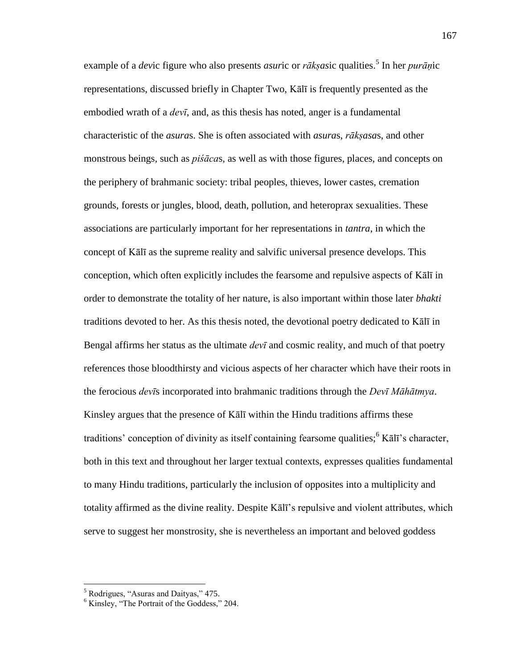example of a *dev*ic figure who also presents *asuric* or *rākṣasic* qualities.<sup>5</sup> In her *purāṇic* representations, discussed briefly in Chapter Two, Kālī is frequently presented as the embodied wrath of a *devī*, and, as this thesis has noted, anger is a fundamental characteristic of the *asura*s. She is often associated with *asura*s, *rākṣasa*s, and other monstrous beings, such as *piśāca*s, as well as with those figures, places, and concepts on the periphery of brahmanic society: tribal peoples, thieves, lower castes, cremation grounds, forests or jungles, blood, death, pollution, and heteroprax sexualities. These associations are particularly important for her representations in *tantra*, in which the concept of Kālī as the supreme reality and salvific universal presence develops. This conception, which often explicitly includes the fearsome and repulsive aspects of Kālī in order to demonstrate the totality of her nature, is also important within those later *bhakti* traditions devoted to her. As this thesis noted, the devotional poetry dedicated to Kālī in Bengal affirms her status as the ultimate *devī* and cosmic reality, and much of that poetry references those bloodthirsty and vicious aspects of her character which have their roots in the ferocious *devī*s incorporated into brahmanic traditions through the *Devī Māhātmya*. Kinsley argues that the presence of Kālī within the Hindu traditions affirms these traditions' conception of divinity as itself containing fearsome qualities; $<sup>6</sup>$  K $\bar{a}$ Ii's character,</sup> both in this text and throughout her larger textual contexts, expresses qualities fundamental to many Hindu traditions, particularly the inclusion of opposites into a multiplicity and totality affirmed as the divine reality. Despite Kālī's repulsive and violent attributes, which serve to suggest her monstrosity, she is nevertheless an important and beloved goddess

<sup>&</sup>lt;sup>5</sup> Rodrigues, "Asuras and Daityas," 475.

 $6$  Kinsley, "The Portrait of the Goddess," 204.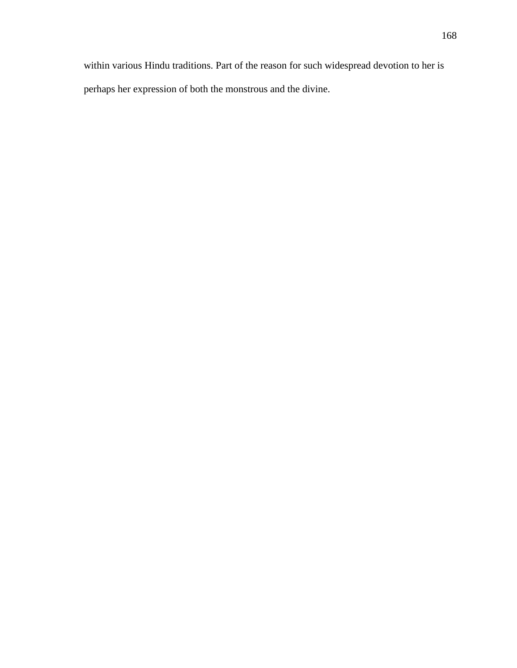within various Hindu traditions. Part of the reason for such widespread devotion to her is perhaps her expression of both the monstrous and the divine.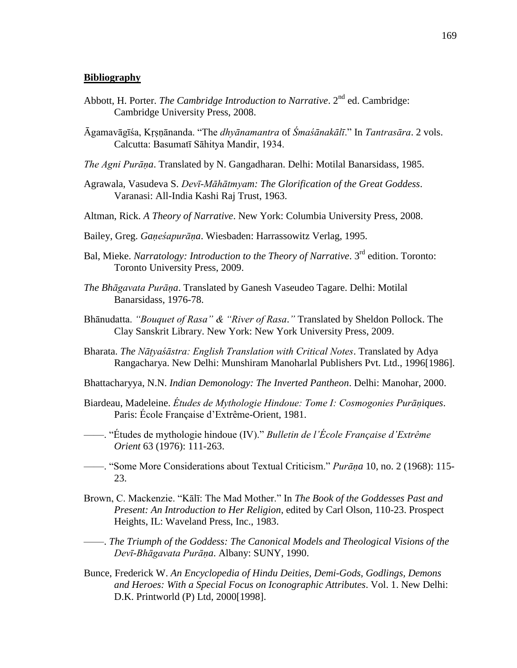#### **Bibliography**

- Abbott, H. Porter. *The Cambridge Introduction to Narrative*. 2<sup>nd</sup> ed. Cambridge: Cambridge University Press, 2008.
- Āgamavāgīśa, Kṛṣṇānanda. ―The *dhyānamantra* of *Śmaśānakālī*.‖ In *Tantrasāra*. 2 vols. Calcutta: Basumatī Sāhitya Mandir, 1934.
- *The Agni Purāṇa*. Translated by N. Gangadharan. Delhi: Motilal Banarsidass, 1985.
- Agrawala, Vasudeva S. *Devī-Māhātmyam: The Glorification of the Great Goddess*. Varanasi: All-India Kashi Raj Trust, 1963.
- Altman, Rick. *A Theory of Narrative*. New York: Columbia University Press, 2008.
- Bailey, Greg. *Gaṇeśapurāṇa*. Wiesbaden: Harrassowitz Verlag, 1995.
- Bal, Mieke. *Narratology: Introduction to the Theory of Narrative*. 3<sup>rd</sup> edition. Toronto: Toronto University Press, 2009.
- *The Bhāgavata Purāṇa*. Translated by Ganesh Vaseudeo Tagare. Delhi: Motilal Banarsidass, 1976-78.
- Bhānudatta. *"Bouquet of Rasa" & "River of Rasa*.*"* Translated by Sheldon Pollock. The Clay Sanskrit Library. New York: New York University Press, 2009.
- Bharata. *The Nāṭyaśāstra: English Translation with Critical Notes*. Translated by Adya Rangacharya. New Delhi: Munshiram Manoharlal Publishers Pvt. Ltd., 1996[1986].
- Bhattacharyya, N.N. *Indian Demonology: The Inverted Pantheon*. Delhi: Manohar, 2000.
- Biardeau, Madeleine. *Études de Mythologie Hindoue: Tome I: Cosmogonies Purāṇiques*. Paris: École Française d'Extrême-Orient, 1981.
- ——. ―Études de mythologie hindoue (IV).‖ *Bulletin de l'École Française d'Extrême Orient* 63 (1976): 111-263.
- ——. ―Some More Considerations about Textual Criticism.‖ *Purāṇa* 10, no. 2 (1968): 115- 23.
- Brown, C. Mackenzie. "Kālī: The Mad Mother." In *The Book of the Goddesses Past and Present: An Introduction to Her Religion*, edited by Carl Olson, 110-23. Prospect Heights, IL: Waveland Press, Inc., 1983.
- ——. *The Triumph of the Goddess: The Canonical Models and Theological Visions of the Devī-Bhāgavata Purāṇa*. Albany: SUNY, 1990.
- Bunce, Frederick W. *An Encyclopedia of Hindu Deities, Demi-Gods, Godlings, Demons and Heroes: With a Special Focus on Iconographic Attributes*. Vol. 1. New Delhi: D.K. Printworld (P) Ltd, 2000[1998].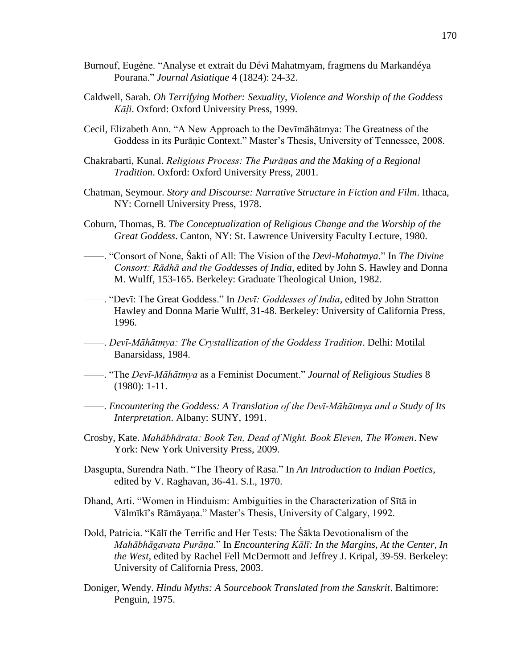- Burnouf, Eugène. "Analyse et extrait du Dévi Mahatmyam, fragmens du Markandéya Pourana.‖ *Journal Asiatique* 4 (1824): 24-32.
- Caldwell, Sarah. *Oh Terrifying Mother: Sexuality, Violence and Worship of the Goddess Kāḷi*. Oxford: Oxford University Press, 1999.
- Cecil, Elizabeth Ann. ―A New Approach to the Devīmāhātmya: The Greatness of the Goddess in its Purāṇic Context." Master's Thesis, University of Tennessee, 2008.
- Chakrabarti, Kunal. *Religious Process: The Purāṇas and the Making of a Regional Tradition*. Oxford: Oxford University Press, 2001.
- Chatman, Seymour. *Story and Discourse: Narrative Structure in Fiction and Film*. Ithaca, NY: Cornell University Press, 1978.
- Coburn, Thomas, B. *The Conceptualization of Religious Change and the Worship of the Great Goddess*. Canton, NY: St. Lawrence University Faculty Lecture, 1980.
- ——. "Consort of None, Sakti of All: The Vision of the *Devi-Mahatmya*." In *The Divine Consort: Rādhā and the Goddesses of India*, edited by John S. Hawley and Donna M. Wulff, 153-165. Berkeley: Graduate Theological Union, 1982.
- ——. ―Devī: The Great Goddess.‖ In *Devī: Goddesses of India*, edited by John Stratton Hawley and Donna Marie Wulff, 31-48. Berkeley: University of California Press, 1996.
- ——. *Devī-Māhātmya: The Crystallization of the Goddess Tradition*. Delhi: Motilal Banarsidass, 1984.
- ——. ―The *Devī-Māhātmya* as a Feminist Document.‖ *Journal of Religious Studies* 8 (1980): 1-11.
- ——. *Encountering the Goddess: A Translation of the Devī-Māhātmya and a Study of Its Interpretation*. Albany: SUNY, 1991.
- Crosby, Kate. *Mahābhārata: Book Ten, Dead of Night. Book Eleven, The Women*. New York: New York University Press, 2009.
- Dasgupta, Surendra Nath. "The Theory of Rasa." In *An Introduction to Indian Poetics*, edited by V. Raghavan, 36-41. S.I., 1970.
- Dhand, Arti. "Women in Hinduism: Ambiguities in the Characterization of Sītā in Vālmīkī's Rāmāyaṇa.‖ Master's Thesis, University of Calgary, 1992.
- Dold, Patricia. "Kālī the Terrific and Her Tests: The Śākta Devotionalism of the *Mahābhāgavata Purāṇa*.‖ In *Encountering Kālī: In the Margins, At the Center, In the West*, edited by Rachel Fell McDermott and Jeffrey J. Kripal, 39-59. Berkeley: University of California Press, 2003.
- Doniger, Wendy. *Hindu Myths: A Sourcebook Translated from the Sanskrit*. Baltimore: Penguin, 1975.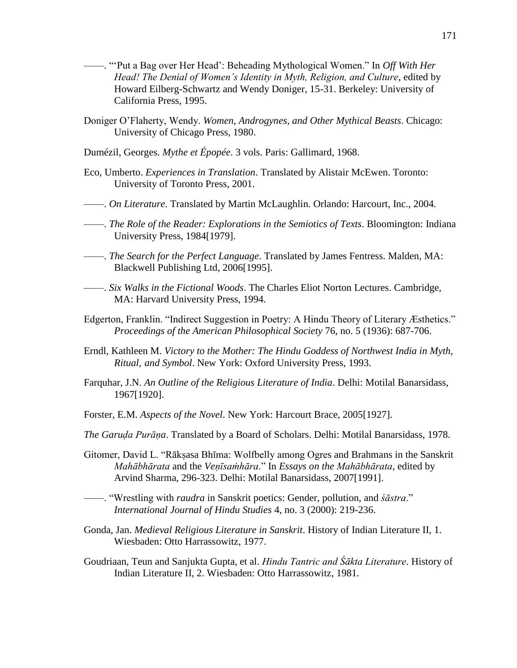- ——. "Put a Bag over Her Head': Beheading Mythological Women." In *Off With Her Head! The Denial of Women's Identity in Myth, Religion, and Culture*, edited by Howard Eilberg-Schwartz and Wendy Doniger, 15-31. Berkeley: University of California Press, 1995.
- Doniger O'Flaherty, Wendy. *Women, Androgynes, and Other Mythical Beasts*. Chicago: University of Chicago Press, 1980.
- Dumézil, Georges. *Mythe et Épopée*. 3 vols. Paris: Gallimard, 1968.
- Eco, Umberto. *Experiences in Translation*. Translated by Alistair McEwen. Toronto: University of Toronto Press, 2001.
- ——. *On Literature*. Translated by Martin McLaughlin. Orlando: Harcourt, Inc., 2004.
- ——. *The Role of the Reader: Explorations in the Semiotics of Texts*. Bloomington: Indiana University Press, 1984[1979].
- ——. *The Search for the Perfect Language*. Translated by James Fentress. Malden, MA: Blackwell Publishing Ltd, 2006[1995].
- ——. *Six Walks in the Fictional Woods*. The Charles Eliot Norton Lectures. Cambridge, MA: Harvard University Press, 1994.
- Edgerton, Franklin. "Indirect Suggestion in Poetry: A Hindu Theory of Literary Æsthetics." *Proceedings of the American Philosophical Society* 76, no. 5 (1936): 687-706.
- Erndl, Kathleen M. *Victory to the Mother: The Hindu Goddess of Northwest India in Myth, Ritual, and Symbol*. New York: Oxford University Press, 1993.
- Farquhar, J.N. *An Outline of the Religious Literature of India*. Delhi: Motilal Banarsidass, 1967[1920].
- Forster, E.M. *Aspects of the Novel*. New York: Harcourt Brace, 2005[1927].
- *The Garuḍa Purāṇa*. Translated by a Board of Scholars. Delhi: Motilal Banarsidass, 1978.
- Gitomer, David L. "Rākṣasa Bhīma: Wolfbelly among Ogres and Brahmans in the Sanskrit *Mahābhārata* and the *Veṇīsaṁhāra*.‖ In *Essays on the Mahābhārata*, edited by Arvind Sharma, 296-323. Delhi: Motilal Banarsidass, 2007[1991].
- ——. ―Wrestling with *raudra* in Sanskrit poetics: Gender, pollution, and *śāstra*.‖ *International Journal of Hindu Studies* 4, no. 3 (2000): 219-236.
- Gonda, Jan. *Medieval Religious Literature in Sanskrit*. History of Indian Literature II, 1. Wiesbaden: Otto Harrassowitz, 1977.
- Goudriaan, Teun and Sanjukta Gupta, et al. *Hindu Tantric and Śākta Literature*. History of Indian Literature II, 2. Wiesbaden: Otto Harrassowitz, 1981.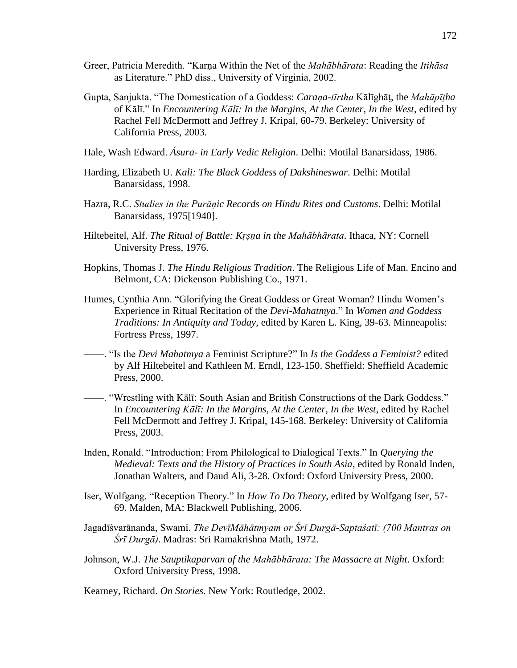- Greer, Patricia Meredith. ―Karṇa Within the Net of the *Mahābhārata*: Reading the *Itihāsa* as Literature.‖ PhD diss., University of Virginia, 2002.
- Gupta, Sanjukta. ―The Domestication of a Goddess: *Caraṇa-tīrtha* Kālīghāṭ, the *Mahāpīṭha* of Kālī." In *Encountering Kālī: In the Margins, At the Center, In the West*, edited by Rachel Fell McDermott and Jeffrey J. Kripal, 60-79. Berkeley: University of California Press, 2003.
- Hale, Wash Edward. *Ásura- in Early Vedic Religion*. Delhi: Motilal Banarsidass, 1986.
- Harding, Elizabeth U. *Kali: The Black Goddess of Dakshineswar*. Delhi: Motilal Banarsidass, 1998.
- Hazra, R.C. *Studies in the Purāṇic Records on Hindu Rites and Customs*. Delhi: Motilal Banarsidass, 1975[1940].
- Hiltebeitel, Alf. *The Ritual of Battle: Kṛṣṇa in the Mahābhārata*. Ithaca, NY: Cornell University Press, 1976.
- Hopkins, Thomas J. *The Hindu Religious Tradition*. The Religious Life of Man. Encino and Belmont, CA: Dickenson Publishing Co., 1971.
- Humes, Cynthia Ann. "Glorifying the Great Goddess or Great Woman? Hindu Women's Experience in Ritual Recitation of the *Devi-Mahatmya*.‖ In *Women and Goddess Traditions: In Antiquity and Today*, edited by Karen L. King, 39-63. Minneapolis: Fortress Press, 1997.
- ——. ―Is the *Devi Mahatmya* a Feminist Scripture?‖ In *Is the Goddess a Feminist?* edited by Alf Hiltebeitel and Kathleen M. Erndl, 123-150. Sheffield: Sheffield Academic Press, 2000.
- ——. "Wrestling with Kālī: South Asian and British Constructions of the Dark Goddess." In *Encountering Kālī: In the Margins, At the Center, In the West*, edited by Rachel Fell McDermott and Jeffrey J. Kripal, 145-168. Berkeley: University of California Press, 2003.
- Inden, Ronald. "Introduction: From Philological to Dialogical Texts." In *Querying the Medieval: Texts and the History of Practices in South Asia*, edited by Ronald Inden, Jonathan Walters, and Daud Ali, 3-28. Oxford: Oxford University Press, 2000.
- Iser, Wolfgang. "Reception Theory." In *How To Do Theory*, edited by Wolfgang Iser, 57-69. Malden, MA: Blackwell Publishing, 2006.
- Jagadīśvarānanda, Swami. *The DevīMāhātmyam or Śrī Durgā-Saptaśatī: (700 Mantras on Śrī Durgā)*. Madras: Sri Ramakrishna Math, 1972.
- Johnson, W.J. *The Sauptikaparvan of the Mahābhārata: The Massacre at Night*. Oxford: Oxford University Press, 1998.

Kearney, Richard. *On Stories*. New York: Routledge, 2002.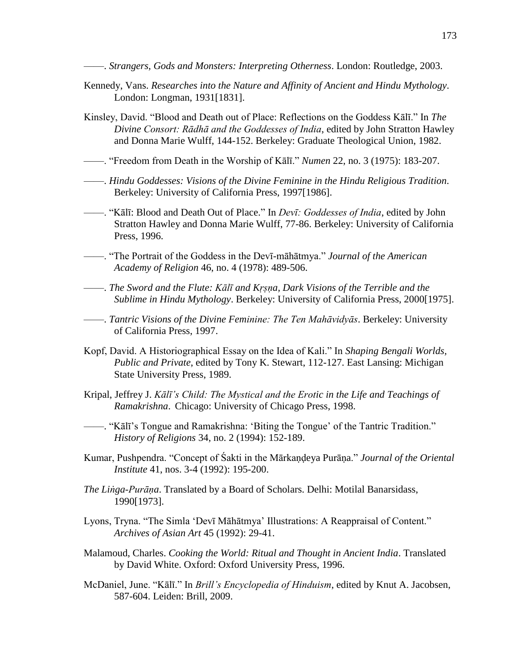——. *Strangers, Gods and Monsters: Interpreting Otherness*. London: Routledge, 2003.

- Kennedy, Vans. *Researches into the Nature and Affinity of Ancient and Hindu Mythology*. London: Longman, 1931[1831].
- Kinsley, David. "Blood and Death out of Place: Reflections on the Goddess Kālī." In *The Divine Consort: Rādhā and the Goddesses of India*, edited by John Stratton Hawley and Donna Marie Wulff, 144-152. Berkeley: Graduate Theological Union, 1982.
- ——. ―Freedom from Death in the Worship of Kālī.‖ *Numen* 22, no. 3 (1975): 183-207.
- ——. *Hindu Goddesses: Visions of the Divine Feminine in the Hindu Religious Tradition*. Berkeley: University of California Press, 1997[1986].
- ——. ―Kālī: Blood and Death Out of Place.‖ In *Devī: Goddesses of India*, edited by John Stratton Hawley and Donna Marie Wulff, 77-86. Berkeley: University of California Press, 1996.
- ——. ―The Portrait of the Goddess in the Devī-māhātmya.‖ *Journal of the American Academy of Religion* 46, no. 4 (1978): 489-506.
- ——. *The Sword and the Flute: Kālī and Kṛṣṇa, Dark Visions of the Terrible and the Sublime in Hindu Mythology*. Berkeley: University of California Press, 2000[1975].
- ——. *Tantric Visions of the Divine Feminine: The Ten Mahāvidyās*. Berkeley: University of California Press, 1997.
- Kopf, David. A Historiographical Essay on the Idea of Kali." In *Shaping Bengali Worlds, Public and Private*, edited by Tony K. Stewart, 112-127. East Lansing: Michigan State University Press, 1989.
- Kripal, Jeffrey J. *Kālī's Child: The Mystical and the Erotic in the Life and Teachings of Ramakrishna*. Chicago: University of Chicago Press, 1998.
- ——. "Kālī's Tongue and Ramakrishna: 'Biting the Tongue' of the Tantric Tradition." *History of Religions* 34, no. 2 (1994): 152-189.
- Kumar, Pushpendra. "Concept of Sakti in the Mārkaṇḍeya Purāṇa." *Journal of the Oriental Institute* 41, nos. 3-4 (1992): 195-200.
- *The Liṅga-Purāṇa*. Translated by a Board of Scholars. Delhi: Motilal Banarsidass, 1990[1973].
- Lyons, Tryna. "The Simla 'Devī Māhātmya' Illustrations: A Reappraisal of Content." *Archives of Asian Art* 45 (1992): 29-41.
- Malamoud, Charles. *Cooking the World: Ritual and Thought in Ancient India*. Translated by David White. Oxford: Oxford University Press, 1996.
- McDaniel, June. "Kālī." In *Brill's Encyclopedia of Hinduism*, edited by Knut A. Jacobsen, 587-604. Leiden: Brill, 2009.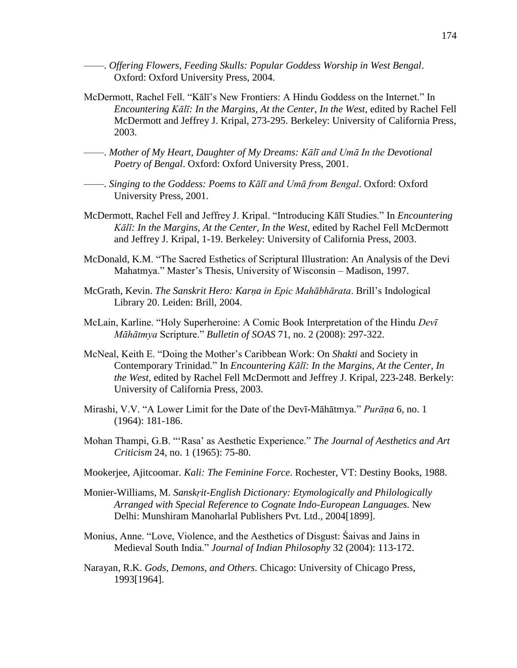- ——. *Offering Flowers, Feeding Skulls: Popular Goddess Worship in West Bengal*. Oxford: Oxford University Press, 2004.
- McDermott, Rachel Fell. "Kālī's New Frontiers: A Hindu Goddess on the Internet." In *Encountering Kālī: In the Margins, At the Center, In the West*, edited by Rachel Fell McDermott and Jeffrey J. Kripal, 273-295. Berkeley: University of California Press, 2003.
- ——. *Mother of My Heart, Daughter of My Dreams: Kālī and Umā In the Devotional Poetry of Bengal*. Oxford: Oxford University Press, 2001.
- ——. *Singing to the Goddess: Poems to Kālī and Umā from Bengal*. Oxford: Oxford University Press, 2001.
- McDermott, Rachel Fell and Jeffrey J. Kripal. "Introducing Kālī Studies." In *Encountering Kālī: In the Margins, At the Center, In the West*, edited by Rachel Fell McDermott and Jeffrey J. Kripal, 1-19. Berkeley: University of California Press, 2003.
- McDonald, K.M. "The Sacred Esthetics of Scriptural Illustration: An Analysis of the Devi Mahatmya." Master's Thesis, University of Wisconsin – Madison, 1997.
- McGrath, Kevin. *The Sanskrit Hero: Karṇa in Epic Mahābhārata*. Brill's Indological Library 20. Leiden: Brill, 2004.
- McLain, Karline. ―Holy Superheroine: A Comic Book Interpretation of the Hindu *Devī Māhātmya* Scripture.‖ *Bulletin of SOAS* 71, no. 2 (2008): 297-322.
- McNeal, Keith E. "Doing the Mother's Caribbean Work: On *Shakti* and Society in Contemporary Trinidad." In *Encountering Kālī: In the Margins, At the Center, In the West*, edited by Rachel Fell McDermott and Jeffrey J. Kripal, 223-248. Berkely: University of California Press, 2003.
- Mirashi, V.V. "A Lower Limit for the Date of the Dev<sub>I</sub>-Māhātmya." *Purāna* 6, no. 1 (1964): 181-186.
- Mohan Thampi, G.B. "'Rasa' as Aesthetic Experience." The Journal of Aesthetics and Art  *Criticism* 24, no. 1 (1965): 75-80.
- Mookerjee, Ajitcoomar. *Kali: The Feminine Force*. Rochester, VT: Destiny Books, 1988.
- Monier-Williams, M. *Sanskṛit-English Dictionary: Etymologically and Philologically Arranged with Special Reference to Cognate Indo-European Languages.* New Delhi: Munshiram Manoharlal Publishers Pvt. Ltd., 2004[1899].
- Monius, Anne. "Love, Violence, and the Aesthetics of Disgust: Saivas and Jains in Medieval South India.‖ *Journal of Indian Philosophy* 32 (2004): 113-172.
- Narayan, R.K. *Gods, Demons, and Others*. Chicago: University of Chicago Press, 1993[1964].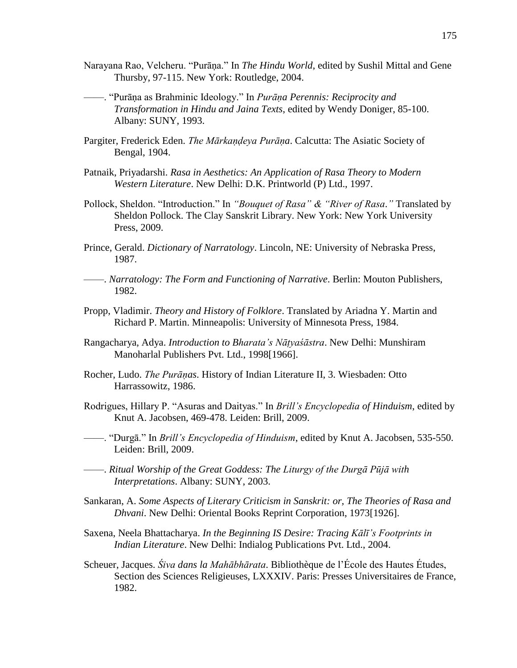- Narayana Rao, Velcheru. "Purāna." In *The Hindu World*, edited by Sushil Mittal and Gene Thursby, 97-115. New York: Routledge, 2004.
- ——. ―Purāṇa as Brahminic Ideology.‖ In *Purāṇa Perennis: Reciprocity and Transformation in Hindu and Jaina Texts*, edited by Wendy Doniger, 85-100. Albany: SUNY, 1993.
- Pargiter, Frederick Eden. *The Mārkaṇḍeya Purāṇa*. Calcutta: The Asiatic Society of Bengal, 1904.
- Patnaik, Priyadarshi. *Rasa in Aesthetics: An Application of Rasa Theory to Modern Western Literature*. New Delhi: D.K. Printworld (P) Ltd., 1997.
- Pollock, Sheldon. "Introduction." In "Bouquet of Rasa" & "River of Rasa." Translated by Sheldon Pollock. The Clay Sanskrit Library. New York: New York University Press, 2009.
- Prince, Gerald. *Dictionary of Narratology*. Lincoln, NE: University of Nebraska Press, 1987.
- ——. *Narratology: The Form and Functioning of Narrative*. Berlin: Mouton Publishers, 1982.
- Propp, Vladimir. *Theory and History of Folklore*. Translated by Ariadna Y. Martin and Richard P. Martin. Minneapolis: University of Minnesota Press, 1984.
- Rangacharya, Adya. *Introduction to Bharata's Nāṭyaśāstra*. New Delhi: Munshiram Manoharlal Publishers Pvt. Ltd., 1998[1966].
- Rocher, Ludo. *The Purāṇas*. History of Indian Literature II, 3. Wiesbaden: Otto Harrassowitz, 1986.
- Rodrigues, Hillary P. "Asuras and Daityas." In *Brill's Encyclopedia of Hinduism*, edited by Knut A. Jacobsen, 469-478. Leiden: Brill, 2009.
- ——. ―Durgā.‖ In *Brill's Encyclopedia of Hinduism*, edited by Knut A. Jacobsen, 535-550. Leiden: Brill, 2009.
- ——. *Ritual Worship of the Great Goddess: The Liturgy of the Durgā Pūjā with Interpretations*. Albany: SUNY, 2003.
- Sankaran, A. *Some Aspects of Literary Criticism in Sanskrit: or, The Theories of Rasa and Dhvani*. New Delhi: Oriental Books Reprint Corporation, 1973[1926].
- Saxena, Neela Bhattacharya. *In the Beginning IS Desire: Tracing Kālī's Footprints in Indian Literature*. New Delhi: Indialog Publications Pvt. Ltd., 2004.
- Scheuer, Jacques. *Śiva dans la Mahābhārata*. Bibliothèque de l'École des Hautes Études, Section des Sciences Religieuses, LXXXIV. Paris: Presses Universitaires de France, 1982.